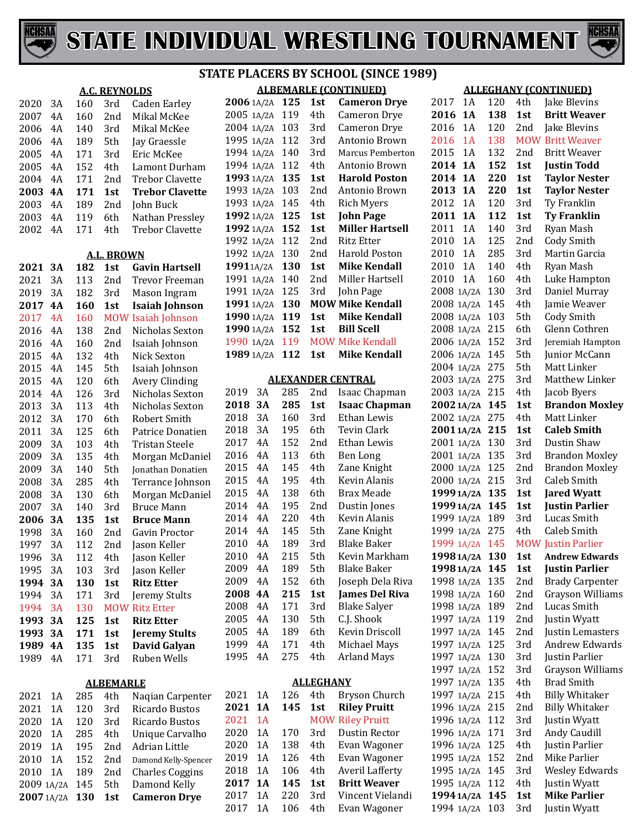



|      |           |     |                      | 3 I                    |
|------|-----------|-----|----------------------|------------------------|
|      |           |     | <b>A.C. REYNOLDS</b> |                        |
| 2020 | 3A        | 160 | 3rd                  | Caden Earley           |
| 2007 | 4A        | 160 | 2nd                  | Mikal McKee            |
| 2006 | 4A        | 140 | 3rd                  | Mikal McKee            |
| 2006 | 4A        | 189 | 5th                  | Jay Graessle           |
| 2005 | 4A        | 171 | 3rd                  | Eric McKee             |
| 2005 | 4A        | 152 | 4th                  | Lamont Durham          |
| 2004 | 4A        | 171 | 2nd                  | <b>Trebor Clavette</b> |
| 2003 | <b>4A</b> | 171 | 1st                  | <b>Trebor Clavette</b> |
| 2003 | 4A        | 189 | 2nd                  | John Buck              |
| 2003 | 4A        | 119 | 6th                  | Nathan Pressley        |
| 2002 | 4A        | 171 | 4th                  | <b>Trebor Clavette</b> |
|      |           |     |                      |                        |
|      |           |     | <b>A.L. BROWN</b>    |                        |
| 2021 | 3A        | 182 | 1st                  | <b>Gavin Hartsell</b>  |
| 2021 | 3A        | 113 | 2nd                  | <b>Trevor Freeman</b>  |
| 2019 | 3A        | 182 | 3rd                  | Mason Ingram           |
| 2017 | <b>4A</b> | 160 | 1st                  | <b>Isaiah Johnson</b>  |
| 2017 | 4A        | 160 | <b>MOW</b>           | Isaiah Johnson         |
| 2016 | 4A        | 138 | 2nd                  | Nicholas Sexton        |
| 2016 | 4A        | 160 | 2nd                  | Isaiah Johnson         |
| 2015 | 4A        | 132 | 4th                  | Nick Sexton            |
| 2015 | 4A        | 145 | 5th                  | Isaiah Johnson         |
| 2015 | 4A        | 120 | 6th                  | <b>Avery Clinding</b>  |
| 2014 | 4A        | 126 | 3rd                  | Nicholas Sexton        |
| 2013 | 3A        | 113 | 4th                  | Nicholas Sexton        |
| 2012 | 3A        | 170 | 6th                  | <b>Robert Smith</b>    |
| 2011 | 3A        | 125 | 6th                  | Patrice Donatien       |
| 2009 | 3A        | 103 | 4th                  | <b>Tristan Steele</b>  |
| 2009 | 3A        | 135 | 4th                  | Morgan McDaniel        |
| 2009 | 3A        | 140 | 5th                  | Jonathan Donatien      |
| 2008 | 3A        | 285 | 4th                  | Terrance Johnson       |
| 2008 | 3A        | 130 | 6th                  | Morgan McDaniel        |
| 2007 | 3A        | 140 | 3rd                  | <b>Bruce Mann</b>      |
| 2006 | 3A        | 135 | 1st                  | <b>Bruce Mann</b>      |
| 1998 | 3A        | 160 | 2nd                  | Gavin Proctor          |
| 1997 | 3A        | 112 | 2nd                  | Jason Keller           |
| 1996 | 3A        | 112 | 4th                  | Jason Keller           |
| 1995 | 3A        | 103 | 3rd                  | Jason Keller           |
| 1994 | 3А        | 130 | 1st                  | <b>Ritz Etter</b>      |
| 1994 | 3A        | 171 | 3rd                  | Jeremy Stults          |
| 1994 | 3A        | 130 |                      | <b>MOW Ritz Etter</b>  |
| 1993 | 3A        | 125 | 1st                  | <b>Ritz Etter</b>      |
| 1993 | 3A        | 171 | 1st                  | <b>Jeremy Stults</b>   |
| 1989 | 4A        | 135 | 1st                  | David Galyan           |
| 1989 | 4A        | 171 | 3rd                  | Ruben Wells            |
|      |           |     |                      |                        |
|      |           |     | <b>ALBEMARLE</b>     |                        |
| 2021 | 1A        | 285 | 4th                  | Naqian Carpenter       |
| 2021 | 1A        | 120 | 3rd                  | Ricardo Bustos         |
|      |           |     |                      |                        |

 1A 120 3rd Ricardo Bustos 2020 1A 285 4th Unique Carvalho<br>2019 1A 195 2nd Adrian Little 1A 195 2nd Adrian Little 2010 1A 152 2nd Damond Kelly-Spencer<br>2010 1A 189 2nd Charles Coggins

2009 1A/2A 145 5th Damond Kelly<br>2007 1A/2A 130 1st Cameron Drye

1A/2A **130 1st Cameron Drye**

2nd Charles Coggins<br>5th Damond Kelly

| STATE PLACERS BY SCHOOL (SINCE 1989)                             |                              |   |
|------------------------------------------------------------------|------------------------------|---|
|                                                                  | <b>ALBEMARLE (CONTINUED)</b> |   |
| $2006 \leftrightarrow 21.25$ $125$ $125$ $0.222$ $0.222$ $0.222$ |                              | ົ |

| 2006 1A/2A | 125 | 1st  | <b>Cameron Drye</b>     |
|------------|-----|------|-------------------------|
| 2005 1A/2A | 119 | 4th  | Cameron Drye            |
| 2004 1A/2A | 103 | 3rd  | Cameron Drye            |
| 1995 1A/2A | 112 | 3rd  | Antonio Brown           |
| 1994 1A/2A | 140 | 3rd  | <b>Marcus Pemberton</b> |
| 1994 1A/2A | 112 | 4th. | Antonio Brown           |
| 1993 1A/2A | 135 | 1st  | <b>Harold Poston</b>    |
| 1993 1A/2A | 103 | 2nd  | Antonio Brown           |
| 1993 1A/2A | 145 | 4th  | <b>Rich Myers</b>       |
| 1992 1A/2A | 125 | 1st  | <b>John Page</b>        |
| 1992 1A/2A | 152 | 1st  | <b>Miller Hartsell</b>  |
| 1992 1A/2A | 112 | 2nd  | Ritz Etter              |
| 1992 1A/2A | 130 | 2nd  | Harold Poston           |
| 19911A/2A  | 130 | 1st  | <b>Mike Kendall</b>     |
| 1991 1A/2A | 140 | 2nd  | Miller Hartsell         |
| 1991 1A/2A | 125 | 3rd  | John Page               |
| 1991 1A/2A | 130 |      | <b>MOW Mike Kendall</b> |
| 1990 1A/2A | 119 | 1st  | <b>Mike Kendall</b>     |
| 1990 1A/2A | 152 | 1st  | <b>Bill Scell</b>       |
| 1990 1A/2A | 119 |      | <b>MOW Mike Kendall</b> |
| 1989 1A/2A | 112 | 1st  | <b>Mike Kendall</b>     |

#### **ALEXANDER CENTRAL**

| 2019 | 3A        | 285 | 2nd | Isaac Chapman         |
|------|-----------|-----|-----|-----------------------|
| 2018 | <b>3A</b> | 285 | 1st | <b>Isaac Chapman</b>  |
| 2018 | 3A        | 160 | 3rd | Ethan Lewis           |
| 2018 | 3A        | 195 | 6th | Tevin Clark           |
| 2017 | 4Α        | 152 | 2nd | Ethan Lewis           |
| 2016 | 4A        | 113 | 6th | Ben Long              |
| 2015 | 4Α        | 145 | 4th | Zane Knight           |
| 2015 | 4Α        | 195 | 4th | Kevin Alanis          |
| 2015 | 4Α        | 138 | 6th | Brax Meade            |
| 2014 | 4Α        | 195 | 2nd | Dustin Jones          |
| 2014 | 4Α        | 220 | 4th | Kevin Alanis          |
| 2014 | 4Α        | 145 | 5th | Zane Knight           |
| 2010 | 4A        | 189 | 3rd | Blake Baker           |
| 2010 | 4Α        | 215 | 5th | Kevin Markham         |
| 2009 | 4Α        | 189 | 5th | Blake Baker           |
| 2009 | 4Α        | 152 | 6th | Joseph Dela Riva      |
| 2008 | 4Α        | 215 | 1st | <b>James Del Riva</b> |
| 2008 | 4Α        | 171 | 3rd | <b>Blake Salyer</b>   |
| 2005 | 4Α        | 130 | 5th | C.J. Shook            |
| 2005 | 4Α        | 189 | 6th | Kevin Driscoll        |
| 1999 | 4Α        | 171 | 4th | Michael Mays          |
| 1995 | 4Α        | 275 | 4th | <b>Arland Mays</b>    |
|      |           |     |     |                       |

#### **ALLEGHANY**

| 2021 | 1 A       | 126 | 4th – | Bryson Church           |
|------|-----------|-----|-------|-------------------------|
| 2021 | 1A        | 145 | 1st   | <b>Riley Pruitt</b>     |
| 2021 | 1 A       |     |       | <b>MOW Riley Pruitt</b> |
| 2020 | 1 A       | 170 | 3rd   | Dustin Rector           |
| 2020 | 1 A       | 138 | 4th   | Evan Wagoner            |
| 2019 | 1 A       | 126 | 4th.  | Evan Wagoner            |
| 2018 | 1 A       | 106 | 4th   | Averil Lafferty         |
| 2017 | <b>1A</b> | 145 | 1st   | <b>Britt Weaver</b>     |
| 2017 | 1 A       | 220 | 3rd   | Vincent Vielandi        |
| 2017 | 1 A       | 106 | 4th   | Evan Wagoner            |
|      |           |     |       |                         |

| J                        |           |            |            |                                      |
|--------------------------|-----------|------------|------------|--------------------------------------|
|                          |           |            |            | <b>ALLEGHANY (CONTINUED)</b>         |
| 2017                     | 1A        | 120        | 4th        | Jake Blevins                         |
| 2016                     | 1A        | 138        | 1st        | <b>Britt Weaver</b>                  |
| 2016                     | 1A        | 120        | 2nd        | Jake Blevins                         |
| 2016                     | 1A        | 138        | <b>MOW</b> | <b>Britt Weaver</b>                  |
| 2015                     | 1A        | 132        | 2nd        | <b>Britt Weaver</b>                  |
| 2014                     | <b>1A</b> | 152        | 1st        | <b>Justin Todd</b>                   |
| 2014                     | <b>1A</b> | 220        | 1st        | <b>Taylor Nester</b>                 |
| 2013                     | <b>1A</b> | 220        | 1st        | <b>Taylor Nester</b>                 |
| 2012                     | 1A        | 120        | 3rd        | Ty Franklin                          |
| 2011                     | <b>1A</b> | 112        | 1st        | <b>Ty Franklin</b>                   |
| 2011                     | 1A        | 140        | 3rd        | Ryan Mash                            |
| 2010                     | 1A        | 125        | 2nd        | Cody Smith                           |
| 2010                     | 1A        | 285        | 3rd        | Martin Garcia                        |
| 2010                     | 1A        | 140        | 4th        | Ryan Mash                            |
| 2010                     | 1A        | 160        | 4th        | Luke Hampton                         |
| 2008                     | 1A/2A     | 130        | 3rd        | Daniel Murray                        |
| 2008                     | 1A/2A     | 145        | 4th        | Jamie Weaver                         |
| 2008                     | 1A/2A     | 103        | 5th        | Cody Smith                           |
| 2008                     | 1A/2A     | 215        | 6th        | Glenn Cothren                        |
| 2006                     | 1A/2A     | 152        | 3rd        | Jeremiah Hampton                     |
| 2006                     | 1A/2A     | 145        | 5th        | Junior McCann                        |
| 2004                     | 1A/2A     | 275        | 5th        | Matt Linker                          |
| 2003                     | 1A/2A     | 275        | 3rd        | Matthew Linker                       |
| 2003 1A/2A               |           | 215        | 4th        | Jacob Byers                          |
| 2002 1A/2A               |           | 145        | 1st        | <b>Brandon Moxley</b>                |
| 2002 1A/2A               |           | 275        | 4th        | Matt Linker                          |
| 2001 1A/2A               |           | 215        | 1st        | <b>Caleb Smith</b>                   |
| 2001                     | 1A/2A     | 130        | 3rd        | Dustin Shaw                          |
| 2001                     | 1A/2A     | 135<br>125 | 3rd        | <b>Brandon Moxley</b>                |
| 2000                     | 1A/2A     | 215        | 2nd<br>3rd | <b>Brandon Moxley</b><br>Caleb Smith |
| 2000 1A/2A<br>1999 1A/2A |           | 135        | 1st        | <b>Jared Wyatt</b>                   |
| 1999 1A/2A               |           | 145        | 1st        | <b>Justin Parlier</b>                |
| 1999 1A/2A               |           | 189        | 3rd        | Lucas Smith                          |
| 1999 1A/2A               |           | 275        | 4th        | Caleb Smith                          |
| 1999 1A/2A               |           | 145        |            | <b>MOW Justin Parlier</b>            |
| 1998 1A/2A               |           | 130        | 1st        | <b>Andrew Edwards</b>                |
| 1998 1A/2A               |           | 145        | 1st        | <b>Justin Parlier</b>                |
| 1998 1A/2A               |           | 135        | 2nd        | <b>Brady Carpenter</b>               |
| 1998                     | 1A/2A     | 160        | 2nd        | Grayson Williams                     |
| 1998                     | 1A/2A     | 189        | 2nd        | Lucas Smith                          |
| 1997                     | 1A/2A     | 119        | 2nd        | Justin Wyatt                         |
| 1997                     | 1A/2A     | 145        | 2nd        | Justin Lemasters                     |
| 1997                     | 1A/2A     | 125        | 3rd        | <b>Andrew Edwards</b>                |
| 1997                     | 1A/2A     | 130        | 3rd        | Justin Parlier                       |
| 1997                     | 1A/2A     | 152        | 3rd        | Grayson Williams                     |
| 1997                     | 1A/2A     | 135        | 4th        | <b>Brad Smith</b>                    |
| 1997                     | 1A/2A     | 215        | 4th        | <b>Billy Whitaker</b>                |
| 1996                     | 1A/2A     | 215        | 2nd        | <b>Billy Whitaker</b>                |
| 1996                     | 1A/2A     | 112        | 3rd        | Justin Wyatt                         |
| 1996                     | 1A/2A     | 171        | 3rd        | Andy Caudill                         |
| 1996                     | 1A/2A     | 125        | 4th        | Justin Parlier                       |
| 1995                     | 1A/2A     | 152        | 2nd        | Mike Parlier                         |
| 1995                     | 1A/2A     | 145        | 3rd        | <b>Wesley Edwards</b>                |
| 1995                     | 1A/2A     | 112        | 4th        | Justin Wyatt                         |
| 1994 1A/2A               |           | 145        | 1st        | <b>Mike Parlier</b>                  |
| 1994 1A/2A               |           | 103        | 3rd        | <b>Justin Wyatt</b>                  |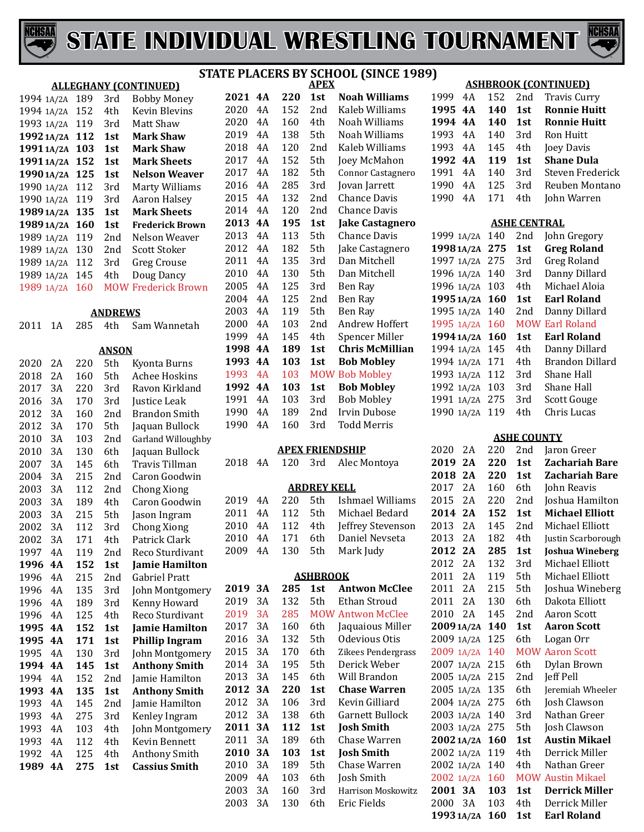



|            |    |     |                | ST/                          |
|------------|----|-----|----------------|------------------------------|
|            |    |     |                | <b>ALLEGHANY (CONTINUED)</b> |
| 1994 1A/2A |    | 189 | 3rd            | <b>Bobby Money</b>           |
| 1994 1A/2A |    | 152 | 4th            | <b>Kevin Blevins</b>         |
| 1993 1A/2A |    | 119 | 3rd            | Matt Shaw                    |
| 1992 1A/2A |    | 112 | 1st            | <b>Mark Shaw</b>             |
| 19911A/2A  |    | 103 | 1st            | <b>Mark Shaw</b>             |
| 19911A/2A  |    | 152 | 1st            | <b>Mark Sheets</b>           |
| 1990 1A/2A |    | 125 | 1st            | <b>Nelson Weaver</b>         |
| 1990 1A/2A |    | 112 | 3rd            | Marty Williams               |
| 1990 1A/2A |    | 119 | 3rd            | <b>Aaron Halsey</b>          |
| 1989 1A/2A |    | 135 | 1st            | <b>Mark Sheets</b>           |
| 1989 1A/2A |    | 160 | 1st            | <b>Frederick Brown</b>       |
| 1989 1A/2A |    | 119 | 2nd            | Nelson Weaver                |
| 1989 1A/2A |    | 130 | 2nd            | <b>Scott Stoker</b>          |
| 1989 1A/2A |    | 112 | 3rd            | <b>Greg Crouse</b>           |
| 1989 1A/2A |    | 145 | 4th            | Doug Dancy                   |
| 1989 1A/2A |    | 160 | <b>MOW</b>     | <b>Frederick Brown</b>       |
|            |    |     |                |                              |
|            |    |     | <b>ANDREWS</b> |                              |
| 2011       | 1Α | 285 | 4th            | Sam Wannetah                 |
|            |    |     |                |                              |
|            |    |     | <b>ANSON</b>   |                              |
| 2020       | 2A | 220 | 5th            | Kyonta Burns                 |
| 2018       | 2A | 160 | 5th            | <b>Achee Hoskins</b>         |
| 2017       | 3A | 220 | 3rd            | Ravon Kirkland               |
| 2016       | 3A | 170 | 3rd            | Justice Leak                 |
| 2012       | 3A | 160 | 2nd            | <b>Brandon Smith</b>         |
| 2012       | 3A | 170 | 5th            | Jaquan Bullock               |
| 2010       | 3A | 103 | 2nd            | Garland Willoughby           |
| 2010       | 3A | 130 | 6th            | Jaquan Bullock               |
| 2007       | 3A | 145 | 6th            | Travis Tillman               |
| 2004       | 3A | 215 | 2nd            | Caron Goodwin                |
| 2003       | 3A | 112 | 2nd            | <b>Chong Xiong</b>           |
| 2003       | 3A | 189 | 4th            | Caron Goodwin                |
| 2003       | 3A | 215 | 5th            | Jason Ingram                 |
| 2002       | 3A | 112 | 3rd            | <b>Chong Xiong</b>           |
| 2002       | 3A | 171 | 4th            | Patrick Clark                |
| 1997       | 4Α | 119 | 2nd            | Reco Sturdivant              |
| 1996       | 4A | 152 | 1st            | <b>Jamie Hamilton</b>        |
| 1996       | 4A | 215 | 2nd            | Gabriel Pratt                |
| 1996       | 4A | 135 | 3rd            | John Montgomery              |
| 1996       | 4A | 189 | 3rd            | Kenny Howard                 |
| 1996       | 4A | 125 | 4th            | Reco Sturdivant              |
| 1995       | 4A | 152 | 1st            | Jamie Hamilton               |
| 1995       | 4A | 171 | 1st            | <b>Phillip Ingram</b>        |
| 1995       | 4A | 130 | 3rd            | John Montgomery              |
| 1994       | 4A | 145 | 1st            | <b>Anthony Smith</b>         |
| 1994       | 4A | 152 | 2nd            | Jamie Hamilton               |
| 1993       | 4A | 135 | 1st            | <b>Anthony Smith</b>         |
| 1993       | 4A | 145 | 2nd            | Jamie Hamilton               |
| 1993       | 4Α | 275 | 3rd            | Kenley Ingram                |
| 1993       | 4Α | 103 | 4th            | John Montgomery              |
| 1993       | 4A | 112 | 4th            | Kevin Bennett                |
| 1992       | 4A | 125 | 4th            | <b>Anthony Smith</b>         |
| 1989       | 4А | 275 | 1st            | <b>Cassius Smith</b>         |
|            |    |     |                |                              |

#### **APEX 4A 220 1st Noah Williams**  4A 152 2nd Kaleb Williams 4A 160 4th Noah Williams 4A 138 5th Noah Williams 4A 120 2nd Kaleb Williams 4A 152 5th Joey McMahon 2017 4A 182 5th Connor Castagnero<br>2016 4A 285 3rd Jovan Jarrett 4A 285 3rd Jovan Jarrett 4A 132 2nd Chance Davis 2014 4A 120 2nd Chance Davis<br>**2013 4A 195 1st Jake Castagn 4A 195 1st Jake Castagnero** 4A 113 5th Chance Davis 4A 182 5th Jake Castagnero 4A 135 3rd Dan Mitchell 4A 130 5th Dan Mitchell 4A 125 3rd Ben Ray 125 2nd Ben Ray<br>119 5th Ben Ray 2003 4A 119<br>2000 4A 103 4A 103 2nd Andrew Hoffert 1999 4A 145 4th Spencer Miller<br>1998 4A 189 1st Chris McMillia **4A 189 1st Chris McMillian 4A 103 1st Bob Mobley** 1993 4A 103 MOW Bob Mobley<br>1992 4A 103 1st Bob Mobley **4A 103 1st Bob Mobley** 4A 103 3rd Bob Mobley 4A 189 2nd Irvin Dubose 160 3rd **STE PLACERS BY SCHOOL (SINCE 1989)**

#### **APEX FRIENDSHIP**

|      |       |     |                    | 2018 4A 120 3rd Alec Montoya |
|------|-------|-----|--------------------|------------------------------|
|      |       |     | <b>ARDREY KELL</b> |                              |
| 2019 | 4A    | 220 | 5th -              | Ishmael Williams             |
| 2011 | - 4 A | 112 | 5th                | Michael Bedard               |
| 2010 | 4 A   | 112 | 4th                | Jeffrey Stevenson            |
| 2010 | 4 A   | 171 | 6th                | Daniel Nevseta               |
| 2009 | 4A    | 130 | 5th                | Mark Judy                    |
|      |       |     |                    |                              |

#### **ASHBROOK**

| 2019 | 3А | 285 | 1st  | <b>Antwon McClee</b>     |
|------|----|-----|------|--------------------------|
| 2019 | 3A | 132 | 5th  | Ethan Stroud             |
| 2019 | 3A | 285 |      | <b>MOW Antwon McClee</b> |
| 2017 | 3A | 160 | 6th. | Jaquaious Miller         |
| 2016 | 3Α | 132 | 5th  | Odevious Otis            |
| 2015 | 3A | 170 | 6th  | Zikees Pendergrass       |
| 2014 | 3Α | 195 | 5th  | Derick Weber             |
| 2013 | 3Α | 145 | 6th  | Will Brandon             |
| 2012 | 3А | 220 | 1st  | <b>Chase Warren</b>      |
| 2012 | 3Α | 106 | 3rd  | Kevin Gilliard           |
| 2012 | 3Α | 138 | 6th  | Garnett Bullock          |
| 2011 | 3А | 112 | 1st  | <b>Josh Smith</b>        |
| 2011 | 3Α | 189 | 6th  | Chase Warren             |
| 2010 | 3А | 103 | 1st  | <b>Josh Smith</b>        |
| 2010 | 3A | 189 | 5th  | Chase Warren             |
| 2009 | 4Α | 103 | 6th  | Josh Smith               |
| 2003 | 3A | 160 | 3rd  | Harrison Moskowitz       |
| 2003 | 3A | 130 | 6th  | Eric Fields              |
|      |    |     |      |                          |

#### **ASHBROOK (CONTINUED)**

| 1999 4A |      |     |     | 152 2nd Travis Curry |
|---------|------|-----|-----|----------------------|
| 1995 4A |      | 140 | 1st | <b>Ronnie Huitt</b>  |
| 1994 4A |      | 140 | 1st | <b>Ronnie Huitt</b>  |
| 1993 4A |      | 140 | 3rd | Ron Huitt            |
| 1993 4A |      | 145 | 4th | Joey Davis           |
| 1992 4A |      | 119 | 1st | <b>Shane Dula</b>    |
| 1991    | 4 A  | 140 | 3rd | Steven Frederick     |
|         |      |     |     |                      |
| 1990    | 4A   | 125 | 3rd | Reuben Montano       |
| 1990    | - 4A | 171 | 4th | John Warren          |

#### **ASHE CENTRAL**

| 1999 1A/2A | 140 | 2 <sub>nd</sub> | John Gregory           |
|------------|-----|-----------------|------------------------|
| 1998 1A/2A | 275 | 1st             | <b>Greg Roland</b>     |
| 1997 1A/2A | 275 | 3rd             | Greg Roland            |
| 1996 1A/2A | 140 | 3rd             | Danny Dillard          |
| 1996 1A/2A | 103 | 4th             | Michael Aloia          |
| 1995 1A/2A | 160 | 1st             | <b>Earl Roland</b>     |
| 1995 1A/2A | 140 | 2nd             | Danny Dillard          |
| 1995 1A/2A | 160 |                 | <b>MOW Earl Roland</b> |
|            |     |                 |                        |
| 1994 1A/2A | 160 | 1st             | <b>Earl Roland</b>     |
| 1994 1A/2A | 145 | 4th             | Danny Dillard          |
| 1994 1A/2A | 171 | 4th             | Brandon Dillard        |
| 1993 1A/2A | 112 | 3rd             | Shane Hall             |
| 1992 1A/2A | 103 | 3rd             | Shane Hall             |
| 1991 1A/2A | 275 | 3rd             | <b>Scott Gouge</b>     |

#### **ASHE COUNTY**

| 2020       | 2Α    | 220 | 2nd             | Jaron Greer              |
|------------|-------|-----|-----------------|--------------------------|
| 2019       | 2A    | 220 | 1st             | Zachariah Bare           |
| 2018       | 2A    | 220 | 1st             | Zachariah Bare           |
| 2017       | 2A    | 160 | 6th.            | John Reavis              |
| 2015       | 2A    | 220 | 2nd             | Joshua Hamilton          |
| 2014       | 2A    | 152 | 1st             | <b>Michael Elliott</b>   |
| 2013       | 2Α    | 145 | 2 <sub>nd</sub> | Michael Elliott          |
| 2013       | 2A    | 182 | 4th             | Justin Scarborough       |
| 2012       | 2A    | 285 | 1st             | <b>Joshua Wineberg</b>   |
| 2012       | 2A    | 132 | 3rd             | Michael Elliott          |
| 2011       | 2A    | 119 | 5th.            | Michael Elliott          |
| 2011       | 2A    | 215 | 5th             | Joshua Wineberg          |
| 2011       | 2A    | 130 | 6th.            | Dakota Elliott           |
| 2010       | 2A    | 145 | 2nd             | Aaron Scott              |
| 20091A/2A  |       | 140 | 1st             | <b>Aaron Scott</b>       |
| 2009 1A/2A |       | 125 | 6th             | Logan Orr                |
| 2009       | 1A/2A | 140 |                 | <b>MOW Aaron Scott</b>   |
| 2007       | 1A/2A | 215 | 6th             | Dylan Brown              |
| 2005 1A/2A |       | 215 | 2nd             | <b>Jeff Pell</b>         |
| 2005 1A/2A |       | 135 | 6th             | Jeremiah Wheeler         |
| 2004 1A/2A |       | 275 | 6th             | Josh Clawson             |
| 2003 1A/2A |       | 140 | 3rd             | Nathan Greer             |
| 2003 1A/2A |       | 275 | 5th             | Josh Clawson             |
| 20021A/2A  |       | 160 | 1st             | <b>Austin Mikael</b>     |
| 2002 1A/2A |       | 119 | 4th             | Derrick Miller           |
| 2002 1A/2A |       | 140 | 4th             | Nathan Greer             |
| 2002 1A/2A |       | 160 |                 | <b>MOW Austin Mikael</b> |
| 2001       | 3A    | 103 | 1st             | <b>Derrick Miller</b>    |
| 2000       | 3Α    | 103 | 4th             | Derrick Miller           |
| 1993 1A/2A |       | 160 | 1st             | <b>Earl Roland</b>       |
|            |       |     |                 |                          |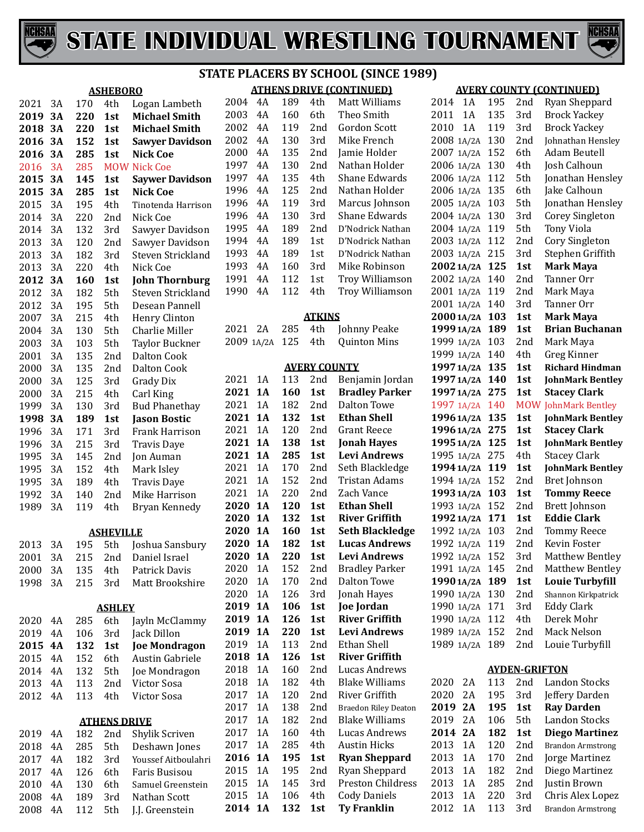



|              |                 |            |                     | ו כ                                        |
|--------------|-----------------|------------|---------------------|--------------------------------------------|
|              |                 |            | <b>ASHEBORO</b>     |                                            |
| 2021         | 3A              | 170        | 4th                 | Logan Lambeth                              |
| 2019         | <b>3A</b>       | 220        | 1st                 | <b>Michael Smith</b>                       |
| 2018         | 3A              | 220        | 1st                 | <b>Michael Smith</b>                       |
| 2016         | 3A              | 152        | 1st                 | <b>Sawyer Davidson</b>                     |
| 2016         | 3A              | 285        | 1st                 | <b>Nick Coe</b>                            |
| 2016         | 3A              | 285        | <b>MOW</b>          | <b>Nick Coe</b>                            |
| 2015         | 3A              | 145        | 1st                 | <b>Saywer Davidson</b>                     |
| 2015         | 3A              | 285        | 1st                 | <b>Nick Coe</b>                            |
| 2015         | 3A              | 195        | 4th                 | Tinotenda Harrison                         |
| 2014         | 3A              | 220        | 2nd                 | Nick Coe                                   |
| 2014         | 3A              | 132        | 3rd                 | Sawyer Davidson                            |
| 2013         | 3A              | 120        | 2nd                 | Sawyer Davidson                            |
| 2013         | 3A              | 182        | 3rd                 | Steven Strickland                          |
| 2013         | 3A<br><b>3A</b> | 220<br>160 | 4th<br>1st          | Nick Coe                                   |
| 2012<br>2012 | 3A              | 182        | 5th                 | <b>John Thornburg</b><br>Steven Strickland |
| 2012         | 3A              | 195        | 5th                 | Desean Pannell                             |
| 2007         | 3A              | 215        | 4th                 | Henry Clinton                              |
| 2004         | 3A              | 130        | 5th                 | Charlie Miller                             |
| 2003         | 3A              | 103        | 5th                 | <b>Taylor Buckner</b>                      |
| 2001         | 3A              | 135        | 2nd                 | <b>Dalton Cook</b>                         |
| 2000         | 3A              | 135        | 2nd                 | <b>Dalton Cook</b>                         |
| 2000         | 3A              | 125        | 3rd                 | <b>Grady Dix</b>                           |
| 2000         | 3A              | 215        | 4th                 | Carl King                                  |
| 1999         | 3A              | 130        | 3rd                 | <b>Bud Phanethay</b>                       |
| 1998         | <b>3A</b>       | 189        | 1st                 | <b>Jason Bostic</b>                        |
| 1996         | 3A              | 171        | 3rd                 | Frank Harrison                             |
| 1996         | 3A              | 215        | 3rd                 | <b>Travis Daye</b>                         |
| 1995         | 3A              | 145        | 2nd                 | Jon Auman                                  |
| 1995         | 3A              | 152        | 4th                 | Mark Isley                                 |
| 1995         | 3A              | 189        | 4th                 | <b>Travis Daye</b>                         |
| 1992         | 3A              | 140        | 2nd                 | Mike Harrison                              |
| 1989         | 3A              | 119        | 4th                 | Bryan Kennedy                              |
|              |                 |            | <b>ASHEVILLE</b>    |                                            |
| 2013         | 3A              |            |                     | 195 5th Joshua Sansbury                    |
| 2001         | 3A              | 215        | 2nd                 | Daniel Israel                              |
| 2000         | 3A              | 135        | 4th                 | Patrick Davis                              |
| 1998         | 3A              | 215        | 3rd                 | Matt Brookshire                            |
|              |                 |            | ASHLEY              |                                            |
| 2020         | 4A              | 285        | 6th                 | Jayln McClammy                             |
| 2019         | 4Α              | 106        | 3rd                 | Jack Dillon                                |
| 2015         | 4A              | 132        | 1st                 | <b>Joe Mondragon</b>                       |
| 2015         | 4A              | 152        | 6th                 | Austin Gabriele                            |
| 2014         | 4A              | 132        | 5th                 | Joe Mondragon                              |
| 2013         | 4A              | 113        | 2nd                 | Victor Sosa                                |
| 2012         | 4A              | 113        | 4th                 | Victor Sosa                                |
|              |                 |            | <b>ATHENS DRIVE</b> |                                            |
| 2019         | 4Α              | 182        | 2nd                 | Shylik Scriven                             |
| 2018         | 4Α              | 285        | 5th                 | Deshawn Jones                              |
| 2017         | 4A              | 182        | 3rd                 | Youssef Aitboulahri                        |
| 2017         | 4A              | 126        | 6th                 | Faris Busisou                              |
| 2010         | 4A              | 130        | 6th                 | Samuel Greenstein                          |
| 2008         | 4A              | 189        | 3rd                 | Nathan Scott                               |

4A 112 5th J.J. Greenstein

#### **ATHENS DRIVE (CONTINUED) STATE PLACERS BY SCHOOL (SINCE 1989)**

| 2004          | 4A        | 189 | 4th                        | Matt Williams               |  |  |
|---------------|-----------|-----|----------------------------|-----------------------------|--|--|
| 2003          | 4A        | 160 | 6th                        | Theo Smith                  |  |  |
| 2002          | 4A        | 119 | 2nd                        | Gordon Scott                |  |  |
| 2002          | 4A        | 130 | 3rd                        | Mike French                 |  |  |
| 2000          | 4A        | 135 | 2nd                        | Jamie Holder                |  |  |
| 1997          | 4A        | 130 | 2nd                        | Nathan Holder               |  |  |
| 1997          | 4A        | 135 | 4th                        | Shane Edwards               |  |  |
| 1996          | 4A        | 125 | 2nd                        | Nathan Holder               |  |  |
| 1996          | 4Α        | 119 | 3rd                        | Marcus Johnson              |  |  |
| 1996          | 4Α        | 130 | 3rd                        | <b>Shane Edwards</b>        |  |  |
| 1995          | 4Α        | 189 | 2nd                        | D'Nodrick Nathan            |  |  |
| 1994          | 4A        | 189 | 1st                        | D'Nodrick Nathan            |  |  |
| 1993          | 4A        | 189 | 1st                        | D'Nodrick Nathan            |  |  |
| 1993          | 4A        | 160 | 3rd                        | Mike Robinson               |  |  |
| 1991          | 4A        | 112 | 1st                        | <b>Troy Williamson</b>      |  |  |
| 1990          | 4A        | 112 | 4th                        | <b>Troy Williamson</b>      |  |  |
|               |           |     |                            |                             |  |  |
| <u>ATKINS</u> |           |     |                            |                             |  |  |
| 2021          | 2Α        | 285 | 4th                        | Johnny Peake                |  |  |
| 2009 1A/2A    |           | 125 | 4th                        | <b>Quinton Mins</b>         |  |  |
|               |           |     |                            |                             |  |  |
| 2021          | 1Α        | 113 | <b>AVERY COUNTY</b><br>2nd | Benjamin Jordan             |  |  |
| 2021          | 1A        | 160 | 1st                        | <b>Bradley Parker</b>       |  |  |
| 2021          | 1A        | 182 | 2nd                        | Dalton Towe                 |  |  |
| 2021          | 1A        | 132 | 1st                        | <b>Ethan Shell</b>          |  |  |
| 2021          | 1A        | 120 | 2nd                        | Grant Reece                 |  |  |
| 2021          | 1A        | 138 | 1st                        | <b>Jonah Hayes</b>          |  |  |
| 2021          | <b>1A</b> | 285 | 1st                        | <b>Levi Andrews</b>         |  |  |
| 2021          | 1A        | 170 | 2nd                        | Seth Blackledge             |  |  |
| 2021          | 1A        | 152 | 2nd                        | Tristan Adams               |  |  |
| 2021          | 1A        | 220 | 2nd                        | Zach Vance                  |  |  |
| 2020          | <b>1A</b> | 120 | 1st                        | <b>Ethan Shell</b>          |  |  |
| 2020          | <b>1A</b> | 132 | 1st                        | <b>River Griffith</b>       |  |  |
| 2020          | <b>1A</b> | 160 | 1st                        | <b>Seth Blackledge</b>      |  |  |
| 2020          | <b>1A</b> | 182 | 1st                        | <b>Lucas Andrews</b>        |  |  |
| 2020          | 1A        | 220 | 1st                        | <b>Levi Andrews</b>         |  |  |
| 2020          | 1A        | 152 | 2nd                        | <b>Bradley Parker</b>       |  |  |
| 2020          | 1A        | 170 | 2nd                        | <b>Dalton Towe</b>          |  |  |
| 2020          | 1A        | 126 | 3rd                        | Jonah Hayes                 |  |  |
| 2019          | 1A        | 106 | 1st                        | <b>Joe Jordan</b>           |  |  |
| 2019          | <b>1A</b> | 126 | 1st                        | <b>River Griffith</b>       |  |  |
| 2019          | 1A        | 220 | 1st                        | <b>Levi Andrews</b>         |  |  |
| 2019          | 1A        | 113 | 2nd                        | <b>Ethan Shell</b>          |  |  |
| 2018          | 1A        | 126 | 1st                        | <b>River Griffith</b>       |  |  |
| 2018          | 1A        | 160 | 2nd                        | Lucas Andrews               |  |  |
| 2018          | 1A        | 182 | 4th                        | <b>Blake Williams</b>       |  |  |
| 2017          | 1A        | 120 | 2nd                        | River Griffith              |  |  |
| 2017          | 1A        | 138 | 2nd                        | <b>Braedon Riley Deaton</b> |  |  |
| 2017          | 1A        | 182 | 2nd                        | <b>Blake Williams</b>       |  |  |
| 2017          | 1A        | 160 | 4th                        | <b>Lucas Andrews</b>        |  |  |
| 2017          | 1A        | 285 | 4th                        | <b>Austin Hicks</b>         |  |  |
| 2016          | 1A        | 195 | 1st                        | <b>Ryan Sheppard</b>        |  |  |
| 2015          | 1A        | 195 | 2nd                        | Ryan Sheppard               |  |  |
| 2015          | 1A        | 145 | 3rd                        | Preston Childress           |  |  |
| 2015          | 1A        | 106 | 4th                        | <b>Cody Daniels</b>         |  |  |
| 2014          | <b>1A</b> | 132 | 1st                        | <b>Ty Franklin</b>          |  |  |

|               |     |                      | <b>AVERY COUNTY (CONTINUED)</b> |
|---------------|-----|----------------------|---------------------------------|
| 2014<br>1 A   | 195 | 2nd                  | Ryan Sheppard                   |
| 1A<br>2011    | 135 | 3rd                  | <b>Brock Yackey</b>             |
| 1A<br>2010    | 119 | 3rd                  | <b>Brock Yackey</b>             |
| 2008<br>1A/2A | 130 | 2nd                  | Johnathan Hensley               |
| 2007<br>1A/2A | 152 | 6th                  | Adam Beutell                    |
| 2006<br>1A/2A | 130 | 4th                  | Josh Calhoun                    |
| 2006<br>1A/2A | 112 | 5th                  | Jonathan Hensley                |
| 2006 1A/2A    | 135 | 6th                  | Jake Calhoun                    |
| 2005 1A/2A    | 103 | 5th                  | Jonathan Hensley                |
| 2004 1A/2A    | 130 | 3rd                  | Corey Singleton                 |
| 2004 1A/2A    | 119 | 5th                  | <b>Tony Viola</b>               |
| 2003<br>1A/2A | 112 | 2nd                  | Cory Singleton                  |
| 2003 1A/2A    | 215 | 3rd                  | Stephen Griffith                |
| 2002 1A/2A    | 125 | 1st                  | <b>Mark Maya</b>                |
| 2002 1A/2A    | 140 | 2nd                  | Tanner Orr                      |
| 2001 1A/2A    | 119 | 2nd                  | Mark Maya                       |
| 2001 1A/2A    | 140 | 3rd                  | Tanner Orr                      |
| 2000 1A/2A    | 103 | 1st                  | <b>Mark Maya</b>                |
| 1999 1A/2A    | 189 | 1st                  | <b>Brian Buchanan</b>           |
| 1999 1A/2A    | 103 | 2nd                  | Mark Maya                       |
| 1999 1A/2A    | 140 | 4th                  | Greg Kinner                     |
| 1997 1A/2A    | 135 | 1st                  | <b>Richard Hindman</b>          |
| 1997 1A/2A    | 140 | 1st                  | <b>JohnMark Bentley</b>         |
| 1997 1A/2A    | 275 | 1st                  | <b>Stacey Clark</b>             |
| 1997 1A/2A    | 140 | <b>MOW</b>           | <b>JohnMark Bentley</b>         |
| 1996 1A/2A    | 135 | 1st                  | <b>JohnMark Bentley</b>         |
| 1996 1A/2A    | 275 | 1st                  | <b>Stacey Clark</b>             |
| 1995 1A/2A    | 125 | 1st                  | <b>JohnMark Bentley</b>         |
| 1995 1A/2A    | 275 | 4th                  | <b>Stacey Clark</b>             |
| 1994 1A/2A    | 119 | 1st                  | <b>JohnMark Bentley</b>         |
| 1994 1A/2A    | 152 | 2nd                  | Bret Johnson                    |
| 1993 1A/2A    | 103 | 1st                  | <b>Tommy Reece</b>              |
| 1993 1A/2A    | 152 | 2nd                  | Brett Johnson                   |
| 1992 1A/2A    | 171 | 1st                  | <b>Eddie Clark</b>              |
| 1992 1A/2A    | 103 | 2nd                  | <b>Tommy Reece</b>              |
| 1992 1A/2A    | 119 | 2nd                  | <b>Kevin Foster</b>             |
| 1992 1A/2A    | 152 | 3rd                  | Matthew Bentley                 |
| 1991 1A/2A    | 145 | 2nd                  | <b>Matthew Bentley</b>          |
| 1990 1A/2A    | 189 | 1st                  | <b>Louie Turbyfill</b>          |
| 1990 1A/2A    | 130 | 2nd                  | Shannon Kirkpatrick             |
| 1990 1A/2A    | 171 | 3rd                  | <b>Eddy Clark</b>               |
| 1A/2A<br>1990 | 112 | 4th                  | Derek Mohr                      |
| 1A/2A<br>1989 | 152 | 2nd                  | Mack Nelson                     |
| 1A/2A<br>1989 | 189 | 2nd                  | Louie Turbyfill                 |
|               |     |                      |                                 |
|               |     | <b>AYDEN-GRIFTON</b> |                                 |
| 2020<br>2A    | 113 | 2nd                  | <b>Landon Stocks</b>            |
| 2020<br>2Α    | 195 | 3rd                  | Jeffery Darden                  |
| 2019<br>2Α    | 195 | 1st                  | <b>Ray Darden</b>               |

2019 2A 106 5th Landon Stocks<br>2014 2A 182 1st Diego Martine

2013 1A 120 2nd Brandon Armstrong<br>2013 1A 170 2nd Jorge Martinez 1A 170 2nd Jorge Martinez 1A 182 2nd Diego Martinez 1A 285 2nd Justin Brown 2013 1A 220 3rd Chris Alex Lopez<br>2012 1A 113 3rd Brandon Armstrong

**2A 182 1st Diego Martinez**

Brandon Armstrong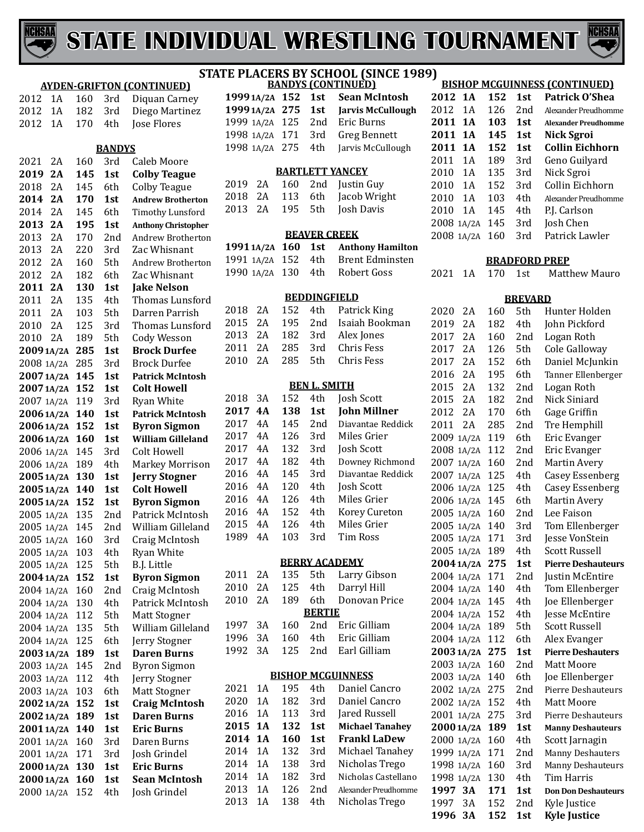



|            |    |     |               | <b>AYDEN-GRIFTON (CONTINUED)</b> |
|------------|----|-----|---------------|----------------------------------|
| 2012       | 1A | 160 | 3rd           | Diquan Carney                    |
| 2012       | 1A | 182 | 3rd           | Diego Martinez                   |
| 2012       | 1A | 170 | 4th           | Jose Flores                      |
|            |    |     |               |                                  |
|            |    |     | <b>BANDYS</b> |                                  |
| 2021       | 2A | 160 | 3rd           | Caleb Moore                      |
| 2019       | 2Α | 145 | 1st           | <b>Colby Teague</b>              |
| 2018       | 2A | 145 | 6th           | <b>Colby Teague</b>              |
|            |    |     |               |                                  |
| 2014       | 2Α | 170 | 1st           | <b>Andrew Brotherton</b>         |
| 2014       | 2A | 145 | 6th           | <b>Timothy Lunsford</b>          |
| 2013       | 2A | 195 | 1st           | <b>Anthony Christopher</b>       |
| 2013       | 2A | 170 | 2nd           | Andrew Brotherton                |
| 2013       | 2A | 220 | 3rd           | Zac Whisnant                     |
| 2012       | 2A | 160 | 5th           | <b>Andrew Brotherton</b>         |
| 2012       | 2A | 182 | 6th           | Zac Whisnant                     |
| 2011       | 2A | 130 | 1st           | <b>Jake Nelson</b>               |
| 2011       | 2A | 135 | 4th           | Thomas Lunsford                  |
| 2011       | 2A | 103 | 5th           | Darren Parrish                   |
| 2010       | 2A | 125 | 3rd           | Thomas Lunsford                  |
| 2010       | 2A | 189 | 5th           | <b>Cody Wesson</b>               |
| 20091A/2A  |    | 285 | 1st           | <b>Brock Durfee</b>              |
| 2008 1A/2A |    | 285 | 3rd           | <b>Brock Durfee</b>              |
| 20071A/2A  |    | 145 | 1st           | <b>Patrick McIntosh</b>          |
| 20071A/2A  |    | 152 | 1st           | <b>Colt Howell</b>               |
| 2007 1A/2A |    | 119 | 3rd           | <b>Ryan White</b>                |
| 20061A/2A  |    | 140 | 1st           | <b>Patrick McIntosh</b>          |
| 20061A/2A  |    | 152 | 1st           | <b>Byron Sigmon</b>              |
| 20061A/2A  |    | 160 | 1st           | <b>William Gilleland</b>         |
| 2006 1A/2A |    | 145 | 3rd           | Colt Howell                      |
| 2006 1A/2A |    | 189 | 4th           | Markey Morrison                  |
| 20051A/2A  |    | 130 | 1st           | <b>Jerry Stogner</b>             |
| 20051A/2A  |    | 140 | 1st           | <b>Colt Howell</b>               |
| 20051A/2A  |    | 152 | 1st           | <b>Byron Sigmon</b>              |
| 2005 1A/2A |    | 135 | 2nd           | Patrick McIntosh                 |
| 2005 1A/2A |    | 145 | 2nd           | William Gilleland                |
| 2005 1A/2A |    | 160 | 3rd           | Craig McIntosh                   |
| 2005 1A/2A |    | 103 | 4th           | <b>Ryan White</b>                |
| 2005 1A/2A |    | 125 | 5th           | B.J. Little                      |
| 2004 1A/2A |    | 152 | 1st           | <b>Byron Sigmon</b>              |
| 2004 1A/2A |    | 160 | 2nd           | Craig McIntosh                   |
| 2004 1A/2A |    | 130 | 4th           | Patrick McIntosh                 |
| 2004 1A/2A |    | 112 | 5th           | Matt Stogner                     |
| 2004 1A/2A |    | 135 | 5th           | William Gilleland                |
| 2004 1A/2A |    | 125 | 6th           | Jerry Stogner                    |
| 2003 1A/2A |    | 189 | 1st           | <b>Daren Burns</b>               |
| 2003 1A/2A |    | 145 | 2nd           | <b>Byron Sigmon</b>              |
| 2003 1A/2A |    | 112 | 4th           | Jerry Stogner                    |
| 2003 1A/2A |    | 103 | 6th           | <b>Matt Stogner</b>              |
| 20021A/2A  |    | 152 | 1st           | <b>Craig McIntosh</b>            |
| 2002 1A/2A |    | 189 | 1st           | <b>Daren Burns</b>               |
| 20011A/2A  |    | 140 | 1st           | <b>Eric Burns</b>                |
| 2001 1A/2A |    | 160 | 3rd           | Daren Burns                      |
| 2001 1A/2A |    | 171 | 3rd           | Josh Grindel                     |
| 2000 1A/2A |    |     | 1st           | <b>Eric Burns</b>                |
|            |    | 130 |               |                                  |
| 2000 1A/2A |    | 160 | 1st           | <b>Sean McIntosh</b>             |
| 2000 1A/2A |    | 152 | 4th           | Josh Grindel                     |

#### **BANDYS (CONTINUED) STATE PLACERS BY SCHOOL (SINCE 1989)**

|  | 19991A/2A 152 1st Sean McIntosh      |
|--|--------------------------------------|
|  | 19991A/2A 275 1st Jarvis McCullough  |
|  | 1999 1A/2A 125 2nd Eric Burns        |
|  | 1998 1A/2A 171 3rd Greg Bennett      |
|  | 1998 1A/2A 275 4th Jarvis McCullough |
|  |                                      |

#### **BARTLETT YANCEY**

|  |  | 2019 2A 160 2nd Justin Guy   |
|--|--|------------------------------|
|  |  | 2018 2A 113 6th Jacob Wright |
|  |  | 2013 2A 195 5th Josh Davis   |

#### **BEAVER CREEK**

|  | 19911A/2A 160 1st Anthony Hamilton |
|--|------------------------------------|
|  | 1991 1A/2A 152 4th Brent Edminsten |
|  | 1990 1A/2A 130 4th Robert Goss     |

#### **BEDDINGFIELD**

|  |  | 2018 2A 152 4th Patrick King   |
|--|--|--------------------------------|
|  |  | 2015 2A 195 2nd Isaiah Bookman |
|  |  | 2013 2A 182 3rd Alex Jones     |
|  |  | 2011 2A 285 3rd Chris Fess     |
|  |  | 2010 2A 285 5th Chris Fess     |
|  |  |                                |

#### **BEN L. SMITH**

| 2018 | 3Α  | 152 | 4th             | Josh Scott          |
|------|-----|-----|-----------------|---------------------|
| 2017 | 4A  | 138 | 1st             | <b>John Millner</b> |
| 2017 | 4Α  | 145 | 2 <sub>nd</sub> | Diavantae Reddick   |
| 2017 | 4A  | 126 | 3rd             | Miles Grier         |
| 2017 | 4A  | 132 | 3rd             | Josh Scott          |
| 2017 | 4A  | 182 | 4th             | Downey Richmond     |
| 2016 | 4A  | 145 | 3rd             | Diavantae Reddick   |
| 2016 | 4 A | 120 | 4th             | Josh Scott          |
| 2016 | 4A  | 126 | 4th             | Miles Grier         |
| 2016 | 4A  | 152 | 4th             | Korey Cureton       |
| 2015 | 4A  | 126 | 4th             | Miles Grier         |
| 1989 | 4 A | 103 | 3rd             | Tim Ross            |
|      |     |     |                 |                     |

#### **BERRY ACADEMY**

|  |               | 2011 2A 135 5th Larry Gibson  |
|--|---------------|-------------------------------|
|  |               | 2010 2A 125 4th Darryl Hill   |
|  |               | 2010 2A 189 6th Donovan Price |
|  | <b>BERTIE</b> |                               |
|  |               | 1997 3A 160 2nd Eric Gilliam  |
|  |               | 1996 3A 160 4th Eric Gilliam  |
|  |               | 1992 3A 125 2nd Earl Gilliam  |
|  |               |                               |

#### **BISHOP MCGUINNESS**

| 2021    | 1 A | 195 | 4th | Daniel Cancro          |
|---------|-----|-----|-----|------------------------|
| 2020    | 1 A | 182 | 3rd | Daniel Cancro          |
| 2016    | 1 A | 113 | 3rd | Jared Russell          |
| 2015 1A |     | 132 | 1st | <b>Michael Tanahey</b> |
| 2014 1A |     | 160 | 1st | <b>Frankl LaDew</b>    |
| 2014    | 1 A | 132 | 3rd | Michael Tanahey        |
| 2014    | 1 A | 138 | 3rd | Nicholas Trego         |
| 2014    | 1 A | 182 | 3rd | Nicholas Castellano    |
| 2013    | 1 A | 126 | 2nd | Alexander Preudhomme   |
| 2013    | 1 A | 138 | 4th | Nicholas Trego         |
|         |     |     |     |                        |

| 2012       | 1A        | 152                  | 1st            | Patrick O'Shea              |
|------------|-----------|----------------------|----------------|-----------------------------|
| 2012       | 1A        | 126                  | 2nd            | Alexander Preudhomme        |
| 2011       | 1A        | 103                  | 1st            | <b>Alexander Preudhomme</b> |
| 2011       | <b>1A</b> | 145                  | 1st            | Nick Sgroi                  |
| 2011       | <b>1A</b> | 152                  | 1st            | <b>Collin Eichhorn</b>      |
| 2011       | 1A        | 189                  | 3rd            | Geno Guilyard               |
| 2010       | 1A        | 135                  | 3rd            | Nick Sgroi                  |
| 2010       | 1A        | 152                  | 3rd            | Collin Eichhorn             |
| 2010       | 1A        | 103                  | 4th            | Alexander Preudhomme        |
| 2010       | 1A        | 145                  | 4th            | P.J. Carlson                |
| 2008       | 1A/2A     | 145                  | 3rd            | Josh Chen                   |
| 2008       | 1A/2A     | 160                  | 3rd            | Patrick Lawler              |
|            |           |                      |                |                             |
|            |           | <b>BRADFORD PREP</b> |                |                             |
| 2021       | 1Α        | 170                  | 1st            | <b>Matthew Mauro</b>        |
|            |           |                      | <b>BREVARD</b> |                             |
| 2020       | 2Α        | 160                  | 5th            | Hunter Holden               |
| 2019       | 2A        | 182                  | 4th            | John Pickford               |
| 2017       | 2A        | 160                  | 2nd            | Logan Roth                  |
| 2017       | 2Α        | 126                  | 5th            | Cole Galloway               |
| 2017       | 2Α        | 152                  | 6th            | Daniel McJunkin             |
| 2016       | 2Α        | 195                  | 6th            | Tanner Ellenberger          |
| 2015       | 2A        | 132                  | 2nd            | Logan Roth                  |
| 2015       | 2A        | 182                  | 2nd            | Nick Siniard                |
| 2012       | 2Α        | 170                  | 6th            | Gage Griffin                |
| 2011       | 2Α        | 285                  | 2nd            | Tre Hemphill                |
| 2009       | 1A/2A     | 119                  | 6th            | Eric Evanger                |
| 2008       | 1A/2A     | 112                  | 2nd            | Eric Evanger                |
| 2007       | 1A/2A     | 160                  | 2nd            | Martin Avery                |
| 2007       | 1A/2A     | 125                  | 4th            | Casey Essenberg             |
| 2006       | 1A/2A     | 125                  | 4th            | <b>Casey Essenberg</b>      |
| 2006       | 1A/2A     | 145                  | 6th            | Martin Avery                |
| 2005       | 1A/2A     | 160                  | 2nd            | Lee Faison                  |
| 2005       | 1A/2A     | 140                  | 3rd            | Tom Ellenberger             |
| 2005       | 1A/2A     | 171                  | 3rd            | Jesse VonStein              |
| 2005       | 1A/2A     | 189                  | 4th            | <b>Scott Russell</b>        |
| 2004 1A/2A |           | 275                  | 1st            | <b>Pierre Deshauteurs</b>   |
| 2004 1A/2A |           | 171                  | 2nd            | Justin McEntire             |
| 2004 1A/2A |           | 140                  | 4th            | Tom Ellenberger             |
| 2004 1A/2A |           | 145                  | 4th            | Joe Ellenberger             |
| 2004 1A/2A |           | 152                  | 4th            | Jesse McEntire              |
| 2004 1A/2A |           | 189                  | 5th            | <b>Scott Russell</b>        |
| 2004 1A/2A |           | 112                  | 6th            | Alex Evanger                |
| 2003 1A/2A |           | 275                  | 1st            | <b>Pierre Deshauters</b>    |
| 2003 1A/2A |           | 160                  | 2nd            | Matt Moore                  |
| 2003 1A/2A |           | 140                  | 6th            | Joe Ellenberger             |
| 2002 1A/2A |           | 275                  | 2nd            | <b>Pierre Deshauteurs</b>   |
| 2002 1A/2A |           | 152                  | 4th            | Matt Moore                  |
| 2001 1A/2A |           | 275                  | 3rd            | Pierre Deshauteurs          |
| 2000 1A/2A |           | 189                  | 1st            | <b>Manny Deshauteurs</b>    |
| 2000 1A/2A |           | 160                  | 4th            | Scott Jarnagin              |
| 1999 1A/2A |           | 171                  | 2nd            | Manny Deshauters            |
|            |           |                      |                |                             |

1A/2A 160 3rd Manny Deshauteurs

1997 3A 152 2nd Kyle Justice<br>**1996 3A 152 1st Kyle Justice** 

**3A 171 1st Don Don Deshauteurs**

**Kyle Justice** 

1998 1A/2A 130 4th<br>**1997 3A 171 1st** 

**BISHOP MCGUINNESS (CONTINUED)**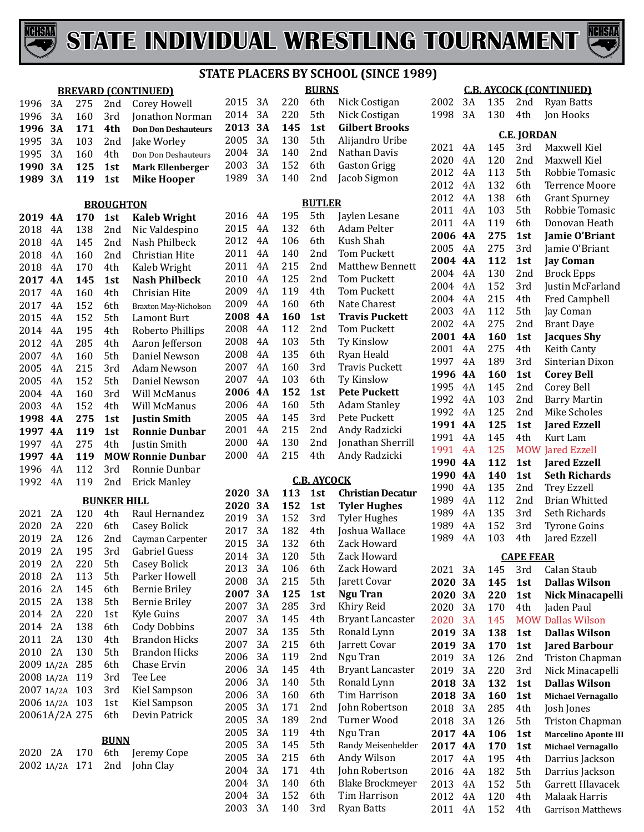



**BURNS**

|         |               |     |                    | <b>BREVARD (CONTINUED)</b> |              |           |            | <b>BURNS</b>       |                          |
|---------|---------------|-----|--------------------|----------------------------|--------------|-----------|------------|--------------------|--------------------------|
| 1996    | 3A            | 275 | 2nd                | Corey Howell               | 2015         | 3A        | 220        | 6th                | Nick Costigan            |
| 1996    | 3A            | 160 | 3rd                | Jonathon Norman            | 2014         | 3A        | 220        | 5th                | Nick Costigan            |
| 1996    | 3A            | 171 | 4th                | <b>Don Don Deshauteurs</b> | 2013         | 3A        | 145        | 1st                | <b>Gilbert Brooks</b>    |
| 1995    | 3A            | 103 | 2nd                | Jake Worley                | 2005         | 3A        | 130        | 5th                | Alijandro Uribe          |
| 1995    | 3A            | 160 | 4th                | Don Don Deshauteurs        | 2004         | 3A        | 140        | 2nd                | Nathan Davis             |
| 1990    | 3A            | 125 | 1st                | <b>Mark Ellenberger</b>    | 2003         | 3A        | 152        | 6th                | <b>Gaston Grigg</b>      |
| 1989    | 3A            | 119 | 1st                | <b>Mike Hooper</b>         | 1989         | 3A        | 140        | 2nd                | Jacob Sigmon             |
|         |               |     |                    |                            |              |           |            |                    |                          |
|         |               |     | <b>BROUGHTON</b>   |                            |              |           |            | <b>BUTLER</b>      |                          |
| 2019    | <b>4A</b>     | 170 | 1st                | <b>Kaleb Wright</b>        | 2016         | 4A        | 195        | 5th                | Jaylen Lesane            |
| 2018    | 4A            | 138 | 2nd                | Nic Valdespino             | 2015         | 4A        | 132        | 6th                | Adam Pelter              |
| 2018    | 4A            | 145 | 2nd                | Nash Philbeck              | 2012         | 4A        | 106        | 6th                | Kush Shah                |
| 2018    | 4A            | 160 | 2nd                | Christian Hite             | 2011         | 4A        | 140        | 2nd                | <b>Tom Puckett</b>       |
| 2018    | 4A            | 170 | 4th                | Kaleb Wright               | 2011         | 4A        | 215        | 2nd                | <b>Matthew Bennett</b>   |
| 2017    | <b>4A</b>     | 145 | 1st                | <b>Nash Philbeck</b>       | 2010         | 4A        | 125        | 2nd                | Tom Puckett              |
| 2017    | 4A            | 160 | 4th                | Chrisian Hite              | 2009         | 4A        | 119        | 4th                | <b>Tom Puckett</b>       |
| 2017    | 4A            | 152 | 6th                | Braxton May-Nicholson      | 2009         | 4A        | 160        | 6th                | Nate Charest             |
| 2015    | 4A            | 152 | 5th                | Lamont Burt                | 2008         | <b>4A</b> | 160        | 1st                | <b>Travis Puckett</b>    |
| 2014    | 4A            | 195 | 4th                | Roberto Phillips           | 2008         | 4A        | 112        | 2nd                | <b>Tom Puckett</b>       |
| 2012    | 4A            | 285 | 4th                | Aaron Jefferson            | 2008         | 4A        | 103        | 5th                | Ty Kinslow               |
| 2007    | 4A            | 160 | 5th                | Daniel Newson              | 2008         | 4A        | 135        | 6th                | Ryan Heald               |
| 2005    | 4A            | 215 | 3rd                | Adam Newson                | 2007         | 4A        | 160        | 3rd                | <b>Travis Puckett</b>    |
| 2005    | 4A            | 152 | 5th                | Daniel Newson              | 2007         | 4A        | 103        | 6th                | Ty Kinslow               |
| 2004    | 4A            | 160 | 3rd                | Will McManus               | 2006         | <b>4A</b> | 152        | 1st                | <b>Pete Puckett</b>      |
| 2003    | 4A            | 152 | 4th                | Will McManus               | 2006         | 4A        | 160        | 5th                | <b>Adam Stanley</b>      |
| 1998    | <b>4A</b>     | 275 | 1st                | <b>Justin Smith</b>        | 2005         | 4A        | 145        | 3rd                | Pete Puckett             |
| 1997    | <b>4A</b>     | 119 | 1st                | <b>Ronnie Dunbar</b>       | 2001         | 4A        | 215        | 2nd                | Andy Radzicki            |
| 1997    | 4A            | 275 | 4th                | Justin Smith               | 2000         | 4A        | 130        | 2nd                | Jonathan Sherrill        |
| 1997    | <b>4A</b>     | 119 |                    | <b>MOW Ronnie Dunbar</b>   | 2000         | 4A        | 215        | 4th                | Andy Radzicki            |
| 1996    |               | 112 |                    | Ronnie Dunbar              |              |           |            |                    |                          |
| 1992    | 4A<br>4A      | 119 | 3rd<br>2nd         |                            |              |           |            | <b>C.B. AYCOCK</b> |                          |
|         |               |     |                    | <b>Erick Manley</b>        | 2020         | 3A        | 113        | 1st                | <b>Christian Decatur</b> |
|         |               |     | <b>BUNKER HILL</b> |                            | 2020         | 3A        | 152        | 1st                | <b>Tyler Hughes</b>      |
| 2021    | 2A            | 120 | 4th                | Raul Hernandez             | 2019         | 3A        | 152        | 3rd                | <b>Tyler Hughes</b>      |
| 2020    | 2A            | 220 | 6th                | Casey Bolick               | 2017         | 3A        | 182        | 4th                | Joshua Wallace           |
| 2019    | 2A            | 126 | 2nd                | Cayman Carpenter           | 2015         | 3A        | 132        | 6th                | Zack Howard              |
| 2019    | 2A            | 195 | 3rd                | Gabriel Guess              | 2014         | 3A        | 120        | 5th                | Zack Howard              |
| 2019    | 2A            | 220 | 5th                | Casey Bolick               | 2013         | 3A        | 106        | 6th                | Zack Howard              |
| 2018    | 2A            | 113 | 5th                | Parker Howell              | 2008         | 3A        | 215        | 5th                | Jarett Covar             |
| 2016    | 2A            | 145 | 6th                | <b>Bernie Briley</b>       | 2007         | 3A        | 125        | 1st                | <b>Ngu Tran</b>          |
| 2015    | 2A            | 138 | 5th                | <b>Bernie Briley</b>       | 2007         | 3A        | 285        | 3rd                | Khiry Reid               |
| 2014    | 2A            | 220 | 1st                | Kyle Guins                 | 2007         | 3A        | 145        | 4th                | <b>Bryant Lancaster</b>  |
| 2014    | 2A            | 138 | 6th                | Cody Dobbins               | 2007         | 3A        | 135        | 5th                | Ronald Lynn              |
| 2011    | 2A            | 130 | 4th                | <b>Brandon Hicks</b>       | 2007         | 3A        | 215        | 6th                | Jarrett Covar            |
| 2010    | 2A            | 130 | 5th                | <b>Brandon Hicks</b>       | 2006         | 3A        | 119        | 2nd                | Ngu Tran                 |
|         | 2009 1A/2A    | 285 | 6th                | Chase Ervin                | 2006         | 3A        | 145        | 4th                | <b>Bryant Lancaster</b>  |
|         | 2008 1A/2A    | 119 | 3rd                | Tee Lee                    | 2006         | 3A        | 140        | 5th                | Ronald Lynn              |
|         | 2007 1A/2A    | 103 | 3rd                | Kiel Sampson               | 2006         | 3A        | 160        | 6th                | Tim Harrison             |
|         | 2006 1A/2A    | 103 | 1st                | Kiel Sampson               | 2005         | 3A        | 171        | 2nd                | John Robertson           |
|         | 20061A/2A 275 |     | 6th                | Devin Patrick              | 2005         | 3A        |            |                    | Turner Wood              |
|         |               |     |                    |                            | 2005         | 3A        | 189<br>119 | 2nd<br>4th         | Ngu Tran                 |
|         |               |     | <b>BUNN</b>        |                            |              |           |            |                    |                          |
| 2020 2A |               | 170 | 6th                | Jeremy Cope                | 2005<br>2005 | 3A<br>3A  | 145        | 5th                | Randy Meisenhelder       |
|         | 2002 1A/2A    | 171 | 2nd                | John Clay                  |              |           | 215        | 6th                | Andy Wilson              |
|         |               |     |                    |                            | 2004         | 3A        | 171        | 4th                | John Robertson           |
|         |               |     |                    |                            | 2004         | 3A        | 140        | 6th                | <b>Blake Brockmeyer</b>  |
|         |               |     |                    |                            | 2004         | 3A        | 152        | 6th                | Tim Harrison             |
|         |               |     |                    |                            | 2003         | 3A        | 140        | 3rd                | <b>Ryan Batts</b>        |

#### **C.B. AYCOCK (CONTINUED)**

3A 135 2nd Ryan Batts

| 1998 | 3A | 130 | 4th                | Jon Hooks                   |
|------|----|-----|--------------------|-----------------------------|
|      |    |     | <b>C.E. JORDAN</b> |                             |
| 2021 | 4Α | 145 | 3rd                | Maxwell Kiel                |
| 2020 | 4Α | 120 | 2nd                | Maxwell Kiel                |
| 2012 | 4A | 113 | 5th                | Robbie Tomasic              |
| 2012 | 4Α | 132 | 6th                | <b>Terrence Moore</b>       |
| 2012 | 4Α | 138 | 6th                | Grant Spurney               |
| 2011 | 4Α | 103 | 5th                | Robbie Tomasic              |
| 2011 | 4Α | 119 | 6th                | Donovan Heath               |
| 2006 | 4A | 275 | 1st                | Jamie O'Briant              |
| 2005 | 4Α | 275 | 3rd                | Jamie O'Briant              |
| 2004 | 4A | 112 | 1st                | <b>Jay Coman</b>            |
| 2004 | 4Α | 130 | 2nd                | <b>Brock Epps</b>           |
| 2004 | 4Α | 152 | 3rd                | Justin McFarland            |
| 2004 | 4Α | 215 | 4th                | Fred Campbell               |
| 2003 | 4Α | 112 | 5th                | Jay Coman                   |
| 2002 | 4Α | 275 | 2nd                | <b>Brant Daye</b>           |
| 2001 | 4A | 160 | 1st                | <b>Jacques Shy</b>          |
| 2001 | 4Α | 275 | 4th                | Keith Canty                 |
| 1997 | 4Α | 189 | 3rd                | Sinterian Dixon             |
| 1996 | 4A | 160 | 1st                | <b>Corey Bell</b>           |
| 1995 | 4Α | 145 | 2nd                | Corey Bell                  |
| 1992 | 4Α | 103 | 2nd                | <b>Barry Martin</b>         |
| 1992 | 4Α | 125 | 2nd                | <b>Mike Scholes</b>         |
| 1991 | 4A | 125 | 1st                | <b>Jared Ezzell</b>         |
| 1991 | 4Α | 145 | 4th                | Kurt Lam                    |
| 1991 | 4A | 125 | <b>MOW</b>         | <b>Jared Ezzell</b>         |
| 1990 | 4A | 112 | 1st                | <b>Jared Ezzell</b>         |
| 1990 | 4A | 140 | 1st                | <b>Seth Richards</b>        |
| 1990 | 4Α | 135 | 2nd                | <b>Trey Ezzell</b>          |
| 1989 | 4Α | 112 | 2nd                | Brian Whitted               |
| 1989 | 4Α | 135 | 3rd                | Seth Richards               |
| 1989 | 4Α | 152 | 3rd                | <b>Tyrone Goins</b>         |
| 1989 | 4Α | 103 | 4th                |                             |
|      |    |     |                    | Jared Ezzell                |
|      |    |     | <b>CAPE FEAR</b>   |                             |
| 2021 | 3Α | 145 | 3rd                | Calan Staub                 |
| 2020 | 3Α | 145 | 1st                | Dallas Wilson               |
| 2020 | 3А | 220 | 1st                | Nick Minacapelli            |
| 2020 | 3A | 170 | 4th                | Jaden Paul                  |
| 2020 | 3A | 145 | <b>MOW</b>         | <b>Dallas Wilson</b>        |
| 2019 | 3А | 138 | 1st                | <b>Dallas Wilson</b>        |
| 2019 | 3А | 170 | 1st                | <b>Jared Barbour</b>        |
| 2019 | 3A | 126 | 2nd                | Triston Chapman             |
| 2019 | 3A | 220 | 3rd                | Nick Minacapelli            |
| 2018 | 3А | 132 | 1st                | <b>Dallas Wilson</b>        |
| 2018 | 3А | 160 | 1st                | Michael Vernagallo          |
| 2018 | 3A | 285 | 4th                | Josh Jones                  |
| 2018 | 3A | 126 | 5th                | Triston Chapman             |
| 2017 | 4A | 106 | 1st                | <b>Marcelino Aponte III</b> |
| 2017 | 4A | 170 | 1st                | Michael Vernagallo          |
| 2017 | 4A | 195 | 4th                | Darrius Jackson             |
| 2016 | 4A | 182 | 5th                | Darrius Jackson             |
| 2013 | 4A | 152 | 5th                | Garrett Hlavacek            |
| 2012 | 4Α | 120 | 4th                | Malaak Harris               |
| 2011 | 4A | 152 | 4th                | <b>Garrison Matthews</b>    |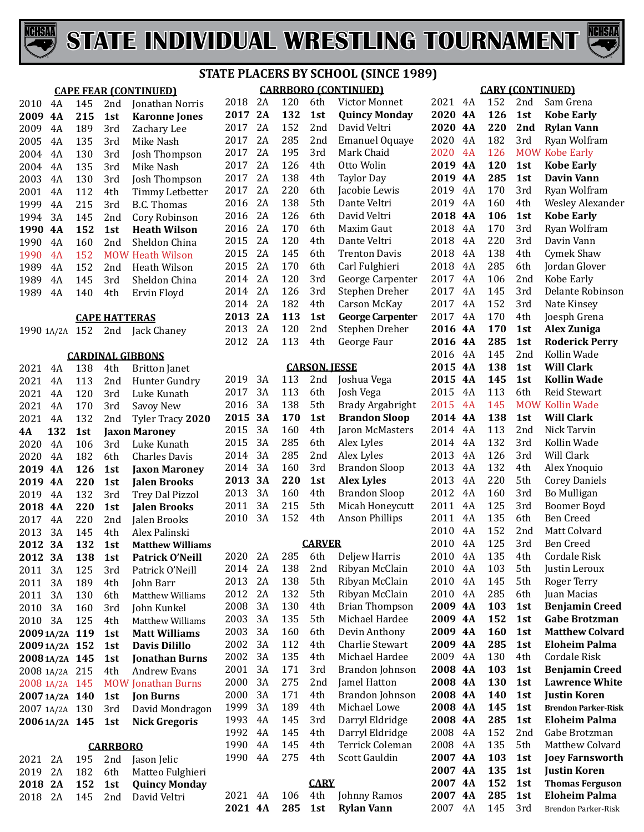



|                          |            |                      |                               | <b>STATE PLA</b> |
|--------------------------|------------|----------------------|-------------------------------|------------------|
|                          |            |                      | <b>CAPE FEAR (CONTINUED)</b>  |                  |
| 2010<br>4A               | 145        | 2nd                  | Jonathan Norris               | 2018             |
| 2009<br>4A               | 215        | 1st                  | <b>Karonne Jones</b>          | 2017             |
| 2009<br>4A               | 189        | 3rd                  | Zachary Lee                   | 2017             |
| 2005<br>4A               | 135        | 3rd                  | Mike Nash                     | 2017             |
| 4A<br>2004               | 130        | 3rd                  | Josh Thompson                 | 2017             |
| 4A<br>2004               | 135        | 3rd                  | Mike Nash                     | 2017             |
| 4A<br>2003               | 130        | 3rd                  | Josh Thompson                 | 2017             |
| 4A<br>2001               | 112        | 4th                  | Timmy Letbetter               | 2017             |
| 4A<br>1999               | 215        | 3rd                  | <b>B.C. Thomas</b>            | 2016             |
| 3A<br>1994               | 145        | 2nd                  | Cory Robinson                 | 2016             |
| 1990<br>4A               | 152        | 1st                  | <b>Heath Wilson</b>           | 2016             |
| 4A<br>1990               | 160        | 2nd                  | Sheldon China                 | 2015             |
| 1990<br>4A               | 152        |                      | <b>MOW Heath Wilson</b>       | 2015             |
| 1989<br>4A               | 152        | 2nd                  | <b>Heath Wilson</b>           | 2015             |
| 1989<br>4A               | 145        | 3rd                  | Sheldon China                 | 2014             |
| 1989<br>4A               | 140        | 4th                  | Ervin Floyd                   | 2014             |
|                          |            |                      |                               | 2014             |
|                          |            | <b>CAPE HATTERAS</b> |                               | 2013             |
| 1990 1A/2A               | 152        | 2nd                  | Jack Chaney                   | 2013             |
|                          |            |                      |                               | 2012             |
|                          |            |                      | <b>CARDINAL GIBBONS</b>       |                  |
| 2021<br>4Α               | 138        | 4th                  | <b>Britton Janet</b>          |                  |
| 2021<br>4A               | 113        | 2nd                  | Hunter Gundry                 | 2019             |
| 2021<br>4A               | 120        | 3rd                  | Luke Kunath                   | 2017             |
| 2021<br>4A               | 170        | 3rd                  | Savoy New                     | 2016             |
| 2021<br>4A               | 132        | 2nd                  | Tyler Tracy 2020              | 2015             |
| 132<br>4А                | 1st        |                      | <b>Jaxon Maroney</b>          | 2015             |
| 2020<br>4A               | 106        | 3rd                  | Luke Kunath                   | 2015             |
| 2020<br>4A               | 182        | 6th                  | <b>Charles Davis</b>          | 2014             |
| 2019<br>4A               | 126        | 1st                  | <b>Jaxon Maroney</b>          | 2014<br>2013     |
| 2019<br>4A               | 220        | 1st                  | <b>Jalen Brooks</b>           | 2013             |
| 2019<br>4A               | 132        | 3rd                  | <b>Trey Dal Pizzol</b>        | 2011             |
| 2018<br><b>4A</b>        | 220        | 1st                  | <b>Jalen Brooks</b>           | 2010             |
| 2017<br>4A               | 220        | 2nd                  | Jalen Brooks                  |                  |
| 2013<br>3A               | 145        | 4th                  | Alex Palinski                 |                  |
| 2012<br>3A               | 132        | 1st                  | <b>Matthew Williams</b>       | 2020             |
| 2012<br>3A               | 138        | 1st                  | <b>Patrick O'Neill</b>        | 2014             |
| 2011<br>3A<br>2011<br>3A | 125<br>189 | 3rd<br>4th           | Patrick O'Neill               | 2013             |
| 2011<br>3A               |            | 6th                  | John Barr<br>Matthew Williams | 2012             |
| 2010<br>3A               | 130<br>160 | 3rd                  | John Kunkel                   | 2008             |
| 2010<br>3A               | 125        | 4th                  | Matthew Williams              | 2003             |
| 20091A/2A                | 119        | 1st                  | <b>Matt Williams</b>          | 2003             |
| 2009 1A/2A               | 152        | 1st                  | <b>Davis Dilillo</b>          | 2002             |
| 2008 1A/2A               | 145        | 1st                  | <b>Jonathan Burns</b>         | 2002             |
| 2008 1A/2A               | 215        | 4th                  | <b>Andrew Evans</b>           | 2001             |
| 2008 1A/2A               | 145        |                      | <b>MOW Jonathan Burns</b>     | 2000             |
| 20071A/2A                | 140        | 1st                  | <b>Jon Burns</b>              | 2000             |
| 2007 1A/2A               | 130        | 3rd                  | David Mondragon               | 1999             |
| 2006 1A/2A               | 145        | 1st                  | <b>Nick Gregoris</b>          | 1993             |
|                          |            |                      |                               | 1992             |
|                          |            | <b>CARRBORO</b>      |                               | 1990             |
| 2A<br>2021               | 195        | 2nd                  | Jason Jelic                   | 1990             |
| 2A<br>2019               | 182        | 6th                  | Matteo Fulghieri              |                  |
| 2018<br>2A               | 152        | 1st                  | <b>Quincy Monday</b>          |                  |
| 2A<br>2018               | 145        | 2nd                  | David Veltri                  | 2021             |
|                          |            |                      |                               |                  |

# **ACERS BY SCHOOL (SINCE 1989)**

**4A 285 1st Rylan Vann**

|    |              |          |            |                      | <b>CARRBORO (CONTINUED)</b>      |                 |          |            |            | <b>CARY (CONTINUED)</b>          |
|----|--------------|----------|------------|----------------------|----------------------------------|-----------------|----------|------------|------------|----------------------------------|
|    | 2018         | 2A       | 120        | 6th                  | Victor Monnet                    | 2021            | 4A       | 152        | 2nd        | Sam Grena                        |
|    | 2017 2A      |          | 132        | 1st                  | <b>Quincy Monday</b>             | 2020 4A         |          | 126        | 1st        | <b>Kobe Early</b>                |
|    | 2017         | 2A       | 152        | 2nd                  | David Veltri                     | 2020 4A         |          | 220        | 2nd        | <b>Rylan Vann</b>                |
|    | 2017         | 2A       | 285        | 2nd                  | <b>Emanuel Oquaye</b>            | 2020            | 4A       | 182        | 3rd        | Ryan Wolfram                     |
|    | 2017         | 2A       | 195        | 3rd                  | Mark Chaid                       | 2020            | 4A       | 126        |            | <b>MOW Kobe Early</b>            |
|    | 2017         | 2A       | 126        | 4th                  | Otto Wolin                       | 2019 4A         |          | 120        | 1st        | <b>Kobe Early</b>                |
|    | 2017         | 2A       | 138        | 4th                  | <b>Taylor Day</b>                | 2019 4A         |          | 285        | 1st        | <b>Davin Vann</b>                |
|    | 2017         | 2A       | 220        | 6th                  | Jacobie Lewis                    | 2019            | 4A       | 170        | 3rd        | Ryan Wolfram                     |
|    | 2016         | 2A       | 138        | 5th                  | Dante Veltri                     | 2019            | 4A       | 160        | 4th        | <b>Wesley Alexander</b>          |
|    | 2016         | 2A       | 126        | 6th                  | David Veltri                     | 2018 4A         |          | 106        | 1st        | <b>Kobe Early</b>                |
|    | 2016         | 2A       | 170        | 6th                  | Maxim Gaut                       | 2018            | 4A       | 170        | 3rd        | Ryan Wolfram                     |
|    | 2015         | 2A       | 120        | 4th                  | Dante Veltri                     | 2018            | 4A       | 220        | 3rd        | Davin Vann                       |
|    | 2015         | 2A       | 145        | 6th                  | <b>Trenton Davis</b>             | 2018            | 4A       | 138        | 4th        | Cymek Shaw                       |
|    | 2015         | 2A       | 170        | 6th                  | Carl Fulghieri                   | 2018            | 4A       | 285        | 6th        | Jordan Glover                    |
|    | 2014         | 2A       | 120        | 3rd                  | George Carpenter                 | 2017            | 4A       | 106        | 2nd        | Kobe Early                       |
|    | 2014         | 2A       | 126        | 3rd                  | Stephen Dreher                   | 2017            | 4A       | 145        | 3rd        | Delante Robinson                 |
|    | 2014         | 2A       | 182        | 4th                  | <b>Carson McKay</b>              | 2017            | 4A       | 152        | 3rd        | Nate Kinsey                      |
|    | 2013 2A      |          | 113        | 1st                  | <b>George Carpenter</b>          | 2017            | 4A       | 170        | 4th        | Joesph Grena                     |
|    | 2013         | 2A       | 120        | 2nd                  | Stephen Dreher                   | 2016 4A         |          | 170        | 1st        | <b>Alex Zuniga</b>               |
|    | 2012         | 2A       | 113        | 4th                  | George Faur                      | 2016 4A         |          | 285        | 1st        | <b>Roderick Perry</b>            |
|    |              |          |            |                      |                                  | 2016            | 4A       | 145        | 2nd        | Kollin Wade                      |
|    |              |          |            | <b>CARSON, JESSE</b> |                                  | 2015 4A         |          | 138        | 1st        | <b>Will Clark</b>                |
|    | 2019         | 3A       | 113        | 2nd                  | Joshua Vega                      | 2015 4A         |          | 145        | 1st        | <b>Kollin Wade</b>               |
|    | 2017         | 3A       | 113        | 6th                  | Josh Vega                        | 2015            | 4A       | 113        | 6th        | Reid Stewart                     |
|    | 2016         | 3A       | 138        | 5th                  | <b>Brady Argabright</b>          | 2015            | 4A       | 145        |            | <b>MOW Kollin Wade</b>           |
| 0  | 2015         | 3A       | 170        | 1st                  | <b>Brandon Sloop</b>             | 2014 4A         |          | 138        | 1st        | <b>Will Clark</b>                |
|    | 2015         | 3A       | 160        | 4th                  | Jaron McMasters                  | 2014            | 4A       | 113        | 2nd        | Nick Tarvin                      |
|    | 2015         | 3A       | 285        | 6th                  | Alex Lyles                       | 2014            | 4A       | 132        | 3rd        | Kollin Wade                      |
|    | 2014         | 3A       | 285        | 2nd                  | Alex Lyles                       | 2013            | 4A       | 126        | 3rd        | Will Clark                       |
|    | 2014         | 3A       | 160        | 3rd                  | <b>Brandon Sloop</b>             | 2013            | 4A       | 132        | 4th        | Alex Ynoquio                     |
|    | 2013         | 3A       | 220        | 1st                  | <b>Alex Lyles</b>                | 2013            | 4A       | 220        | 5th        | <b>Corey Daniels</b>             |
|    | 2013         | 3A       | 160        | 4th                  | <b>Brandon Sloop</b>             | 2012            | 4A       | 160        | 3rd        | Bo Mulligan                      |
|    | 2011         | 3A       | 215        | 5th                  | Micah Honeycutt                  | 2011            | 4A       | 125        | 3rd        | <b>Boomer Boyd</b>               |
|    | 2010         | 3A       | 152        | 4th                  | <b>Anson Phillips</b>            | 2011            | 4A       | 135<br>152 | 6th<br>2nd | <b>Ben Creed</b>                 |
|    |              |          |            | <b>CARVER</b>        |                                  | 2010<br>2010    | 4A<br>4A | 125        | 3rd        | Matt Colvard                     |
| ۱S |              | 2A       |            | 285 6th              | Deljew Harris                    |                 |          | 135        |            | <b>Ben Creed</b><br>Cordale Risk |
|    | 2020         |          |            |                      |                                  | 2010 4A<br>2010 |          |            | 4th        |                                  |
|    | 2014<br>2013 | 2A<br>2A | 138<br>138 | 2nd<br>5th           | Ribyan McClain<br>Ribyan McClain | 2010            | 4A<br>4A | 103<br>145 | 5th<br>5th | Justin Leroux                    |
|    | 2012         | 2A       | 132        | 5th                  | Ribyan McClain                   | 2010            | 4A       | 285        | 6th        | Roger Terry<br>Juan Macias       |
|    | 2008         | 3A       | 130        | 4th                  | <b>Brian Thompson</b>            | 2009 4A         |          | 103        | 1st        | <b>Benjamin Creed</b>            |
|    | 2003         | 3A       | 135        | 5th                  | Michael Hardee                   | 2009 4A         |          | 152        | 1st        | <b>Gabe Brotzman</b>             |
|    | 2003         | 3A       | 160        | 6th                  | Devin Anthony                    | 2009 4A         |          | 160        | 1st        | <b>Matthew Colvard</b>           |
|    | 2002         | 3A       | 112        | 4th                  | Charlie Stewart                  | 2009 4A         |          | 285        | 1st        | <b>Eloheim Palma</b>             |
|    | 2002         | 3A       | 135        | 4th                  | Michael Hardee                   | 2009 4A         |          | 130        | 4th        | Cordale Risk                     |
|    | 2001         | 3A       | 171        | 3rd                  | Brandon Johnson                  | 2008 4A         |          | 103        | 1st        | <b>Benjamin Creed</b>            |
|    | 2000         | 3A       | 275        | 2nd                  | Jamel Hatton                     | 2008 4A         |          | 130        | 1st        | <b>Lawrence White</b>            |
|    | 2000         | 3A       | 171        | 4th                  | Brandon Johnson                  | 2008 4A         |          | 140        | 1st        | <b>Justin Koren</b>              |
|    | 1999         | 3A       | 189        | 4th                  | Michael Lowe                     | 2008 4A         |          | 145        | 1st        | <b>Brendon Parker-Risk</b>       |
| n  | 1993         | 4A       | 145        | 3rd                  | Darryl Eldridge                  | 2008 4A         |          | 285        | 1st        | <b>Eloheim Palma</b>             |
|    | 1992         | 4A       | 145        | 4th                  | Darryl Eldridge                  | 2008            | 4A       | 152        | 2nd        | Gabe Brotzman                    |
|    | 1990         | 4A       | 145        | 4th                  | Terrick Coleman                  | 2008            | 4A       | 135        | 5th        | Matthew Colvard                  |
|    | 1990         | 4A       | 275        | 4th                  | Scott Gauldin                    | 2007 4A         |          | 103        | 1st        | <b>Joey Farnsworth</b>           |
|    |              |          |            |                      |                                  | 2007 4A         |          | 135        | 1st        | <b>Justin Koren</b>              |
|    |              |          |            | <b>CARY</b>          |                                  | 2007 4A         |          | 152        | 1st        | <b>Thomas Ferguson</b>           |
|    | 2021         | 4A       | 106        | 4th                  | Johnny Ramos                     | 2007 4A         |          | 285        | 1st        | <b>Eloheim Palma</b>             |
|    |              |          |            |                      |                                  |                 |          |            |            |                                  |

4A 145 3rd Brendon Parker-Risk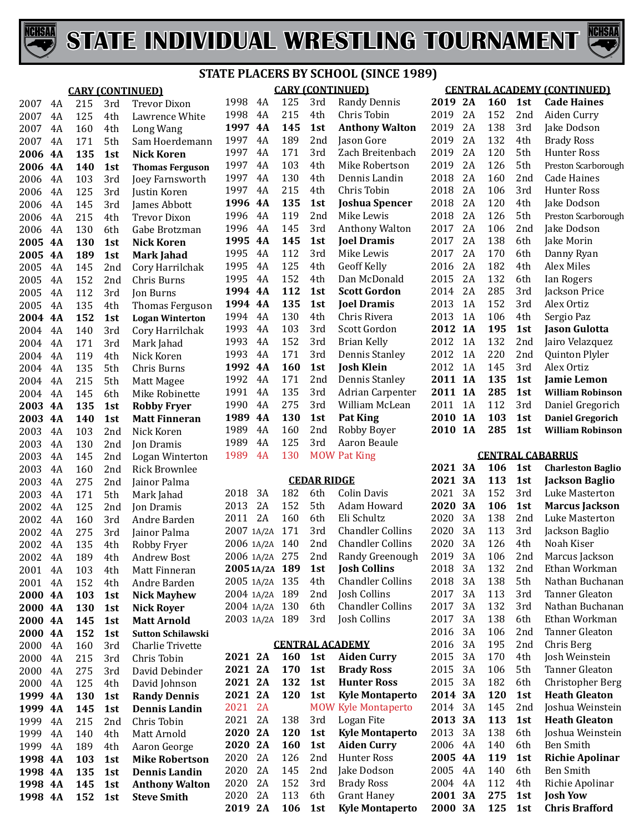



|         |    |            |                 | <u>SIATE FLACERS DI SCHOOL (SINCE 1909)</u> |                |           |            |                    |                            |         |    |            |                 |                                    |
|---------|----|------------|-----------------|---------------------------------------------|----------------|-----------|------------|--------------------|----------------------------|---------|----|------------|-----------------|------------------------------------|
|         |    |            |                 | <b>CARY (CONTINUED)</b>                     |                |           |            |                    | <b>CARY (CONTINUED)</b>    |         |    |            |                 | <b>CENTRAL ACADEMY (CONTINUED)</b> |
| 2007    | 4A | 215        | 3rd             | <b>Trevor Dixon</b>                         | 1998           | 4A        | 125        | 3rd                | <b>Randy Dennis</b>        | 2019 2A |    | <b>160</b> | 1st             | <b>Cade Haines</b>                 |
| 2007    | 4A | 125        | 4th             | Lawrence White                              | 1998           | 4A        | 215        | 4th                | Chris Tobin                | 2019    | 2A | 152        | 2 <sub>nd</sub> | Aiden Curry                        |
| 2007    | 4A | 160        | 4th             | Long Wang                                   | 1997           | 4A        | 145        | 1st                | <b>Anthony Walton</b>      | 2019    | 2A | 138        | 3rd             | Jake Dodson                        |
| 2007    | 4A | 171        | 5th             | Sam Hoerdemann                              | 1997           | 4A        | 189        | 2nd                | Jason Gore                 | 2019    | 2A | 132        | 4th             | <b>Brady Ross</b>                  |
| 2006    | 4A | 135        | 1st             | <b>Nick Koren</b>                           | 1997           | 4A        | 171        | 3rd                | Zach Breitenbach           | 2019    | 2A | 120        | 5th             | Hunter Ross                        |
| 2006    | 4A | 140        | 1st             | <b>Thomas Ferguson</b>                      | 1997           | 4A        | 103        | 4th                | Mike Robertson             | 2019    | 2A | 126        | 5th             | Preston Scarborough                |
| 2006    | 4A | 103        | 3rd             | Joey Farnsworth                             | 1997           | 4A        | 130        | 4th                | Dennis Landin              | 2018    | 2A | 160        | 2nd             | <b>Cade Haines</b>                 |
| 2006    | 4A | 125        | 3rd             | Justin Koren                                | 1997           | 4A        | 215        | 4th                | Chris Tobin                | 2018    | 2A | 106        | 3rd             | Hunter Ross                        |
| 2006    | 4A | 145        | 3rd             | James Abbott                                | 1996           | <b>4A</b> | 135        | 1st                | <b>Joshua Spencer</b>      | 2018    | 2A | 120        | 4th             | Jake Dodson                        |
| 2006    | 4A | 215        | 4th             | <b>Trevor Dixon</b>                         | 1996           | 4A        | 119        | 2nd                | Mike Lewis                 | 2018    | 2A | 126        | 5th             | Preston Scarborough                |
| 2006    | 4A | 130        | 6th             | Gabe Brotzman                               | 1996           | 4A        | 145        | 3rd                | Anthony Walton             | 2017    | 2A | 106        | 2 <sub>nd</sub> | Jake Dodson                        |
| 2005    | 4A | 130        | 1st             | <b>Nick Koren</b>                           | 1995           | 4A        | 145        | 1st                | <b>Joel Dramis</b>         | 2017    | 2A | 138        | 6th             | Jake Morin                         |
| 2005    | 4A | 189        | 1st             | <b>Mark Jahad</b>                           | 1995           | 4A        | 112        | 3rd                | Mike Lewis                 | 2017    | 2A | 170        | 6th             | Danny Ryan                         |
| 2005    | 4A | 145        | 2nd             | Cory Harrilchak                             | 1995           | 4A        | 125        | 4th                | <b>Geoff Kelly</b>         | 2016    | 2A | 182        | 4th             | Alex Miles                         |
| 2005    | 4A | 152        | 2nd             | Chris Burns                                 | 1995           | 4A        | 152        | 4th                | Dan McDonald               | 2015    | 2A | 132        | 6th             | Ian Rogers                         |
| 2005    | 4A | 112        | 3rd             | Jon Burns                                   | 1994 4A        |           | 112        | 1st                | <b>Scott Gordon</b>        | 2014    | 2A | 285        | 3rd             | Jackson Price                      |
| 2005    | 4A | 135        | 4th             | Thomas Ferguson                             | 1994 4A        |           | 135        | 1st                | <b>Joel Dramis</b>         | 2013    | 1A | 152        | 3rd             | Alex Ortiz                         |
| 2004    | 4A | 152        | 1st             | <b>Logan Winterton</b>                      | 1994           | 4A        | 130        | 4th                | Chris Rivera               | 2013    | 1A | 106        | 4th             | Sergio Paz                         |
| 2004    | 4A | 140        | 3rd             | Cory Harrilchak                             | 1993           | 4A        | 103        | 3rd                | Scott Gordon               | 2012 1A |    | 195        | 1st             | Jason Gulotta                      |
| 2004    | 4A | 171        | 3rd             |                                             | 1993           | 4A        | 152        | 3rd                | Brian Kelly                | 2012    | 1A | 132        | 2nd             | Jairo Velazquez                    |
| 2004    | 4A | 119        | 4th             | Mark Jahad<br>Nick Koren                    | 1993           | 4A        | 171        | 3rd                | <b>Dennis Stanley</b>      | 2012    | 1A | 220        | 2nd             | Quinton Plyler                     |
|         |    |            |                 |                                             | 1992           | 4A        | 160        | 1st                | <b>Josh Klein</b>          | 2012    | 1A | 145        | 3rd             | Alex Ortiz                         |
| 2004    | 4A | 135        | 5th             | Chris Burns                                 | 1992           | 4A        | 171        | 2nd                | <b>Dennis Stanley</b>      | 2011 1A |    | 135        | 1st             | Jamie Lemon                        |
| 2004    | 4A | 215        | 5th             | Matt Magee                                  | 1991           | 4A        | 135        | 3rd                | <b>Adrian Carpenter</b>    | 2011 1A |    | 285        | 1st             | <b>William Robinson</b>            |
| 2004    | 4A | 145        | 6th             | Mike Robinette                              | 1990           | 4A        | 275        | 3rd                | William McLean             | 2011    | 1A | 112        | 3rd             | Daniel Gregorich                   |
| 2003    | 4A | 135        | 1st             | <b>Robby Fryer</b>                          | 1989           | 4A        | 130        |                    | Pat King                   | 2010 1A |    | 103        |                 | <b>Daniel Gregorich</b>            |
| 2003    | 4A | 140        | 1st             | <b>Matt Finneran</b>                        | 1989           | 4A        | 160        | 1st<br>2nd         | Robby Boyer                | 2010 1A |    | 285        | 1st<br>1st      | <b>William Robinson</b>            |
| 2003    | 4A | 103        | 2nd             | Nick Koren                                  | 1989           | 4A        | 125        | 3rd                | Aaron Beaule               |         |    |            |                 |                                    |
| 2003    | 4A | 130        | 2nd             | Jon Dramis                                  | 1989           | 4A        | 130        |                    | <b>MOW Pat King</b>        |         |    |            |                 | <b>CENTRAL CABARRUS</b>            |
| 2003    | 4A | 145        | 2nd             | Logan Winterton                             |                |           |            |                    |                            |         |    |            |                 |                                    |
|         |    |            |                 |                                             |                |           |            |                    |                            |         |    |            |                 |                                    |
| 2003    | 4A | 160        | 2nd             | <b>Rick Brownlee</b>                        |                |           |            |                    |                            | 2021 3A |    | 106        | 1st             | <b>Charleston Baglio</b>           |
| 2003    | 4A | 275        | 2nd             | Jainor Palma                                |                |           |            | <b>CEDAR RIDGE</b> |                            | 2021 3A |    | 113        | 1st             | <b>Jackson Baglio</b>              |
| 2003    | 4A | 171        | 5th             | Mark Jahad                                  | 2018           | 3A        | 182        | 6th                | <b>Colin Davis</b>         | 2021    | 3A | 152        | 3rd             | Luke Masterton                     |
| 2002    | 4A | 125        | 2 <sub>nd</sub> | Jon Dramis                                  | 2013           | 2A        | 152        | 5th                | Adam Howard                | 2020    | 3A | 106        | 1st             | <b>Marcus Jackson</b>              |
| 2002    | 4A | 160        | 3rd             | Andre Barden                                | 2011           | 2A        | 160        | 6th                | Eli Schultz                | 2020    | 3A | 138        | 2nd             | Luke Masterton                     |
| 2002    | 4A | 275        | 3rd             | Jainor Palma                                | 2007 1A/2A 171 |           |            | 3rd                | <b>Chandler Collins</b>    | 2020    | 3A | 113        | 3rd             | Jackson Baglio                     |
| 2002    | 4A | 135        | 4th             | Robby Fryer                                 | 2006 1A/2A 140 |           |            | 2 <sub>nd</sub>    | <b>Chandler Collins</b>    | 2020    | 3A | 126        | 4th             | Noah Kiser                         |
| 2002    | 4A | 189        | 4th             | Andrew Bost                                 | 2006 1A/2A 275 |           |            | 2nd                | Randy Greenough            | 2019    | 3A | 106        | 2nd             | Marcus Jackson                     |
| 2001    | 4A | 103        | 4th             | Matt Finneran                               | 2005 1A/2A 189 |           |            | 1st                | <b>Josh Collins</b>        | 2018    | 3A | 132        | 2 <sub>nd</sub> | Ethan Workman                      |
| 2001    | 4A | 152        | 4th             | Andre Barden                                | 2005 1A/2A 135 |           |            | 4th                | <b>Chandler Collins</b>    | 2018    | 3A | 138        | 5th             | Nathan Buchanan                    |
| 2000 4A |    | 103        | 1st             | <b>Nick Mayhew</b>                          | 2004 1A/2A 189 |           |            | 2 <sub>nd</sub>    | Josh Collins               | 2017    | 3A | 113        | 3rd             | Tanner Gleaton                     |
| 2000 4A |    | 130        | 1st             | <b>Nick Royer</b>                           | 2004 1A/2A 130 |           |            | 6th                | <b>Chandler Collins</b>    | 2017    | 3A | 132        | 3rd             | Nathan Buchanan                    |
| 2000 4A |    | 145        | 1st             | <b>Matt Arnold</b>                          | 2003 1A/2A 189 |           |            | 3rd                | Josh Collins               | 2017    | 3A | 138        | 6th             | Ethan Workman                      |
| 2000 4A |    | 152        | 1st             | <b>Sutton Schilawski</b>                    |                |           |            |                    |                            | 2016    | 3A | 106        | 2nd             | <b>Tanner Gleaton</b>              |
| 2000    | 4A | 160        | 3rd             | <b>Charlie Trivette</b>                     |                |           |            |                    | <b>CENTRAL ACADEMY</b>     | 2016    | 3A | 195        | 2nd             | Chris Berg                         |
| 2000    | 4A | 215        | 3rd             | Chris Tobin                                 | 2021 2A        |           | <b>160</b> | 1st                | <b>Aiden Curry</b>         | 2015    | 3A | 170        | 4th             | Josh Weinstein                     |
| 2000    | 4A | 275        | 3rd             | David Debinder                              | 2021 2A        |           | 170        | 1st                | <b>Brady Ross</b>          | 2015    | 3A | 106        | 5th             | <b>Tanner Gleaton</b>              |
| 2000    | 4A | 125        | 4th             | David Johnson                               | 2021 2A        |           | 132        | 1st                | <b>Hunter Ross</b>         | 2015    | 3A | 182        | 6th             | Christopher Berg                   |
| 1999 4A |    | <b>130</b> | 1st             | <b>Randy Dennis</b>                         | 2021 2A        |           | 120        | 1st                | <b>Kyle Montaperto</b>     | 2014 3A |    | 120        | 1st             | <b>Heath Gleaton</b>               |
| 1999 4A |    | 145        | 1st             | <b>Dennis Landin</b>                        | 2021 2A        |           |            |                    | <b>MOW Kyle Montaperto</b> | 2014 3A |    | 145        | 2nd             | Joshua Weinstein                   |
| 1999    | 4A | 215        | 2nd             | Chris Tobin                                 | 2021 2A        |           | 138        | 3rd                | Logan Fite                 | 2013 3A |    | 113        | 1st             | <b>Heath Gleaton</b>               |
| 1999    | 4A | 140        | 4th             | Matt Arnold                                 | 2020 2A        |           | 120        | 1st                | <b>Kyle Montaperto</b>     | 2013    | 3A | 138        | 6th             | Joshua Weinstein                   |
| 1999    | 4A | 189        | 4th             | Aaron George                                | 2020 2A        |           | 160        | 1st                | <b>Aiden Curry</b>         | 2006 4A |    | 140        | 6th             | Ben Smith                          |
| 1998 4A |    | 103        | 1st             | <b>Mike Robertson</b>                       | 2020           | 2A        | 126        | 2 <sub>nd</sub>    | Hunter Ross                | 2005 4A |    | 119        | 1st             | <b>Richie Apolinar</b>             |
| 1998 4A |    | 135        | 1st             | <b>Dennis Landin</b>                        | 2020           | 2A        | 145        | 2 <sub>nd</sub>    | Jake Dodson                | 2005 4A |    | 140        | 6th             | Ben Smith                          |
| 1998 4A |    | 145        | 1st             | <b>Anthony Walton</b>                       | 2020           | 2A        | 152        | 3rd                | <b>Brady Ross</b>          | 2004 4A |    | 112        | 4th             | Richie Apolinar                    |
| 1998 4A |    | 152        | 1st             | <b>Steve Smith</b>                          | 2020           | 2A        | 113        | 6th                | <b>Grant Haney</b>         | 2001 3A |    | 275        | 1st             | <b>Josh Yow</b>                    |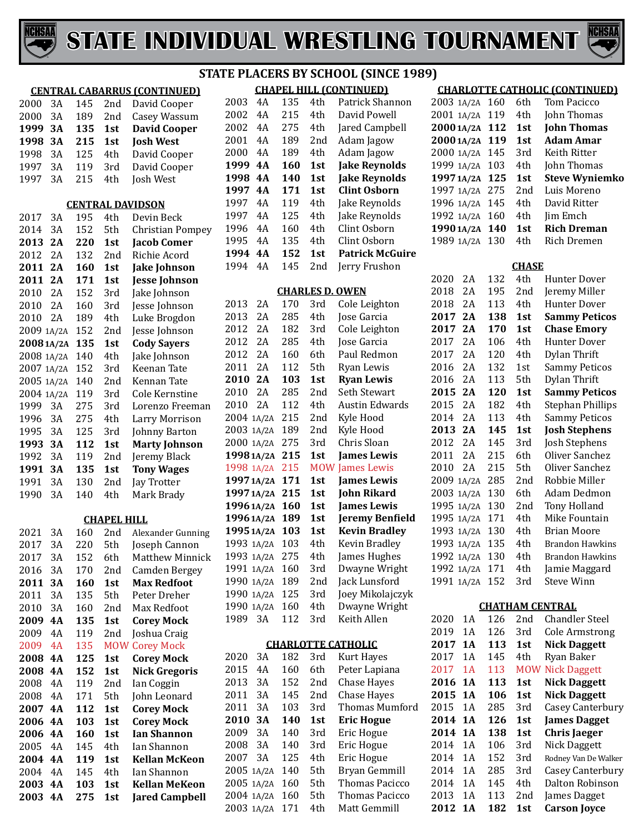



|            |           |     |                    | יז כ                                |
|------------|-----------|-----|--------------------|-------------------------------------|
|            |           |     |                    | <b>CENTRAL CABARRUS (CONTINUED)</b> |
| 2000       | 3A        | 145 | 2nd                | David Cooper                        |
| 2000       | 3A        | 189 | 2nd                | Casey Wassum                        |
| 1999       | 3A        | 135 | 1st                | <b>David Cooper</b>                 |
| 1998       | <b>3A</b> | 215 | 1st                | <b>Josh West</b>                    |
| 1998       | 3A        | 125 | 4th                | David Cooper                        |
| 1997       | 3A        | 119 | 3rd                | David Cooper                        |
| 1997       | 3A        | 215 | 4th                | Josh West                           |
|            |           |     |                    |                                     |
|            |           |     |                    | <b>CENTRAL DAVIDSON</b>             |
| 2017       | 3A        | 195 | 4th                | Devin Beck                          |
| 2014       | 3A        | 152 | 5th                | <b>Christian Pompey</b>             |
| 2013       | 2A        | 220 | 1st                | <b>Jacob Comer</b>                  |
| 2012       | 2A        | 132 | 2nd                | Richie Acord                        |
| 2011       | 2A        | 160 | 1st                | <b>Jake Johnson</b>                 |
| 2011       | 2A        | 171 | 1st                | <b>Jesse Johnson</b>                |
| 2010       | 2A        | 152 | 3rd                | Jake Johnson                        |
| 2010       | 2A        | 160 | 3rd                | Jesse Johnson                       |
| 2010       | 2A        | 189 | 4th                | Luke Brogdon                        |
| 2009 1A/2A |           | 152 | 2nd                | Jesse Johnson                       |
| 20081A/2A  |           | 135 | 1st                | <b>Cody Sayers</b>                  |
| 2008 1A/2A |           | 140 | 4th                | Jake Johnson                        |
| 2007 1A/2A |           | 152 | 3rd                | Keenan Tate                         |
| 2005 1A/2A |           | 140 | 2nd                | Kennan Tate                         |
| 2004 1A/2A |           | 119 | 3rd                | <b>Cole Kernstine</b>               |
| 1999       | 3A        | 275 | 3rd                | Lorenzo Freeman                     |
| 1996       | 3A        | 275 | 4th                | Larry Morrison                      |
| 1995       | 3A        | 125 | 3rd                | Johnny Barton                       |
| 1993       | <b>3A</b> | 112 | 1st                | <b>Marty Johnson</b>                |
| 1992       | 3A        | 119 | 2nd                | Jeremy Black                        |
| 1991       | <b>3A</b> | 135 | 1st                | <b>Tony Wages</b>                   |
| 1991       | 3A        | 130 | 2nd                | Jay Trotter                         |
| 1990       | 3A        | 140 | 4th                | Mark Brady                          |
|            |           |     |                    |                                     |
|            |           |     | <b>CHAPEL HILL</b> |                                     |
| 2021       | 3A        | 160 |                    | 2nd Alexander Gunning               |
| 2017       | 3A        | 220 |                    | 5th Joseph Cannon                   |
| 2017       | 3A        | 152 | 6th                | Matthew Minnick                     |
| 2016       | 3A        | 170 | 2nd                | <b>Camden Bergey</b>                |
| 2011       | 3А        | 160 | 1st                | <b>Max Redfoot</b>                  |
| 2011       | 3A        | 135 | 5th                | Peter Dreher                        |
| 2010       | 3A        | 160 | 2nd                | Max Redfoot                         |
| 2009       | 4A        | 135 | 1st                | <b>Corey Mock</b>                   |
| 2009       | 4A        | 119 | 2nd                | Joshua Craig                        |
| 2009       | 4A        | 135 | <b>MOW</b>         | <b>Corey Mock</b>                   |
| 2008       | <b>4A</b> | 125 | 1st                | <b>Corey Mock</b>                   |
| 2008       | 4A        | 152 | 1st                | <b>Nick Gregoris</b>                |
| 2008       | 4A        | 119 | 2nd                | Ian Coggin                          |
| 2008       | 4A        | 171 | 5th                | John Leonard                        |
| 2007       | <b>4A</b> | 112 | 1st                | <b>Corey Mock</b>                   |
| 2006       | <b>4A</b> | 103 | 1st                | <b>Corey Mock</b>                   |
| 2006       | 4A        | 160 | 1st                | <b>Ian Shannon</b>                  |
| 2005       | 4A        | 145 | 4th                | Ian Shannon                         |
| 2004       | 4A        | 119 | 1st                | <b>Kellan McKeon</b>                |
| 2004       | 4A        | 145 | 4th                | Ian Shannon                         |
| 2003       | <b>4A</b> | 103 | 1st                | <b>Kellan MeKeon</b>                |
| 2003       | 4A        | 275 | 1st                | <b>Jared Campbell</b>               |

#### **CHAPEL HILL (CONTINUED) STATE PLACERS BY SCHOOL (SINCE 1989)**

|      |     |     |                 | <u>CHAPEL HILL ICONTINUEDI</u> |
|------|-----|-----|-----------------|--------------------------------|
| 2003 | 4Α  | 135 | 4th             | Patrick Shannon                |
| 2002 | 4Α  | 215 | 4th             | David Powell                   |
| 2002 | 4Α  | 275 | 4th             | Jared Campbell                 |
| 2001 | 4Α  | 189 | 2nd             | Adam Jagow                     |
| 2000 | 4Α  | 189 | 4th             | Adam Jagow                     |
| 1999 | 4 A | 160 | 1st             | <b>Jake Reynolds</b>           |
| 1998 | 4A  | 140 | 1 <sub>st</sub> | <b>Jake Reynolds</b>           |
| 1997 | 4A  | 171 | 1st             | Clint Oshorn                   |
|      |     |     | 4th             |                                |
| 1997 | 4Α  | 119 |                 | Jake Reynolds                  |
| 1997 | 4Α  | 125 | 4th             | Jake Reynolds                  |
| 1996 | 4Α  | 160 | 4th             | Clint Osborn                   |
| 1995 | 4Α  | 135 | 4th             | Clint Osborn                   |
| 1994 | 4 A | 152 | 1st             | <b>Patrick McGuire</b>         |
| 1994 | 4Α  | 145 | 2nd             | Jerry Frushon                  |

#### **CHARLES D. OWEN**

| 2013       | 2A         | 170 | 3rd        | Cole Leighton        |
|------------|------------|-----|------------|----------------------|
| 2013       | 2A         | 285 | 4th        | Jose Garcia          |
| 2012       | 2Α         | 182 | 3rd        | Cole Leighton        |
| 2012       | 2A         | 285 | 4th        | Jose Garcia          |
| 2012       | 2A         | 160 | 6th.       | Paul Redmon          |
| 2011       | 2A         | 112 | 5th        | Ryan Lewis           |
| 2010       | 2A         | 103 | 1st        | <b>Ryan Lewis</b>    |
| 2010       | 2A         | 285 | 2nd        | Seth Stewart         |
| 2010       | 2A         | 112 | 4th        | Austin Edwards       |
| 2004 1A/2A |            | 215 | 2nd        | Kyle Hood            |
| 2003       | 1A/2A      | 189 | 2nd        | Kyle Hood            |
| 2000 1A/2A |            | 275 | 3rd        | Chris Sloan          |
|            | 1998 1A/2A | 215 | 1st        | <b>James Lewis</b>   |
|            | 1998 1A/2A | 215 | <b>MOW</b> | James Lewis          |
|            | 1997 1A/2A | 171 | 1st        | <b>James Lewis</b>   |
|            | 1997 1A/2A | 215 | 1st        | <b>John Rikard</b>   |
|            | 1996 1A/2A | 160 | 1st        | <b>James Lewis</b>   |
|            | 1996 1A/2A | 189 | 1st        | Jeremy Benfield      |
|            | 1995 1A/2A | 103 | 1st        | <b>Kevin Bradley</b> |
| 1993 1A/2A |            | 103 | 4th        | Kevin Bradley        |
| 1993 1A/2A |            | 275 | 4th        | James Hughes         |
| 1991 1A/2A |            | 160 | 3rd        | Dwayne Wright        |
| 1990       | 1A/2A      | 189 | 2nd        | Jack Lunsford        |
| 1990       | 1A/2A      | 125 | 3rd        | Joey Mikolajczyk     |
| 1990       |            |     |            |                      |
|            | 1A/2A      | 160 | 4th        | Dwayne Wright        |
| 1989       | 3A         | 112 | 3rd        | Keith Allen          |

#### **CHARLOTTE CATHOLIC**

| 2020       | 3Α | 182 | 3rd | Kurt Hayes         |
|------------|----|-----|-----|--------------------|
| 2015       | 4Α | 160 | 6th | Peter Lapiana      |
| 2013       | 3Α | 152 | 2nd | <b>Chase Hayes</b> |
| 2011       | 3Α | 145 | 2nd | Chase Hayes        |
| 2011       | 3A | 103 | 3rd | Thomas Mumford     |
| 2010       | 3A | 140 | 1st | <b>Eric Hogue</b>  |
| 2009       | 3Α | 140 | 3rd | Eric Hogue         |
| 2008       | 3Α | 140 | 3rd | Eric Hogue         |
| 2007       | 3Α | 125 | 4th | Eric Hogue         |
| 2005 1A/2A |    | 140 | 5th | Bryan Gemmill      |
| 2005 1A/2A |    | 160 | 5th | Thomas Pacicco     |
| 2004 1A/2A |    | 160 | 5th | Thomas Pacicco     |
| 2003 1A/2A |    | 171 | 4th | Matt Gemmill       |
|            |    |     |     |                    |

#### **CHARLOTTE CATHOLIC (CONTINUED)**

| 2003 1A/2A 160 |     | 6th             | Tom Pacicco           |
|----------------|-----|-----------------|-----------------------|
| 2001 1A/2A 119 |     | 4th             | John Thomas           |
| 2000 1A/2A 112 |     | 1st             | <b>John Thomas</b>    |
| 2000 1A/2A     | 119 | 1st             | Adam Amar             |
| 2000 1A/2A 145 |     | 3rd             | Keith Ritter          |
| 1999 1A/2A 103 |     | 4th.            | John Thomas           |
|                |     | 1st             | <b>Steve Wyniemko</b> |
| 1997 1A/2A 125 |     |                 |                       |
| 1997 1A/2A 275 |     | 2 <sub>nd</sub> | Luis Moreno           |
| 1996 1A/2A 145 |     | 4th             | David Ritter          |
| 1992 1A/2A 160 |     | 4th             | Jim Emch              |
| 1990 1A/2A 140 |     | 1st             | <b>Rich Dreman</b>    |
| 1989 1A/2A     | 130 | 4th             | Rich Dremen           |

#### **CHASE**

| 2020       | 2A    | 132 | 4th             | <b>Hunter Dover</b>     |
|------------|-------|-----|-----------------|-------------------------|
| 2018       | 2Α    | 195 | 2 <sub>nd</sub> | Jeremy Miller           |
| 2018       | 2A    | 113 | 4th             | Hunter Dover            |
| 2017       | 2A    | 138 | 1st             | <b>Sammy Peticos</b>    |
| 2017       | 2A    | 170 | 1st             | <b>Chase Emory</b>      |
| 2017       | 2A    | 106 | 4th             | <b>Hunter Dover</b>     |
| 2017       | 2A    | 120 | 4th             | Dylan Thrift            |
| 2016       | 2A    | 132 | 1st             | <b>Sammy Peticos</b>    |
| 2016       | 2A    | 113 | 5th             | Dylan Thrift            |
| 2015       | 2A    | 120 | 1st             | <b>Sammy Peticos</b>    |
| 2015       | 2A    | 182 | 4th             | <b>Stephan Phillips</b> |
| 2014       | 2A    | 113 | 4th             | <b>Sammy Peticos</b>    |
| 2013       | 2A    | 145 | 1st             | <b>Josh Stephens</b>    |
| 2012       | 2A    | 145 | 3rd             | <b>Josh Stephens</b>    |
| 2011       | 2A    | 215 | 6th             | Oliver Sanchez          |
| 2010       | 2A    | 215 | 5th             | Oliver Sanchez          |
| 2009       | 1A/2A | 285 | 2 <sub>nd</sub> | Robbie Miller           |
| 2003       | 1A/2A | 130 | 6th             | Adam Dedmon             |
| 1995       | 1A/2A | 130 | 2nd             | Tony Holland            |
| 1995       | 1A/2A | 171 | 4th             | Mike Fountain           |
| 1993       | 1A/2A | 130 | 4th             | <b>Brian Moore</b>      |
| 1993       | 1A/2A | 135 | 4th             | <b>Brandon Hawkins</b>  |
| 1992       | 1A/2A | 130 | 4th             | <b>Brandon Hawkins</b>  |
| 1992       | 1A/2A | 171 | 4th             | Jamie Maggard           |
| 1991 1A/2A |       | 152 | 3rd             | <b>Steve Winn</b>       |
|            |       |     |                 |                         |

#### **CHATHAM CENTRAL**

| 2020 | 1A  | 126 | 2nd             | Chandler Steel          |
|------|-----|-----|-----------------|-------------------------|
| 2019 | 1 A | 126 | 3rd             | <b>Cole Armstrong</b>   |
| 2017 | 1A  | 113 | 1st             | <b>Nick Daggett</b>     |
| 2017 | 1 A | 145 | 4th             | Ryan Baker              |
| 2017 | 1 A | 113 |                 | <b>MOW Nick Daggett</b> |
| 2016 | 1 A | 113 | 1st             | <b>Nick Daggett</b>     |
| 2015 | 1 A | 106 | 1st             | <b>Nick Daggett</b>     |
| 2015 | 1 A | 285 | 3rd             | <b>Casey Canterbury</b> |
| 2014 | 1 A | 126 | 1st             | <b>James Dagget</b>     |
|      |     |     |                 |                         |
| 2014 | 1A  | 138 | 1st             | <b>Chris Jaeger</b>     |
| 2014 | 1 A | 106 | 3rd             | Nick Daggett            |
| 2014 | 1 A | 152 | 3rd             | Rodney Van De Walker    |
| 2014 | 1 A | 285 | 3rd             | Casey Canterbury        |
| 2014 | 1 A | 145 | 4th             | Dalton Robinson         |
| 2013 | 1 A | 113 | 2 <sub>nd</sub> | James Dagget            |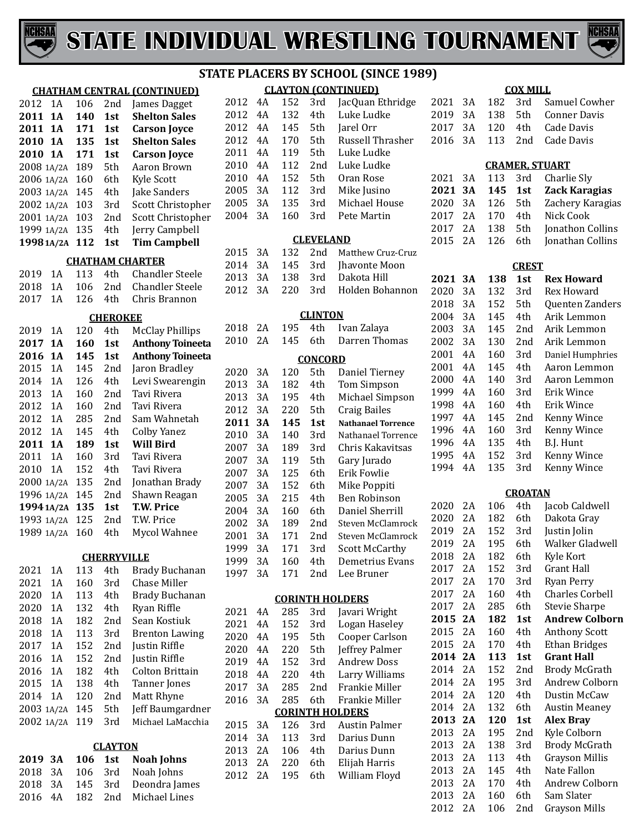



|              |            |     |                    | 3 I                                              |
|--------------|------------|-----|--------------------|--------------------------------------------------|
|              |            |     |                    | <b>CHATHAM CENTRAL (CONTINUED)</b>               |
| 2012         | 1A         | 106 | 2nd                | James Dagget                                     |
| 2011         | <b>1A</b>  | 140 | 1st                | <b>Shelton Sales</b>                             |
| 2011         | 1А         | 171 | 1st                | <b>Carson Joyce</b>                              |
| 2010         | <b>1A</b>  | 135 | 1st                | <b>Shelton Sales</b>                             |
| 2010         | <b>1A</b>  | 171 | 1st                | <b>Carson Joyce</b>                              |
| 2008 1A/2A   |            | 189 | 5th                | Aaron Brown                                      |
| 2006         | 1A/2A      | 160 | 6th                | <b>Kyle Scott</b>                                |
| 2003         | 1A/2A      | 145 | 4th                | Jake Sanders                                     |
| 2002         | 1A/2A      | 103 | 3rd                | Scott Christopher                                |
| 2001         | 1A/2A      | 103 | 2nd                | Scott Christopher                                |
|              | 1999 1A/2A | 135 | 4th                | Jerry Campbell                                   |
|              | 1998 1A/2A | 112 | 1st                | <b>Tim Campbell</b>                              |
|              |            |     |                    |                                                  |
|              | 1Α         | 113 | 4th                | <b>CHATHAM CHARTER</b><br><b>Chandler Steele</b> |
| 2019<br>2018 | 1A         | 106 | 2nd                | <b>Chandler Steele</b>                           |
| 2017         | 1A         | 126 | 4th                | Chris Brannon                                    |
|              |            |     |                    |                                                  |
|              |            |     | <b>CHEROKEE</b>    |                                                  |
| 2019         | 1 A        | 120 | 4th                | <b>McClay Phillips</b>                           |
| 2017         | <b>1A</b>  | 160 | 1st                | <b>Anthony Toineeta</b>                          |
| 2016         | <b>1A</b>  | 145 | 1st                | <b>Anthony Toineeta</b>                          |
| 2015         | 1A         | 145 | 2nd                | Jaron Bradley                                    |
| 2014         | 1A         | 126 | 4th                | Levi Swearengin                                  |
| 2013         | 1A         | 160 | 2nd                | Tavi Rivera                                      |
| 2012         | 1A         | 160 | 2nd                | Tavi Rivera                                      |
| 2012         | 1A         | 285 | 2nd                | Sam Wahnetah                                     |
| 2012         | 1A         | 145 | 4th                | <b>Colby Yanez</b>                               |
| 2011         | <b>1A</b>  | 189 | 1st                | <b>Will Bird</b>                                 |
| 2011         | 1A         | 160 | 3rd                | Tavi Rivera                                      |
| 2010         | 1A         | 152 | 4th                | Tavi Rivera                                      |
| 2000         | 1A/2A      | 135 | 2nd                | Jonathan Brady                                   |
| 1996         | 1A/2A      | 145 | 2nd                | Shawn Reagan                                     |
|              | 1994 1A/2A | 135 | 1st                | <b>T.W. Price</b>                                |
|              | 1993 1A/2A | 125 | 2nd                | T.W. Price                                       |
|              | 1989 1A/2A | 160 | 4th                | Mycol Wahnee                                     |
|              |            |     |                    |                                                  |
|              |            |     | <b>CHERRYVILLE</b> |                                                  |
| 2021         | 1Α<br>1A   | 113 | 4th                | <b>Brady Buchanan</b>                            |
| 2021         |            | 160 | 3rd                | <b>Chase Miller</b>                              |
| 2020         | 1A         | 113 | 4th                | <b>Brady Buchanan</b>                            |
| 2020         | 1Α         | 132 | 4th                | Ryan Riffle                                      |
| 2018         | 1A         | 182 | 2nd                | Sean Kostiuk                                     |
| 2018         | 1A         | 113 | 3rd                | <b>Brenton Lawing</b>                            |
| 2017         | 1A         | 152 | 2nd                | Justin Riffle                                    |
| 2016         | 1 A        | 152 | 2nd                | Justin Riffle                                    |
| 2016         | 1 A        | 182 | 4th                | <b>Colton Brittain</b>                           |
| 2015         | 1Α         | 138 | 4th                | Tanner Jones                                     |
| 2014         | 1A         | 120 | 2nd                | Matt Rhyne                                       |
| 2003         | 1A/2A      | 145 | 5th                | Jeff Baumgardner                                 |
| 2002         | 1A/2A      | 119 | 3rd                | Michael LaMacchia                                |
|              |            |     | <b>CLAYTON</b>     |                                                  |
| 2019         | <b>3A</b>  | 106 | 1st                | <b>Noah Johns</b>                                |
| 2018         | 3A         | 106 | 3rd                | Noah Johns                                       |
| 2018         | 3A         | 145 | 3rd                | Deondra James                                    |
|              |            |     |                    |                                                  |

4A 182 2nd Michael Lines

#### **CLAYTON (CONTINUED) STATE PLACERS BY SCHOOL (SINCE 1989)**

| 2012 4A |     | 152 | 3rd             | JacQuan Ethridge |
|---------|-----|-----|-----------------|------------------|
| 2012 4A |     | 132 | 4th             | Luke Ludke       |
| 2012 4A |     | 145 | 5th             | Jarel Orr        |
| 2012 4A |     | 170 | 5th             | Russell Thrasher |
| 2011    | 4A  | 119 | 5th             | Luke Ludke       |
| 2010    | 4 A | 112 | 2 <sub>nd</sub> | Luke Ludke       |
| 2010    | 4A  | 152 | 5th             | Oran Rose        |
| 2005    | 3A  | 112 | 3rd             | Mike Jusino      |
| 2005    | 3A  | 135 | 3rd             | Michael House    |
| 2004    | 3A  | 160 | 3rd             | Pete Martin      |
|         |     |     |                 |                  |

#### **CLEVELAND**

|  |  | 2015 3A 132 2nd Matthew Cruz-Cruz |
|--|--|-----------------------------------|
|  |  | 2014 3A 145 3rd Jhavonte Moon     |
|  |  | 2013 3A 138 3rd Dakota Hill       |
|  |  | 2012 3A 220 3rd Holden Bohannon   |
|  |  |                                   |

#### **CLINTON**

| 2018 | 2A | 195 | 4th     | Ivan Zalaya               |  |  |  |
|------|----|-----|---------|---------------------------|--|--|--|
| 2010 | 2A | 145 | 6th     | Darren Thomas             |  |  |  |
|      |    |     | CONCORD |                           |  |  |  |
| 2020 | 3A | 120 | 5th     | Daniel Tierney            |  |  |  |
| 2013 | 3A | 182 | 4th     | <b>Tom Simpson</b>        |  |  |  |
| 2013 | 3A | 195 | 4th     | Michael Simpson           |  |  |  |
| 2012 | 3A | 220 | 5th     | <b>Craig Bailes</b>       |  |  |  |
| 2011 | 3А | 145 | 1st     | <b>Nathanael Torrence</b> |  |  |  |
| 2010 | 3A | 140 | 3rd     | Nathanael Torrence        |  |  |  |
| 2007 | 3Α | 189 | 3rd     | Chris Kakavitsas          |  |  |  |
| 2007 | 3A | 119 | 5th     | Gary Jurado               |  |  |  |
| 2007 | 3Α | 125 | 6th     | Erik Fowlie               |  |  |  |
| 2007 | 3A | 152 | 6th     | Mike Poppiti              |  |  |  |
| 2005 | 3Α | 215 | 4th     | <b>Ben Robinson</b>       |  |  |  |
| 2004 | 3A | 160 | 6th     | Daniel Sherrill           |  |  |  |
| 2002 | 3A | 189 | 2nd     | <b>Steven McClamrock</b>  |  |  |  |
| 2001 | 3A | 171 | 2nd     | Steven McClamrock         |  |  |  |
| 1999 | 3A | 171 | 3rd     | <b>Scott McCarthy</b>     |  |  |  |
| 1999 | 3A | 160 | 4th     | Demetrius Evans           |  |  |  |
| 1997 | 3A | 171 | 2nd     | Lee Bruner                |  |  |  |
|      |    |     |         | <b>CORINTH HOLDERS</b>    |  |  |  |
| 2021 | 4Α | 285 | 3rd     | Javari Wright             |  |  |  |
| 2021 | 4Α | 152 | 3rd     | Logan Haseley             |  |  |  |
| 2020 | 4Α | 195 | 5th     | Cooper Carlson            |  |  |  |
| 2020 | 4Α | 220 | 5th     | Jeffrey Palmer            |  |  |  |
| 2019 | 4Α | 152 | 3rd     | <b>Andrew Doss</b>        |  |  |  |
| 2018 | 4Α | 220 | 4th     | Larry Williams            |  |  |  |
| 2017 | 3A | 285 | 2nd     | Frankie Miller            |  |  |  |
|      |    |     |         |                           |  |  |  |

|  |  | 2016 3A 285 6th Frankie Miller |
|--|--|--------------------------------|
|  |  | <b>CORINTH HOLDERS</b>         |
|  |  | 2015 3A 126 3rd Austin Palmer  |
|  |  | 2014 3A 113 3rd Darius Dunn    |
|  |  | 2013 2A 106 4th Darius Dunn    |
|  |  | 2013 2A 220 6th Elijah Harris  |
|  |  | 2012 2A 195 6th William Floyd  |
|  |  |                                |

| 2016                  | 3A | 113 | 2nd            | <b>Cade Davis</b>      |  |  |  |  |  |  |
|-----------------------|----|-----|----------------|------------------------|--|--|--|--|--|--|
| <b>CRAMER, STUART</b> |    |     |                |                        |  |  |  |  |  |  |
| 2021                  | 3A | 113 | 3rd            | Charlie Sly            |  |  |  |  |  |  |
| 2021                  | 3A | 145 | 1st            | Zack Karagias          |  |  |  |  |  |  |
| 2020                  | 3A | 126 | 5th            | Zachery Karagias       |  |  |  |  |  |  |
| 2017                  | 2A | 170 | 4th            | Nick Cook              |  |  |  |  |  |  |
| 2017                  | 2A | 138 | 5th            | Jonathon Collins       |  |  |  |  |  |  |
| 2015                  | 2Α | 126 | 6th            | Jonathan Collins       |  |  |  |  |  |  |
| <b>CREST</b>          |    |     |                |                        |  |  |  |  |  |  |
| 2021                  | 3A | 138 | 1st            | <b>Rex Howard</b>      |  |  |  |  |  |  |
| 2020                  | 3A | 132 | 3rd            | Rex Howard             |  |  |  |  |  |  |
| 2018                  | 3A | 152 | 5th            | Quenten Zanders        |  |  |  |  |  |  |
| 2004                  | 3A | 145 | 4th            | Arik Lemmon            |  |  |  |  |  |  |
| 2003                  | 3A | 145 | 2nd            | Arik Lemmon            |  |  |  |  |  |  |
| 2002                  | 3A | 130 | 2nd            | Arik Lemmon            |  |  |  |  |  |  |
| 2001                  | 4A | 160 | 3rd            | Daniel Humphries       |  |  |  |  |  |  |
| 2001                  | 4A | 145 | 4th            | Aaron Lemmon           |  |  |  |  |  |  |
| 2000                  | 4A | 140 | 3rd            | Aaron Lemmon           |  |  |  |  |  |  |
| 1999                  | 4A | 160 | 3rd            | Erik Wince             |  |  |  |  |  |  |
| 1998                  | 4A | 160 | 4th            | Erik Wince             |  |  |  |  |  |  |
| 1997                  | 4A | 145 | 2nd            | Kenny Wince            |  |  |  |  |  |  |
| 1996                  | 4A | 160 | 3rd            | Kenny Wince            |  |  |  |  |  |  |
| 1996                  | 4A | 135 | 4th            | B.J. Hunt              |  |  |  |  |  |  |
| 1995                  | 4A | 152 | 3rd            | Kenny Wince            |  |  |  |  |  |  |
| 1994                  | 4A | 135 | 3rd            | Kenny Wince            |  |  |  |  |  |  |
|                       |    |     | <b>CROATAN</b> |                        |  |  |  |  |  |  |
| 2020                  | 2A | 106 | 4th            | Jacob Caldwell         |  |  |  |  |  |  |
| 2020                  | 2A | 182 | 6th            | Dakota Gray            |  |  |  |  |  |  |
| 2019                  | 2A | 152 | 3rd            | Justin Jolin           |  |  |  |  |  |  |
| 2019                  | 2A | 195 | 6th            | Walker Gladwell        |  |  |  |  |  |  |
| 2018                  | 2A | 182 | 6th            | Kyle Kort              |  |  |  |  |  |  |
| 2017                  | 2A | 152 | 3rd            | <b>Grant Hall</b>      |  |  |  |  |  |  |
| 2017                  | 2A | 170 | 3rd            | <b>Ryan Perry</b>      |  |  |  |  |  |  |
| 2017                  | 2A | 160 | 4th            | <b>Charles Corbell</b> |  |  |  |  |  |  |
| 2017                  | 2A | 285 | 6th            | <b>Stevie Sharpe</b>   |  |  |  |  |  |  |
| 2015                  | 2A | 182 | 1st            | <b>Andrew Colborn</b>  |  |  |  |  |  |  |
| 2015                  | 2A | 160 | 4th            | <b>Anthony Scott</b>   |  |  |  |  |  |  |
| 2015                  | 2A | 170 | 4th            | <b>Ethan Bridges</b>   |  |  |  |  |  |  |
| 2014                  | 2A | 113 | 1st            | <b>Grant Hall</b>      |  |  |  |  |  |  |

**COX MILL** 3A 182 3rd Samuel Cowher 2019 3A 138 5th Conner Dav<br>2017 3A 120 4th Cade Davis

2017 3A 120 4th

| <b>CROATAN</b> |     |     |      |                        |  |  |  |  |  |
|----------------|-----|-----|------|------------------------|--|--|--|--|--|
| 2020           | 2A  | 106 | 4th  | Jacob Caldwell         |  |  |  |  |  |
| 2020           | 2A  | 182 | 6th  | Dakota Gray            |  |  |  |  |  |
| 2019           | 2A  | 152 | 3rd  | Justin Jolin           |  |  |  |  |  |
| 2019           | 2A  | 195 | 6th  | Walker Gladwell        |  |  |  |  |  |
| 2018           | 2A  | 182 | 6th  | Kyle Kort              |  |  |  |  |  |
| 2017           | 2A  | 152 | 3rd  | Grant Hall             |  |  |  |  |  |
| 2017           | 2A  | 170 | 3rd  | Ryan Perry             |  |  |  |  |  |
| 2017           | 2A  | 160 | 4th. | <b>Charles Corbell</b> |  |  |  |  |  |
| 2017           | 2A  | 285 | 6th  | <b>Stevie Sharpe</b>   |  |  |  |  |  |
| 2015           | 2A  | 182 | 1st  | <b>Andrew Colborn</b>  |  |  |  |  |  |
| 2015           | 2A  | 160 | 4th  | <b>Anthony Scott</b>   |  |  |  |  |  |
| 2015           | 2A  | 170 | 4th  | <b>Ethan Bridges</b>   |  |  |  |  |  |
| 2014           | 2A  | 113 | 1st  | <b>Grant Hall</b>      |  |  |  |  |  |
| 2014           | 2A  | 152 | 2nd  | <b>Brody McGrath</b>   |  |  |  |  |  |
| 2014           | 2A  | 195 | 3rd  | Andrew Colborn         |  |  |  |  |  |
| 2014           | 2A  | 120 | 4th  | Dustin McCaw           |  |  |  |  |  |
| 2014           | 2A  | 132 | 6th  | <b>Austin Meaney</b>   |  |  |  |  |  |
| 2013           | 2A  | 120 | 1st  | <b>Alex Bray</b>       |  |  |  |  |  |
| 2013           | 2A  | 195 | 2nd  | Kyle Colborn           |  |  |  |  |  |
| 2013           | 2.A | 138 | 3rd  | Brody McGrath          |  |  |  |  |  |
| 2013           | 2A  | 113 | 4th  | <b>Grayson Millis</b>  |  |  |  |  |  |
| 2013           | 2A  | 145 | 4th  | Nate Fallon            |  |  |  |  |  |
| 2013           | 2A  | 170 | 4th  | Andrew Colborn         |  |  |  |  |  |
| 2013           | 2A  | 160 | 6th  | Sam Slater             |  |  |  |  |  |
| 2012           | 2A  | 106 | 2nd  | Grayson Mills          |  |  |  |  |  |
|                |     |     |      |                        |  |  |  |  |  |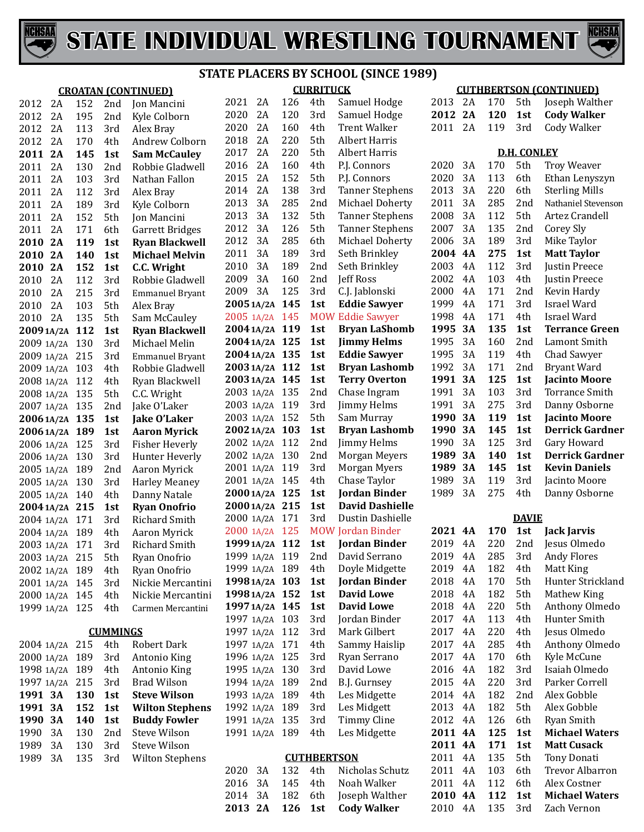



#### **CURRITUCK STATE PLACERS BY SCHOOL (SINCE 1989)**

|                |     |                 | <b>CROATAN (CONTINUED)</b>   | <b>CURRITUCK</b>                 |     |                           | <b>CUTHBERTSON (CONTINUED)</b>                           |                    |    |            |                    |                                     |
|----------------|-----|-----------------|------------------------------|----------------------------------|-----|---------------------------|----------------------------------------------------------|--------------------|----|------------|--------------------|-------------------------------------|
| 2A<br>2012     | 152 | 2nd             | <b>Jon Mancini</b>           | 2021<br>2A                       | 126 | 4th                       | Samuel Hodge                                             | 2013 2A            |    | 170        | 5th                | Joseph Walther                      |
| 2012<br>2A     | 195 | 2nd             | Kyle Colborn                 | 2020<br>2A                       | 120 | 3rd                       | Samuel Hodge                                             | 2012 2A            |    | 120        | 1st                | <b>Cody Walker</b>                  |
| 2012<br>2A     | 113 | 3rd             | Alex Bray                    | 2020<br>2A                       | 160 | 4th                       | <b>Trent Walker</b>                                      | 2011               | 2A | 119        | 3rd                | Cody Walker                         |
| 2012<br>2A     | 170 | 4th             | Andrew Colborn               | 2018<br>2A                       | 220 | 5th                       | <b>Albert Harris</b>                                     |                    |    |            |                    |                                     |
| 2011 2A        | 145 | 1st             | <b>Sam McCauley</b>          | 2017<br>2A                       | 220 | 5th                       | <b>Albert Harris</b>                                     |                    |    |            | <b>D.H. CONLEY</b> |                                     |
| 2A<br>2011     | 130 | 2nd             | Robbie Gladwell              | 2016<br>2A                       | 160 | 4th                       | P.J. Connors                                             | 2020               | 3A | 170        | 5th                | <b>Troy Weaver</b>                  |
| 2011<br>2A     | 103 | 3rd             | Nathan Fallon                | 2015<br>2A                       | 152 | 5th                       | P.J. Connors                                             | 2020               | 3A | 113        | 6th                | Ethan Lenyszyn                      |
| 2011<br>2A     | 112 | 3rd             | Alex Bray                    | 2014<br>2A                       | 138 | 3rd                       | <b>Tanner Stephens</b>                                   | 2013               | 3A | 220        | 6th                | <b>Sterling Mills</b>               |
| 2011<br>2A     | 189 | 3rd             | Kyle Colborn                 | 2013<br>3A                       | 285 | 2nd                       | Michael Doherty                                          | 2011               | 3A | 285        | 2nd                | Nathaniel Stevenson                 |
| 2011<br>2A     | 152 | 5th             | Jon Mancini                  | 2013<br>3A                       | 132 | 5th                       | <b>Tanner Stephens</b>                                   | 2008               | 3A | 112        | 5th                | Artez Crandell                      |
| 2A<br>2011     | 171 | 6th             | Garrett Bridges              | 2012<br>3A                       | 126 | 5th                       | <b>Tanner Stephens</b>                                   | 2007               | 3A | 135        | 2 <sub>nd</sub>    | Corey Sly                           |
| 2010 2A        | 119 | 1st             | <b>Ryan Blackwell</b>        | 2012<br>3A                       | 285 | 6th                       | Michael Doherty                                          | 2006               | 3A | 189        | 3rd                | Mike Taylor                         |
| 2010 2A        | 140 | 1st             | <b>Michael Melvin</b>        | 2011<br>3A                       | 189 | 3rd                       | Seth Brinkley                                            | 2004               | 4A | 275        | 1st                | <b>Matt Taylor</b>                  |
| 2010 2A        | 152 | 1st             | C.C. Wright                  | 2010<br>3A                       | 189 | 2nd                       | Seth Brinkley                                            | 2003               | 4A | 112        | 3rd                | Justin Preece                       |
| 2A<br>2010     | 112 | 3rd             | Robbie Gladwell              | 2009<br>3A                       | 160 | 2nd                       | <b>Jeff Ross</b>                                         | 2002               | 4A | 103        | 4th                | Justin Preece                       |
| 2A<br>2010     | 215 | 3rd             | <b>Emmanuel Bryant</b>       | 2009<br>3A                       | 125 | 3rd                       | C.J. Jablonski                                           | 2000               | 4A | 171        | 2nd                | Kevin Hardy                         |
| 2A<br>2010     | 103 | 5th             | Alex Bray                    | 2005 1A/2A 145                   |     | 1st                       | <b>Eddie Sawyer</b>                                      | 1999               | 4A | 171        | 3rd                | Israel Ward                         |
| 2A<br>2010     | 135 | 5th             | Sam McCauley                 | 2005 1A/2A 145                   |     |                           | <b>MOW Eddie Sawyer</b>                                  | 1998               | 4A | 171        | 4th                | Israel Ward                         |
| 20091A/2A 112  |     | 1st             | <b>Ryan Blackwell</b>        | 2004 1A/2A 119                   |     | 1st                       | <b>Bryan LaShomb</b>                                     | 1995               | 3A | 135        | 1st                | <b>Terrance Green</b>               |
| 2009 1A/2A 130 |     | 3rd             | Michael Melin                | 2004 1A/2A 125                   |     | 1st                       | <b>Jimmy Helms</b>                                       | 1995               | 3A | 160        | 2nd                | Lamont Smith                        |
| 2009 1A/2A 215 |     | 3rd             | <b>Emmanuel Bryant</b>       | 2004 1A/2A 135                   |     | 1st                       | <b>Eddie Sawyer</b>                                      | 1995               | 3A | 119        | 4th                | Chad Sawyer                         |
| 2009 1A/2A 103 |     | 4th             | Robbie Gladwell              | 2003 1A/2A 112                   |     | 1st                       | <b>Bryan Lashomb</b>                                     | 1992               | 3A | 171        | 2nd                | <b>Bryant Ward</b>                  |
| 2008 1A/2A 112 |     | 4th             | Ryan Blackwell               | 2003 1A/2A 145                   |     | 1st                       | <b>Terry Overton</b>                                     | 1991               | 3A | 125        | 1st                | <b>Jacinto Moore</b>                |
| 2008 1A/2A 135 |     | 5th             | C.C. Wright                  | 2003 1A/2A 135                   |     | 2 <sub>nd</sub>           | Chase Ingram                                             | 1991               | 3A | 103        | 3rd                | <b>Torrance Smith</b>               |
| 2007 1A/2A 135 |     | 2 <sub>nd</sub> | Jake O'Laker                 | 2003 1A/2A 119                   |     | 3rd                       | Jimmy Helms                                              | 1991               | 3A | 275        | 3rd                | Danny Osborne                       |
| 2006 1A/2A 135 |     | 1st             | Jake O'Laker                 | 2003 1A/2A 152                   |     | 5th                       | Sam Murray                                               | 1990 3A            |    | 119        | 1st                | <b>Jacinto Moore</b>                |
| 20061A/2A 189  |     | 1st             | <b>Aaron Myrick</b>          | 2002 1A/2A 103                   |     | 1st                       | <b>Bryan Lashomb</b>                                     | 1990               | 3A | 145        | 1st                | <b>Derrick Gardner</b>              |
| 2006 1A/2A 125 |     | 3rd             | Fisher Heverly               | 2002 1A/2A 112                   |     | 2nd                       | Jimmy Helms                                              | 1990               | 3A | 125        | 3rd                | Gary Howard                         |
| 2006 1A/2A 130 |     | 3rd             | Hunter Heverly               | 2002 1A/2A 130                   |     | 2nd                       | Morgan Meyers                                            | 1989 3A            |    | 140        | 1st                | <b>Derrick Gardner</b>              |
| 2005 1A/2A 189 |     | 2 <sub>nd</sub> | Aaron Myrick                 | 2001 1A/2A 119                   |     | 3rd                       | Morgan Myers                                             | 1989               | 3A | 145        | 1st                | <b>Kevin Daniels</b>                |
| 2005 1A/2A 130 |     | 3rd             | <b>Harley Meaney</b>         | 2001 1A/2A 145                   |     | 4th                       | Chase Taylor                                             | 1989               | 3A | 119        | 3rd                | Jacinto Moore                       |
| 2005 1A/2A 140 |     | 4th             | Danny Natale                 | 2000 1A/2A 125                   |     | 1st                       | <b>Jordan Binder</b>                                     | 1989               | 3A | 275        | 4th                | Danny Osborne                       |
| 2004 1A/2A 215 |     | 1st             | <b>Ryan Onofrio</b>          | 2000 1A/2A 215                   |     | 1st                       | <b>David Dashielle</b>                                   |                    |    |            |                    |                                     |
| 2004 1A/2A 171 |     | 3rd             | Richard Smith                | 2000 1A/2A 171                   |     | 3rd                       | Dustin Dashielle                                         |                    |    |            | <b>DAVIE</b>       |                                     |
| 2004 1A/2A 189 |     | 4th             | Aaron Myrick                 | 2000 1A/2A 125                   |     |                           | <b>MOW Jordan Binder</b>                                 | 2021 4A<br>2019 4A |    | 170        | 1st                | <b>Jack Jarvis</b>                  |
| 2003 1A/2A 171 |     | 3rd             | Richard Smith                | 1999 1A/2A 112                   |     | 1st                       | <b>Jordan Binder</b><br>1999 1A/2A 119 2nd David Serrano | 2019 4A            |    | 220        | 2nd                | Jesus Olmedo<br>285 3rd Andy Flores |
| 2003 1A/2A 215 |     | 5th             | Ryan Onofrio                 | 1999 1A/2A 189                   |     |                           | Doyle Midgette                                           | 2019               | 4A | 182        |                    | Matt King                           |
| 2002 1A/2A 189 |     | 4th             | Ryan Onofrio                 |                                  |     | 4th<br>1st                | <b>Jordan Binder</b>                                     | 2018               | 4A | 170        | 4th<br>5th         | Hunter Strickland                   |
| 2001 1A/2A 145 |     | 3rd             | Nickie Mercantini            | 1998 1A/2A 103<br>1998 1A/2A 152 |     | 1st                       | <b>David Lowe</b>                                        | 2018               | 4A | 182        | 5th                | Mathew King                         |
| 2000 1A/2A 145 |     | 4th             | Nickie Mercantini            | 1997 1A/2A 145                   |     | 1st                       | <b>David Lowe</b>                                        | 2018               | 4A | 220        | 5th                | Anthony Olmedo                      |
| 1999 1A/2A 125 |     | 4th             | Carmen Mercantini            |                                  |     |                           |                                                          |                    |    |            |                    |                                     |
|                |     |                 |                              |                                  |     |                           |                                                          |                    |    |            |                    |                                     |
|                |     |                 |                              | 1997 1A/2A 103                   |     | 3rd                       | Jordan Binder                                            | 2017               | 4A | 113        | 4th                | Hunter Smith                        |
|                |     | <b>CUMMINGS</b> |                              | 1997 1A/2A 112                   |     | 3rd                       | Mark Gilbert                                             | 2017               | 4A | 220        | 4th                | Jesus Olmedo                        |
| 2004 1A/2A 215 |     | 4th             | Robert Dark                  | 1997 1A/2A 171                   |     | 4th                       | Sammy Haislip                                            | 2017               | 4A | 285        | 4th                | Anthony Olmedo                      |
| 2000 1A/2A 189 |     | 3rd             | Antonio King                 | 1996 1A/2A 125                   |     | 3rd                       | Ryan Serrano                                             | 2017               | 4A | 170        | 6th                | Kyle McCune                         |
| 1998 1A/2A 189 |     | 4th             | Antonio King                 | 1995 1A/2A 130                   |     | 3rd                       | David Lowe                                               | 2016               | 4A | 182        | 3rd                | Isaiah Olmedo                       |
| 1997 1A/2A 215 |     | 3rd             | <b>Brad Wilson</b>           | 1994 1A/2A 189                   |     | 2nd                       | B.J. Gurnsey                                             | 2015               | 4A | 220        | 3rd                | Parker Correll                      |
| 1991 3A        | 130 | 1st             | <b>Steve Wilson</b>          | 1993 1A/2A 189                   |     | 4th                       | Les Midgette                                             | 2014               | 4A | 182        | 2nd                | Alex Gobble                         |
| 1991 3A        | 152 | 1st             | <b>Wilton Stephens</b>       | 1992 1A/2A 189                   |     | 3rd                       | Les Midgett                                              | 2013               | 4A | 182        | 5th                | Alex Gobble                         |
| 1990 3A        | 140 | 1st             | <b>Buddy Fowler</b>          | 1991 1A/2A 135                   |     | 3rd                       | Timmy Cline                                              | 2012               | 4A | 126        | 6th                | Ryan Smith                          |
| 1990 3A<br>3A  | 130 | 2nd<br>3rd      | Steve Wilson<br>Steve Wilson | 1991 1A/2A 189                   |     | 4th                       | Les Midgette                                             | 2011 4A            |    | 125<br>171 | 1st                | <b>Michael Waters</b>               |
| 1989           | 130 |                 |                              |                                  |     |                           |                                                          | 2011 4A            | 4A |            | 1st                | <b>Matt Cusack</b>                  |
| 1989<br>3A     | 135 | 3rd             | <b>Wilton Stephens</b>       | 2020<br>3A                       | 132 | <b>CUTHBERTSON</b><br>4th | Nicholas Schutz                                          | 2011<br>2011       | 4A | 135<br>103 | 5th<br>6th         | Tony Donati<br>Trevor Albarron      |
|                |     |                 |                              | 2016 3A                          | 145 | 4th                       | Noah Walker                                              | 2011 4A            |    | 112        | 6th                | Alex Costner                        |
|                |     |                 |                              | 2014 3A                          | 182 | 6th                       | Joseph Walther                                           | 2010 4A            |    | 112        | 1st                | <b>Michael Waters</b>               |
|                |     |                 |                              | 2013 2A                          | 126 | 1st                       | <b>Cody Walker</b>                                       | 2010 4A            |    | 135        | 3rd                | Zach Vernon                         |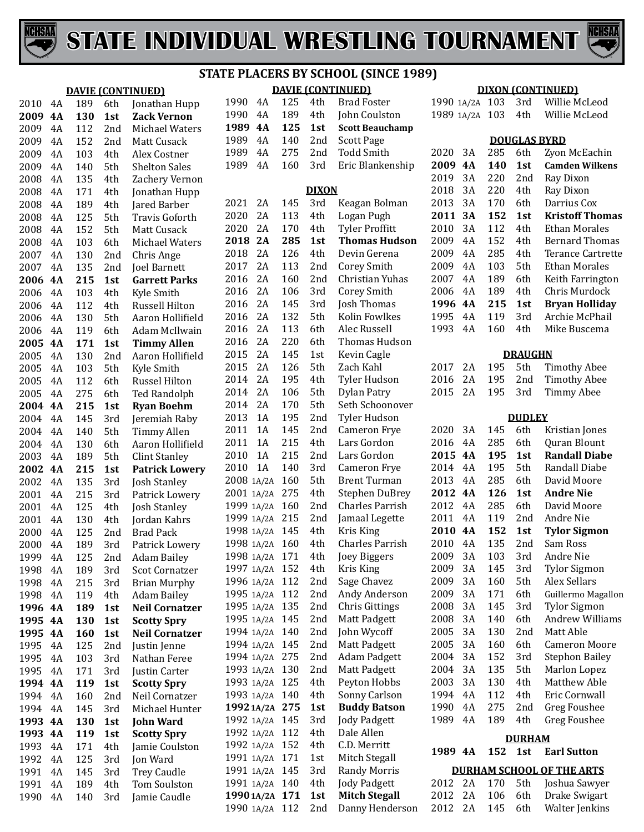

 4A **4A 130 1st Zack Vernon** 2009 4A 4A 2009 4A 4A 2008 4A 2008 4A 2008 4A 2008 4A 2008 4A 2008 4A 2007 4A 2007 4A **4A 215 1st Garrett Parks** 2006 4A 2006 4A 2006 4A 2006 4A **4A 171 1st Timmy Allen** 2005 4A 2005 4A 2005 4A 2005 4A **4A 215 1st Ryan Boehm**  $4A$ 2004 4A  $4A$  4A<br> $2002$  4A **4A 215 1st Patrick Lowery** 2002 4A 4A 2001 4A 2001 4A 2000 4A 2000 4A 1999 4A 1998 4A 1998 4A 1998 4A **4A 189 1st Neil Cornatzer 4A 130 1st Scotty Spry 4A 160 1st Neil Cornatzer** 1995 4A 1995 4A 1995 4A **4A** 1994 4A 1994 4A **4A 130 1st John Ward 4A** 1993 4A 1992 4A 1991 4A 1991 4A 1990 4A



# **STATE PLACERS BY SCHOOL (SINCE 1989)**

|            |            | <b>DAVIE (CONTINUED)</b>         |                                  |    |     |              | <b>DAVIE (CONTINUED)</b>     |                |          |            |                     | <b>DIXON (CONTINUED)</b>            |
|------------|------------|----------------------------------|----------------------------------|----|-----|--------------|------------------------------|----------------|----------|------------|---------------------|-------------------------------------|
| 189        | 6th        | Jonathan Hupp                    | 1990                             | 4A | 125 | 4th          | <b>Brad Foster</b>           | 1990 1A/2A 103 |          |            | 3rd                 | Willie McLeod                       |
| 130        | 1st        | <b>Zack Vernon</b>               | 1990                             | 4A | 189 | 4th          | John Coulston                | 1989 1A/2A 103 |          |            | 4th                 | Willie McLeod                       |
| 112        | 2nd        | Michael Waters                   | 1989 4A                          |    | 125 | 1st          | <b>Scott Beauchamp</b>       |                |          |            |                     |                                     |
| 152        | 2nd        | Matt Cusack                      | 1989                             | 4A | 140 | 2nd          | <b>Scott Page</b>            |                |          |            | <b>DOUGLAS BYRD</b> |                                     |
| 103        | 4th        | Alex Costner                     | 1989                             | 4A | 275 | 2nd          | <b>Todd Smith</b>            | 2020           | 3A       | 285        | 6th                 | Zyon McEachin                       |
| 140        | 5th        | <b>Shelton Sales</b>             | 1989                             | 4A | 160 | 3rd          | Eric Blankenship             | 2009 4A        |          | 140        | 1st                 | <b>Camden Wilkens</b>               |
| 135        | 4th        | Zachery Vernon                   |                                  |    |     |              |                              | 2019           | 3A       | 220        | 2nd                 | Ray Dixon                           |
| 171        | 4th        | Jonathan Hupp                    |                                  |    |     | <b>DIXON</b> |                              | 2018           | 3A       | 220        | 4th                 | Ray Dixon                           |
| 189        | 4th        | Jared Barber                     | 2021                             | 2A | 145 | 3rd          | Keagan Bolman                | 2013           | 3A       | 170        | 6th                 | Darrius Cox                         |
| 125        | 5th        | <b>Travis Goforth</b>            | 2020                             | 2A | 113 | 4th          | Logan Pugh                   | 2011 3A        |          | 152        | 1st                 | <b>Kristoff Thomas</b>              |
| 152        | 5th        | Matt Cusack                      | 2020                             | 2A | 170 | 4th          | <b>Tyler Proffitt</b>        | 2010           | 3A       | 112        | 4th                 | <b>Ethan Morales</b>                |
| 103        | 6th        | Michael Waters                   | 2018                             | 2A | 285 | 1st          | <b>Thomas Hudson</b>         | 2009           | 4A       | 152        | 4th                 | <b>Bernard Thomas</b>               |
| 130        | 2nd        | Chris Ange                       | 2018                             | 2A | 126 | 4th          | Devin Gerena                 | 2009           | 4A       | 285        | 4th                 | <b>Terance Cartrette</b>            |
| 135        | 2nd        | Joel Barnett                     | 2017                             | 2A | 113 | 2nd          | Corey Smith                  | 2009           | 4A       | 103        | 5th                 | <b>Ethan Morales</b>                |
| 215        | 1st        | <b>Garrett Parks</b>             | 2016                             | 2A | 160 | 2nd          | Christian Yuhas              | 2007           | 4A       | 189        | 6th                 | Keith Farrington                    |
| 103        | 4th        | Kyle Smith                       | 2016                             | 2A | 106 | 3rd          | <b>Corey Smith</b>           | 2006           | 4A       | 189        | 4th                 | Chris Murdock                       |
| 112        | 4th        | Russell Hilton                   | 2016                             | 2A | 145 | 3rd          | Josh Thomas                  | 1996 4A        |          | 215        | 1st                 | <b>Bryan Holliday</b>               |
| 130        | 5th        | Aaron Hollifield                 | 2016                             | 2A | 132 | 5th          | Kolin Fowlkes                | 1995           | 4A       | 119        | 3rd                 | Archie McPhail                      |
| 119        | 6th        | Adam McIlwain                    | 2016                             | 2A | 113 | 6th          | Alec Russell                 | 1993           | 4A       | 160        | 4th                 | Mike Buscema                        |
| 171        | 1st        | <b>Timmy Allen</b>               | 2016                             | 2A | 220 | 6th          | Thomas Hudson                |                |          |            |                     |                                     |
| 130        | 2nd        | Aaron Hollifield                 | 2015                             | 2A | 145 | 1st          | Kevin Cagle                  |                |          |            | <b>DRAUGHN</b>      |                                     |
| 103        | 5th        | Kyle Smith                       | 2015                             | 2A | 126 | 5th          | Zach Kahl                    | 2017           | 2A       | 195        | 5th                 | <b>Timothy Abee</b>                 |
| 112        | 6th        | Russel Hilton                    | 2014                             | 2A | 195 | 4th          | Tyler Hudson                 | 2016           | 2A       | 195        | 2nd                 | <b>Timothy Abee</b>                 |
| 275        | 6th        | <b>Ted Randolph</b>              | 2014                             | 2A | 106 | 5th          | Dylan Patry                  | 2015           | 2A       | 195        | 3rd                 | Timmy Abee                          |
| 215        | 1st        | <b>Ryan Boehm</b>                | 2014                             | 2A | 170 | 5th          | Seth Schoonover              |                |          |            |                     |                                     |
| 145        | 3rd        | Jeremiah Raby                    | 2013                             | 1A | 195 | 2nd          | Tyler Hudson                 |                |          |            | <b>DUDLEY</b>       |                                     |
| 140        | 5th        | Timmy Allen                      | 2011                             | 1A | 145 | 2nd          | Cameron Frye                 | 2020           | 3A       | 145        | 6th                 | Kristian Jones                      |
| 130        | 6th        | Aaron Hollifield                 | 2011                             | 1A | 215 | 4th          | Lars Gordon                  | 2016           | 4A       | 285        | 6th                 | Quran Blount                        |
| 189        | 5th        | <b>Clint Stanley</b>             | 2010                             | 1A | 215 | 2nd          | Lars Gordon                  | 2015 4A        |          | 195        | 1st                 | <b>Randall Diabe</b>                |
| 215        | 1st        | <b>Patrick Lowery</b>            | 2010                             | 1A | 140 | 3rd          | Cameron Frye                 | 2014           | 4A       | 195        | 5th                 | Randall Diabe                       |
| 135        | 3rd        | <b>Josh Stanley</b>              | 2008 1A/2A                       |    | 160 | 5th          | <b>Brent Turman</b>          | 2013           | 4A       | 285        | 6th                 | David Moore                         |
| 215        | 3rd        | Patrick Lowery                   | 2001 1A/2A 275                   |    |     | 4th          | Stephen DuBrey               | 2012 4A        |          | 126        | 1st                 | <b>Andre Nie</b>                    |
| 125        | 4th        | <b>Josh Stanley</b>              | 1999 1A/2A 160                   |    |     | 2nd          | Charles Parrish              | 2012           | 4A       | 285        | 6th                 | David Moore                         |
| 130        | 4th        | Jordan Kahrs                     | 1999 1A/2A 215                   |    |     | 2nd          | Jamaal Legette               | 2011           | 4A       | 119        | 2nd                 | Andre Nie                           |
| 125        | 2nd        | <b>Brad Pack</b>                 | 1998 1A/2A 145                   |    |     | 4th          | Kris King                    | 2010 4A        |          | 152        | 1st                 | <b>Tylor Sigmon</b>                 |
| 189        | 3rd        | Patrick Lowery                   | 1998 1A/2A 160                   |    |     | 4th          | <b>Charles Parrish</b>       | 2010<br>2009   | 4A       | 135        | 2nd                 | Sam Ross                            |
| 125        |            | 2nd Adam Bailey                  | 1998 1A/2A 171                   |    |     | 4th          | Joey Biggers                 |                | 3A       | 103        | 3rd                 | Andre Nie                           |
| 189        | 3rd        | Scot Cornatzer                   | 1997 1A/2A 152<br>1996 1A/2A 112 |    |     | 4th          | Kris King                    | 2009<br>2009   | 3A<br>3A | 145<br>160 | 3rd<br>5th          | <b>Tylor Sigmon</b><br>Alex Sellars |
| 215        | 3rd        | <b>Brian Murphy</b>              | 1995 1A/2A 112                   |    |     | 2nd<br>2nd   | Sage Chavez<br>Andy Anderson | 2009           | 3A       | 171        | 6th                 | Guillermo Magallon                  |
| 119        | 4th        | <b>Adam Bailey</b>               | 1995 1A/2A 135                   |    |     | 2nd          | <b>Chris Gittings</b>        | 2008           | 3A       | 145        | 3rd                 | <b>Tylor Sigmon</b>                 |
| 189        | 1st        | <b>Neil Cornatzer</b>            | 1995 1A/2A 145                   |    |     | 2nd          | Matt Padgett                 | 2008           | 3A       | 140        | 6th                 | <b>Andrew Williams</b>              |
| 130        | 1st        | <b>Scotty Spry</b>               | 1994 1A/2A 140                   |    |     | 2nd          | John Wycoff                  | 2005           | 3A       | 130        | 2nd                 | Matt Able                           |
| 160        | 1st        | <b>Neil Cornatzer</b>            | 1994 1A/2A 145                   |    |     | 2nd          | Matt Padgett                 | 2005           | 3A       | 160        | 6th                 | <b>Cameron Moore</b>                |
| 125        | 2nd        | Justin Jenne                     | 1994 1A/2A 275                   |    |     | 2nd          | <b>Adam Padgett</b>          | 2004           | 3A       | 152        | 3rd                 | <b>Stephon Bailey</b>               |
| 103        | 3rd        | Nathan Feree                     | 1993 1A/2A 130                   |    |     | 2nd          | Matt Padgett                 | 2004           | 3A       | 135        | 5th                 | Marlon Lopez                        |
| 171        | 3rd        | Justin Carter                    | 1993 1A/2A 125                   |    |     | 4th          | Peyton Hobbs                 | 2003           | 3A       | 130        | 4th                 | <b>Matthew Able</b>                 |
| 119        | 1st        | <b>Scotty Spry</b>               | 1993 1A/2A 140                   |    |     | 4th          | Sonny Carlson                | 1994           | 4A       | 112        | 4th                 | Eric Cornwall                       |
| 160<br>145 | 2nd<br>3rd | Neil Cornatzer<br>Michael Hunter | 1992 1A/2A 275                   |    |     | 1st          | <b>Buddy Batson</b>          | 1990           | 4A       | 275        | 2nd                 | Greg Foushee                        |
| 130        | 1st        | <b>John Ward</b>                 | 1992 1A/2A 145                   |    |     | 3rd          | <b>Jody Padgett</b>          | 1989           | 4A       | 189        | 4th                 | Greg Foushee                        |
| 119        | 1st        | <b>Scotty Spry</b>               | 1992 1A/2A 112                   |    |     | 4th          | Dale Allen                   |                |          |            |                     |                                     |
| 171        | 4th        | Jamie Coulston                   | 1992 1A/2A 152                   |    |     | 4th          | C.D. Merritt                 |                |          |            | <b>DURHAM</b>       |                                     |
| 125        | 3rd        | Jon Ward                         | 1991 1A/2A 171                   |    |     | 1st          | Mitch Stegall                | 1989 4A        |          | 152        | 1st                 | <b>Earl Sutton</b>                  |
| 145        | 3rd        | <b>Trey Caudle</b>               | 1991 1A/2A 145                   |    |     | 3rd          | <b>Randy Morris</b>          |                |          |            |                     | <b>DURHAM SCHOOL OF THE ARTS</b>    |
| 189        | 4th        | Tom Soulston                     | 1991 1A/2A 140                   |    |     | 4th          | <b>Jody Padgett</b>          | 2012 2A        |          | 170        | 5th                 | Joshua Sawyer                       |
| 140        | 3rd        | Jamie Caudle                     | 1990 1A/2A 171                   |    |     | 1st          | <b>Mitch Stegall</b>         | 2012 2A        |          | 106        | 6th                 | Drake Swigart                       |
|            |            |                                  | 1990 1A/2A 112                   |    |     | 2nd          | Danny Henderson              | 2012 2A        |          | 145        | 6th                 | Walter Jenkins                      |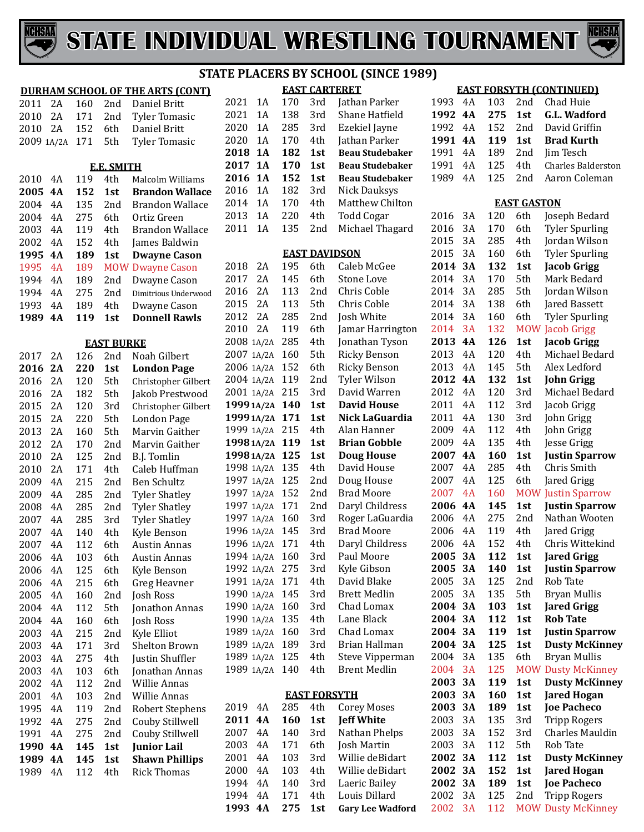



#### **DURHAM SCHOOL OF THE ARTS (CONT)** 2A 160 2nd Daniel Britt 2010 2A 171 2nd Tyler Tomasic<br>2010 2A 152 6th Daniel Britt 6th Daniel Britt<br>5th Tyler Tomasic 2009 1A/2A 171 **E.E. SMITH** 2010 4A 119 4th Malcolm Williams<br>2005 4A 152 1st Brandon Wallac **4A 152 1st Brandon Wallace** 2004 4A 135 2nd Brandon Wallace<br>2004 4A 275 6th Ortiz Green 4A 275 6th Ortiz Green 4A 119 4th Brandon Wallace 2002 4A 152 4th James Baldwin<br>1995 4A 189 1st Dwayne Casor **1995 1995 1995 1995 1995 1995 1995 1995 1995 1995 1995 1995 1995 1995 1995 1995 1995 1995 1995 1995 1995 1995 1995 1995 1995 1995 1995 1995 1995 1995 1995** 1995 4A 189 MOW Dwayne Cason<br>1994 4A 189 2nd Dwayne Cason 1994 4A 189 2nd Dwayne Cason<br>1994 4A 275 2nd Dimitrious Underw 1994 4A 275 2nd Dimitrious Underwood<br>1993 4A 189 4th Dwayne Cason 1993 4A 189 4th Dwayne Cason<br>**1989 4A 119 1st Donnell Rawls 4A 119 1st Donnell Rawls EAST BURKE** 2A 126 2nd Noah Gilbert  **London Page** 2016 2A 120 5th Christopher Gilbert<br>2016 2A 182 5th Jakob Prestwood 2016 2A 182 5th Jakob Prestwood<br>2015 2A 120 3rd Christopher Gilber 2015 2A 120 3rd Christopher Gilbert<br>2015 2A 220 5th London Page 2A 220 5th London Page 2013 2A 160 5th Marvin Gaither<br>2012 2A 170 2nd Marvin Gaither 2A 170 2nd Marvin Gaither 2A 125 2nd B.J. Tomlin 2A 171 4th Caleb Huffman 4A 215 2nd Ben Schultz 4A 285 2nd Tyler Shatley 4A 285 2nd Tyler Shatley 4A 285 3rd Tyler Shatley 2007 4A 140 4th Kyle Benson<br>2007 4A 112 6th Austin Annas 4A 112 6th Austin Annas 4A 103 6th Austin Annas 4A 125 6th Kyle Benson 4A 215 6th Greg Heavner 4A 160 2nd Josh Ross 4A 112 5th Jonathon Annas 4A 160 6th Josh Ross 4A 215 2nd Kyle Elliot 4A 171 3rd Shelton Brown 2003 4A 275 4th Justin Shuffler<br>2003 4A 103 6th Jonathan Anna 2003 4A 103 6th Jonathan Annas<br>2002 4A 112 2nd Willie Annas 4A 112 2nd Willie Annas 4A 103 2nd Willie Annas 4A 119 2nd Robert Stephens 4A 275 2nd Couby Stillwell 1991 4A 275 2nd Couby Stillwell<br>1990 4A 145 1st Iunior Lail **4A 145 1st Junior Lail 4A 145 1st Shawn Phillips** 4A 112 4th Rick Thomas 1994 4A 171 4th Louis Dillard<br>**1993 4A 275 1st Gary Lee Wad**

|     |                          |            |                      | STATE PLACERS BY SCHOOL (SINCE 1989) |                                           |
|-----|--------------------------|------------|----------------------|--------------------------------------|-------------------------------------------|
| T)  |                          |            | <b>EAST CARTERET</b> |                                      |                                           |
|     | 1A<br>2021               | 170        | 3rd                  | Jathan Parker                        | 1                                         |
|     | 2021<br>1A               | 138        | 3rd                  | Shane Hatfield                       | $\mathbf{1}$                              |
|     | 2020<br>1A               | 285        | 3rd                  | Ezekiel Jayne                        | $\mathbf{1}$                              |
|     | 2020<br>1A               | 170        | 4th                  | Jathan Parker                        | $\mathbf{1}$                              |
|     | 2018<br><b>1A</b>        | 182        | 1st                  | <b>Beau Studebaker</b>               | $\mathbf{1}$                              |
|     | 2017<br><b>1A</b>        | 170        | 1st                  | <b>Beau Studebaker</b>               | $\mathbf{1}$                              |
| ιS  | <b>1A</b><br>2016        | 152        | 1st                  | <b>Beau Studebaker</b>               | $\mathbf{1}$                              |
| ıce | 1A<br>2016               | 182        | 3rd                  | <b>Nick Dauksys</b>                  |                                           |
| ce  | 1A<br>2014               | 170        | 4th                  | Matthew Chilton                      |                                           |
|     | 1A<br>2013               | 220        | 4th                  | <b>Todd Cogar</b>                    | $\overline{\mathbf{c}}$                   |
| ce  | 2011<br>1A               | 135        | 2nd                  | Michael Thagard                      | $\overline{\mathbf{c}}$                   |
|     |                          |            |                      |                                      | $\overline{\mathbf{c}}$                   |
| ı   |                          |            | <b>EAST DAVIDSON</b> |                                      | $\overline{\mathbf{c}}$                   |
|     | 2018<br>2A               | 195        | 6th                  | Caleb McGee                          | $\overline{\mathbf{c}}$                   |
|     | 2017<br>2A               | 145        | 6th                  | Stone Love                           | $\overline{\mathbf{c}}$                   |
| ood | 2016<br>2A               | 113        | 2nd                  | Chris Coble                          | $\overline{\mathbf{c}}$                   |
|     | 2015<br>2A               | 113        | 5th                  | Chris Coble                          | $\overline{\mathbf{c}}$                   |
| š   | 2012<br>2A               | 285        | 2nd                  | Josh White                           | $\overline{c}$                            |
|     | 2010<br>2A               | 119        | 6th                  | Jamar Harrington                     | $\overline{c}$                            |
|     | 2008 1A/2A               | 285        | 4th                  | Jonathan Tyson                       | $\overline{\mathbf{c}}$                   |
|     | 2007 1A/2A               | 160        | 5th                  | Ricky Benson                         | $\overline{\mathbf{c}}$                   |
|     | 2006 1A/2A               | 152        | 6th                  | <b>Ricky Benson</b>                  | $\overline{\mathbf{c}}$                   |
| ert | 2004 1A/2A               | 119        | 2nd                  | Tyler Wilson                         | $\overline{\mathbf{c}}$                   |
| эd  | 2001 1A/2A               | 215        | 3rd                  | David Warren                         | $\overline{\mathbf{c}}$                   |
| ert | 1999 1A/2A               | 140        | 1st                  | <b>David House</b>                   | $\overline{\mathbf{c}}$                   |
|     | 1999 1A/2A               | 171        | 1st                  | Nick LaGuardia                       | $\overline{\mathbf{c}}$                   |
|     | 1999 1A/2A               | 215        | 4th                  | Alan Hanner                          | $\overline{\mathbf{c}}$                   |
|     | 1998 1A/2A               | 119        | 1st                  | <b>Brian Gobble</b>                  | $\overline{\mathbf{c}}$                   |
|     | 1998 1A/2A               | 125        | 1st                  | <b>Doug House</b>                    | $\overline{\mathbf{c}}$                   |
|     | 1998 1A/2A<br>1997 1A/2A | 135<br>125 | 4th                  | David House<br>Doug House            | $\overline{\mathbf{c}}$                   |
|     | 1997 1A/2A               | 152        | 2nd<br>2nd           | <b>Brad Moore</b>                    | $\overline{\mathbf{c}}$<br>$\overline{c}$ |
|     | 1997 1A/2A               | 171        | 2nd                  | Daryl Childress                      | $\overline{\mathbf{c}}$                   |
|     | 1997 1A/2A               | 160        | 3rd                  | Roger LaGuardia                      | $\overline{\mathbf{c}}$                   |
|     | 1996 1A/2A               | 145        | 3rd                  | <b>Brad Moore</b>                    | $\overline{c}$                            |
|     | 1996 1A/2A               | 171        | 4th                  | Daryl Childress                      | $\overline{\mathbf{c}}$                   |
|     | 1994 1A/2A               | 160        | 3rd                  | Paul Moore                           | $\overline{\mathbf{c}}$                   |
|     | 1992 1A/2A               | 275        | 3rd                  | Kyle Gibson                          | $\overline{\mathbf{c}}$                   |
|     | 1991 1A/2A               | 171        | 4th                  | David Blake                          | $\overline{\mathbf{c}}$                   |
|     | 1990 1A/2A               | 145        | 3rd                  | <b>Brett Medlin</b>                  | $\overline{\mathbf{c}}$                   |
| S   | 1990 1A/2A               | 160        | 3rd                  | Chad Lomax                           | $\overline{\mathbf{c}}$                   |
|     | 1990 1A/2A               | 135        | 4th                  | Lane Black                           | $\overline{\mathbf{c}}$                   |
|     | 1989 1A/2A               | 160        | 3rd                  | Chad Lomax                           | $\overline{\mathbf{c}}$                   |
|     | 1989 1A/2A               | 189        | 3rd                  | Brian Hallman                        | $\overline{\mathbf{c}}$                   |
|     | 1989 1A/2A               | 125        | 4th                  | Steve Vipperman                      | $\overline{\mathbf{c}}$                   |
| S   | 1989 1A/2A               | 140        | 4th                  | <b>Brent Medlin</b>                  | $\overline{c}$                            |
|     |                          |            |                      |                                      | $\overline{\mathbf{c}}$                   |
|     |                          |            | <b>EAST FORSYTH</b>  |                                      | $\overline{\mathbf{c}}$                   |
| ıs  | 2019<br>4A               | 285        | 4th                  | <b>Corey Moses</b>                   | $\overline{\mathbf{c}}$                   |
|     | 2011<br>4A               | 160        | 1st                  | <b>Jeff White</b>                    | $\overline{\mathbf{c}}$                   |
|     | 2007<br>4A               | 140        | 3rd                  | Nathan Phelps                        | $\overline{\mathbf{c}}$                   |
|     | 2003<br>4A               | 171        | 6th                  | Josh Martin                          | $\overline{\mathbf{c}}$                   |
| S   | 2001<br>4A               | 103        | 3rd                  | Willie deBidart                      | $\overline{\mathbf{c}}$                   |
|     | 2000<br>4A               | 103        | 4th                  | Willie deBidart                      | $\mathbf 2$                               |
|     | 1994<br>4A               | 140        | 3rd                  | Laeric Bailey                        | $\overline{\mathbf{c}}$                   |
|     |                          |            |                      |                                      |                                           |

**4A 275 1st Gary Lee Wadford**

#### **EAST FORSYTH (CONTINUED)** 4A 103 2nd Chad Huie

| 1992         | 4A        | 275        | 1st                | <b>G.L. Wadford</b>                         |
|--------------|-----------|------------|--------------------|---------------------------------------------|
| 1992         | 4A        | 152        | 2nd                | David Griffin                               |
| 1991         | 4A        | 119        | 1st                | <b>Brad Kurth</b>                           |
| 1991         | 4A        | 189        | 2nd                | Jim Tesch                                   |
| 1991         | 4Α        | 125        | 4th                | <b>Charles Balderston</b>                   |
| 1989         | 4A        | 125        | 2nd                | Aaron Coleman                               |
|              |           |            |                    |                                             |
|              |           |            | <b>EAST GASTON</b> |                                             |
| 2016         | 3A        | 120        | 6th                | Joseph Bedard                               |
| 2016         | 3A        | 170        | 6th                | <b>Tyler Spurling</b>                       |
| 2015         | 3A        | 285        | 4th                | Jordan Wilson                               |
| 2015         | 3A        | 160        | 6th                | <b>Tyler Spurling</b>                       |
| 2014         | 3А        | 132        | 1st                | <b>Jacob Grigg</b>                          |
| 2014         | 3A        | 170        | 5th                | Mark Bedard                                 |
| 2014         | 3A        | 285        | 5th                | Jordan Wilson                               |
| 2014         | 3A        | 138        | 6th                | Jared Bassett                               |
| 2014         | 3A<br>3A  | 160        | 6th                | <b>Tyler Spurling</b>                       |
| 2014<br>2013 | 4A        | 132<br>126 | MOW<br>1st         | <b>Jacob Grigg</b>                          |
| 2013         | 4A        |            | 4th                | <b>Jacob Grigg</b><br>Michael Bedard        |
|              | 4A        | 120<br>145 |                    |                                             |
| 2013<br>2012 | 4A        |            | 5th                | Alex Ledford                                |
| 2012         | 4A        | 132        | 1st                | <b>John Grigg</b><br>Michael Bedard         |
|              | 4A        | 120        | 3rd                |                                             |
| 2011         | 4A        | 112        | 3rd                | Jacob Grigg                                 |
| 2011         | 4A        | 130        | 3rd                | John Grigg                                  |
| 2009         | 4A        | 112        | 4th                | John Grigg                                  |
| 2009         |           | 135        | 4th                | Jesse Grigg                                 |
| 2007         | 4A        | 160        | 1st                | <b>Justin Sparrow</b>                       |
| 2007         | 4A        | 285        | 4th                | Chris Smith                                 |
| 2007         | 4A        | 125        | 6th                | Jared Grigg                                 |
| 2007<br>2006 | 4A<br>4A  | 160        | <b>MOW</b>         | <b>Justin Sparrow</b>                       |
| 2006         | 4A        | 145        | 1st                | <b>Justin Sparrow</b><br>Nathan Wooten      |
| 2006         |           | 275        | 2nd                | Jared Grigg                                 |
|              | 4A        | 119        | 4th                | Chris Wittekind                             |
| 2006         | 4A        | 152        | 4th                |                                             |
| 2005         | 3A<br>3A  | 112<br>140 | 1st                | <b>Jared Grigg</b>                          |
| 2005<br>2005 | 3A        | 125        | 1st<br>2nd         | <b>Justin Sparrow</b><br>Rob Tate           |
| 2005         | 3A        |            | 5th                | Bryan Mullis                                |
| 2004         | <b>3A</b> | 135<br>103 |                    | <b>Jared Grigg</b>                          |
| 2004         | 3А        | 112        | 1st                | <b>Rob Tate</b>                             |
| 2004         | 3А        | 119        | 1st                | <b>Justin Sparrow</b>                       |
| 2004         | 3A        | 125        | 1st                | <b>Dusty McKinney</b>                       |
|              |           |            | 1st                |                                             |
| 2004<br>2004 | 3A        | 135        | 6th                | Bryan Mullis                                |
|              | 3A        | 125        | <b>MOW</b>         | <b>Dusty McKinney</b>                       |
| 2003<br>2003 | 3А<br>3A  | 119<br>160 | 1st<br>1st         | <b>Dusty McKinney</b><br><b>Jared Hogan</b> |
| 2003         | 3A        | 189        | 1st                | <b>Joe Pacheco</b>                          |
| 2003         | 3A        | 135        | 3rd                | <b>Tripp Rogers</b>                         |
|              |           |            |                    | <b>Charles Mauldin</b>                      |
| 2003<br>2003 | 3A<br>3A  | 152<br>112 | 3rd<br>5th         | Rob Tate                                    |
| 2002         | <b>3A</b> |            |                    | <b>Dusty McKinney</b>                       |
| 2002         | 3А        | 112<br>152 | 1st                | <b>Jared Hogan</b>                          |
| 2002         | 3А        | 189        | 1st<br>1st         | <b>Joe Pacheco</b>                          |
| 2002         | 3A        | 125        | 2nd                | <b>Tripp Rogers</b>                         |
| 2002         | 3A        | 112        | <b>MOW</b>         | <b>Dusty McKinney</b>                       |
|              |           |            |                    |                                             |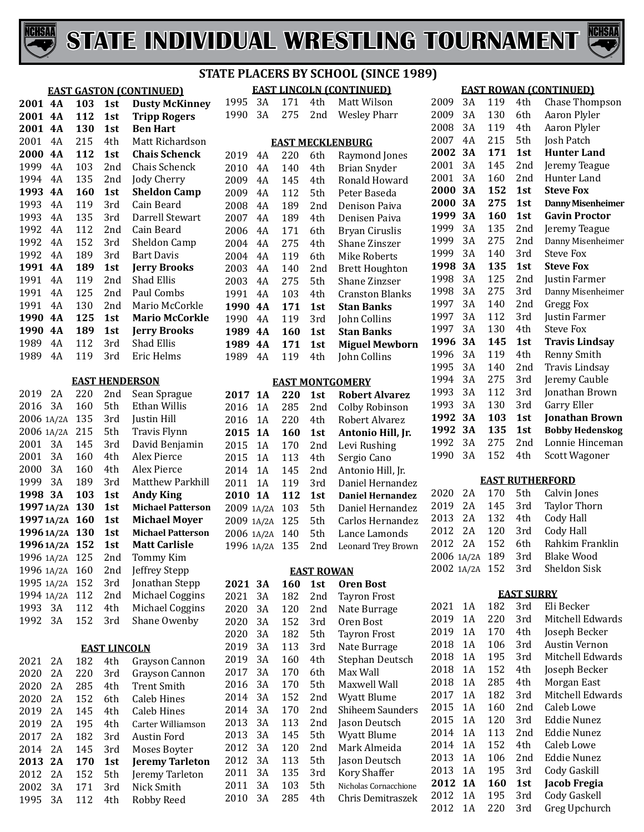



#### **STATE PLACERS BY SCHOOL (SINCE 1989)**

|                |                                  |     |                     | <b>EAST GASTON (CONTINUED)</b>  | <b>EAST LINCOLN (CONTINUED)</b> |           |            |                   |                                     |  |  |
|----------------|----------------------------------|-----|---------------------|---------------------------------|---------------------------------|-----------|------------|-------------------|-------------------------------------|--|--|
| 2001 4A        |                                  | 103 | 1st                 | <b>Dusty McKinney</b>           | 1995                            | 3A        | 171        | 4th               | Matt Wilson                         |  |  |
| 2001 4A        |                                  | 112 | 1st                 | <b>Tripp Rogers</b>             | 1990                            | 3A        | 275        | 2nd               | <b>Wesley Pharr</b>                 |  |  |
| 2001 4A        |                                  | 130 | 1st                 | <b>Ben Hart</b>                 |                                 |           |            |                   |                                     |  |  |
| 2001           | 4A                               | 215 | 4th                 | Matt Richardson                 |                                 |           |            |                   | <b>EAST MECKLENBURG</b>             |  |  |
| 2000           | 4A                               | 112 | 1st                 | <b>Chais Schenck</b>            | 2019                            | 4A        | 220        | 6th               | Raymond Jones                       |  |  |
| 1999           | 4A                               | 103 | 2nd                 | Chais Schenck                   | 2010                            | 4A        | 140        | 4th               | <b>Brian Snyder</b>                 |  |  |
| 1994           | 4A                               | 135 | 2nd                 | <b>Jody Cherry</b>              | 2009                            | 4A        | 145        | 4th               | Ronald Howard                       |  |  |
| 1993           | 4A                               | 160 | 1st                 | <b>Sheldon Camp</b>             | 2009                            | 4A        | 112        | 5th               | Peter Baseda                        |  |  |
| 1993           | 4A                               | 119 | 3rd                 | Cain Beard                      | 2008                            | 4A        | 189        | 2nd               | Denison Paiva                       |  |  |
| 1993           | 4A                               | 135 | 3rd                 | Darrell Stewart                 | 2007                            | 4A        | 189        | 4th               | Denisen Paiva                       |  |  |
| 1992           | 4A                               | 112 | 2nd                 | Cain Beard                      | 2006                            | 4A        | 171        | 6th               | <b>Bryan Ciruslis</b>               |  |  |
| 1992           | 4A                               | 152 | 3rd                 | Sheldon Camp                    | 2004                            | 4A        | 275        | 4th               | Shane Zinszer                       |  |  |
| 1992           | 4A                               | 189 | 3rd                 | <b>Bart Davis</b>               | 2004                            | 4A        | 119        | 6th               | <b>Mike Roberts</b>                 |  |  |
| 1991           | <b>4A</b>                        | 189 | 1st                 | <b>Jerry Brooks</b>             | 2003                            | 4A        | 140        | 2nd               | <b>Brett Houghton</b>               |  |  |
| 1991           | 4A                               | 119 | 2nd                 | Shad Ellis                      | 2003                            | 4A        | 275        | 5th               | Shane Zinzser                       |  |  |
| 1991           | 4A                               | 125 | 2nd                 | Paul Combs                      | 1991                            | 4A        | 103        | 4th               | <b>Cranston Blanks</b>              |  |  |
| 1991           | 4A                               | 130 | 2nd                 | Mario McCorkle                  | 1990                            | <b>4A</b> | 171        | 1st               | <b>Stan Banks</b>                   |  |  |
| 1990           | <b>4A</b>                        | 125 | 1st                 | <b>Mario McCorkle</b>           | 1990                            | 4A        | 119        | 3rd               | John Collins                        |  |  |
| 1990           | <b>4A</b>                        | 189 | 1st                 | <b>Jerry Brooks</b>             | 1989                            | <b>4A</b> | 160        | 1st               | <b>Stan Banks</b>                   |  |  |
| 1989           | 4A                               | 112 | 3rd                 | <b>Shad Ellis</b>               | 1989                            | <b>4A</b> | 171        | 1st               | <b>Miguel Mewborn</b>               |  |  |
| 1989           | 4A                               | 119 | 3rd                 | Eric Helms                      | 1989                            | 4A        | 119        | 4th               | John Collins                        |  |  |
|                |                                  |     |                     |                                 |                                 |           |            |                   |                                     |  |  |
|                |                                  |     |                     | <b>EAST HENDERSON</b>           |                                 |           |            |                   | <b>EAST MONTGOMERY</b>              |  |  |
| 2019           | 2A                               | 220 | 2nd                 | Sean Sprague                    | 2017                            | <b>1A</b> | 220        | 1st               | <b>Robert Alvarez</b>               |  |  |
| 2016           | 3A                               | 160 | 5th                 | Ethan Willis                    | 2016                            | 1A        | 285        | 2nd               | Colby Robinson                      |  |  |
| 2006 1A/2A     |                                  | 135 | 3rd                 | Justin Hill                     | 2016                            | 1A        | 220        | 4th               | Robert Alvarez                      |  |  |
| 2006 1A/2A     |                                  | 215 | 5th                 | Travis Flynn                    | 2015                            | <b>1A</b> | 160        | 1st               | Antonio Hill, Jr.                   |  |  |
| 2001           | 3A                               | 145 | 3rd                 | David Benjamin                  | 2015                            | 1A        | 170        | 2nd               | Levi Rushing                        |  |  |
| 2001           | 3A                               | 160 | 4th                 | Alex Pierce                     | 2015                            | 1A        | 113        | 4th               | Sergio Cano                         |  |  |
| 2000           | 3A                               | 160 | 4th                 | Alex Pierce                     | 2014                            | 1A        | 145        | 2nd               | Antonio Hill, Jr.                   |  |  |
| 1999           | 3A                               | 189 | 3rd                 | Matthew Parkhill                | 2011                            | 1A        | 119        | 3rd               | Daniel Hernandez                    |  |  |
| 1998 3A        |                                  | 103 | 1st                 | <b>Andy King</b>                | 2010                            | <b>1A</b> | 112        | 1st               | <b>Daniel Hernandez</b>             |  |  |
|                | 1997 1A/2A                       | 130 | 1st                 | <b>Michael Patterson</b>        | 2009 1A/2A                      |           | 103        | 5th               | Daniel Hernandez                    |  |  |
|                | 1997 1A/2A 160                   |     | 1st                 | <b>Michael Moyer</b>            | 2009 1A/2A                      |           | 125        | 5th               | Carlos Hernandez                    |  |  |
|                | 1996 1A/2A 130                   |     | 1st                 | <b>Michael Patterson</b>        | 2006 1A/2A                      |           | 140        | 5th               | Lance Lamonds                       |  |  |
|                | 1996 1A/2A 152                   |     | 1st                 | <b>Matt Carlisle</b>            | 1996 1A/2A                      |           | 135        | 2nd               | <b>Leonard Trey Brown</b>           |  |  |
| 1996 1A/2A 125 |                                  |     | 2nd                 | Tommy Kim                       |                                 |           |            |                   |                                     |  |  |
|                | 1996 1A/2A 160<br>1995 1A/2A 152 |     | 2nd<br>3rd          | Jeffrey Stepp<br>Jonathan Stepp |                                 |           |            | <b>EAST ROWAN</b> |                                     |  |  |
|                | 1994 1A/2A                       | 112 | 2nd                 | Michael Coggins                 | 2021 3A                         |           | 160        | 1st               | <b>Oren Bost</b>                    |  |  |
| 1993           | 3A                               | 112 | 4th                 | Michael Coggins                 | 2021                            | 3A<br>3A  | 182        | 2nd               | <b>Tayron Frost</b>                 |  |  |
| 1992           | 3A                               | 152 | 3rd                 | Shane Owenby                    | 2020                            | 3A        | 120<br>152 | 2nd<br>3rd        | Nate Burrage<br>Oren Bost           |  |  |
|                |                                  |     |                     |                                 | 2020                            | 3A        | 182        |                   |                                     |  |  |
|                |                                  |     |                     |                                 | 2020<br>2019                    | 3A        |            | 5th               | <b>Tayron Frost</b><br>Nate Burrage |  |  |
|                |                                  |     | <b>EAST LINCOLN</b> |                                 | 2019                            | 3A        | 113<br>160 | 3rd<br>4th        | Stephan Deutsch                     |  |  |
| 2021           | 2A                               | 182 | 4th                 | Grayson Cannon                  | 2017                            | 3A        | 170        |                   | Max Wall                            |  |  |
| 2020           | 2A                               | 220 | 3rd                 | Grayson Cannon                  |                                 | 3A        | 170        | 6th<br>5th        | Maxwell Wall                        |  |  |
| 2020           | 2A                               | 285 | 4th                 | <b>Trent Smith</b>              | 2016                            |           |            |                   |                                     |  |  |
| 2020           | 2A                               | 152 | 6th                 | <b>Caleb Hines</b>              | 2014                            | 3A        | 152        | 2nd               | Wyatt Blume                         |  |  |
| 2019           | 2A                               | 145 | 4th                 | <b>Caleb Hines</b>              | 2014                            | 3A        | 170        | 2nd               | Shiheem Saunders                    |  |  |
| 2019           | 2A                               | 195 | 4th                 | Carter Williamson               | 2013                            | 3A        | 113        | 2nd               | Jason Deutsch                       |  |  |
| 2017           | 2A                               | 182 | 3rd                 | Austin Ford                     | 2013                            | 3A        | 145        | 5th               | Wyatt Blume                         |  |  |
| 2014           | 2A                               | 145 | 3rd                 | Moses Boyter                    | 2012                            | 3A        | 120        | 2nd               | Mark Almeida                        |  |  |
| 2013           | 2A                               | 170 | 1st                 | <b>Jeremy Tarleton</b>          | 2012                            | 3A<br>3A  | 113<br>135 | 5th<br>3rd        | Jason Deutsch<br>Kory Shaffer       |  |  |
| 2012           | 2A                               | 152 | 5th                 | Jeremy Tarleton                 | 2011<br>2011                    | 3A        | 103        | 5th               | Nicholas Cornacchione               |  |  |
| 2002           | 3A                               | 171 | 3rd                 | Nick Smith                      | 2010                            | 3A        | 285        | 4th               | Chris Demitraszek                   |  |  |
| 1995           | 3A                               | 112 | 4th                 | Robby Reed                      |                                 |           |            |                   |                                     |  |  |

| IJ                            |                |     |                   |                          |  |  |  |  |  |
|-------------------------------|----------------|-----|-------------------|--------------------------|--|--|--|--|--|
| <b>EAST ROWAN (CONTINUED)</b> |                |     |                   |                          |  |  |  |  |  |
| 2009                          | 3A             | 119 | 4th               | Chase Thompson           |  |  |  |  |  |
| 2009                          | 3A             | 130 | 6th               | Aaron Plyler             |  |  |  |  |  |
| 2008                          | 3A             | 119 | 4th               | Aaron Plyler             |  |  |  |  |  |
| 2007                          | 4A             | 215 | 5th               | Josh Patch               |  |  |  |  |  |
| 2002                          | 3A             | 171 | 1st               | <b>Hunter Land</b>       |  |  |  |  |  |
| 2001                          | 3A             | 145 | 2nd               | Jeremy Teague            |  |  |  |  |  |
| 2001                          | 3A             | 160 | 2nd               | Hunter Land              |  |  |  |  |  |
| 2000                          | 3A             | 152 | 1st               | <b>Steve Fox</b>         |  |  |  |  |  |
| 2000                          | 3A             | 275 | 1st               | <b>Danny Misenheimer</b> |  |  |  |  |  |
| 1999                          | 3A             | 160 | 1st               | <b>Gavin Proctor</b>     |  |  |  |  |  |
| 1999                          | 3A             | 135 | 2nd               | Jeremy Teague            |  |  |  |  |  |
| 1999                          | 3A             | 275 | 2nd               | Danny Misenheimer        |  |  |  |  |  |
| 1999                          | 3A             | 140 | 3rd               | <b>Steve Fox</b>         |  |  |  |  |  |
| 1998                          | 3A             | 135 | 1st               | <b>Steve Fox</b>         |  |  |  |  |  |
| 1998                          | 3A             | 125 | 2nd               | <b>Justin Farmer</b>     |  |  |  |  |  |
| 1998                          | 3A             | 275 | 3rd               | Danny Misenheimer        |  |  |  |  |  |
| 1997                          | 3A             | 140 | 2nd               | <b>Gregg Fox</b>         |  |  |  |  |  |
| 1997                          | 3A             | 112 | 3rd               | Justin Farmer            |  |  |  |  |  |
| 1997                          | 3A             | 130 | 4th               | <b>Steve Fox</b>         |  |  |  |  |  |
| 1996                          | 3A             | 145 | 1st               | <b>Travis Lindsay</b>    |  |  |  |  |  |
| 1996                          | 3A             | 119 | 4th               | <b>Renny Smith</b>       |  |  |  |  |  |
| 1995                          | 3A             | 140 | 2nd               | Travis Lindsay           |  |  |  |  |  |
| 1994                          | 3A             | 275 | 3rd               | Jeremy Cauble            |  |  |  |  |  |
| 1993                          | 3A             | 112 | 3rd               | Jonathan Brown           |  |  |  |  |  |
| 1993                          | 3A             | 130 | 3rd               | Garry Eller              |  |  |  |  |  |
| 1992                          | 3A             | 103 | 1st               | <b>Jonathan Brown</b>    |  |  |  |  |  |
| 1992                          | 3A             | 135 | 1st               | <b>Bobby Hedenskog</b>   |  |  |  |  |  |
| 1992                          | 3A             | 275 | 2nd               | Lonnie Hinceman          |  |  |  |  |  |
| 1990                          | 3A             | 152 | 4th               | <b>Scott Wagoner</b>     |  |  |  |  |  |
|                               |                |     |                   | <b>EAST RUTHERFORD</b>   |  |  |  |  |  |
| 2020                          | 2A             | 170 | 5th               | Calvin Jones             |  |  |  |  |  |
| 2019                          | 2A             | 145 | 3rd               | <b>Taylor Thorn</b>      |  |  |  |  |  |
| 2013                          | 2A             | 132 | 4th               | Cody Hall                |  |  |  |  |  |
| 2012                          | 2A             | 120 | 3rd               | Cody Hall                |  |  |  |  |  |
| 2012                          | 2A             | 152 | 6th               | Rahkim Franklin          |  |  |  |  |  |
|                               | 2006 1A/2A 189 |     | 3rd               | Blake Wood               |  |  |  |  |  |
|                               | 2002 1A/2A     | 152 | 3rd               | <b>Sheldon Sisk</b>      |  |  |  |  |  |
|                               |                |     | <b>EAST SURRY</b> |                          |  |  |  |  |  |
| 2021                          | 1A             | 182 | 3rd               | Eli Becker               |  |  |  |  |  |
| 2019                          | 1A             | 220 | 3rd               | Mitchell Edwards         |  |  |  |  |  |
| 2019                          | 1A             | 170 | 4th               | Joseph Becker            |  |  |  |  |  |
| 2018                          | 1A             | 106 | 3rd               | <b>Austin Vernon</b>     |  |  |  |  |  |
| 2018                          | 1A             | 195 | 3rd               | Mitchell Edwards         |  |  |  |  |  |
| 2018                          | 1A             | 152 | 4th               | Joseph Becker            |  |  |  |  |  |
| 2018                          | 1A             | 285 | 4th               | Morgan East              |  |  |  |  |  |
| 2017                          | 1A             | 182 | 3rd               | Mitchell Edwards         |  |  |  |  |  |
| 2015                          | 1A             | 160 | 2nd               | Caleb Lowe               |  |  |  |  |  |
| 2015                          | 1A             | 120 | 3rd               | Eddie Nunez              |  |  |  |  |  |
| 2014                          | 1A             | 113 | 2nd               | <b>Eddie Nunez</b>       |  |  |  |  |  |
| 2014                          | 1A             | 152 | 4th               | Caleb Lowe               |  |  |  |  |  |
|                               |                |     |                   |                          |  |  |  |  |  |

 1A 106 2nd Eddie Nunez 1A 195 3rd Cody Gaskill

1A 195 3rd Cody Gaskell

**1A 160 1st Jacob Fregia**

Greg Upchurch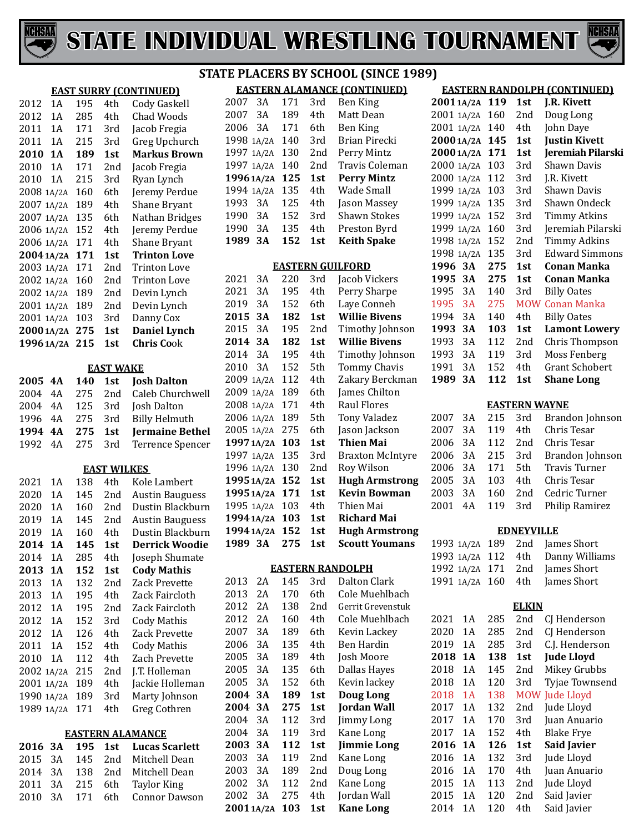



|            |           |     |                    | JI.                           |
|------------|-----------|-----|--------------------|-------------------------------|
|            |           |     |                    | <b>EAST SURRY (CONTINUED)</b> |
| 2012       | 1A        | 195 | 4th                | Cody Gaskell                  |
| 2012       | 1A        | 285 | 4th                | Chad Woods                    |
| 2011       | 1A        | 171 | 3rd                | Jacob Fregia                  |
| 2011       | 1A        | 215 | 3rd                | Greg Upchurch                 |
| 2010       | <b>1A</b> | 189 | 1st                | <b>Markus Brown</b>           |
| 2010       | 1A        | 171 | 2nd                | Jacob Fregia                  |
| 2010       | 1A        | 215 | 3rd                | Ryan Lynch                    |
| 2008 1A/2A |           | 160 | 6th                | Jeremy Perdue                 |
| 2007       | 1A/2A     | 189 | 4th                | Shane Bryant                  |
| 2007       | 1A/2A     | 135 | 6th                | Nathan Bridges                |
| 2006 1A/2A |           | 152 | 4th                | Jeremy Perdue                 |
| 2006 1A/2A |           | 171 | 4th                | <b>Shane Bryant</b>           |
| 2004 1A/2A |           | 171 | 1st                | <b>Trinton Love</b>           |
| 2003 1A/2A |           | 171 | 2nd                | <b>Trinton Love</b>           |
| 2002 1A/2A |           | 160 | 2nd                | <b>Trinton Love</b>           |
| 2002 1A/2A |           | 189 | 2nd                | Devin Lynch                   |
| 2001 1A/2A |           | 189 | 2nd                | Devin Lynch                   |
|            |           | 103 | 3rd                |                               |
| 2001 1A/2A |           |     |                    | Danny Cox                     |
| 2000 1A/2A |           | 275 | 1st                | <b>Daniel Lynch</b>           |
| 1996 1A/2A |           | 215 | 1st                | <b>Chris Cook</b>             |
|            |           |     | <b>EAST WAKE</b>   |                               |
| 2005       | 4Α        | 140 | 1st                | <b>Josh Dalton</b>            |
| 2004       | 4A        | 275 | 2nd                | Caleb Churchwell              |
| 2004       | 4A        | 125 | 3rd                | Josh Dalton                   |
| 1996       | 4Α        | 275 | 3rd                | <b>Billy Helmuth</b>          |
| 1994       | 4Α        | 275 | 1st                | <b>Jermaine Bethel</b>        |
| 1992       | 4Α        | 275 | 3rd                | <b>Terrence Spencer</b>       |
|            |           |     |                    |                               |
|            |           |     | <b>EAST WILKES</b> |                               |
| 2021       | 1A        | 138 | 4th                | Kole Lambert                  |
| 2020       | 1A        | 145 | 2nd                | <b>Austin Bauguess</b>        |
| 2020       | 1A        | 160 | 2nd                | Dustin Blackburn              |
| 2019       | 1A        | 145 | 2nd                | <b>Austin Bauguess</b>        |
| 2019       | 1A        | 160 | 4th                | Dustin Blackburn              |
| 2014       | <b>1A</b> | 145 | 1st                | Derrick Woodie                |
| 2014       | 1A        | 285 | 4th                | Joseph Shumate                |
| 2013       | <b>1A</b> | 152 | 1st                | <b>Cody Mathis</b>            |
| 2013       | 1A        | 132 | 2nd                | <b>Zack Prevette</b>          |
| 2013       | 1A        | 195 | 4th                | Zack Faircloth                |
| 2012       | 1A        | 195 | 2nd                | Zack Faircloth                |
| 2012       | 1A        | 152 | 3rd                | <b>Cody Mathis</b>            |
| 2012       | 1A        | 126 | 4th                | Zack Prevette                 |
| 2011       | 1A        | 152 | 4th                | <b>Cody Mathis</b>            |
| 2010       | 1A        | 112 | 4th                | Zach Prevette                 |
| 2002 1A/2A |           | 215 | 2nd                | J.T. Holleman                 |
| 2001       | 1A/2A     | 189 | 4th                | Jackie Holleman               |
| 1990       | 1A/2A     | 189 | 3rd                | Marty Johnson                 |
| 1989       | 1A/2A     | 171 | 4th                | Greg Cothren                  |
|            |           |     |                    |                               |
|            |           |     |                    | <b>EASTERN ALAMANCE</b>       |
| 2016       | 3А        | 195 | 1st                | <b>Lucas Scarlett</b>         |
| 2015       | 3A        | 145 | 2nd                | Mitchell Dean                 |
| 2014       | 3A        | 138 | 2nd                | Mitchell Dean                 |
| 2011       | 3A        | 215 | 6th                | <b>Taylor King</b>            |

3A 171 6th Connor Dawson

# **STATE PLACERS BY SCHOOL (SINCE 1989)**

|            |    |     |                 | <b>EASTERN ALAMANCE (CONTINUED)</b> |
|------------|----|-----|-----------------|-------------------------------------|
| 2007       | 3Α | 171 | 3rd             | Ben King                            |
| 2007       | 3A | 189 | 4th             | Matt Dean                           |
| 2006       | 3A | 171 | 6th.            | Ben King                            |
| 1998 1A/2A |    | 140 | 3rd             | Brian Pirecki                       |
| 1997 1A/2A |    | 130 | 2 <sub>nd</sub> | Perry Mintz                         |
| 1997 1A/2A |    | 140 | 2nd             | Travis Coleman                      |
| 1996 1A/2A |    | 125 | 1st             | <b>Perry Mintz</b>                  |
| 1994 1A/2A |    | 135 | 4th             | Wade Small                          |
| 1993       | 3Α | 125 | 4th             | Jason Massey                        |
| 1990       | 3A | 152 | 3rd             | <b>Shawn Stokes</b>                 |
| 1990       | 3Α | 135 | 4th             | Preston Byrd                        |
|            |    |     |                 |                                     |
| 1989       | 3Α | 152 | 1st             | Keith Spake                         |

#### **EASTERN GUILFORD**

| 2021<br>3A    | 220 | 3rd | Jacob Vickers           |
|---------------|-----|-----|-------------------------|
| 2021<br>3A    | 195 | 4th | Perry Sharpe            |
| 2019<br>3A    | 152 | 6th | Laye Conneh             |
| 2015<br>3A    | 182 | 1st | <b>Willie Bivens</b>    |
| 2015<br>3A    | 195 | 2nd | Timothy Johnson         |
| 2014<br>3A    | 182 | 1st | <b>Willie Bivens</b>    |
| 2014<br>3A    | 195 | 4th | Timothy Johnson         |
| 2010<br>3A    | 152 | 5th | <b>Tommy Chavis</b>     |
| 2009<br>1A/2A | 112 | 4th | Zakary Berckman         |
| 2009<br>1A/2A | 189 | 6th | James Chilton           |
| 2008 1A/2A    | 171 | 4th | Raul Flores             |
| 2006 1A/2A    | 189 | 5th | <b>Tony Valadez</b>     |
| 2005 1A/2A    | 275 | 6th | Jason Jackson           |
| 1997 1A/2A    | 103 | 1st | Thien Mai               |
| 1997 1A/2A    | 135 | 3rd | <b>Braxton McIntyre</b> |
| 1996 1A/2A    | 130 | 2nd | Roy Wilson              |
| 1995 1A/2A    | 152 | 1st | <b>Hugh Armstrong</b>   |
| 1995 1A/2A    | 171 | 1st | Kevin Bowman            |
| 1995 1A/2A    | 103 | 4th | Thien Mai               |
| 1994 1A/2A    | 103 | 1st | Richard Mai             |
| 1994 1A/2A    | 152 | 1st | <b>Hugh Armstrong</b>   |
| 1989 3A       | 275 | 1st | <b>Scoutt Youmans</b>   |

#### **EASTERN RANDOLPH**

| 2013      | 2Α | 145 | 3rd | Dalton Clark       |
|-----------|----|-----|-----|--------------------|
| 2013      | 2Α | 170 | 6th | Cole Muehlbach     |
| 2012      | 2Α | 138 | 2nd | Gerrit Grevenstuk  |
| 2012      | 2Α | 160 | 4th | Cole Muehlbach     |
| 2007      | 3A | 189 | 6th | Kevin Lackey       |
| 2006      | 3Α | 135 | 4th | Ben Hardin         |
| 2005      | 3A | 189 | 4th | Josh Moore         |
| 2005      | 3A | 135 | 6th | Dallas Hayes       |
| 2005      | 3Α | 152 | 6th | Kevin lackey       |
| 2004      | 3А | 189 | 1st | Doug Long          |
| 2004      | 3А | 275 | 1st | Jordan Wall        |
| 2004      | 3A | 112 | 3rd | Jimmy Long         |
| 2004      | 3Α | 119 | 3rd | Kane Long          |
| 2003      | 3А | 112 | 1st | <b>Jimmie Long</b> |
| 2003      | 3A | 119 | 2nd | Kane Long          |
| 2003      | 3Α | 189 | 2nd | Doug Long          |
| 2002      | 3A | 112 | 2nd | Kane Long          |
| 2002      | 3Α | 275 | 4th | Jordan Wall        |
| 20011A/2A |    | 103 | 1st | <b>Kane Long</b>   |

| 20011A/2A  |           | 119 | 1st        | J.R. Kivett           |
|------------|-----------|-----|------------|-----------------------|
| 2001 1A/2A |           | 160 | 2nd        | Doug Long             |
| 2001 1A/2A |           | 140 | 4th        | John Daye             |
| 2000 1A/2A |           | 145 | 1st        | <b>Justin Kivett</b>  |
| 2000 1A/2A |           | 171 | 1st        | Jeremiah Pilarski     |
| 2000 1A/2A |           | 103 | 3rd        | <b>Shawn Davis</b>    |
| 2000 1A/2A |           | 112 | 3rd        | J.R. Kivett           |
| 1999 1A/2A |           | 103 | 3rd        | Shawn Davis           |
| 1999 1A/2A |           | 135 | 3rd        | Shawn Ondeck          |
| 1999 1A/2A |           | 152 | 3rd        | <b>Timmy Atkins</b>   |
| 1999 1A/2A |           | 160 | 3rd        | Jeremiah Pilarski     |
| 1998 1A/2A |           | 152 | 2nd        | <b>Timmy Adkins</b>   |
| 1998 1A/2A |           | 135 | 3rd        | <b>Edward Simmons</b> |
| 1996       | <b>3A</b> | 275 | 1st        | Conan Manka           |
| 1995       | 3A        | 275 | 1st        | Conan Manka           |
| 1995       | 3A        | 140 | 3rd        | <b>Billy Oates</b>    |
| 1995       | 3A        | 275 | <b>MOW</b> | Conan Manka           |
| 1994       | 3A        | 140 | 4th        | <b>Billy Oates</b>    |
| 1993       | 3А        | 103 | 1st        | <b>Lamont Lowery</b>  |
| 1993       | 3A        | 112 | 2nd        | Chris Thompson        |
| 1993       | 3A        | 119 | 3rd        | Moss Fenberg          |
| 1991       | 3A        | 152 | 4th        | <b>Grant Schobert</b> |
| 1989       | 3А        | 112 | 1st        | <b>Shane Long</b>     |
|            |           |     |            |                       |

#### **EASTERN WAYNE**

|  |             | 2007 3A 215 3rd Brandon Johnson |
|--|-------------|---------------------------------|
|  |             | 2007 3A 119 4th Chris Tesar     |
|  |             | 2006 3A 112 2nd Chris Tesar     |
|  |             | 2006 3A 215 3rd Brandon Johnson |
|  |             | 2006 3A 171 5th Travis Turner   |
|  | 2005 3A 103 | 4th Chris Tesar                 |
|  |             | 2003 3A 160 2nd Cedric Turner   |
|  |             | 2001 4A 119 3rd Philip Ramirez  |
|  |             |                                 |

#### **EDNEYVILLE**

|  | 1993 1A/2A 189 2nd James Short    |
|--|-----------------------------------|
|  | 1993 1A/2A 112 4th Danny Williams |
|  | 1992 1A/2A 171 2nd James Short    |
|  | 1991 1A/2A 160 4th James Short    |
|  |                                   |

#### **ELKIN**

| 2021 | 1Α  | 285 | 2nd             | CJ Henderson          |
|------|-----|-----|-----------------|-----------------------|
| 2020 | 1 A | 285 | 2nd             | CJ Henderson          |
| 2019 | 1 A | 285 | 3rd             | C.J. Henderson        |
| 2018 | 1 A | 138 | 1st             | <b>Jude Lloyd</b>     |
| 2018 | 1 A | 145 | 2nd             | Mikey Grubbs          |
| 2018 | 1 A | 120 | 3rd             | Tyjae Townsend        |
| 2018 | 1 A | 138 |                 | <b>MOW Jude Lloyd</b> |
| 2017 | 1 A | 132 | 2nd             | Jude Lloyd            |
| 2017 | 1 A | 170 | 3rd             | Juan Anuario          |
| 2017 | 1 A | 152 | 4th             | <b>Blake Frye</b>     |
| 2016 | 1 A | 126 | 1st             | <b>Said Javier</b>    |
| 2016 | 1 A | 132 | 3rd             | Jude Lloyd            |
| 2016 | 1 A | 170 | 4th             | Juan Anuario          |
| 2015 | 1 A | 113 | 2nd             | Jude Lloyd            |
| 2015 | 1 A | 120 | 2 <sub>nd</sub> | Said Javier           |
| 2014 | 1A  | 120 | 4th             | Said Javier           |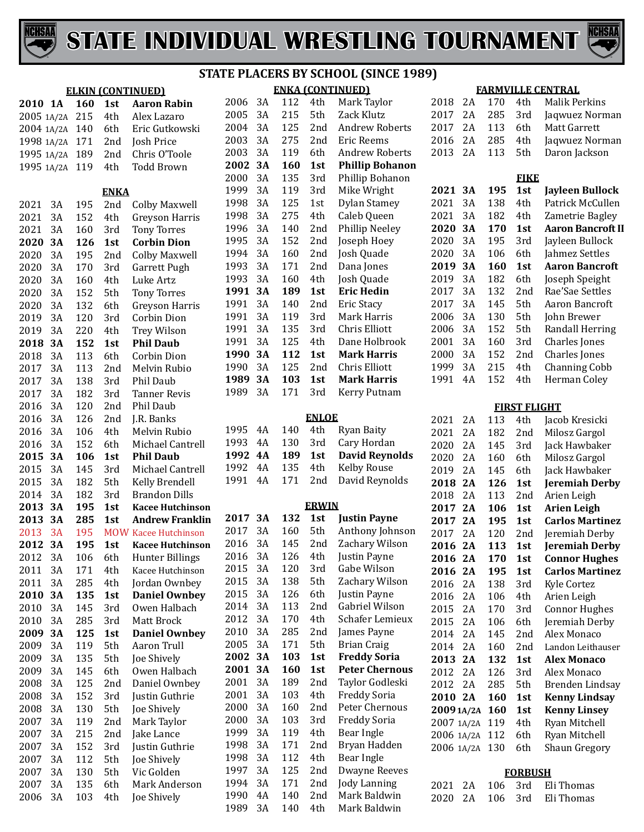



| <b>ELKIN (CONTINUED)</b> |                 |            |                   |                                            |  |  |
|--------------------------|-----------------|------------|-------------------|--------------------------------------------|--|--|
| 2010                     | <b>1A</b>       | 160        | 1st               | <b>Aaron Rabin</b>                         |  |  |
| 2005 1A/2A               |                 | 215        | 4th               | Alex Lazaro                                |  |  |
| 2004 1A/2A               |                 | 140        | 6th               | Eric Gutkowski                             |  |  |
| 1998 1A/2A               |                 | 171        | 2nd               | Josh Price                                 |  |  |
| 1995 1A/2A               |                 | 189        | 2nd               | Chris O'Toole                              |  |  |
| 1995                     | 1A/2A           | 119        | 4th               | <b>Todd Brown</b>                          |  |  |
|                          |                 |            |                   |                                            |  |  |
| 2021                     | 3A              | 195        | ENKA<br>2nd       | <b>Colby Maxwell</b>                       |  |  |
| 2021                     | 3A              | 152        | 4th               | Greyson Harris                             |  |  |
| 2021                     | 3A              | 160        | 3rd               | <b>Tony Torres</b>                         |  |  |
| 2020                     | <b>3A</b>       | 126        | 1st               | <b>Corbin Dion</b>                         |  |  |
| 2020                     | 3A              | 195        | 2nd               | <b>Colby Maxwell</b>                       |  |  |
| 2020                     | 3A              | 170        | 3rd               | Garrett Pugh                               |  |  |
| 2020                     | 3A              | 160        | 4th               | Luke Artz                                  |  |  |
| 2020                     | 3A              | 152        | 5th               | <b>Tony Torres</b>                         |  |  |
| 2020                     | 3A              | 132        | 6th               | Greyson Harris                             |  |  |
| 2019                     | 3A              | 120        | 3rd               | Corbin Dion                                |  |  |
| 2019                     | 3A              | 220        | 4th               | Trey Wilson                                |  |  |
| 2018                     | <b>3A</b>       | 152        | 1st               | <b>Phil Daub</b>                           |  |  |
| 2018                     | 3A              | 113        | 6th               | Corbin Dion                                |  |  |
| 2017                     | 3A              | 113        | 2nd               | Melvin Rubio                               |  |  |
| 2017                     | 3A              | 138        | 3rd               | Phil Daub                                  |  |  |
| 2017                     | 3A              | 182        | 3rd               | Tanner Revis                               |  |  |
| 2016                     | 3A              | 120        | 2nd               | Phil Daub                                  |  |  |
| 2016                     | 3A              | 126        | 2nd               | J.R. Banks                                 |  |  |
| 2016                     | 3A              | 106        | 4th               | Melvin Rubio                               |  |  |
| 2016                     | 3A              | 152        | 6th               | Michael Cantrell                           |  |  |
| 2015                     | <b>3A</b>       | 106        | 1st               | <b>Phil Daub</b>                           |  |  |
| 2015                     | 3A              | 145        | 3rd               | Michael Cantrell                           |  |  |
| 2015                     | 3A              | 182        | 5th               | Kelly Brendell                             |  |  |
| 2014                     | 3A              | 182        | 3rd               | <b>Brandon Dills</b>                       |  |  |
| 2013                     | <b>3A</b>       | 195        | 1st               | <b>Kacee Hutchinson</b>                    |  |  |
| 2013<br>2013             | <b>3A</b><br>3A | 285<br>195 | 1st<br><b>MOW</b> | <b>Andrew Franklin</b><br>Kacee Hutchinson |  |  |
| 2012                     | <b>3A</b>       | 195        | 1st               | <b>Kacee Hutchinson</b>                    |  |  |
| 2012                     | 3A              | 106        | 6th               | <b>Hunter Billings</b>                     |  |  |
| 2011                     | 3A              | 171        | 4th               | Kacee Hutchinson                           |  |  |
| 2011                     | 3A              | 285        | 4th               | Jordan Ownbey                              |  |  |
| 2010                     | 3A              | 135        | 1st               | <b>Daniel Ownbey</b>                       |  |  |
| 2010                     | 3A              | 145        | 3rd               | Owen Halbach                               |  |  |
| 2010                     | 3A              | 285        | 3rd               | Matt Brock                                 |  |  |
| 2009                     | 3A              | 125        | 1st               | <b>Daniel Ownbey</b>                       |  |  |
| 2009                     | 3A              | 119        | 5th               | Aaron Trull                                |  |  |
| 2009                     | 3A              | 135        | 5th               | <b>Joe Shively</b>                         |  |  |
| 2009                     | 3A              | 145        | 6th               | Owen Halbach                               |  |  |
| 2008                     | 3A              | 125        | 2nd               | Daniel Ownbey                              |  |  |
| 2008                     | 3A              | 152        | 3rd               | Justin Guthrie                             |  |  |
| 2008                     | 3A              | 130        | 5th               | Joe Shively                                |  |  |
| 2007                     | 3A              | 119        | 2nd               | Mark Taylor                                |  |  |
| 2007                     | 3A              | 215        | 2nd               | Jake Lance                                 |  |  |
| 2007                     | 3A              | 152        | 3rd               | Justin Guthrie                             |  |  |
| 2007                     | 3A              | 112        | 5th               | Joe Shively                                |  |  |
| 2007                     | 3A              | 130        | 5th               | Vic Golden                                 |  |  |
| 2007                     | 3A              | 135        | 6th               | Mark Anderson                              |  |  |
| 2006                     | 3A              | 103        | 4th               | Joe Shively                                |  |  |

#### **ENKA (CONTINUED) STATE PLACERS BY SCHOOL (SINCE 1989)**

|      |      |     |     | Mark Taylor            |
|------|------|-----|-----|------------------------|
| 2005 | 3A   | 215 | 5th | Zack Klutz             |
| 2004 | 3A   | 125 | 2nd | Andrew Roberts         |
| 2003 | 3A   | 275 | 2nd | Eric Reems             |
| 2003 | 3A   | 119 | 6th | <b>Andrew Roberts</b>  |
| 2002 | 3А   | 160 | 1st | <b>Phillip Bohanon</b> |
| 2000 | 3A   | 135 | 3rd | Phillip Bohanon        |
| 1999 | 3A   | 119 | 3rd | Mike Wright            |
| 1998 | 3A   | 125 | 1st | Dylan Stamey           |
| 1998 | 3A   | 275 | 4th | Caleb Queen            |
| 1996 | 3A   | 140 | 2nd | Phillip Neeley         |
| 1995 | 3A   | 152 | 2nd | Joseph Hoey            |
| 1994 | 3A   | 160 | 2nd | Josh Quade             |
| 1993 | 3A   | 171 | 2nd | Dana Jones             |
| 1993 | 3A   | 160 | 4th | Josh Quade             |
| 1991 | 3А   | 189 | 1st | <b>Eric Hedin</b>      |
| 1991 | 3A   | 140 | 2nd | Eric Stacy             |
| 1991 | 3A   | 119 | 3rd | Mark Harris            |
| 1991 | 3A   | 135 | 3rd | Chris Elliott          |
| 1991 | 3A   | 125 | 4th | Dane Holbrook          |
| 1990 | 3А   |     | 1st | <b>Mark Harris</b>     |
| 1990 | 3A   | 125 | 2nd | Chris Elliott          |
| 1989 | 3А   | 103 | 1st | <b>Mark Harris</b>     |
|      |      |     |     |                        |
|      | 2006 | 3A  |     | 112<br>4th<br>112      |

#### **ENLOE**

|         | 1995 4A 140 4th | Ryan Baity                     |
|---------|-----------------|--------------------------------|
| 1993 4A |                 | 130 3rd Cary Hordan            |
|         |                 | 1992 4A 189 1st David Reynolds |
| 1992 4A |                 | 135 4th Kelby Rouse            |
| 1991 4A |                 | 171 2nd David Reynolds         |
|         |                 |                                |

#### **ERWIN**

| 2017 | 3А | 132 | 1st             | <b>Justin Payne</b>   |
|------|----|-----|-----------------|-----------------------|
| 2017 | 3Α | 160 | 5th             | Anthony Johnson       |
| 2016 | 3A | 145 | 2nd             | Zachary Wilson        |
| 2016 | 3Α | 126 | 4th             | Justin Payne          |
| 2015 | 3Α | 120 | 3rd             | Gabe Wilson           |
| 2015 | 3Α | 138 | 5th             | Zachary Wilson        |
| 2015 | 3Α | 126 | 6th.            | Justin Payne          |
| 2014 | 3A | 113 | 2nd             | Gabriel Wilson        |
| 2012 | 3Α | 170 | 4th             | Schafer Lemieux       |
| 2010 | 3Α | 285 | 2nd             | James Payne           |
| 2005 | 3Α | 171 | 5th             | Brian Craig           |
| 2002 | 3A | 103 | 1st             | <b>Freddy Soria</b>   |
| 2001 | 3А | 160 | 1st             | <b>Peter Chernous</b> |
|      |    |     |                 |                       |
| 2001 | 3Α | 189 | 2nd             | Taylor Godleski       |
| 2001 | 3Α | 103 | 4th             | Freddy Soria          |
| 2000 | 3A | 160 | 2nd             | Peter Chernous        |
| 2000 | 3Α | 103 | 3rd             | Freddy Soria          |
| 1999 | 3Α | 119 | 4th             | Bear Ingle            |
| 1998 | 3Α | 171 | 2nd             | Bryan Hadden          |
| 1998 | 3Α | 112 | 4th             | Bear Ingle            |
| 1997 | 3A | 125 | 2 <sub>nd</sub> | <b>Dwayne Reeves</b>  |
| 1994 | 3Α | 171 | 2 <sub>nd</sub> | Jody Lanning          |
| 1990 | 4Α | 140 | 2nd             | Mark Baldwin          |
| 1989 | 3A | 140 | 4th             | Mark Baldwin          |

# **FARMVILLE CENTRAL**<br>2018 2A 170 4th Malik Pe

| 2018       | 2Α | 170 | 4th                 | <b>Malik Perkins</b>     |
|------------|----|-----|---------------------|--------------------------|
| 2017       | 2Α | 285 | 3rd                 | Jaqwuez Norman           |
| 2017       | 2A | 113 | 6th                 | Matt Garrett             |
| 2016       | 2Α | 285 | 4th                 | Jaqwuez Norman           |
| 2013       | 2A | 113 | 5th                 | Daron Jackson            |
|            |    |     |                     |                          |
|            |    |     | <b>FIKE</b>         |                          |
| 2021       | 3A | 195 | 1st                 | Jayleen Bullock          |
| 2021       | 3A | 138 | 4th                 | Patrick McCullen         |
| 2021       | 3A | 182 | 4th                 | Zametrie Bagley          |
| 2020       | 3A | 170 | 1st                 | <b>Aaron Bancroft II</b> |
| 2020       | 3A | 195 | 3rd                 | Jayleen Bullock          |
| 2020       | 3A | 106 | 6th                 | Jahmez Settles           |
| 2019       | 3A | 160 | 1st                 | <b>Aaron Bancroft</b>    |
| 2019       | 3A | 182 | 6th                 | Joseph Speight           |
| 2017       | 3A | 132 | 2nd                 | Rae'Sae Settles          |
| 2017       | 3A | 145 | 5th                 | Aaron Bancroft           |
| 2006       | 3A | 130 | 5th                 | John Brewer              |
| 2006       | 3A | 152 | 5th                 | <b>Randall Herring</b>   |
| 2001       | 3A | 160 | 3rd                 | Charles Jones            |
| 2000       | 3A | 152 | 2nd                 | Charles Jones            |
| 1999       | 3A | 215 | 4th                 | <b>Channing Cobb</b>     |
| 1991       | 4A | 152 | 4th                 | Herman Coley             |
|            |    |     |                     |                          |
|            |    |     | <b>FIRST FLIGHT</b> |                          |
| 2021       | 2Α | 113 | 4th                 | Jacob Kresicki           |
| 2021       | 2A | 182 | 2nd                 | Milosz Gargol            |
| 2020       | 2A | 145 | 3rd                 | Jack Hawbaker            |
| 2020       | 2A | 160 | 6th                 | Milosz Gargol            |
| 2019       | 2A | 145 | 6th                 | Jack Hawbaker            |
| 2018       | 2A | 126 | 1st                 | <b>Jeremiah Derby</b>    |
| 2018       | 2A | 113 | 2nd                 | Arien Leigh              |
| 2017       | 2A | 106 | 1st                 | <b>Arien Leigh</b>       |
| 2017       | 2A | 195 | 1st                 | <b>Carlos Martinez</b>   |
| 2017       | 2A | 120 | 2nd                 | Jeremiah Derby           |
| 2016       | 2A | 113 | 1st                 | <b>Jeremiah Derby</b>    |
| 2016       | 2Α | 170 | 1st                 | <b>Connor Hughes</b>     |
| 2016       | 2A | 195 | 1st                 | <b>Carlos Martinez</b>   |
| 2016       | 2Α | 138 | 3rd                 | <b>Kyle Cortez</b>       |
| 2016       | 2A | 106 | 4th                 | Arien Leigh              |
| 2015       | 2A | 170 | 3rd                 | <b>Connor Hughes</b>     |
| 2015       | 2A | 106 | 6th                 | Jeremiah Derby           |
| 2014       | 2A | 145 | 2nd                 | Alex Monaco              |
| 2014       | 2Α | 160 | 2nd                 | Landon Leithauser        |
| 2013       | 2A | 132 | 1st                 | <b>Alex Monaco</b>       |
| 2012       | 2Α | 126 | 3rd                 | Alex Monaco              |
| 2012       | 2A | 285 | 5th                 | <b>Brenden Lindsay</b>   |
| 2010       | 2A | 160 | 1st                 | <b>Kenny Lindsay</b>     |
| 20091A/2A  |    | 160 | 1st                 | <b>Kenny Linsey</b>      |
| 2007 1A/2A |    | 119 | 4th                 | Ryan Mitchell            |
| 2006 1A/2A |    | 112 | 6th                 | Ryan Mitchell            |
| 2006 1A/2A |    | 130 | 6th                 | Shaun Gregory            |
|            |    |     |                     |                          |

| <b>FORBUSH</b> |  |  |                            |  |  |  |
|----------------|--|--|----------------------------|--|--|--|
|                |  |  | 2021 2A 106 3rd Eli-Thomas |  |  |  |
|                |  |  | 2020 2A 106 3rd Eli-Thomas |  |  |  |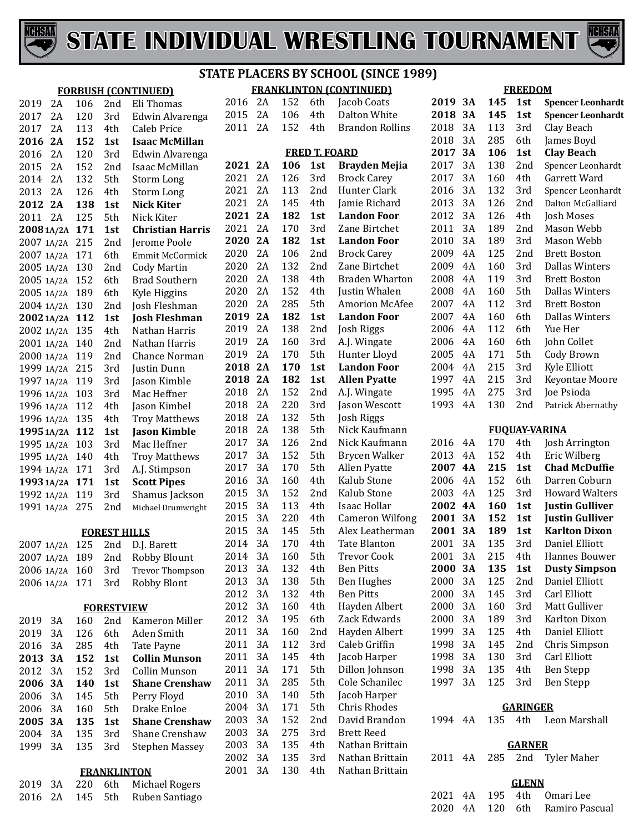



#### **FRANKLINTON (CONTINUED) STATE PLACERS BY SCHOOL (SINCE 1989)**

|                                  |     |                     | <b>FORBUSH (CONTINUED)</b>            |              |          |            |                      | <b>FRANKLINTON (CONTINUED)</b> |         |    |     | <b>FREEDOM</b>  |                          |
|----------------------------------|-----|---------------------|---------------------------------------|--------------|----------|------------|----------------------|--------------------------------|---------|----|-----|-----------------|--------------------------|
| 2A<br>2019                       | 106 | 2nd                 | Eli Thomas                            | 2016 2A      |          | 152        | 6th                  | Jacob Coats                    | 2019 3A |    | 145 | 1st             | <b>Spencer Leonhardt</b> |
| 2A<br>2017                       | 120 | 3rd                 | Edwin Alvarenga                       | 2015         | 2A       | 106        | 4th                  | Dalton White                   | 2018    | 3A | 145 | 1st             | <b>Spencer Leonhardt</b> |
| 2A<br>2017                       | 113 | 4th                 | Caleb Price                           | 2011 2A      |          | 152        | 4th                  | <b>Brandon Rollins</b>         | 2018    | 3A | 113 | 3rd             | Clay Beach               |
| 2016 2A                          | 152 | 1st                 | <b>Isaac McMillan</b>                 |              |          |            |                      |                                | 2018    | 3A | 285 | 6th             | James Boyd               |
| 2A<br>2016                       | 120 | 3rd                 | Edwin Alvarenga                       |              |          |            | <b>FRED T. FOARD</b> |                                | 2017    | 3A | 106 | 1st             | <b>Clay Beach</b>        |
| 2A<br>2015                       | 152 | 2nd                 | Isaac McMillan                        | 2021 2A      |          | 106        | 1st                  | <b>Brayden Mejia</b>           | 2017    | 3A | 138 | 2nd             | Spencer Leonhardt        |
| 2A<br>2014                       | 132 | 5th                 | Storm Long                            | 2021         | 2A       | 126        | 3rd                  | <b>Brock Carey</b>             | 2017    | 3A | 160 | 4th             | Garrett Ward             |
| 2A<br>2013                       | 126 | 4th                 | Storm Long                            | 2021         | 2A       | 113        | 2nd                  | Hunter Clark                   | 2016    | 3A | 132 | 3rd             | Spencer Leonhardt        |
| 2012 2A                          | 138 | 1st                 | <b>Nick Kiter</b>                     | 2021         | 2A       | 145        | 4th                  | Jamie Richard                  | 2013    | 3A | 126 | 2nd             | Dalton McGalliard        |
| 2A<br>2011                       | 125 | 5th                 | Nick Kiter                            | 2021 2A      |          | 182        | 1st                  | <b>Landon Foor</b>             | 2012    | 3A | 126 | 4th             | <b>Josh Moses</b>        |
| 2008 1A/2A 171                   |     | 1st                 | <b>Christian Harris</b>               | 2021         | 2A       | 170        | 3rd                  | Zane Birtchet                  | 2011    | 3A | 189 | 2nd             | Mason Webb               |
| 2007 1A/2A 215                   |     | 2 <sub>nd</sub>     | Jerome Poole                          | 2020         | 2A       | 182        | 1st                  | <b>Landon Foor</b>             | 2010    | 3A | 189 | 3rd             | Mason Webb               |
| 2007 1A/2A 171                   |     | 6th                 | Emmit McCormick                       | 2020         | 2A       | 106        | 2nd                  | <b>Brock Carey</b>             | 2009    | 4A | 125 | 2nd             | <b>Brett Boston</b>      |
| 2005 1A/2A 130                   |     | 2 <sub>nd</sub>     | <b>Cody Martin</b>                    | 2020         | 2A       | 132        | 2nd                  | Zane Birtchet                  | 2009    | 4A | 160 | 3rd             | Dallas Winters           |
| 2005 1A/2A 152                   |     | 6th                 | <b>Brad Southern</b>                  | 2020         | 2A       | 138        | 4th                  | <b>Braden Wharton</b>          | 2008    | 4A | 119 | 3rd             | <b>Brett Boston</b>      |
| 2005 1A/2A 189                   |     | 6th                 | Kyle Higgins                          | 2020         | 2A       | 152        | 4th                  | Justin Whalen                  | 2008    | 4A | 160 | 5th             | <b>Dallas Winters</b>    |
| 2004 1A/2A 130                   |     | 2 <sub>nd</sub>     | Josh Fleshman                         | 2020         | 2A       | 285        | 5th                  | <b>Amorion McAfee</b>          | 2007    | 4A | 112 | 3rd             | <b>Brett Boston</b>      |
| 20021A/2A 112                    |     | 1st                 | <b>Josh Fleshman</b>                  | 2019         | 2A       | 182        | 1st                  | <b>Landon Foor</b>             | 2007    | 4A | 160 | 6th             | <b>Dallas Winters</b>    |
| 2002 1A/2A 135                   |     | 4th                 | Nathan Harris                         | 2019         | 2A       | 138        | 2nd                  | Josh Riggs                     | 2006    | 4A | 112 | 6th             | Yue Her                  |
| 2001 1A/2A 140                   |     | 2nd                 | Nathan Harris                         | 2019         | 2A       | 160        | 3rd                  | A.J. Wingate                   | 2006    | 4A | 160 | 6th             | John Collet              |
| 2000 1A/2A 119                   |     | 2 <sub>nd</sub>     | Chance Norman                         | 2019         | 2A       | 170        | 5th                  | Hunter Lloyd                   | 2005    | 4A | 171 | 5th             | Cody Brown               |
| 1999 1A/2A 215                   |     | 3rd                 | Justin Dunn                           | 2018 2A      |          | 170        | 1st                  | <b>Landon Foor</b>             | 2004    | 4A | 215 | 3rd             | Kyle Elliott             |
| 1997 1A/2A 119                   |     | 3rd                 | Jason Kimble                          | 2018 2A      |          | 182        | 1st                  | <b>Allen Pyatte</b>            | 1997    | 4A | 215 | 3rd             | Keyontae Moore           |
| 1996 1A/2A 103                   |     | 3rd                 | Mac Heffner                           | 2018         | 2A       | 152        | 2nd                  | A.J. Wingate                   | 1995    | 4A | 275 | 3rd             | Joe Psioda               |
| 1996 1A/2A 112                   |     | 4th                 | Jason Kimbel                          | 2018         | 2A<br>2A | 220<br>132 | 3rd                  | Jason Wescott                  | 1993    | 4A | 130 | 2nd             | Patrick Abernathy        |
| 1996 1A/2A 135                   |     | 4th                 | <b>Troy Matthews</b>                  | 2018<br>2018 | 2A       | 138        | 5th<br>5th           | Josh Riggs<br>Nick Kaufmann    |         |    |     |                 | <b>FUOUAY-VARINA</b>     |
| 1995 1A/2A 112                   |     | 1st                 | <b>Jason Kimble</b>                   | 2017         | 3A       | 126        | 2nd                  | Nick Kaufmann                  | 2016    | 4A | 170 | 4th             | Josh Arrington           |
| 1995 1A/2A 103                   |     | 3rd                 | Mac Heffner                           | 2017         | 3A       | 152        | 5th                  | Brycen Walker                  | 2013    | 4A | 152 | 4th             | Eric Wilberg             |
| 1995 1A/2A 140                   |     | 4th<br>3rd          | <b>Troy Matthews</b><br>A.J. Stimpson | 2017         | 3A       | 170        | 5th                  | Allen Pyatte                   | 2007    | 4A | 215 | 1st             | <b>Chad McDuffie</b>     |
| 1994 1A/2A 171<br>1993 1A/2A 171 |     | 1st                 | <b>Scott Pipes</b>                    | 2016         | 3A       | 160        | 4th                  | Kalub Stone                    | 2006    | 4A | 152 | 6th             | Darren Coburn            |
| 1992 1A/2A 119                   |     | 3rd                 | Shamus Jackson                        | 2015         | 3A       | 152        | 2nd                  | Kalub Stone                    | 2003    | 4A | 125 | 3rd             | <b>Howard Walters</b>    |
| 1991 1A/2A 275                   |     | 2nd                 | Michael Drumwright                    | 2015         | 3A       | 113        | 4th                  | Isaac Hollar                   | 2002    | 4A | 160 | 1st             | <b>Justin Gulliver</b>   |
|                                  |     |                     |                                       | 2015         | 3A       | 220        | 4th                  | <b>Cameron Wilfong</b>         | 2001    | 3A | 152 | 1st             | <b>Justin Gulliver</b>   |
|                                  |     | <b>FOREST HILLS</b> |                                       | 2015         | 3A       | 145        | 5th                  | Alex Leatherman                | 2001    | 3A | 189 | 1st             | <b>Karlton Dixon</b>     |
| 2007 1A/2A 125                   |     |                     | 2nd D.J. Barett                       | 2014         | 3A       | 170        | 4th                  | <b>Tate Blanton</b>            | 2001    | 3A | 135 | 3rd             | Daniel Elliott           |
| 2007 1A/2A 189                   |     | 2nd                 | <b>Robby Blount</b>                   | 2014         | 3A       | 160        | 5th                  | <b>Trevor Cook</b>             | 2001    | 3A | 215 | 4th             | Hannes Bouwer            |
| 2006 1A/2A 160                   |     | 3rd                 | Trevor Thompson                       | 2013         | 3A       | 132        | 4th                  | <b>Ben Pitts</b>               | 2000    | 3A | 135 | 1st             | <b>Dusty Simpson</b>     |
| 2006 1A/2A 171                   |     | 3rd                 | <b>Robby Blont</b>                    | 2013         | 3A       | 138        | 5th                  | <b>Ben Hughes</b>              | 2000    | 3A | 125 | 2nd             | Daniel Elliott           |
|                                  |     |                     |                                       | 2012         | 3A       | 132        | 4th                  | <b>Ben Pitts</b>               | 2000    | 3A | 145 | 3rd             | Carl Elliott             |
|                                  |     | <b>FORESTVIEW</b>   |                                       | 2012         | 3A       | 160        | 4th                  | Hayden Albert                  | 2000    | 3A | 160 | 3rd             | Matt Gulliver            |
| 2019<br>3A                       | 160 | 2nd                 | Kameron Miller                        | 2012         | 3A       | 195        | 6th                  | Zack Edwards                   | 2000    | 3A | 189 | 3rd             | Karlton Dixon            |
| 3A<br>2019                       | 126 | 6th                 | Aden Smith                            | 2011         | 3A       | 160        | 2nd                  | Hayden Albert                  | 1999    | 3A | 125 | 4th             | Daniel Elliott           |
| 3A<br>2016                       | 285 | 4th                 | Tate Payne                            | 2011         | 3A       | 112        | 3rd                  | Caleb Griffin                  | 1998    | 3A | 145 | 2nd             | Chris Simpson            |
| 2013 3A                          | 152 | 1st                 | <b>Collin Munson</b>                  | 2011         | 3A       | 145        | 4th                  | Jacob Harper                   | 1998    | 3A | 130 | 3rd             | Carl Elliott             |
| 2012<br>3A                       | 152 | 3rd                 | Collin Munson                         | 2011         | 3A       | 171        | 5th                  | Dillon Johnson                 | 1998    | 3A | 135 | 4th             | Ben Stepp                |
| 2006 3A                          | 140 | 1st                 | <b>Shane Crenshaw</b>                 | 2011         | 3A       | 285        | 5th                  | Cole Schanilec                 | 1997    | 3A | 125 | 3rd             | <b>Ben Stepp</b>         |
| 2006<br>3A                       | 145 | 5th                 | Perry Floyd                           | 2010         | 3A       | 140        | 5th                  | Jacob Harper                   |         |    |     |                 |                          |
| 2006<br>3A                       | 160 | 5th                 | Drake Enloe                           | 2004         | 3A       | 171        | 5th                  | <b>Chris Rhodes</b>            |         |    |     | <b>GARINGER</b> |                          |
| 2005 3A                          | 135 | 1st                 | <b>Shane Crenshaw</b>                 | 2003         | 3A       | 152        | 2 <sub>nd</sub>      | David Brandon                  | 1994 4A |    | 135 | 4th             | Leon Marshall            |
| 2004<br>3A                       | 135 | 3rd                 | Shane Crenshaw                        | 2003         | 3A       | 275        | 3rd                  | <b>Brett Reed</b>              |         |    |     |                 |                          |
| 1999<br>3A                       | 135 | 3rd                 | <b>Stephen Massey</b>                 | 2003         | 3A       | 135        | 4th                  | Nathan Brittain                |         |    |     | <b>GARNER</b>   |                          |
|                                  |     |                     |                                       | 2002         | 3A       | 135        | 3rd                  | Nathan Brittain                | 2011 4A |    | 285 |                 | 2nd Tyler Maher          |
|                                  |     | <b>FRANKLINTON</b>  |                                       | 2001         | 3A       | 130        | 4th                  | Nathan Brittain                |         |    |     |                 |                          |
| 3A<br>2019                       | 220 | 6th                 | Michael Rogers                        |              |          |            |                      |                                |         |    |     | <b>GLENN</b>    |                          |
| 2016<br>2A                       | 145 | 5th                 | Ruben Santiago                        |              |          |            |                      |                                | 2021    | 4A | 195 | 4th             | Omari Lee                |
|                                  |     |                     |                                       |              |          |            |                      |                                | 2020    | 4A | 120 | 6th             | Ramiro Pascual           |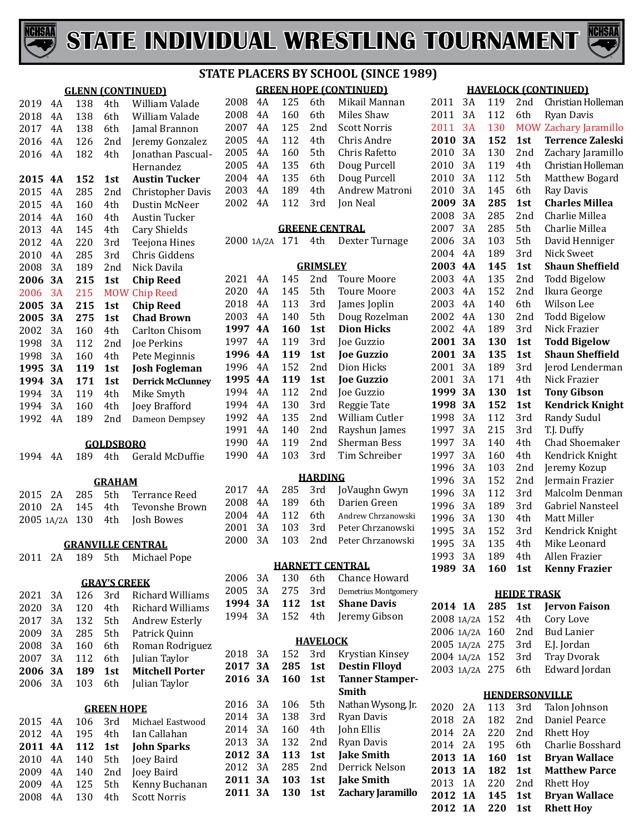



#### **GLENN (CONTINUED)** 4A 138 4th William Valade 4A 138 6th William Valade 2017 4A 138 6th Jamal Brannon<br>2016 4A 126 2nd Jeremy Gonzale 4A 126 2nd Jeremy Gonzalez **Jonathan Pascual-**Hernandez<br>2015 4A 152 1st Austin Tuc **4A 152 1st Austin Tucker** 2015 4A 285 2nd Christopher Davis<br>2015 4A 160 4th Dustin McNeer 2015 4A 160 4th Dustin McNeer<br>2014 4A 160 4th Austin Tucker 4A 160 4th Austin Tucker 4A 145 4th Cary Shields 4A 220 3rd Teejona Hines 4A 285 3rd Chris Giddens 2008 3A 189 2nd Nick Davila<br>2006 3A 215 1st Chip Reed **3A 215 1st Chip Reed** 3A 215 MOW Chip Reed **3A 215 1st Chip Reed 3A 275 1st Chad Brown**

| 2002 3A |     |     | 4th -           |                          |
|---------|-----|-----|-----------------|--------------------------|
|         |     | 160 |                 | Carlton Chisom           |
| 1998    | 3A  | 112 | 2nd             | Joe Perkins              |
| 1998    | 3A  | 160 | 4th             | Pete Meginnis            |
| 1995 3A |     | 119 | 1st             | <b>Josh Fogleman</b>     |
|         |     |     |                 |                          |
| 1994 3A |     | 171 | 1st             | <b>Derrick McClunney</b> |
| 1994    | 3A  | 119 | 4th             | Mike Smyth               |
| 1994    | 3A  | 160 | 4th             | <b>Joey Brafford</b>     |
| 1992    | 4 A | 189 | 2 <sub>nd</sub> | Dameon Dempsey           |

#### **GOLDSBORO**

|  |  | 1994 4A 189 4th Gerald McDuffie |
|--|--|---------------------------------|
|  |  |                                 |

#### **GRAHAM**

|  |  | 2015 2A 285 5th Terrance Reed              |
|--|--|--------------------------------------------|
|  |  | 2010   2A    145    4th     Tevonshe Brown |
|  |  | 2005 1A/2A 130 4th Josh Bowes              |

#### **GRANVILLE CENTRAL**

| 2011 2A 189 5th Michael Pope |  |
|------------------------------|--|
|------------------------------|--|

#### **GRAY'S CREEK**

| 2021    | 3A | 126 | 3rd | Richard Williams       |
|---------|----|-----|-----|------------------------|
| 2020    | 3A | 120 | 4th | Richard Williams       |
| 2017    | 3A | 132 | 5th | Andrew Esterly         |
| 2009    | 3A | 285 | 5th | Patrick Quinn          |
| 2008    | 3A | 160 | 6th | Roman Rodriguez        |
| 2007    | 3A | 112 | 6th | Julian Taylor          |
| 2006 3A |    | 189 | 1st | <b>Mitchell Porter</b> |
| 2006 3A |    | 103 | 6th | Julian Taylor          |
|         |    |     |     |                        |

#### **GREEN HOPE**

|  |                 |     | 2015 4A 106 3rd Michael Eastwood |
|--|-----------------|-----|----------------------------------|
|  | 2012 4A 195 4th |     | Ian Callahan                     |
|  |                 |     | 2011 4A 112 1st John Sparks      |
|  |                 |     | 2010 4A 140 5th Joey Baird       |
|  |                 |     | 2009 4A 140 2nd Joey Baird       |
|  | 2009 4A 125     | 5th | Kenny Buchanan                   |
|  | 2008 4A 130 4th |     | <b>Scott Norris</b>              |
|  |                 |     |                                  |

#### **GREEN HOPE (CONTINUED) STATE PLACERS BY SCHOOL (SINCE 1989)**

| 2008 | 4A  | 125 | 6th | Mikail Mannan       |
|------|-----|-----|-----|---------------------|
| 2008 | 4Α  | 160 | 6th | Miles Shaw          |
| 2007 | 4A  | 125 | 2nd | <b>Scott Norris</b> |
| 2005 | 4 A | 112 | 4th | Chris Andre         |
| 2005 | 4A  | 160 | 5th | Chris Rafetto       |
| 2005 | 4A  | 135 | 6th | Doug Purcell        |
| 2004 | 4 A | 135 | 6th | Doug Purcell        |
| 2003 | 4Α  | 189 | 4th | Andrew Matroni      |
| 2002 | 4Α  | 112 | 3rd | Jon Neal            |
|      |     |     |     |                     |

#### **GREENE CENTRAL**

| 2000 1A/2A 171 4th Dexter Turnage |  |  |  |  |
|-----------------------------------|--|--|--|--|
|-----------------------------------|--|--|--|--|

| GRIMSLEY |    |     |     |                   |  |
|----------|----|-----|-----|-------------------|--|
| 2021     | 4Α | 145 | 2nd | Toure Moore       |  |
| 2020     | 4Α | 145 | 5th | Toure Moore       |  |
| 2018     | 4Α | 113 | 3rd | James Joplin      |  |
| 2003     | 4Α | 140 | 5th | Doug Rozelman     |  |
| 1997     | 4A | 160 | 1st | <b>Dion Hicks</b> |  |
| 1997     | 4Α | 119 | 3rd | Joe Guzzio        |  |
| 1996     | 4A | 119 | 1st | <b>Joe Guzzio</b> |  |
| 1996     | 4Α | 152 | 2nd | Dion Hicks        |  |
| 1995     | 4A | 119 | 1st | <b>Joe Guzzio</b> |  |
| 1994     | 4Α | 112 | 2nd | Joe Guzzio        |  |
| 1994     | 4Α | 130 | 3rd | Reggie Tate       |  |
| 1992     | 4Α | 135 | 2nd | William Cutler    |  |
| 1991     | 4Α | 140 | 2nd | Rayshun James     |  |
| 1990     | 4Α | 119 | 2nd | Sherman Bess      |  |
| 1990     | 4Α | 103 | 3rd | Tim Schreiber     |  |
|          |    |     |     |                   |  |

#### **HARDING**

|  |  | 2017 4A 285 3rd JoVaughn Gwyn      |
|--|--|------------------------------------|
|  |  | 2008 4A 189 6th Darien Green       |
|  |  | 2004 4A 112 6th Andrew Chrzanowski |
|  |  | 2001 3A 103 3rd Peter Chrzanowski  |
|  |  | 2000 3A 103 2nd Peter Chrzanowski  |
|  |  |                                    |

#### **HARNETT CENTRAL**

|  |  | 2006 3A 130 6th Chance-Howard        |
|--|--|--------------------------------------|
|  |  | 2005 3A 275 3rd Demetrius Montgomery |
|  |  |                                      |
|  |  | 1994 3A 112 1st Shane Davis          |
|  |  | 1994 3A 152 4th Jeremy Gibson        |

#### **HAVELOCK**

| 2018    | 3А  | 152 | 3rd             | Krystian Kinsey        |
|---------|-----|-----|-----------------|------------------------|
| 2017 3A |     | 285 | 1st             | <b>Destin Flloyd</b>   |
| 2016 3A |     | 160 | 1st             | <b>Tanner Stamper-</b> |
|         |     |     |                 | Smith                  |
| 2016    | 3Α  | 106 | 5th             | Nathan Wysong, Jr.     |
| 2014    | 3A  | 138 | 3rd             | <b>Ryan Davis</b>      |
| 2014    | 3A  | 160 | 4th             | John Ellis             |
| 2013    | 3Α  | 132 | 2 <sub>nd</sub> | Ryan Davis             |
| 2012 3A |     | 113 | 1st             | <b>Jake Smith</b>      |
| 2012    | 3A  | 285 | 2nd             | Derrick Nelson         |
| 2011 3A |     | 103 | 1st             | <b>Jake Smith</b>      |
| 2011    | -3A | 130 | 1st             | Zachary Jaramillo      |
|         |     |     |                 |                        |

#### **HAVELOCK (CONTINUED)**

| 2014         | 1A        | 285        | 1st                | <b>Jervon Faison</b>                         |
|--------------|-----------|------------|--------------------|----------------------------------------------|
|              |           |            | <b>HEIDE TRASK</b> |                                              |
| 1989         | 3A        | 160        | 1st                | <b>Kenny Frazier</b>                         |
| 1993         | 3A        | 189        | 4th                | Allen Frazier                                |
| 1995         | 3A        | 135        | 4th                | Mike Leonard                                 |
| 1995         | 3A        | 152        | 3rd                | Kendrick Knight                              |
| 1996         | 3A        | 130        | 4th                | Matt Miller                                  |
| 1996         | 3A        | 189        | 3rd                | Gabriel Nansteel                             |
| 1996         | 3A        | 112        | 3rd                | Malcolm Denman                               |
| 1996         | 3A        | 152        | 2nd                | Jermain Frazier                              |
| 1996         | 3A        | 103        | 2nd                | Jeremy Kozup                                 |
| 1997         | 3A        | 160        | 4th                | Kendrick Knight                              |
| 1997         | 3A        | 140        | 4th                | Chad Shoemaker                               |
| 1997         | 3A        | 215        | 3rd                | T.J. Duffy                                   |
| 1998         | 3A        | 112        | 3rd                | <b>Randy Sudul</b>                           |
| 1998         | 3A        | 152        | 1st                | <b>Kendrick Knight</b>                       |
| 1999         | 3A        | 130        | 1st                | <b>Tony Gibson</b>                           |
| 2001         | 3A        | 171        | 4th                | Nick Frazier                                 |
| 2001         | 3A        | 189        | 3rd                | Jerod Lenderman                              |
| 2001         | <b>3A</b> | 135        | 1st                | <b>Shaun Sheffield</b>                       |
| 2001         | <b>3A</b> | 130        | 1st                | <b>Todd Bigelow</b>                          |
| 2002         | 4A        | 189        | 3rd                | Nick Frazier                                 |
| 2002         | 4A        | 130        | 2nd                | <b>Todd Bigelow</b>                          |
| 2003         | 4A        | 140        | 6th                | Wilson Lee                                   |
| 2003         | 4A        | 152        | 2nd                | Ikura George                                 |
| 2003         | 4A        | 135        | 2nd                | <b>Todd Bigelow</b>                          |
| 2003         | 4А        | 145        | 1st                | <b>Shaun Sheffield</b>                       |
| 2004         | 4A        | 189        | 3rd                | <b>Nick Sweet</b>                            |
| 2006         | 3A        | 103        | 5th                | David Henniger                               |
| 2007         | 3A        | 285        | 5th                | Charlie Millea                               |
| 2008         | 3A        | 285        | 2nd                | Charlie Millea                               |
| 2009         | 3A        | 285        | 1st                | <b>Charles Millea</b>                        |
| 2010         | 3A        | 145        | 6th                | Ray Davis                                    |
| 2010         | 3A        | 112        | 5th                | Matthew Bogard                               |
| 2010         | 3A        | 119        | 4th                | Christian Holleman                           |
| 2010         | 3A        | 130        | 2nd                | Zachary Jaramillo                            |
| 2010         | 3A        | 152        | 1st                | Zachary Jaramillo<br><b>Terrence Zaleski</b> |
| 2011<br>2011 | 3A<br>3A  | 112<br>130 | 6th<br><b>MOW</b>  | <b>Ryan Davis</b>                            |
| 2011         |           | 119        | 2nd                | Christian Holleman                           |
|              | 3A        |            |                    |                                              |

|                                |  | 2014 1A 285 1st Iervon-Faison    |
|--------------------------------|--|----------------------------------|
| 2008 1A/2A 152 4th Cory Love   |  |                                  |
|                                |  | 2006 1A/2A 160 2nd Bud Lanier    |
| 2005 1A/2A 275 3rd E.J. Jordan |  |                                  |
|                                |  | 2004 1A/2A 152 3rd Tray Dvorak   |
|                                |  | 2003 1A/2A 275 6th Edward Jordan |
|                                |  |                                  |

| <b>HENDERSONVILLE</b> |      |     |       |                           |
|-----------------------|------|-----|-------|---------------------------|
| 2020 2A               |      | 113 |       | 3rd Talon Johnson         |
| 2018                  | - 2A | 182 | 2nd   | Daniel Pearce             |
| 2014 2A               |      | 220 | 2nd   | <b>Rhett Hoy</b>          |
| 2014 2A               |      | 195 | 6th – | Charlie Bosshard          |
| 2013 1A               |      | 160 | 1st   | <b>Bryan Wallace</b>      |
| 2013 1A               |      | 182 | 1st   | <b>Matthew Parce</b>      |
| 2013 1A               |      | 220 | 2nd   | <b>Rhett Hoy</b>          |
| 2012 1A               |      | 145 | 1st   | <b>Bryan Wallace</b>      |
|                       |      |     |       | 2012 1A 220 1st Rhett Hoy |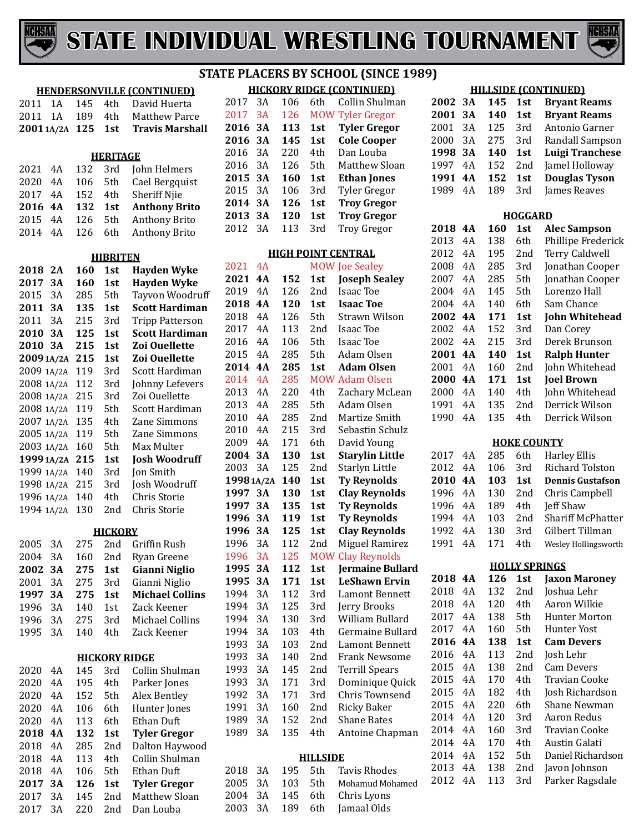



#### **HENDERSONVILLE (CONTINUED)** 2011 1A 145 4th David Huerta<br>2011 1A 189 4th Matthew Parc Matthew Parce<br>Travis Marshall **20011A/2A 125 1st Travis Marshall HERITAGE** 4A 132 3rd John Helmers 2020 4A 106 5th Cael Bergquist<br>2017 4A 152 4th Sheriff Niie 2017 4A 152 4th Sheriff Njie<br>2016 4A 132 1st Anthony Bi **4A 132 1st Anthony Brito** 4A 126 5th Anthony Brito Anthony Brito **HIBRITEN 2A 160 1st Hayden Wyke 3A 160 1st Hayden Wyke** 2015 3A 285 5th Tayvon Woodruff<br>2011 3A 135 1st Scott Hardiman **3A 135 1st Scott Hardiman** 2011 3A 215 3rd Tripp Patterson<br>2010 3A 125 1st Scott Hardiman **3A 125 1st Scott Hardiman 3A 215 1st Zoi Ouellette 20091A/2A 215 1st Zoi Ouellette** 2009 1A/2A 119 3rd Scott Hardiman<br>2008 1A/2A 112 3rd Johnny Lefevers 2008 1A/2A 112 3rd Johnny Lefev<br>2008 1A/2A 215 3rd Zoi Ouellette 1A/2A 215 3rd Zoi Ouellette 2008 1A/2A 119 5th Scott Hardimar<br>2007 1A/2A 135 4th Zane Simmons 1A/2A 135 4th Zane Simmons 2005 1A/2A 119 5th Zane Simmon<br>2003 1A/2A 160 5th Max Multer 2003 1A/2A 160 5th Max Multer<br>**1999 1A/2A 215 1st Josh Woodruff 19991A/2A 215 1st Josh Woodruff** 1A/2A 140 3rd Jon Smith 1998 1A/2A 215 3rd Josh Woodru<br>1996 1A/2A 140 4th Chris Storie 1A/2A 140 4th Chris Storie 1994 1A/2A 130 **HICKORY** 2005 3A 275 2nd Griffin Rush<br>2004 3A 160 2nd Rvan Greene 2004 3A 160 2nd Ryan Greene<br>2002 3A 275 1st Gianni Niglie **3A 275 1st Gianni Niglio** 3A 275 3rd Gianni Niglio **3A 275 1st Michael Collins** 3A 140 1st Zack Keener 1996 3A 275 3rd Michael Collins<br>1995 3A 140 4th Zack Keener Zack Keener **HICKORY RIDGE** 4A 145 3rd Collin Shulman 4A 195 4th Parker Jones 4A 152 5th Alex Bentley 2020 4A 106 6th Hunter Jones<br>2020 4A 113 6th Ethan Duft 2020 4A 113 6th Ethan Duft<br>2018 4A 132 1st Tyler Greg **4A 132 1st Tyler Gregor** 4A 285 2nd Dalton Haywood 2018 4A 113 4th Collin Shulman<br>2018 4A 106 5th Ethan Duft 2018 4A 106 5th Ethan Duft<br>2017 3A 126 1st Tyler Greg **3A 126 1st Tyler Gregor** 3A 145 2nd Matthew Sloan

Dan Louba

#### **HICKORY RIDGE (CONTINUED) STATE PLACERS BY SCHOOL (SINCE 1989)**

|         |    |     |     | <u>HILKURY RIDGE I LUN I INUEDI</u> |
|---------|----|-----|-----|-------------------------------------|
| 2017    | 3A | 106 | 6th | Collin Shulman                      |
| 2017    | 3A | 126 |     | <b>MOW Tyler Gregor</b>             |
| 2016 3A |    | 113 | 1st | <b>Tyler Gregor</b>                 |
| 2016 3A |    | 145 | 1st | <b>Cole Cooper</b>                  |
| 2016    | 3Α | 220 | 4th | Dan Louba                           |
| 2016    | 3Α | 126 | 5th | Matthew Sloan                       |
| 2015    | 3A | 160 | 1st | <b>Ethan Jones</b>                  |
| 2015    | 3A | 106 | 3rd | Tyler Gregor                        |
| 2014 3A |    | 126 | 1st | <b>Troy Gregor</b>                  |
| 2013    | 3A | 120 | 1st | <b>Troy Gregor</b>                  |
| 2012    | 3Α | 113 | 3rd | <b>Troy Gregor</b>                  |
|         |    |     |     |                                     |

#### **HIGH POINT CENTRAL**

| 2021       | 4A |     |                 | <b>MOW Joe Sealey</b>  |
|------------|----|-----|-----------------|------------------------|
| 2021       | 4A | 152 | 1st             | <b>Joseph Sealey</b>   |
| 2019       | 4A | 126 | 2nd             | Isaac Toe              |
| 2018       | 4A | 120 | 1st             | <b>Isaac Toe</b>       |
| 2018       | 4A | 126 | 5th             | Strawn Wilson          |
| 2017       | 4A | 113 | 2nd             | <b>Isaac Toe</b>       |
| 2016       | 4A | 106 | 5th             | Isaac Toe              |
| 2015       | 4A | 285 | 5th             | Adam Olsen             |
| 2014       | 4A | 285 | 1st             | <b>Adam Olsen</b>      |
| 2014       | 4A | 285 |                 | <b>MOW Adam Olsen</b>  |
| 2013       | 4A | 220 | 4th             | Zachary McLean         |
| 2013       | 4A | 285 | 5th             | Adam Olsen             |
| 2010       | 4A | 285 | 2nd             | Martize Smith          |
| 2010       | 4A | 215 | 3rd             | Sebastin Schulz        |
| 2009       | 4A | 171 | 6th             | David Young            |
| 2004       | 3А | 130 | 1st             | <b>Starylin Little</b> |
| 2003       | 3A | 125 | 2nd             | Starlyn Little         |
| 1998 1A/2A |    | 140 | 1st             | <b>Ty Reynolds</b>     |
| 1997       | 3А | 130 | 1st             | <b>Clay Reynolds</b>   |
| 1997       | 3А | 135 | 1st             | <b>Ty Reynolds</b>     |
| 1996       | 3A | 119 | 1st             | <b>Ty Reynolds</b>     |
| 1996       | 3А | 125 | 1st             | <b>Clay Reynolds</b>   |
| 1996       | 3A | 112 | 2nd             | Miguel Ramirez         |
| 1996       | 3A | 125 | <b>MOW</b>      | <b>Clay Reynolds</b>   |
| 1995       | 3А | 112 | 1st             | Jermaine Bullard       |
| 1995       | 3А | 171 | 1st             | LeShawn Ervin          |
| 1994       | 3A | 112 | 3rd             | Lamont Bennett         |
| 1994       | 3A | 125 | 3rd             | Jerry Brooks           |
| 1994       | 3A | 130 | 3rd             | William Bullard        |
| 1994       | 3A | 103 | 4th             | Germaine Bullard       |
| 1993       | 3A | 103 | 2nd             | Lamont Bennett         |
| 1993       | 3A | 140 | 2nd             | <b>Frank Newsome</b>   |
| 1993       | 3A | 145 | 2nd             | <b>Terrill Spears</b>  |
| 1993       | 3A | 171 | 3rd             | Dominique Quick        |
| 1992       | 3A | 171 | 3rd             | Chris Townsend         |
| 1991       | 3A | 160 | 2nd             | <b>Ricky Baker</b>     |
| 1989       | 3A | 152 | 2nd             | Shane Bates            |
| 1989       | 3A | 135 | 4th             | Antoine Chapman        |
|            |    |     | <b>HILLSIDE</b> |                        |
| 2018       | 3A | 195 | 5th             | <b>Tavis Rhodes</b>    |
| 2005       | 3A | 103 | 5th             | Mohamud Mohamed        |
| 2004       | 3A | 145 | 6th             | Chris Lyons            |
| 2003       | 3A | 189 | 6th             | Jamaal Olds            |

#### **HILLSIDE (CONTINUED)**

| 2002         | ЗA | 145 | 1st                  | <b>Bryant Reams</b>      |
|--------------|----|-----|----------------------|--------------------------|
| 2001         | 3А | 140 | 1st                  | <b>Bryant Reams</b>      |
| 2001         | 3A | 125 | 3rd                  | Antonio Garner           |
| 2000         | 3A | 275 | 3rd                  | Randall Sampson          |
| 1998         | 3A | 140 | 1st                  | <b>Luigi Tranchese</b>   |
| 1997         | 4A | 152 | 2nd                  | Jamel Holloway           |
| 1991         | 4А | 152 | 1st                  | <b>Douglas Tyson</b>     |
| 1989         | 4A | 189 | 3rd                  | James Reaves             |
|              |    |     |                      |                          |
|              |    |     | <b>HOGGARD</b>       |                          |
| 2018<br>2013 | 4Α | 160 | 1st                  | <b>Alec Sampson</b>      |
|              | 4A | 138 | 6th                  | Phillipe Frederick       |
| 2012         | 4A | 195 | 2nd                  | <b>Terry Caldwell</b>    |
| 2008         | 4A | 285 | 3rd                  | Jonathan Cooper          |
| 2007         | 4A | 285 | 5th                  | Jonathan Cooper          |
| 2004         | 4A | 145 | 5th                  | Lorenzo Hall             |
| 2004         | 4A | 140 | 6th                  | Sam Chance               |
| 2002         | 4Α | 171 | 1st                  | John Whitehead           |
| 2002         | 4A | 152 | 3rd                  | Dan Corey                |
| 2002         | 4A | 215 | 3rd                  | Derek Brunson            |
| 2001         | 4A | 140 | 1st                  | <b>Ralph Hunter</b>      |
| 2001         | 4A | 160 | 2nd                  | John Whitehead           |
| 2000         | 4Α | 171 | 1st                  | <b>Joel Brown</b>        |
| 2000         | 4A | 140 | 4th                  | John Whitehead           |
| 1991         | 4A | 135 | 2nd                  | Derrick Wilson           |
| 1990         | 4A | 135 | 4th                  | Derrick Wilson           |
|              |    |     | <b>HOKE COUNTY</b>   |                          |
| 2017         | 4Α | 285 | 6th                  | <b>Harley Ellis</b>      |
| 2012         | 4A | 106 | 3rd                  | Richard Tolston          |
| 2010         | 4A | 103 | 1st                  | <b>Dennis Gustafson</b>  |
| 1996         | 4A | 130 | 2nd                  | Chris Campbell           |
| 1996         | 4A | 189 | 4th                  | Jeff Shaw                |
| 1994         | 4A | 103 | 2nd                  | <b>Shariff McPhatter</b> |
| 1992         | 4A | 130 | 3rd                  | Gilbert Tillman          |
| 1991         | 4A | 171 | 4th                  | Wesley Hollingsworth     |
|              |    |     |                      |                          |
|              |    |     | <b>HOLLY SPRINGS</b> |                          |
| 2018         | 4A | 126 | 1st                  | <b>Jaxon Maroney</b>     |
| 2018         | 4A | 132 | 2nd                  | Joshua Lehr              |
| 2018         | 4A | 120 | 4th                  | Aaron Wilkie             |
| 2017         | 4A | 138 | 5th                  | <b>Hunter Morton</b>     |
| 2017         | 4A | 160 | 5th                  | <b>Hunter Yost</b>       |
| 2016         | 4A | 138 | 1st                  | <b>Cam Devers</b>        |
| 2016         | 4A | 113 | 2nd                  | Josh Lehr                |
| 2015         | 4A | 138 | 2nd                  | <b>Cam Devers</b>        |
| 2015         | 4A | 170 | 4th                  | <b>Travian Cooke</b>     |
| 2015         | 4A | 182 | 4th                  | Josh Richardson          |
| 2015         | 4A | 220 | 6th                  | Shane Newman             |
| 2014         | 4A | 120 | 3rd                  | Aaron Redus              |
| 2014         | 4A | 160 | 3rd                  | <b>Travian Cooke</b>     |
|              |    |     |                      |                          |

 4A 170 4th Austin Galati 2014 4A 152 5th Daniel Richardson<br>2013 4A 138 2nd Javon Johnson 4A 138 2nd Javon Johnson Parker Ragsdale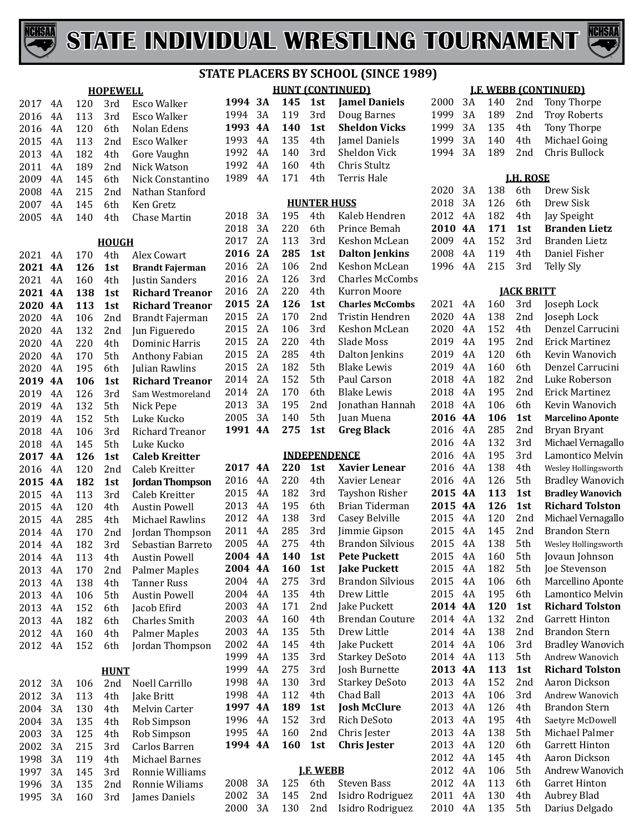



|             |    |     | <b>HOPEWELL</b> |                        |  |  |
|-------------|----|-----|-----------------|------------------------|--|--|
| 2017        | 4A | 120 | 3rd             | <b>Esco Walker</b>     |  |  |
| 2016        | 4A | 113 | 3rd             | Esco Walker            |  |  |
| 2016        | 4A | 120 | 6th             | Nolan Edens            |  |  |
| 2015        | 4A | 113 | 2nd             | <b>Esco Walker</b>     |  |  |
| 2013        | 4A | 182 | 4th             | Gore Vaughn            |  |  |
| 2011        | 4A | 189 | 2nd             | Nick Watson            |  |  |
| 2009        | 4A | 145 | 6th             | Nick Constantino       |  |  |
| 2008        | 4A | 215 | 2nd             | Nathan Stanford        |  |  |
| 2007        | 4A | 145 | 6th             | Ken Gretz              |  |  |
| 2005        | 4A | 140 | 4th             | <b>Chase Martin</b>    |  |  |
|             |    |     | <b>HOUGH</b>    |                        |  |  |
| 2021        | 4A | 170 | 4th             | Alex Cowart            |  |  |
| 2021        | 4A | 126 | 1st             | <b>Brandt Fajerman</b> |  |  |
| 2021        | 4A | 160 | 4th             | Justin Sanders         |  |  |
| 2021        | 4A | 138 | 1st             | <b>Richard Treanor</b> |  |  |
| 2020        | 4A | 113 | 1st             | <b>Richard Treanor</b> |  |  |
| 2020        | 4A | 106 | 2nd             | Brandt Fajerman        |  |  |
| 2020        | 4A | 132 | 2nd             | Jun Figueredo          |  |  |
| 2020        | 4A | 220 | 4th             | <b>Dominic Harris</b>  |  |  |
| 2020        | 4A | 170 | 5th             | Anthony Fabian         |  |  |
| 2020        | 4A | 195 | 6th             | Julian Rawlins         |  |  |
| 2019        | 4A | 106 | 1st             | <b>Richard Treanor</b> |  |  |
| 2019        | 4A | 126 | 3rd             | Sam Westmoreland       |  |  |
| 2019        | 4A | 132 | 5th             | Nick Pepe              |  |  |
| 2019        | 4A | 152 | 5th             | Luke Kucko             |  |  |
| 2018        | 4A | 106 | 3rd             | <b>Richard Treanor</b> |  |  |
| 2018        | 4A | 145 | 5th             | Luke Kucko             |  |  |
| 2017        | 4A | 126 | 1st             | <b>Caleb Kreitter</b>  |  |  |
| 2016        | 4A | 120 | 2nd             | Caleb Kreitter         |  |  |
| 2015        | 4A | 182 | 1st             | <b>Jordan Thompson</b> |  |  |
| 2015        | 4A | 113 | 3rd             | Caleb Kreitter         |  |  |
| 2015        | 4A | 120 | 4th             | <b>Austin Powell</b>   |  |  |
| 2015        | 4A | 285 | 4th             | <b>Michael Rawlins</b> |  |  |
| 2014        | 4A | 170 | 2nd             | Jordan Thompson        |  |  |
| 2014        | 4A | 182 | 3rd             | Sebastian Barreto      |  |  |
| 2014        | 4A | 113 | 4th             | <b>Austin Powell</b>   |  |  |
| 2013        | 4Α | 170 | 2nd             | <b>Palmer Maples</b>   |  |  |
| 2013        | 4A | 138 | 4th             | <b>Tanner Russ</b>     |  |  |
| 2013        | 4A | 106 | 5th             | <b>Austin Powell</b>   |  |  |
| 2013        | 4A | 152 | 6th             | Jacob Efird            |  |  |
| 2013        | 4A | 182 | 6th             | <b>Charles Smith</b>   |  |  |
| 2012        | 4A | 160 | 4th             | <b>Palmer Maples</b>   |  |  |
| 2012        | 4Α | 152 | 6th             | Jordan Thompson        |  |  |
| <u>HUNT</u> |    |     |                 |                        |  |  |
| 2012        | 3A | 106 | 2nd             | Noell Carrillo         |  |  |
| 2012        | 3A | 113 | 4th             | Jake Britt             |  |  |
| 2004        | 3A | 130 | 4th             | <b>Melvin Carter</b>   |  |  |
| 2004        | 3A | 135 | 4th             | Rob Simpson            |  |  |
| 2003        | 3A | 125 | 4th             | Rob Simpson            |  |  |
| 2002        | 3A | 215 | 3rd             | Carlos Barren          |  |  |
| 1998        | 3A | 119 | 4th             | <b>Michael Barnes</b>  |  |  |
| 1997        | 3A | 145 | 3rd             | Ronnie Williams        |  |  |
| 1996        | 3A | 135 | 2nd             | Ronnie Wiliams         |  |  |
| 1995        | 3A | 160 | 3rd             | James Daniels          |  |  |
|             |    |     |                 |                        |  |  |

|              | <b>HUNT (CONTINUED)</b> |            |                     |                                        |  |  |  |  |
|--------------|-------------------------|------------|---------------------|----------------------------------------|--|--|--|--|
| 1994         | 3А                      | 145        | 1st                 | <b>Jamel Daniels</b>                   |  |  |  |  |
| 1994         | 3A                      | 119        | 3rd                 | Doug Barnes                            |  |  |  |  |
| 1993         | <b>4A</b>               | 140        | 1st                 | <b>Sheldon Vicks</b>                   |  |  |  |  |
| 1993         | 4A                      | 135        | 4th                 | Jamel Daniels                          |  |  |  |  |
| 1992         | 4A                      | 140        | 3rd                 | <b>Sheldon Vick</b>                    |  |  |  |  |
| 1992         | 4A                      | 160        | 4th                 | Chris Stultz                           |  |  |  |  |
| 1989         | 4A                      | 171        | 4th                 | <b>Terris Hale</b>                     |  |  |  |  |
|              |                         |            |                     |                                        |  |  |  |  |
|              |                         |            | <b>HUNTER HUSS</b>  |                                        |  |  |  |  |
| 2018         | 3A                      | 195        | 4th                 | Kaleb Hendren                          |  |  |  |  |
| 2018         | 3A                      | 220        | 6th                 | Prince Bemah                           |  |  |  |  |
| 2017         | 2Α                      | 113        | 3rd                 | Keshon McLean                          |  |  |  |  |
| 2016         | 2A                      | 285        | 1st                 | <b>Dalton Jenkins</b>                  |  |  |  |  |
| 2016         | 2A                      | 106        | 2nd                 | Keshon McLean                          |  |  |  |  |
| 2016         | 2A                      | 126        | 3rd                 | <b>Charles McCombs</b>                 |  |  |  |  |
| 2016         | 2A                      | 220        | 4th                 | Kurron Moore                           |  |  |  |  |
| 2015         | 2A                      | 126        | 1st                 | <b>Charles McCombs</b>                 |  |  |  |  |
| 2015         | 2A                      | 170        | 2nd                 | Tristin Hendren                        |  |  |  |  |
| 2015         | 2A                      | 106        | 3rd                 | Keshon McLean                          |  |  |  |  |
| 2015         | 2A                      | 220        | 4th                 | Slade Moss                             |  |  |  |  |
| 2015         | 2A                      | 285        | 4th                 | Dalton Jenkins                         |  |  |  |  |
| 2015         | 2A                      | 182        | 5th                 | <b>Blake Lewis</b>                     |  |  |  |  |
| 2014         | 2A                      | 152        | 5th                 | Paul Carson                            |  |  |  |  |
| 2014         | 2A                      | 170        | 6th                 | <b>Blake Lewis</b>                     |  |  |  |  |
| 2013         | 3A                      | 195        | 2nd                 | Jonathan Hannah                        |  |  |  |  |
| 2005         | 3A                      | 140        | 5th                 | Juan Muena                             |  |  |  |  |
| 1991         | 4A                      | 275        | 1st                 | <b>Greg Black</b>                      |  |  |  |  |
|              |                         |            |                     |                                        |  |  |  |  |
|              |                         |            |                     |                                        |  |  |  |  |
|              |                         |            | <b>INDEPENDENCE</b> |                                        |  |  |  |  |
| 2017         | 4Α                      | 220        | 1st                 | <b>Xavier Lenear</b>                   |  |  |  |  |
| 2016         | 4A                      | 220        | 4th                 | Xavier Lenear                          |  |  |  |  |
| 2015         | 4A                      | 182        | 3rd                 | Tayshon Risher                         |  |  |  |  |
| 2013         | 4A                      | 195        | 6th                 | Brian Tiderman                         |  |  |  |  |
| 2012         | 4A                      | 138        | 3rd                 | Casey Belville                         |  |  |  |  |
| 2011         | 4A                      | 285        | 3rd                 | Jimmie Gipson                          |  |  |  |  |
| 2005         | 4A                      | 275        | 4th                 | <b>Brandon Silvious</b>                |  |  |  |  |
| 2004         | 4A                      | 140        | 1st                 | <b>Pete Puckett</b>                    |  |  |  |  |
| 2004         | 4A                      | 160        | 1st                 | <b>Jake Puckett</b>                    |  |  |  |  |
| 2004         | 4A                      | 275        | 3rd                 | <b>Brandon Silvious</b>                |  |  |  |  |
| 2004         | 4A                      | 135        | 4th                 | Drew Little                            |  |  |  |  |
| 2003         | 4A                      | 171        | 2nd                 | Jake Puckett                           |  |  |  |  |
| 2003         | 4A                      | 160        | 4th                 | <b>Brendan Couture</b>                 |  |  |  |  |
| 2003         | 4A                      | 135        | 5th                 | Drew Little                            |  |  |  |  |
| 2002         | 4A                      | 145        | 4th                 | Jake Puckett                           |  |  |  |  |
| 1999         | 4A                      | 135        | 3rd                 | <b>Starkey DeSoto</b>                  |  |  |  |  |
| 1999         | 4A                      | 275        | 3rd                 | Josh Burnette                          |  |  |  |  |
| 1998         | 4A                      | 130        | 3rd                 |                                        |  |  |  |  |
|              |                         |            |                     | <b>Starkey DeSoto</b>                  |  |  |  |  |
| 1998<br>1997 | 4A<br>4A                | 112<br>189 | 4th<br>1st          | Chad Ball                              |  |  |  |  |
|              |                         |            |                     | <b>Josh McClure</b>                    |  |  |  |  |
| 1996         | 4A                      | 152        | 3rd                 | Rich DeSoto                            |  |  |  |  |
| 1995<br>1994 | 4A                      | 160<br>160 | 2nd<br>1st          | Chris Jester                           |  |  |  |  |
|              | <b>4A</b>               |            |                     | <b>Chris Jester</b>                    |  |  |  |  |
|              |                         |            | <b>LE WEBB</b>      |                                        |  |  |  |  |
| 2008<br>2002 | 3A<br>3A                | 125<br>145 | 6th                 | <b>Steven Bass</b><br>Isidro Rodriguez |  |  |  |  |

3A 130 2nd Isidro Rodriguez

#### **J.F. WEBB (CONTINUED)**

|         |                 |             |  | 2000 3A 140 2nd Tony Thorpe   |  |  |  |  |  |  |
|---------|-----------------|-------------|--|-------------------------------|--|--|--|--|--|--|
| 1999 3A |                 |             |  | 189 2nd Troy Roberts          |  |  |  |  |  |  |
|         |                 | 1999 3A 135 |  | 4th Tony Thorpe               |  |  |  |  |  |  |
| 1999 3A |                 | 140         |  | 4th Michael Going             |  |  |  |  |  |  |
|         |                 |             |  | 1994 3A 189 2nd Chris Bullock |  |  |  |  |  |  |
|         |                 |             |  |                               |  |  |  |  |  |  |
|         | <b>LH. ROSE</b> |             |  |                               |  |  |  |  |  |  |

|  |  | 2020 3A 138 6th Drew Sisk     |
|--|--|-------------------------------|
|  |  | 2018 3A 126 6th Drew Sisk     |
|  |  | 2012 4A 182 4th Jay Speight   |
|  |  | 2010 4A 171 1st Branden Lietz |
|  |  | 2009 4A 152 3rd Branden Lietz |
|  |  | 2008 4A 119 4th Daniel Fisher |
|  |  |                               |
|  |  | 1996 4A 215 3rd Telly Sly     |

#### **JACK BRITT**

| 2021 | 4A        | 160 | 3rd | Joseph Lock             |
|------|-----------|-----|-----|-------------------------|
| 2020 | 4Α        | 138 | 2nd | Joseph Lock             |
| 2020 | 4A        | 152 | 4th | Denzel Carrucini        |
| 2019 | 4A        | 195 | 2nd | <b>Erick Martinez</b>   |
| 2019 | 4A        | 120 | 6th | Kevin Wanovich          |
| 2019 | 4A        | 160 | 6th | Denzel Carrucini        |
| 2018 | 4A        | 182 | 2nd | Luke Roberson           |
| 2018 | 4A        | 195 | 2nd | <b>Erick Martinez</b>   |
| 2018 | 4A        | 106 | 6th | Kevin Wanovich          |
| 2016 | 4A        | 106 | 1st | <b>Marcelino Aponte</b> |
| 2016 | 4A        | 285 | 2nd | Bryan Bryant            |
| 2016 | 4A        | 132 | 3rd | Michael Vernagallo      |
| 2016 | 4A        | 195 | 3rd | Lamontico Melvin        |
| 2016 | 4A        | 138 | 4th | Wesley Hollingsworth    |
| 2016 | 4A        | 126 | 5th | <b>Bradley Wanovich</b> |
| 2015 | <b>4A</b> | 113 | 1st | <b>Bradley Wanovich</b> |
| 2015 | 4A        | 126 | 1st | <b>Richard Tolston</b>  |
| 2015 | 4A        | 120 | 2nd | Michael Vernagallo      |
| 2015 | 4A        | 145 | 2nd | <b>Brandon Stern</b>    |
| 2015 | 4A        | 138 | 5th | Wesley Hollingsworth    |
| 2015 | 4A        | 160 | 5th | Jovaun Johnson          |
| 2015 | 4A        | 182 | 5th | Joe Stevenson           |
| 2015 | 4A        | 106 | 6th | Marcellino Aponte       |
| 2015 | 4A        | 195 | 6th | Lamontico Melvin        |
| 2014 | <b>4A</b> | 120 | 1st | <b>Richard Tolston</b>  |
| 2014 | 4A        | 132 | 2nd | <b>Garrett Hinton</b>   |
| 2014 | 4A        | 138 | 2nd | <b>Brandon Stern</b>    |
| 2014 | 4A        | 106 | 3rd | <b>Bradley Wanovich</b> |
| 2014 | 4A        | 113 | 5th | Andrew Wanovich         |
| 2013 | <b>4A</b> | 113 | 1st | <b>Richard Tolston</b>  |
| 2013 | 4A        | 152 | 2nd | Aaron Dickson           |
| 2013 | 4A        | 106 | 3rd | Andrew Wanovich         |
| 2013 | 4A        | 126 | 4th | <b>Brandon Stern</b>    |
| 2013 | 4A        | 195 | 4th | Saetyre McDowell        |
| 2013 | 4A        | 138 | 5th | Michael Palmer          |
| 2013 | 4A        | 120 | 6th | <b>Garrett Hinton</b>   |
| 2012 | 4A        | 145 | 4th | Aaron Dickson           |
| 2012 | 4A        | 106 | 5th | Andrew Wanovich         |
| 2012 | 4A        | 113 | 6th | Garret Hinton           |
| 2011 | 4A        | 130 | 4th | <b>Aubrey Blad</b>      |
| 2010 | 4A        | 135 | 5th | Darius Delgado          |
|      |           |     |     |                         |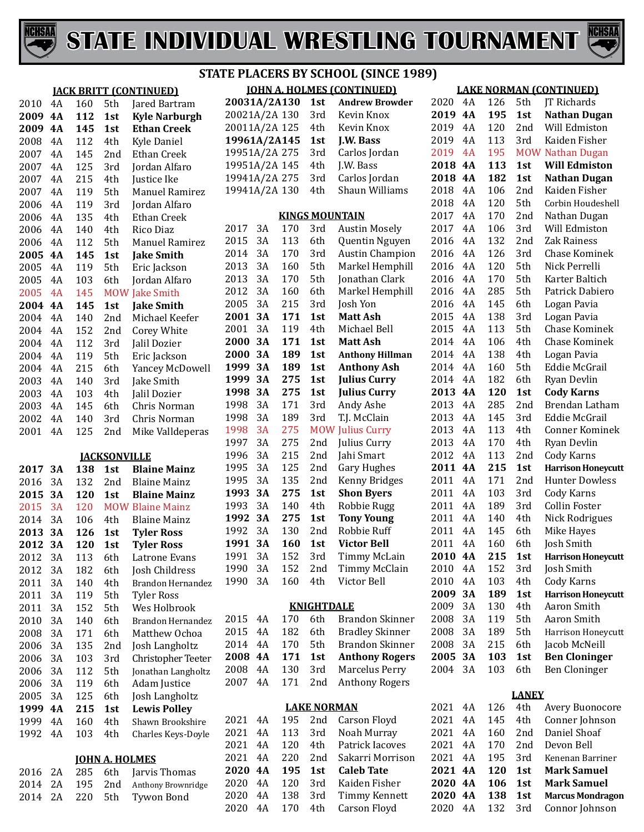



|         |           |     |                            | <b>JACK BRITT (CONTINUED)</b> | <b>JOHN A. HOLMES (CONTINUED)</b> |          |            |                    | <b>LAKE NORMAN (CONTINUED)</b>          |                    |           |            |              |                                          |
|---------|-----------|-----|----------------------------|-------------------------------|-----------------------------------|----------|------------|--------------------|-----------------------------------------|--------------------|-----------|------------|--------------|------------------------------------------|
| 2010    | 4A        | 160 | 5th                        | Jared Bartram                 | 20031A/2A130                      |          |            | 1st                | <b>Andrew Browder</b>                   | 2020               | 4A        | 126        | 5th          | JT Richards                              |
| 2009    | 4A        | 112 | 1st                        | <b>Kyle Narburgh</b>          | 20021A/2A 130                     |          |            | 3rd                | Kevin Knox                              | 2019               | 4A        | 195        | 1st          | <b>Nathan Dugan</b>                      |
| 2009    | 4A        | 145 | 1st                        | <b>Ethan Creek</b>            | 20011A/2A 125                     |          |            | 4th                | Kevin Knox                              | 2019               | 4A        | 120        | 2nd          | Will Edmiston                            |
| 2008    | 4A        | 112 | 4th                        | Kyle Daniel                   | 19961A/2A145                      |          |            | 1st                | J.W. Bass                               | 2019               | 4A        | 113        | 3rd          | Kaiden Fisher                            |
| 2007    | 4A        | 145 | 2nd                        | Ethan Creek                   | 19951A/2A 275                     |          |            | 3rd                | Carlos Jordan                           | 2019               | 4A        | 195        |              | <b>MOW Nathan Dugan</b>                  |
| 2007    | 4A        | 125 | 3rd                        | Jordan Alfaro                 | 19951A/2A 145                     |          |            | 4th                | J.W. Bass                               | 2018               | <b>4A</b> | 113        | 1st          | <b>Will Edmiston</b>                     |
| 2007    | 4A        | 215 | 4th                        | Justice Ike                   | 19941A/2A 275                     |          |            | 3rd                | Carlos Jordan                           | 2018               | 4A        | 182        | 1st          | <b>Nathan Dugan</b>                      |
| 2007    | 4A        | 119 | 5th                        | <b>Manuel Ramirez</b>         | 19941A/2A 130                     |          |            | 4th                | Shaun Williams                          | 2018               | 4A        | 106        | 2nd          | Kaiden Fisher                            |
| 2006    | 4A        | 119 | 3rd                        | Jordan Alfaro                 |                                   |          |            |                    |                                         | 2018               | 4A        | 120        | 5th          | Corbin Houdeshell                        |
| 2006    | 4A        | 135 | 4th                        | Ethan Creek                   |                                   |          |            |                    | <b>KINGS MOUNTAIN</b>                   | 2017               | 4A        | 170        | 2nd          | Nathan Dugan                             |
| 2006    | 4A        | 140 | 4th                        | Rico Diaz                     | 2017                              | 3A       | 170        | 3rd                | <b>Austin Mosely</b>                    | 2017               | 4A        | 106        | 3rd          | Will Edmiston                            |
| 2006    | 4A        | 112 | 5th                        | <b>Manuel Ramirez</b>         | 2015                              | 3A       | 113        | 6th                | Quentin Nguyen                          | 2016               | 4A        | 132        | 2nd          | Zak Rainess                              |
| 2005    | 4A        | 145 | 1st                        | <b>Jake Smith</b>             | 2014                              | 3A       | 170        | 3rd                | <b>Austin Champion</b>                  | 2016               | 4A        | 126        | 3rd          | Chase Kominek                            |
| 2005    | 4A        | 119 | 5th                        | Eric Jackson                  | 2013                              | 3A       | 160        | 5th                | Markel Hemphill                         | 2016               | 4A        | 120        | 5th          | Nick Perrelli                            |
| 2005    | 4A        | 103 | 6th                        | Jordan Alfaro                 | 2013                              | 3A       | 170        | 5th                | Jonathan Clark                          | 2016               | 4A        | 170        | 5th          | Karter Baltich                           |
| 2005    | 4A        | 145 |                            | <b>MOW Jake Smith</b>         | 2012                              | 3A       | 160        | 6th                | Markel Hemphill                         | 2016               | 4A        | 285        | 5th          | Patrick Dabiero                          |
| 2004    | <b>4A</b> | 145 | 1st                        | <b>Jake Smith</b>             | 2005                              | 3A       | 215        | 3rd                | Josh Yon                                | 2016               | 4A        | 145        | 6th          | Logan Pavia                              |
| 2004    | 4A        | 140 | 2 <sub>nd</sub>            | Michael Keefer                | 2001 3A                           |          | 171        | 1st                | <b>Matt Ash</b>                         | 2015               | 4A        | 138        | 3rd          | Logan Pavia                              |
| 2004    | 4A        | 152 | 2 <sub>nd</sub>            | Corey White                   | 2001                              | 3A       | 119        | 4th                | Michael Bell                            | 2015               | 4A        | 113        | 5th          | Chase Kominek                            |
| 2004    | 4A        | 112 | 3rd                        | Jalil Dozier                  | 2000 3A                           |          | 171        | 1st                | <b>Matt Ash</b>                         | 2014               | 4A        | 106        | 4th          | Chase Kominek                            |
| 2004    | 4A        | 119 | 5th                        | Eric Jackson                  | 2000 3A                           |          | 189        | 1st                | <b>Anthony Hillman</b>                  | 2014               | 4A        | 138        | 4th          | Logan Pavia                              |
| 2004    | 4A        | 215 | 6th                        | Yancey McDowell               | 1999 3A                           |          | 189        | 1st                | <b>Anthony Ash</b>                      | 2014               | 4A        | 160        | 5th          | Eddie McGrail                            |
| 2003    | 4A        | 140 | 3rd                        | Jake Smith                    | 1999 3A                           |          | 275        | 1st                | <b>Julius Curry</b>                     | 2014               | 4A        | 182        | 6th          | Ryan Devlin                              |
| 2003    | 4A        | 103 | 4th                        | Jalil Dozier                  | 1998 3A                           |          | 275        | 1st                | <b>Julius Curry</b>                     | 2013               | 4A        | 120        | 1st          | <b>Cody Karns</b>                        |
| 2003    | 4A        | 145 | 6th                        | Chris Norman                  | 1998                              | 3A       | 171        | 3rd                | Andy Ashe                               | 2013               | 4A        | 285        | 2nd          | Brendan Latham                           |
| 2002    | 4A        | 140 | 3rd                        | Chris Norman                  | 1998<br>1998                      | 3A<br>3A | 189<br>275 | 3rd                | T.J. McClain<br><b>MOW Julius Curry</b> | 2013<br>2013       | 4A<br>4A  | 145<br>113 | 3rd<br>4th   | <b>Eddie McGrail</b><br>Conner Kominek   |
| 2001    | 4A        | 125 | 2nd                        | Mike Valldeperas              | 1997                              | 3A       | 275        | 2nd                | Julius Curry                            | 2013               | 4A        | 170        | 4th          | Ryan Devlin                              |
|         |           |     |                            |                               | 1996                              | 3A       | 215        | 2 <sub>nd</sub>    | Jahi Smart                              | 2012               | 4A        | 113        | 2nd          | Cody Karns                               |
| 2017 3A |           | 138 | <b>IACKSONVILLE</b><br>1st | <b>Blaine Mainz</b>           | 1995                              | 3A       | 125        | 2 <sub>nd</sub>    | <b>Gary Hughes</b>                      | 2011               | 4A        | 215        | 1st          | <b>Harrison Honeycutt</b>                |
| 2016    | 3A        | 132 | 2 <sub>nd</sub>            | <b>Blaine Mainz</b>           | 1995                              | 3A       | 135        | 2 <sub>nd</sub>    | Kenny Bridges                           | 2011               | 4A        | 171        | 2nd          | <b>Hunter Dowless</b>                    |
| 2015    | 3A        | 120 | 1st                        | <b>Blaine Mainz</b>           | 1993 3A                           |          | 275        | 1st                | <b>Shon Byers</b>                       | 2011               | 4A        | 103        | 3rd          | <b>Cody Karns</b>                        |
| 2015    | 3A        | 120 |                            | <b>MOW Blaine Mainz</b>       | 1993                              | 3A       | 140        | 4th                | Robbie Rugg                             | 2011               | 4A        | 189        | 3rd          | Collin Foster                            |
| 2014    | 3A        | 106 | 4th                        | <b>Blaine Mainz</b>           | 1992 3A                           |          | 275        | 1st                | <b>Tony Young</b>                       | 2011               | 4A        | 140        | 4th          | Nick Rodrigues                           |
| 2013    | 3A        | 126 | 1st                        | <b>Tyler Ross</b>             | 1992                              | 3A       | 130        | 2nd                | Robbie Ruff                             | 2011               | 4A        | 145        | 6th          | Mike Hayes                               |
| 2012 3A |           | 120 | 1st                        | <b>Tyler Ross</b>             | 1991 3A                           |          | 160        | 1st                | <b>Victor Bell</b>                      | 2011               | 4A        | 160        | 6th          | Josh Smith                               |
| 2012    | 3A        | 113 | 6th                        | Latrone Evans                 | 1991 3A                           |          | 152        | 3rd                | Timmy McLain                            | 2010 4A            |           | 215        | 1st          | <b>Harrison Honeycutt</b>                |
| 2012    | 3A        | 182 | 6th                        | Josh Childress                | 1990                              | 3A       | 152        | 2nd                | Timmy McClain                           | 2010               | 4A        | 152        | 3rd          | Josh Smith                               |
| 2011    | 3A        | 140 | 4th                        | <b>Brandon Hernandez</b>      | 1990                              | 3A       | 160        | 4th                | Victor Bell                             | 2010               | 4A        | 103        | 4th          | Cody Karns                               |
| 2011    | 3A        | 119 | 5th                        | <b>Tyler Ross</b>             |                                   |          |            |                    |                                         | 2009 3A            |           | 189        | 1st          | <b>Harrison Honeycutt</b>                |
| 2011    | 3A        | 152 | 5th                        | Wes Holbrook                  |                                   |          |            | <b>KNIGHTDALE</b>  |                                         | 2009               | 3A        | 130        | 4th          | Aaron Smith                              |
| 2010    | 3A        | 140 | 6th                        | Brandon Hernandez             | 2015 4A                           |          | 170        | 6th                | <b>Brandon Skinner</b>                  | 2008               | 3A        | 119        | 5th          | Aaron Smith                              |
| 2008    | 3A        | 171 | 6th                        | Matthew Ochoa                 | 2015                              | 4A       | 182        | 6th                | <b>Bradley Skinner</b>                  | 2008               | 3A        | 189        | 5th          | Harrison Honeycutt                       |
| 2006    | 3A        | 135 | 2nd                        | Josh Langholtz                | 2014 4A                           |          | 170        | 5th                | <b>Brandon Skinner</b>                  | 2008               | 3A        | 215        | 6th          | Jacob McNeill                            |
| 2006    | 3A        | 103 | 3rd                        | Christopher Teeter            | 2008 4A                           |          | 171        | 1st                | <b>Anthony Rogers</b>                   | 2005 3A            |           | 103        | 1st          | <b>Ben Cloninger</b>                     |
| 2006    | 3A        | 112 | 5th                        | Jonathan Langholtz            | 2008 4A                           |          | 130        | 3rd                | Marcelus Perry                          | 2004 3A            |           | 103        | 6th          | Ben Cloninger                            |
| 2006    | 3A        | 119 | 6th                        | Adam Justice                  | 2007 4A                           |          | 171        | 2nd                | <b>Anthony Rogers</b>                   |                    |           |            |              |                                          |
| 2005    | 3A        | 125 | 6th                        | Josh Langholtz                |                                   |          |            |                    |                                         |                    |           |            | <b>LANEY</b> |                                          |
| 1999 4A |           | 215 | 1st                        | <b>Lewis Polley</b>           |                                   |          |            | <b>LAKE NORMAN</b> |                                         | 2021               | 4A        | 126        | 4th          | Avery Buonocore                          |
| 1999 4A |           | 160 | 4th                        | Shawn Brookshire              | 2021 4A                           |          | 195        | 2nd                | Carson Floyd                            | 2021               | 4A        | 145        | 4th          | Conner Johnson                           |
| 1992    | 4A        | 103 | 4th                        | Charles Keys-Doyle            | 2021 4A                           |          | 113        | 3rd                | Noah Murray                             | 2021               | 4A        | 160        | 2nd          | Daniel Shoaf                             |
|         |           |     |                            |                               | 2021 4A                           |          | 120        | 4th                | Patrick Iacoves                         | 2021               | 4A        | 170        | 2nd          | Devon Bell                               |
|         |           |     | <b>JOHN A. HOLMES</b>      |                               | 2021 4A                           |          | 220        | 2nd                | Sakarri Morrison                        | 2021               | 4A        | 195<br>120 | 3rd          | Kenenan Barriner                         |
| 2016 2A |           | 285 | 6th                        | Jarvis Thomas                 | 2020 4A<br>2020 4A                |          | 195<br>120 | 1st<br>3rd         | <b>Caleb Tate</b><br>Kaiden Fisher      | 2021 4A<br>2020 4A |           | 106        | 1st<br>1st   | <b>Mark Samuel</b><br><b>Mark Samuel</b> |
| 2014    | 2A        | 195 | 2nd                        | Anthony Brownridge            | 2020                              | 4A       | 138        | 3rd                | <b>Timmy Kennett</b>                    | 2020 4A            |           | 138        | 1st          | <b>Marcus Mondragon</b>                  |
| 2014    | 2A        | 220 | 5th                        | Tywon Bond                    | 2020                              | 4A       | 170        | 4th                | Carson Floyd                            | 2020               | 4A        | 132        | 3rd          | Connor Johnson                           |
|         |           |     |                            |                               |                                   |          |            |                    |                                         |                    |           |            |              |                                          |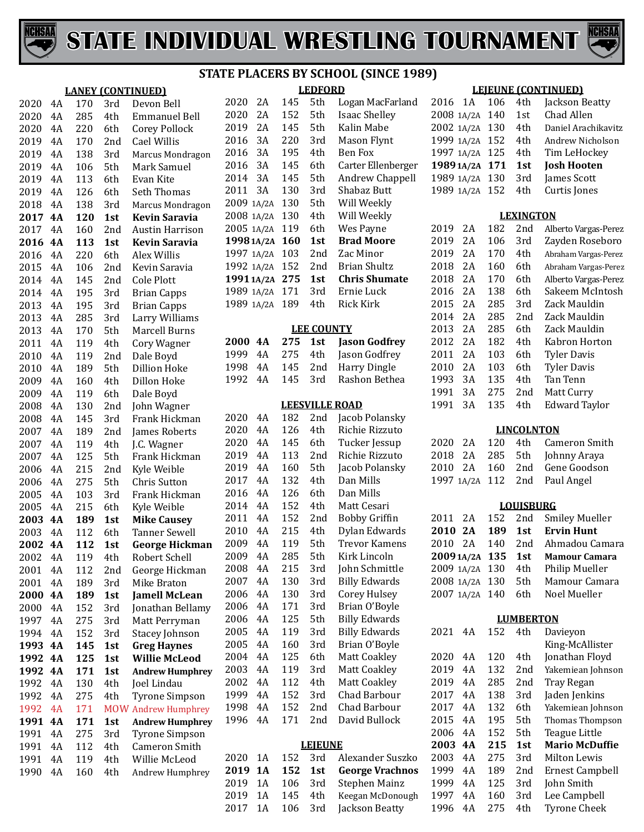



**LEDFORD**

|      |           |     |            | <b>LANEY (CONTINUED)</b> |
|------|-----------|-----|------------|--------------------------|
| 2020 | 4A        | 170 | 3rd        | Devon Bell               |
| 2020 | 4A        | 285 | 4th        | <b>Emmanuel Bell</b>     |
| 2020 | 4A        | 220 | 6th        | <b>Corey Pollock</b>     |
| 2019 | 4A        | 170 | 2nd        | <b>Cael Willis</b>       |
| 2019 | 4A        | 138 | 3rd        | Marcus Mondragon         |
| 2019 | 4A        | 106 | 5th        | Mark Samuel              |
| 2019 | 4A        | 113 | 6th        | Evan Kite                |
| 2019 | 4A        | 126 | 6th        | Seth Thomas              |
| 2018 | 4A        | 138 | 3rd        | Marcus Mondragon         |
| 2017 | 4A        | 120 | 1st        | <b>Kevin Saravia</b>     |
| 2017 | 4A        | 160 | 2nd        | <b>Austin Harrison</b>   |
| 2016 | 4A        | 113 | 1st        | <b>Kevin Saravia</b>     |
| 2016 | 4A        | 220 | 6th        | Alex Willis              |
| 2015 | 4A        | 106 | 2nd        | Kevin Saravia            |
| 2014 | 4A        | 145 | 2nd        | Cole Plott               |
| 2014 | 4A        | 195 | 3rd        | <b>Brian Capps</b>       |
| 2013 | 4A        | 195 | 3rd        | <b>Brian Capps</b>       |
| 2013 | 4A        | 285 | 3rd        | Larry Williams           |
| 2013 | 4A        | 170 | 5th        | <b>Marcell Burns</b>     |
| 2011 | 4A        | 119 | 4th        | <b>Cory Wagner</b>       |
| 2010 | 4A        | 119 | 2nd        | Dale Boyd                |
| 2010 | 4A        | 189 | 5th        | <b>Dillion Hoke</b>      |
| 2009 | 4A        | 160 | 4th        | Dillon Hoke              |
| 2009 | 4A        | 119 | 6th        | Dale Boyd                |
| 2008 | 4A        | 130 | 2nd        | John Wagner              |
| 2008 | 4A        | 145 | 3rd        | Frank Hickman            |
| 2007 | 4A        | 189 | 2nd        | James Roberts            |
| 2007 | 4A        | 119 | 4th        | J.C. Wagner              |
| 2007 | 4A        | 125 | 5th        | Frank Hickman            |
| 2006 | 4A        | 215 | 2nd        | Kyle Weible              |
| 2006 | 4A        | 275 | 5th        | Chris Sutton             |
| 2005 | 4A        | 103 | 3rd        | Frank Hickman            |
| 2005 | 4A        | 215 | 6th        | Kyle Weible              |
| 2003 | 4A        | 189 | 1st        | <b>Mike Causey</b>       |
| 2003 | 4A        | 112 | 6th        | <b>Tanner Sewell</b>     |
| 2002 | 4A        | 112 | 1st        | <b>George Hickman</b>    |
| 2002 | 4A        | 119 | 4th        | Robert Schell            |
| 2001 | 4Α        | 112 | 2nd        | George Hickman           |
| 2001 | 4A        | 189 | 3rd        | Mike Braton              |
| 2000 | 4А        | 189 | 1st        | <b>Jamell McLean</b>     |
| 2000 | 4A        | 152 | 3rd        | Jonathan Bellamy         |
| 1997 | 4A        | 275 | 3rd        | Matt Perryman            |
| 1994 | 4A        | 152 | 3rd        | Stacey Johnson           |
| 1993 | 4А        | 145 | 1st        | <b>Greg Haynes</b>       |
| 1992 | <b>4A</b> | 125 | 1st        | <b>Willie McLeod</b>     |
| 1992 | 4А        | 171 | 1st        | <b>Andrew Humphrey</b>   |
| 1992 | 4A        | 130 | 4th        | Joel Lindau              |
| 1992 | 4Α        | 275 | 4th        | Tyrone Simpson           |
| 1992 | 4A        | 171 | <b>MOW</b> | <b>Andrew Humphrey</b>   |
| 1991 | 4А        | 171 | 1st        | <b>Andrew Humphrey</b>   |
| 1991 | 4A        | 275 | 3rd        | <b>Tyrone Simpson</b>    |
| 1991 | 4A        | 112 | 4th        | Cameron Smith            |
| 1991 | 4A        | 119 | 4th        | Willie McLeod            |
| 1990 | 4Α        | 160 | 4th        | Andrew Humphrey          |
|      |           |     |            |                          |

| 2020 ZA        | 145 | 5th             | Logan MacFarland     | 2016 IA        |    | 106 | 4th              | Jackson Beatty     |
|----------------|-----|-----------------|----------------------|----------------|----|-----|------------------|--------------------|
| 2020<br>2A     | 152 | 5th             | <b>Isaac Shelley</b> | 2008 1A/2A     |    | 140 | 1st              | Chad Allen         |
| 2019<br>2A     | 145 | 5th             | Kalin Mabe           | 2002 1A/2A 130 |    |     | 4th              | Daniel Arachikay   |
| 2016 3A        | 220 | 3rd             | Mason Flynt          | 1999 1A/2A 152 |    |     | 4th              | Andrew Nichols     |
| 2016<br>3A     | 195 | 4th             | Ben Fox              | 1997 1A/2A 125 |    |     | 4th              | Tim LeHockey       |
| 2016<br>3A     | 145 | 6th             | Carter Ellenberger   | 1989 1A/2A 171 |    |     | 1st              | <b>Josh Hooten</b> |
| 2014 3A        | 145 | 5th             | Andrew Chappell      | 1989 1A/2A 130 |    |     | 3rd              | James Scott        |
| 2011 3A        | 130 | 3rd             | Shabaz Butt          | 1989 1A/2A 152 |    |     | 4th              | Curtis Jones       |
| 2009 1A/2A     | 130 | 5th             | Will Weekly          |                |    |     |                  |                    |
|                |     |                 |                      |                |    |     |                  |                    |
| 2008 1A/2A 130 |     | 4th             | Will Weekly          |                |    |     | <b>LEXINGTON</b> |                    |
| 2005 1A/2A 119 |     | 6th             | Wes Payne            | 2019           | 2A | 182 | 2nd              | Alberto Vargas-Pe  |
| 1998 1A/2A 160 |     | 1st             | <b>Brad Moore</b>    | 2019           | 2A | 106 | 3rd              | Zayden Rosebo      |
| 1997 1A/2A 103 |     | 2nd             | Zac Minor            | 2019           | 2A | 170 | 4th              | Abraham Vargas-Pe  |
| 1992 1A/2A 152 |     | 2 <sub>nd</sub> | Brian Shultz         | 2018           | 2A | 160 | 6th              | Abraham Vargas-P   |
| 19911A/2A 275  |     | 1st             | <b>Chris Shumate</b> | 2018           | 2A | 170 | 6th              | Alberto Vargas-Pe  |
| 1989 1A/2A 171 |     | 3rd             | Ernie Luck           | 2016 2A        |    | 138 | 6th              | Sakeem McInto      |
| 1989 1A/2A 189 |     | 4th             | Rick Kirk            | 2015           | 2A | 285 | 3rd              | Zack Mauldin       |

#### **LEE COUNTY**

|  |  | 2000 4A 275 1st Jason Godfrey |
|--|--|-------------------------------|
|  |  | 1999 4A 275 4th Jason Godfrey |
|  |  | 1998 4A 145 2nd Harry Dingle  |
|  |  | 1992 4A 145 3rd Rashon Bethea |
|  |  |                               |

#### **LEESVILLE ROAD**

| 2020 | 4Α | 182 | 2nd            | Jacob Polansky         |
|------|----|-----|----------------|------------------------|
| 2020 | 4A | 126 | 4th            | Richie Rizzuto         |
| 2020 | 4A | 145 | 6th            | Tucker Jessup          |
| 2019 | 4A | 113 | 2nd            | Richie Rizzuto         |
| 2019 | 4Α | 160 | 5th            | Jacob Polansky         |
| 2017 | 4A | 132 | 4th            | Dan Mills              |
| 2016 | 4A | 126 | 6th            | Dan Mills              |
| 2014 | 4A | 152 | 4th            | Matt Cesari            |
| 2011 | 4Α | 152 | 2nd            | <b>Bobby Griffin</b>   |
| 2010 | 4A | 215 | 4th            | Dylan Edwards          |
| 2009 | 4A | 119 | 5th            | Trevor Kamens          |
| 2009 | 4A | 285 | 5th            | Kirk Lincoln           |
| 2008 | 4Α | 215 | 3rd            | John Schmittle         |
| 2007 | 4A | 130 | 3rd            | <b>Billy Edwards</b>   |
| 2006 | 4Α | 130 | 3rd            | Corey Hulsey           |
| 2006 | 4Α | 171 | 3rd            | Brian O'Boyle          |
| 2006 | 4A | 125 | 5th            | <b>Billy Edwards</b>   |
| 2005 | 4A | 119 | 3rd            | <b>Billy Edwards</b>   |
| 2005 | 4A | 160 | 3rd            | Brian O'Boyle          |
| 2004 | 4Α | 125 | 6th            | <b>Matt Coakley</b>    |
| 2003 | 4Α | 119 | 3rd            | <b>Matt Coakley</b>    |
| 2002 | 4A | 112 | 4th            | <b>Matt Coakley</b>    |
| 1999 | 4A | 152 | 3rd            | Chad Barbour           |
| 1998 | 4A | 152 | 2nd            | Chad Barbour           |
| 1996 | 4Α | 171 | 2nd            | David Bullock          |
|      |    |     |                |                        |
|      |    |     | <b>LEJEUNE</b> |                        |
| 2020 | 1Α | 152 | 3rd            | Alexander Suszko       |
| 2019 | 1A | 152 | 1st            | <b>George Vrachnos</b> |
| 2019 | 1A | 106 | 3rd            | <b>Stephen Mainz</b>   |
| 2019 | 1Α | 145 | 4th            | Keegan McDonough       |

2019 1A 145 4th Keegan McDonough<br>2017 1A 106 3rd Jackson Beatty

Jackson Beatty

#### **LEJEUNE (CONTINUED)**

| 2008 1A/2A | 140 | 1st               | Chad Allen                    |
|------------|-----|-------------------|-------------------------------|
| 2002 1A/2A | 130 | 4th               | Daniel Arachikavitz           |
| 1999 1A/2A | 152 | 4th               | Andrew Nicholson              |
| 1997 1A/2A | 125 | 4th               | Tim LeHockey                  |
| 1989 1A/2A | 171 | 1st               | Josh Hooten                   |
| 1989 1A/2A | 130 | 3rd               | James Scott                   |
| 1989 1A/2A | 152 | 4th               | Curtis Jones                  |
|            |     |                   |                               |
|            |     | <b>LEXINGTON</b>  |                               |
| 2019<br>2Α | 182 | 2nd               | Alberto Vargas-Perez          |
| 2A<br>2019 | 106 | 3rd               | Zayden Roseboro               |
| 2A<br>2019 | 170 | 4th               | Abraham Vargas-Perez          |
| 2018<br>2A | 160 | 6th               | Abraham Vargas-Perez          |
| 2018<br>2A | 170 | 6th               | Alberto Vargas-Perez          |
| 2016<br>2A | 138 | 6th               | Sakeem McIntosh               |
| 2015<br>2A | 285 | 3rd               | Zack Mauldin                  |
| 2014<br>2A | 285 | 2nd               | Zack Mauldin                  |
| 2A         |     | 6th               |                               |
| 2013       | 285 |                   | Zack Mauldin                  |
| 2012<br>2A | 182 | 4th               | Kabron Horton                 |
| 2011<br>2A | 103 | 6th               | <b>Tyler Davis</b>            |
| 2010<br>2A | 103 | 6th               | <b>Tyler Davis</b>            |
| 1993<br>3A | 135 | 4th               | Tan Tenn                      |
| 1991<br>3A | 275 | 2nd               | Matt Curry                    |
| 1991<br>3A | 135 | 4th               | <b>Edward Taylor</b>          |
|            |     | <b>LINCOLNTON</b> |                               |
|            |     |                   |                               |
| 2020<br>2A | 120 | 4th               | Cameron Smith                 |
| 2018<br>2Α | 285 | 5th               | Johnny Araya                  |
| 2A<br>2010 | 160 | 2nd               | Gene Goodson                  |
| 1997 1A/2A | 112 | 2nd               | Paul Angel                    |
|            |     | <b>LOUISBURG</b>  |                               |
| 2011<br>2Α | 152 | 2nd               | <b>Smiley Mueller</b>         |
| 2010<br>2A | 189 | 1st               | <b>Ervin Hunt</b>             |
| 2010<br>2A | 140 | 2nd               | Ahmadou Camara                |
| 2009 1A/2A | 135 | 1st               | <b>Mamour Camara</b>          |
| 2009 1A/2A | 130 | 4th               |                               |
|            |     |                   | Philip Mueller                |
| 2008 1A/2A | 130 | 5th               | Mamour Camara<br>Noel Mueller |
| 2007 1A/2A | 140 | 6th               |                               |
|            |     | <b>LUMBERTON</b>  |                               |
| 2021<br>4Α | 152 | 4th               | Davieyon                      |
|            |     |                   | King-McAllister               |
| 2020<br>4A | 120 | 4th               | Jonathan Floyd                |
| 4A<br>2019 | 132 | 2nd               | Yakemiean Johnson             |
|            | 285 |                   |                               |
| 4A<br>2019 |     | 2nd               | Tray Regan                    |
| 4A<br>2017 | 138 | 3rd               | Jaden Jenkins                 |
| 4A<br>2017 | 132 | 6th               | Yakemiean Johnson             |
| 2015<br>4A | 195 | 5th               | Thomas Thompson               |
| 4A<br>2006 | 152 | 5th               | <b>Teague Little</b>          |
| 4A<br>2003 | 215 | 1st               | <b>Mario McDuffie</b>         |
| 4A<br>2003 | 275 | 3rd               | <b>Milton Lewis</b>           |
| 4A<br>1999 | 189 | 2nd               | <b>Ernest Campbell</b>        |
| 4A<br>1999 | 125 | 3rd               | John Smith                    |
| 1997<br>4A | 160 | 3rd               | Lee Campbell                  |

4A 160 3rd Lee Campbell

Tyrone Cheek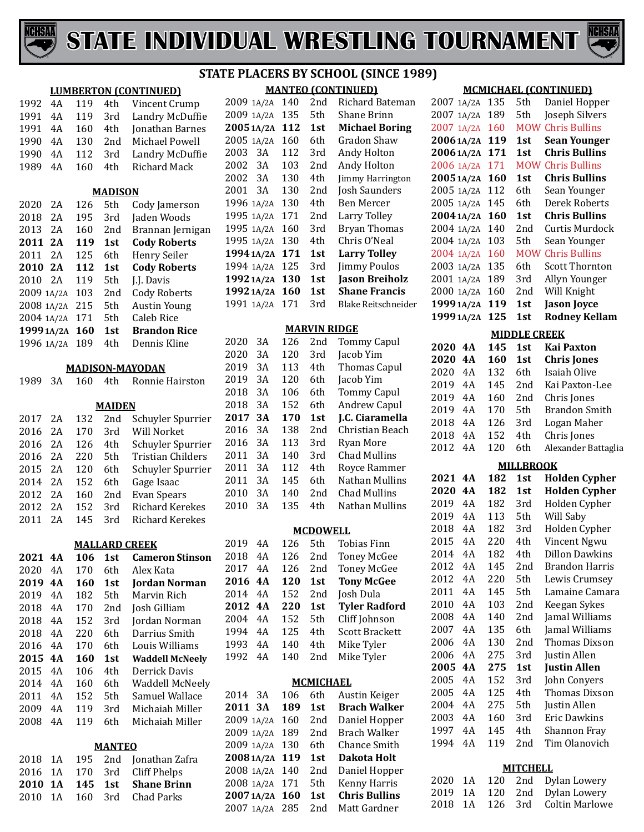



|            |            |     |                | ST                           |
|------------|------------|-----|----------------|------------------------------|
|            |            |     |                | <b>LUMBERTON (CONTINUED)</b> |
| 1992       | 4A         | 119 | 4th            | Vincent Crump                |
| 1991       | 4Α         | 119 | 3rd            | Landry McDuffie              |
| 1991       | 4Α         | 160 | 4th            | Jonathan Barnes              |
| 1990       | 4Α         | 130 | 2nd            | Michael Powell               |
| 1990       | 4A         | 112 | 3rd            | Landry McDuffie              |
| 1989       | 4Α         | 160 | 4th            | <b>Richard Mack</b>          |
|            |            |     |                |                              |
|            |            |     | <b>MADISON</b> |                              |
| 2020       | 2A         | 126 | 5th            | Cody Jamerson                |
| 2018       | 2A         | 195 | 3rd            | Jaden Woods                  |
| 2013       | 2A         | 160 | 2nd            | Brannan Jernigan             |
| 2011       | 2A         | 119 | 1st            | <b>Cody Roberts</b>          |
| 2011       | 2A         | 125 | 6th            | Henry Seiler                 |
| 2010       | 2Α         | 112 | 1st            | <b>Cody Roberts</b>          |
| 2010       | 2A         | 119 | 5th            | J.J. Davis                   |
| 2009       | 1A/2A      | 103 | 2nd            | <b>Cody Roberts</b>          |
| 2008       | 1A/2A      | 215 | 5th            | <b>Austin Young</b>          |
| 2004       | 1A/2A      | 171 | 5th            | <b>Caleb Rice</b>            |
|            | 1999 1A/2A | 160 | 1st            | <b>Brandon Rice</b>          |
| 1996 1A/2A |            | 189 | 4th            | Dennis Kline                 |
|            |            |     |                |                              |
|            |            |     |                | MADISON-MAYODAN              |
| 1989       | 3A         | 160 | 4th            | Ronnie Hairston              |
|            |            |     |                |                              |
|            |            |     | <b>MAIDEN</b>  |                              |
| 2017       | 2A         | 132 | 2nd            | Schuyler Spurrier            |
| 2016       | 2A         | 170 | 3rd            | Will Norket                  |
| 2016       | 2A         | 126 | 4th            | Schuyler Spurrier            |
| 2016       | 2A         | 220 | 5th            | <b>Tristian Childers</b>     |
| 2015       | 2A         | 120 | 6th            | Schuyler Spurrier            |
| 2014       | 2A         | 152 | 6th            | Gage Isaac                   |
| 2012       | 2A         | 160 | 2nd            | <b>Evan Spears</b>           |
| 2012       | 2A         | 152 | 3rd            | <b>Richard Kerekes</b>       |
| 2011       | 2A         | 145 | 3rd            | <b>Richard Kerekes</b>       |
|            |            |     |                |                              |
|            |            |     |                | <b>MALLARD CREEK</b>         |
| 2021       | 4А         | 106 | 1st            | <b>Cameron Stinson</b>       |
| 2020       | 4A         | 170 | 6th            | Alex Kata                    |
| 2019       | 4A         | 160 | 1st            | <b>Jordan Norman</b>         |
| 2019       | 4A         | 182 | 5th            | Marvin Rich                  |
| 2018       | 4A         | 170 | 2nd            | Josh Gilliam                 |
| 2018       | 4A         | 152 | 3rd            | Jordan Norman                |
| 2018       | 4A         | 220 | 6th            | Darrius Smith                |
| 2016       | 4A         | 170 | 6th            | Louis Williams               |
| 2015       | 4А         | 160 | 1st            | <b>Waddell McNeely</b>       |
| 2015       | 4A         | 106 | 4th            | Derrick Davis                |
| 2014       | 4A         | 160 | 6th            | <b>Waddell McNeely</b>       |
| 2011       | 4A         | 152 | 5th            | Samuel Wallace               |
| 2009       | 4A         | 119 | 3rd            | Michaiah Miller              |
| 2008       | 4A         | 119 | 6th            | Michaiah Miller              |

| <b>MANTEO</b> |  |  |  |                                |  |  |  |  |  |  |
|---------------|--|--|--|--------------------------------|--|--|--|--|--|--|
|               |  |  |  | 2018 1A 195 2nd Jonathan Zafra |  |  |  |  |  |  |
|               |  |  |  | 2016 1A 170 3rd Cliff Phelps   |  |  |  |  |  |  |
|               |  |  |  | 2010 1A 145 1st Shane Brinn    |  |  |  |  |  |  |
|               |  |  |  | 2010 1A 160 3rd Chad Parks     |  |  |  |  |  |  |

#### **MANTEO (CONTINUED) STATE PLACERS BY SCHOOL (SINCE 1989)**

|            | 2009 1A/2A | 140 | 2nd  | Richard Bateman       |
|------------|------------|-----|------|-----------------------|
| 2009 1A/2A |            | 135 | 5th  | Shane Brinn           |
|            | 20051A/2A  | 112 | 1st  | <b>Michael Boring</b> |
|            | 2005 1A/2A | 160 | 6th  | Gradon Shaw           |
|            | 2003<br>3A | 112 | 3rd  | Andy Holton           |
|            | 2002<br>3A | 103 | 2nd  | Andy Holton           |
|            | 2002 3A    | 130 | 4th. | Jimmy Harrington      |
|            | 2001<br>3A | 130 | 2nd  | Josh Saunders         |
|            | 1996 1A/2A | 130 | 4th  | Ben Mercer            |
|            | 1995 1A/2A | 171 | 2nd  | Larry Tolley          |
|            | 1995 1A/2A | 160 | 3rd  | <b>Bryan Thomas</b>   |
|            | 1995 1A/2A | 130 | 4th  | Chris O'Neal          |
|            | 1994 1A/2A | 171 | 1st  | <b>Larry Tolley</b>   |
|            | 1994 1A/2A | 125 | 3rd  | <b>Jimmy Poulos</b>   |
|            | 1992 1A/2A | 130 | 1st  | <b>Jason Breiholz</b> |
|            | 1992 1A/2A | 160 | 1st  | <b>Shane Francis</b>  |
|            | 1991 1A/2A | 171 | 3rd  | Blake Reitschneider   |
|            |            |     |      |                       |

#### **MARVIN RIDGE**

| 2020 | 3Α | 126 | 2nd             | <b>Tommy Capul</b>  |
|------|----|-----|-----------------|---------------------|
| 2020 | 3Α | 120 | 3rd             | Jacob Yim           |
| 2019 | 3Α | 113 | 4th             | <b>Thomas Capul</b> |
| 2019 | 3Α | 120 | 6th             | Jacob Yim           |
| 2018 | 3Α | 106 | 6th             | <b>Tommy Capul</b>  |
| 2018 | 3Α | 152 | 6th             | Andrew Capul        |
| 2017 | 3А | 170 | 1st             | J.C. Ciaramella     |
| 2016 | 3Α | 138 | 2nd             | Christian Beach     |
| 2016 | 3A | 113 | 3rd             | <b>Ryan More</b>    |
|      |    |     |                 |                     |
| 2011 | 3Α | 140 | 3rd             | Chad Mullins        |
| 2011 | 3Α | 112 | 4th             | Royce Rammer        |
| 2011 | 3Α | 145 | 6th             | Nathan Mullins      |
| 2010 | 3A | 140 | 2 <sub>nd</sub> | Chad Mullins        |
| 2010 | 3A | 135 | 4th             | Nathan Mullins      |

#### **MCDOWELL**

| 2019    | 4Α  | 126 | 5th             | <b>Tobias Finn</b>    |
|---------|-----|-----|-----------------|-----------------------|
| 2018    | 4Α  | 126 | 2nd             | <b>Toney McGee</b>    |
| 2017    | 4Α  | 126 | 2 <sub>nd</sub> | <b>Toney McGee</b>    |
| 2016 4A |     | 120 | 1st             | <b>Tony McGee</b>     |
| 2014    | 4A  | 152 | 2 <sub>nd</sub> | Josh Dula             |
|         |     |     |                 |                       |
| 2012 4A |     | 220 | 1st             | <b>Tyler Radford</b>  |
| 2004    | 4 A | 152 | 5th             | Cliff Johnson         |
| 1994    | 4 A | 125 | 4th             | <b>Scott Brackett</b> |
| 1993    | 4Α  | 140 | 4th             | Mike Tyler            |
| 1992    | 4 A | 140 | 2nd             | Mike Tyler            |

|            |     | <b>MCMICHAEL</b> |                      |
|------------|-----|------------------|----------------------|
| 2014<br>3A | 106 | 6th              | Austin Keiger        |
| 2011<br>3A | 189 | 1st              | <b>Brach Walker</b>  |
| 2009 1A/2A | 160 | 2nd              | Daniel Hopper        |
| 2009 1A/2A | 189 | 2nd              | <b>Brach Walker</b>  |
| 2009 1A/2A | 130 | 6th              | Chance Smith         |
| 2008 1A/2A | 119 | 1st              | Dakota Holt          |
| 2008 1A/2A | 140 | 2 <sub>nd</sub>  | Daniel Hopper        |
| 2008 1A/2A | 171 | 5th              | Kenny Harris         |
| 2007 1A/2A | 160 | 1st              | <b>Chris Bullins</b> |
| 2007 1A/2A | 285 | 2nd              | Matt Gardner         |
|            |     |                  |                      |

# **MCMICHAEL (CONTINUED)**

| 2007         | 1A/2A    | 135        | 5th                 | Daniel Hopper                         |
|--------------|----------|------------|---------------------|---------------------------------------|
| 2007         | 1A/2A    | 189        | 5th                 | Joseph Silvers                        |
| 2007 1A/2A   |          | 160        |                     | <b>MOW Chris Bullins</b>              |
| 20061A/2A    |          | 119        | 1st                 | <b>Sean Younger</b>                   |
| 20061A/2A    |          | 171        | 1st                 | <b>Chris Bullins</b>                  |
| 2006 1A/2A   |          | 171        |                     | <b>MOW Chris Bullins</b>              |
| 20051A/2A    |          | 160        | 1st                 | <b>Chris Bullins</b>                  |
| 2005 1A/2A   |          | 112        | 6th                 | Sean Younger                          |
| 2005 1A/2A   |          | 145        | 6th                 | Derek Roberts                         |
| 2004 1A/2A   |          | 160        | 1st                 | <b>Chris Bullins</b>                  |
| 2004 1A/2A   |          | 140        | 2nd                 | Curtis Murdock                        |
| 2004 1A/2A   |          | 103        | 5th                 | Sean Younger                          |
| 2004 1A/2A   |          | 160        |                     | <b>MOW Chris Bullins</b>              |
| 2003 1A/2A   |          | 135        | 6th                 | <b>Scott Thornton</b>                 |
| 2001 1A/2A   |          | 189        | 3rd                 | Allyn Younger                         |
| 2000 1A/2A   |          | 160        | 2nd                 | Will Knight                           |
| 1999 1A/2A   |          | 119        | 1st                 | <b>Jason Joyce</b>                    |
| 1999 1A/2A   |          | 125        | 1st                 | <b>Rodney Kellam</b>                  |
|              |          |            | <b>MIDDLE CREEK</b> |                                       |
| 2020         | 4A       | 145        | 1st                 | <b>Kai Paxton</b>                     |
| 2020         | 4Α       | 160        | 1st                 | <b>Chris Jones</b>                    |
| 2020         | 4A       | 132        | 6th                 | Isaiah Olive                          |
| 2019         | 4A       | 145        | 2nd                 | Kai Paxton-Lee                        |
| 2019         | 4Α       | 160        | 2nd                 | Chris Jones                           |
| 2019         | 4Α       | 170        | 5th                 | <b>Brandon Smith</b>                  |
| 2018         | 4A       | 126        | 3rd                 | Logan Maher                           |
| 2018         | 4A       | 152        | 4th                 | Chris Jones                           |
| 2012         | 4Α       | 120        | 6th                 | Alexander Battaglia                   |
|              |          |            |                     |                                       |
|              |          |            | <b>MILLBROOK</b>    |                                       |
| 2021         | 4A       | 182        | 1st                 | <b>Holden Cypher</b>                  |
| 2020         | 4A       | 182        | 1st                 | <b>Holden Cypher</b>                  |
| 2019         | 4A       | 182        | 3rd                 | Holden Cypher                         |
| 2019         | 4A       | 113        | 5th                 | Will Saby                             |
| 2018         | 4A       | 182        | 3rd                 | Holden Cypher                         |
| 2015         | 4A       | 220        | 4th                 | Vincent Ngwu                          |
| 2014         | 4Α       | 182        | 4th                 | <b>Dillon Dawkins</b>                 |
| 2012         | 4Α       | 145        | 2nd                 | <b>Brandon Harris</b>                 |
| 2012         | 4Α       | 220        | 5th                 | Lewis Crumsey                         |
| 2011         | 4Α       | 145        | 5th                 | Lamaine Camara                        |
| 2010         | 4A       | 103        | 2nd                 | Keegan Sykes                          |
| 2008         | 4Α       | 140        | 2nd                 | Jamal Williams                        |
| 2007         | 4Α       | 135        | 6th                 | Jamal Williams                        |
| 2006         | 4Α       | 130        | 2nd                 | <b>Thomas Dixson</b>                  |
| 2006         | 4A       | 275        | 3rd                 | Justin Allen                          |
| 2005         | 4A       | 275        | 1st                 | <b>Justin Allen</b>                   |
| 2005<br>2005 | 4A<br>4A | 152<br>125 | 3rd<br>4th          | John Conyers<br><b>Thomas Dixson</b>  |
| 2004         | 4A       | 275        | 5th                 | Justin Allen                          |
| 2003         | 4A       | 160        | 3rd                 | <b>Eric Dawkins</b>                   |
| 1997         | 4A       | 145        | 4th                 | Shannon Fray                          |
| 1994         | 4Α       | 119        | 2nd                 | Tim Olanovich                         |
|              |          |            |                     |                                       |
|              |          |            | <b>MITCHELL</b>     |                                       |
| 2020         | 1A       | 120        | 2nd                 | Dylan Lowery                          |
| 2019<br>2018 | 1A<br>1A | 120<br>126 | 2nd<br>3rd          | Dylan Lowery<br><b>Coltin Marlowe</b> |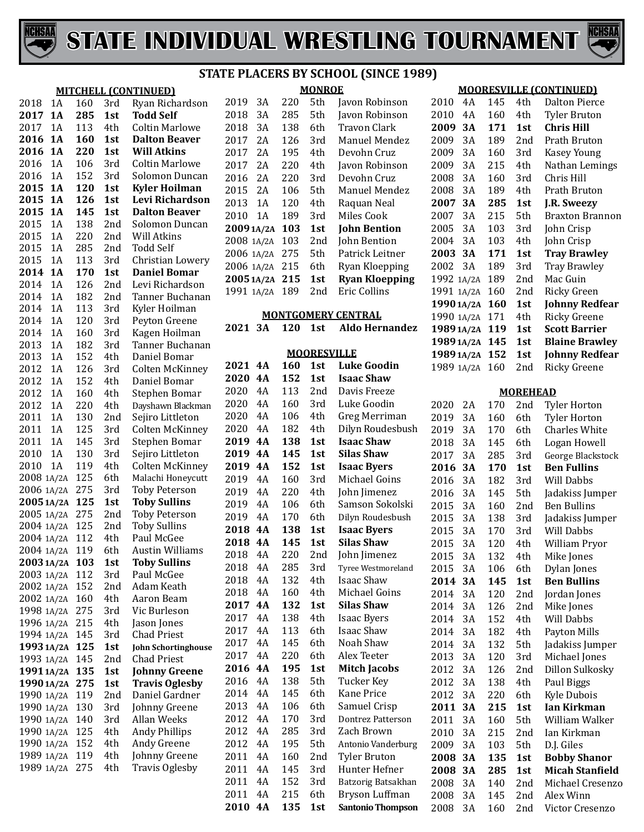



#### **MITCHELL (CONTINUED)**

| 2018       | 1Α    | 160 | 3rd | Ryan Richardson              |
|------------|-------|-----|-----|------------------------------|
| 2017       | 1A    | 285 | 1st | <b>Todd Self</b>             |
| 2017       | 1A    | 113 | 4th | <b>Coltin Marlowe</b>        |
| 2016       | 1A    | 160 | 1st | <b>Dalton Beaver</b>         |
| 2016       | 1A    | 220 |     | <b>Will Atkins</b>           |
|            |       |     | 1st |                              |
| 2016       | 1A    | 106 | 3rd | <b>Coltin Marlowe</b>        |
| 2016       | 1A    | 152 | 3rd | Solomon Duncan               |
| 2015       | 1A    | 120 | 1st | <b>Kyler Hoilman</b>         |
| 2015       | 1A    | 126 | 1st | Levi Richardson              |
| 2015       | 1A    | 145 | 1st | <b>Dalton Beaver</b>         |
| 2015       | 1A    | 138 | 2nd | Solomon Duncan               |
| 2015       | 1A    | 220 | 2nd | Will Atkins                  |
| 2015       | 1A    | 285 | 2nd | <b>Todd Self</b>             |
| 2015       | 1A    | 113 | 3rd | Christian Lowery             |
| 2014       | 1A    | 170 | 1st | <b>Daniel Bomar</b>          |
| 2014       | 1A    | 126 | 2nd | Levi Richardson              |
| 2014       | 1A    | 182 | 2nd | Tanner Buchanan              |
| 2014       | 1A    | 113 | 3rd | Kyler Hoilman                |
| 2014       | 1A    | 120 | 3rd | Peyton Greene                |
| 2014       | 1A    | 160 | 3rd | Kagen Hoilman                |
| 2013       | 1A    | 182 | 3rd | Tanner Buchanan              |
| 2013       | 1A    | 152 | 4th | Daniel Bomar                 |
| 2012       | 1A    | 126 | 3rd | <b>Colten McKinney</b>       |
| 2012       | 1A    | 152 | 4th | Daniel Bomar                 |
| 2012       | 1A    | 160 | 4th | Stephen Bomar                |
| 2012       | 1A    | 220 | 4th | Dayshawn Blackman            |
|            |       |     |     |                              |
| 2011       | 1A    | 130 | 2nd | Sejiro Littleton             |
| 2011       | 1A    | 125 | 3rd | <b>Colten McKinney</b>       |
| 2011       | 1A    | 145 | 3rd | Stephen Bomar                |
| 2010       | 1A    | 130 | 3rd | Sejiro Littleton             |
| 2010       | 1A    | 119 | 4th | Colten McKinney              |
| 2008       | 1A/2A | 125 | 6th | Malachi Honeycutt            |
| 2006       | 1A/2A | 275 | 3rd | <b>Toby Peterson</b>         |
| 20051A/2A  |       | 125 | 1st | <b>Toby Sullins</b>          |
| 2005       | 1A/2A | 275 | 2nd | <b>Toby Peterson</b>         |
| 2004       | 1A/2A | 125 | 2nd | <b>Toby Sullins</b>          |
| 2004 1A/2A |       | 112 | 4th | Paul McGee                   |
| 2004 1A/2A |       | 119 | 6th | <b>Austin Williams</b>       |
| 2003 1A/2A |       | 103 | 1st | <b>Toby Sullins</b>          |
| 2003 1A/2A |       | 112 | 3rd | Paul McGee                   |
| 2002 1A/2A |       | 152 | 2nd | Adam Keath                   |
| 2002 1A/2A |       | 160 | 4th | Aaron Beam                   |
| 1998 1A/2A |       | 275 | 3rd | Vic Burleson                 |
| 1996 1A/2A |       | 215 | 4th | Jason Jones                  |
| 1994 1A/2A |       | 145 | 3rd | <b>Chad Priest</b>           |
| 1993 1A/2A |       | 125 | 1st | <b>John Schortinghouse</b>   |
| 1993 1A/2A |       | 145 | 2nd | <b>Chad Priest</b>           |
| 19911A/2A  |       | 135 | 1st | <b>Johnny Greene</b>         |
| 1990 1A/2A |       | 275 | 1st | <b>Travis Oglesby</b>        |
| 1990 1A/2A |       | 119 | 2nd | Daniel Gardner               |
| 1990       | 1A/2A | 130 | 3rd |                              |
|            |       |     |     | Johnny Greene<br>Allan Weeks |
| 1990       | 1A/2A | 140 | 3rd |                              |
| 1990       | 1A/2A | 125 | 4th | <b>Andy Phillips</b>         |
| 1990       | 1A/2A | 152 | 4th | Andy Greene                  |
| 1989       | 1A/2A | 119 | 4th | Johnny Greene                |
| 1989       | 1A/2A | 275 | 4th | Travis Oglesby               |
|            |       |     |     |                              |

| 2019<br>3A |            | 220 | 5th | Javon Robinson      |                       |
|------------|------------|-----|-----|---------------------|-----------------------|
| 2018<br>3A |            | 285 | 5th | Javon Robinson      |                       |
| 2018<br>3A |            | 138 | 6th | <b>Travon Clark</b> |                       |
|            | 2017       | 2Α  | 126 | 3rd                 | Manuel Mendez         |
|            | 2017       | 2A  | 195 | 4th                 | Devohn Cruz           |
|            | 2017       | 2A  | 220 | 4th                 | Javon Robinson        |
|            | 2016       | 2Α  | 220 | 3rd                 | Devohn Cruz           |
|            | 2015       | 2Α  | 106 | 5th                 | Manuel Mendez         |
|            | 2013       | 1 A | 120 | 4th                 | Raquan Neal           |
|            | 2010       | 1 A | 189 | 3rd                 | Miles Cook            |
|            |            |     |     |                     |                       |
|            | 20091A/2A  |     | 103 | 1st                 | <b>John Bention</b>   |
|            | 2008 1A/2A |     | 103 | 2nd                 | John Bention          |
|            | 2006 1A/2A |     | 275 | 5th                 | Patrick Leitner       |
|            | 2006 1A/2A |     | 215 | 6th                 | Ryan Kloepping        |
|            | 20051A/2A  |     | 215 | 1st                 | <b>Ryan Kloepping</b> |
|            | 1991 1A/2A |     | 189 | 2nd                 | Eric Collins          |

#### **MONTGOMERY CENTRAL**

**3A 120 1st Aldo Hernandez**

#### **MOORESVILLE**

| 2021 | 4Α        | 160 | 1st | <b>Luke Goodin</b>       |
|------|-----------|-----|-----|--------------------------|
| 2020 | 4A        | 152 | 1st | <b>Isaac Shaw</b>        |
| 2020 | 4A        | 113 | 2nd | Davis Freeze             |
| 2020 | 4A        | 160 | 3rd | Luke Goodin              |
| 2020 | 4A        | 106 | 4th | Greg Merriman            |
| 2020 | 4A        | 182 | 4th | Dilyn Roudesbush         |
| 2019 | 4A        | 138 | 1st | <b>Isaac Shaw</b>        |
| 2019 | 4A        | 145 | 1st | <b>Silas Shaw</b>        |
| 2019 | 4A        | 152 | 1st | <b>Isaac Byers</b>       |
| 2019 | 4A        | 160 | 3rd | Michael Goins            |
| 2019 | 4A        | 220 | 4th | John Jimenez             |
| 2019 | 4A        | 106 | 6th | Samson Sokolski          |
| 2019 | 4A        | 170 | 6th | Dilyn Roudesbush         |
| 2018 | 4A        | 138 | 1st | <b>Isaac Byers</b>       |
| 2018 | 4A        | 145 | 1st | <b>Silas Shaw</b>        |
| 2018 | 4A        | 220 | 2nd | John Jimenez             |
| 2018 | 4A        | 285 | 3rd | Tyree Westmoreland       |
| 2018 | 4A        | 132 | 4th | <b>Isaac Shaw</b>        |
| 2018 | 4A        | 160 | 4th | Michael Goins            |
| 2017 | 4A        | 132 | 1st | <b>Silas Shaw</b>        |
| 2017 | 4A        | 138 | 4th | <b>Isaac Byers</b>       |
| 2017 | 4A        | 113 | 6th | Isaac Shaw               |
| 2017 | 4A        | 145 | 6th | Noah Shaw                |
| 2017 | 4A        | 220 | 6th | Alex Teeter              |
| 2016 | <b>4A</b> | 195 | 1st | Mitch Jacobs             |
| 2016 | 4A        | 138 | 5th | <b>Tucker Key</b>        |
| 2014 | 4A        | 145 | 6th | <b>Kane Price</b>        |
| 2013 | 4A        | 106 | 6th | Samuel Crisp             |
| 2012 | 4A        | 170 | 3rd | <b>Dontrez Patterson</b> |
| 2012 | 4A        | 285 | 3rd | Zach Brown               |
| 2012 | 4A        | 195 | 5th | Antonio Vanderburg       |
| 2011 | 4A        | 160 | 2nd | <b>Tyler Bruton</b>      |
| 2011 | 4A        | 145 | 3rd | Hunter Hefner            |
| 2011 | 4A        | 152 | 3rd | Batzorig Batsakhan       |
| 2011 | 4A        | 215 | 6th | Bryson Luffman           |
| 2010 | <b>4A</b> | 135 | 1st | <b>Santonio Thompson</b> |

#### **MOORESVILLE (CONTINUED)**

| 2010       | 4Α | 145 | 4th | Dalton Pierce          |
|------------|----|-----|-----|------------------------|
| 2010       | 4Α | 160 | 4th | <b>Tyler Bruton</b>    |
| 2009       | 3А | 171 | 1st | Chris Hill             |
| 2009       | 3A | 189 | 2nd | Prath Bruton           |
| 2009       | 3Α | 160 | 3rd | Kasey Young            |
| 2009       | 3A | 215 | 4th | Nathan Lemings         |
| 2008       | 3Α | 160 | 3rd | Chris Hill             |
| 2008       | 3A | 189 | 4th | Prath Bruton           |
| 2007       | 3А | 285 | 1st | J.R. Sweezy            |
| 2007       | 3A | 215 | 5th | <b>Braxton Brannon</b> |
| 2005       | 3A | 103 | 3rd | John Crisp             |
| 2004       | 3A | 103 | 4th | John Crisp             |
| 2003       | 3A | 171 | 1st | <b>Tray Brawley</b>    |
| 2002       | 3A | 189 | 3rd | <b>Tray Brawley</b>    |
| 1992 1A/2A |    | 189 | 2nd | Mac Guin               |
| 1991 1A/2A |    | 160 | 2nd | Ricky Green            |
| 1990 1A/2A |    | 160 | 1st | <b>Johnny Redfear</b>  |
| 1990 1A/2A |    | 171 | 4th | <b>Ricky Greene</b>    |
| 1989 1A/2A |    | 119 | 1st | <b>Scott Barrier</b>   |
|            |    |     |     |                        |
| 1989 1A/2A |    | 145 | 1st | <b>Blaine Brawley</b>  |
| 1989 1A/2A |    | 152 | 1st | Johnny Redfear         |
| 1989 1A/2A |    | 160 | 2nd | <b>Ricky Greene</b>    |

#### **MOREHEAD**

| 2020 | 2Α | 170 | 2nd | <b>Tyler Horton</b>    |
|------|----|-----|-----|------------------------|
| 2019 | 3A | 160 | 6th | <b>Tyler Horton</b>    |
| 2019 | 3A | 170 | 6th | <b>Charles White</b>   |
| 2018 | 3A | 145 | 6th | Logan Howell           |
| 2017 | 3A | 285 | 3rd | George Blackstock      |
| 2016 | 3A | 170 | 1st | <b>Ben Fullins</b>     |
| 2016 | 3A | 182 | 3rd | <b>Will Dabbs</b>      |
| 2016 | 3A | 145 | 5th | Jadakiss Jumper        |
| 2015 | 3A | 160 | 2nd | <b>Ben Bullins</b>     |
| 2015 | 3A | 138 | 3rd | Jadakiss Jumper        |
| 2015 | 3A | 170 | 3rd | Will Dabbs             |
| 2015 | 3A | 120 | 4th | William Pryor          |
| 2015 | 3A | 132 | 4th | Mike Jones             |
| 2015 | 3A | 106 | 6th | Dylan Jones            |
| 2014 | 3A | 145 | 1st | <b>Ben Bullins</b>     |
| 2014 | 3A | 120 | 2nd | Jordan Jones           |
| 2014 | 3A | 126 | 2nd | Mike Jones             |
| 2014 | 3A | 152 | 4th | Will Dabbs             |
| 2014 | 3A | 182 | 4th | Payton Mills           |
| 2014 | 3A | 132 | 5th | Jadakiss Jumper        |
| 2013 | 3A | 120 | 3rd | Michael Jones          |
| 2012 | 3A | 126 | 2nd | Dillon Sulkosky        |
| 2012 | 3A | 138 | 4th | Paul Biggs             |
| 2012 | 3A | 220 | 6th | Kyle Dubois            |
| 2011 | 3A | 215 | 1st | Ian Kirkman            |
| 2011 | 3A | 160 | 5th | William Walker         |
| 2010 | 3A | 215 | 2nd | Ian Kirkman            |
| 2009 | 3A | 103 | 5th | D.J. Giles             |
| 2008 | 3А | 135 | 1st | <b>Bobby Shanor</b>    |
| 2008 | 3A | 285 | 1st | <b>Micah Stanfield</b> |
| 2008 | 3A | 140 | 2nd | Michael Cresenzo       |
| 2008 | 3A | 145 | 2nd | Alex Winn              |
| 2008 | 3A | 160 | 2nd | Victor Cresenzo        |
|      |    |     |     |                        |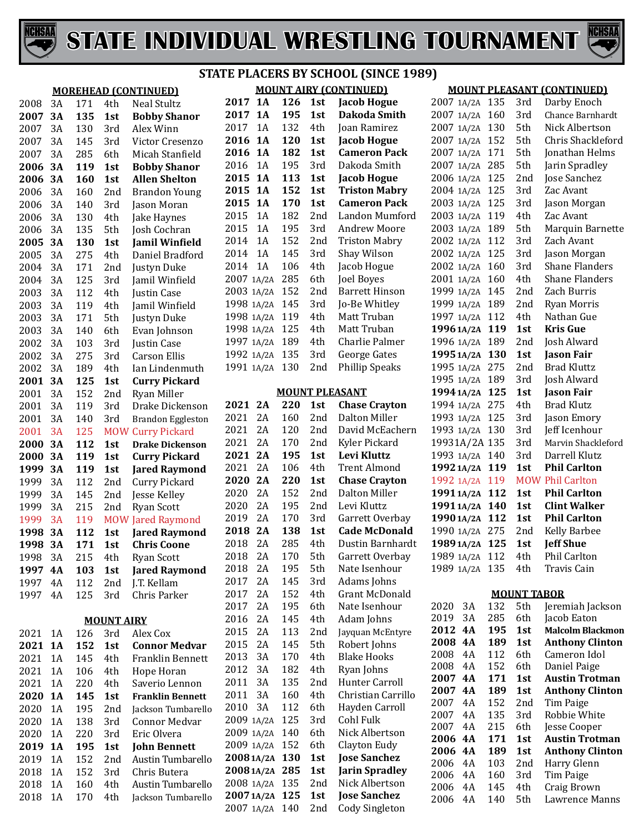



#### **MOREHEAD (CONTINU)** 2008 3A 171 4th Neal St<br>2007 3A 135 1st Bobby **Bobby** 2007 3A 130 3rd Alex W<br>2007 3A 145 3rd Victor 3A 145 3rd Victor Cresenzo 2007 3A 285 6th Micah Stanfield **3A 119 1st Bobby 3A 160 1st Allen S** 2006 3A 160 2nd Brandon 2006 3A 140 3rd Jason 3A 140 3rd Jason Moran 2006 3A 130 4th Jake Haynes 2006 3A 135 5th Josh Co 5th Josh Cochran<br>130 1st Jamil V **2005 3A 130 1st Jamil Winfield** 3A 275 4th Daniel Bradford 2004 3A 171 2nd Justyn<br>2004 3A 125 3rd Iamil V 2004 3A 125 3rd Jamil Winfield 2003 3A 112 4th Justin (2003 3A 119 4th Jamil V 2003 3A 119 4th Jamil V<br>2003 3A 171 5th Justyn 2003 3A 171 5th Justyn<br>2003 3A 140 6th Evan J 2003 3A 140 6th Evan Johnson<br>2002 3A 103 3rd Iustin ( 2002 3A 103 3rd Justin (<br>2002 3A 275 3rd Carson 2002 3A 275 3rd Carson<br>2002 3A 189 4th Ian Lin 189 4th Ian Lindenmuth 125 1st Curry **3A 125 1st Curry Pickard** 2001 3A 152 2nd Ryan M<br>2001 3A 119 3rd Drake 2001 3A 119 3rd Drake 2001 3A 140<br>2001 3A 125 125 MOW Curry l<br>112 1st Drake **3A 112 1st Drake Dickenson 2000 3A 119 1st Curry 3A 119 1st Jared Raymond** 1999 3A 112 2nd Curry I<br>1999 3A 145 2nd Jesse K 1999 3A 145 2nd Jesse K<br>1999 3A 215 2nd Ryan S 1999 3A 215 2nd Ryan S<br>1999 3A 119 MOW Jared F 119 MOW Jared R<br>112 1st Jared I **3A 3A 171 1st Chris C** 1998 3A 215 4th Ryan S<br>**1997 4A 103 1st Jared I 4A 103 1st Jared Raymond** 1997 4A 112 2nd J.T. Kell<br>1997 4A 125 3rd Chris F 1997 4A **MOUNT AIRY** 2021 1A 126 3rd Alex Co<br>2021 1A 152 1st Conno **1A 152 1st Connor Medvar** 2021 1A 145 4th Franklin Bennett<br>2021 1A 106 4th Hope H 2021 1A 106 4th Hope H<br>2021 1A 220 4th Saveric 2021 1A 220 4th Saverio 2020 1A 145 1st Frankli **1A 145 1st Franklin Bennett** 2020 1A 195 2nd Jackson<br>2020 1A 138 3rd Connoi 2020 1A 138 3rd Connor<br>2020 1A 220 3rd Eric Ol 2020 1A 220 3rd Eric Olveral 195 1st John B **1A 195 1st John Bennett**

## **STATE PLACERS BY SCHOOL (SINCE 1989)**

|         |    |     |                   | <b>MOREHEAD (CONTINUED)</b> |                |     |     | <b>MOUNT AIRY (CONTINUED)</b> |                 |    |            |                    | <b>MOUNT PLEASANT (CONTINUED)</b>     |
|---------|----|-----|-------------------|-----------------------------|----------------|-----|-----|-------------------------------|-----------------|----|------------|--------------------|---------------------------------------|
| 2008    | 3A | 171 | 4th               | Neal Stultz                 | 2017 1A        | 126 | 1st | <b>Jacob Hogue</b>            | 2007 1A/2A 135  |    |            | 3rd                | Darby Enoch                           |
| 2007    | 3A | 135 | 1st               | <b>Bobby Shanor</b>         | 2017 1A        | 195 | 1st | Dakoda Smith                  | 2007 1A/2A 160  |    |            | 3rd                | Chance Barnhardt                      |
| 2007    | 3A | 130 | 3rd               | Alex Winn                   | 2017 1A        | 132 | 4th | Joan Ramirez                  | 2007 1A/2A 130  |    |            | 5th                | Nick Albertson                        |
| 2007    | 3A | 145 | 3rd               | Victor Cresenzo             | 2016 1A        | 120 | 1st | <b>Jacob Hogue</b>            | 2007 1A/2A 152  |    |            | 5th                | Chris Shackleford                     |
| 2007    | 3A | 285 | 6th               | Micah Stanfield             | 2016 1A        | 182 | 1st | <b>Cameron Pack</b>           | 2007 1A/2A 171  |    |            | 5th                | Jonathan Helms                        |
| 2006    | 3A | 119 | 1st               | <b>Bobby Shanor</b>         | 2016<br>1A     | 195 | 3rd | Dakoda Smith                  | 2007 1A/2A 285  |    |            | 5th                | Jarin Spradley                        |
| 2006    | 3A | 160 | 1st               | <b>Allen Shelton</b>        | 2015 1A        | 113 | 1st | <b>Jacob Hogue</b>            | 2006 1A/2A 125  |    |            | 2nd                | Jose Sanchez                          |
| 2006    | 3A | 160 | 2nd               | <b>Brandon Young</b>        | 2015 1A        | 152 | 1st | <b>Triston Mabry</b>          | 2004 1A/2A 125  |    |            | 3rd                | Zac Avant                             |
| 2006    | 3A | 140 | 3rd               | Jason Moran                 | 2015 1A        | 170 | 1st | <b>Cameron Pack</b>           | 2003 1A/2A 125  |    |            | 3rd                | Jason Morgan                          |
| 2006    | 3A | 130 | 4th               | Jake Haynes                 | 1A<br>2015     | 182 | 2nd | Landon Mumford                | 2003 1A/2A 119  |    |            | 4th                | Zac Avant                             |
| 2006    | 3A | 135 | 5th               | Josh Cochran                | 1A<br>2015     | 195 | 3rd | <b>Andrew Moore</b>           | 2003 1A/2A 189  |    |            | 5th                | Marquin Barnette                      |
| 2005    | 3A | 130 | 1st               | <b>Jamil Winfield</b>       | 2014<br>1A     | 152 | 2nd | <b>Triston Mabry</b>          | 2002 1A/2A 112  |    |            | 3rd                | Zach Avant                            |
| 2005    | 3A | 275 | 4th               | Daniel Bradford             | 2014<br>1A     | 145 | 3rd | Shay Wilson                   | 2002 1A/2A 125  |    |            | 3rd                | Jason Morgan                          |
| 2004    | 3A | 171 | 2 <sub>nd</sub>   | Justyn Duke                 | 1A<br>2014     | 106 | 4th | Jacob Hogue                   | 2002 1A/2A 160  |    |            | 3rd                | <b>Shane Flanders</b>                 |
| 2004    | 3A | 125 | 3rd               | Jamil Winfield              | 2007 1A/2A     | 285 | 6th | Joel Boyes                    | 2001 1A/2A 160  |    |            | 4th                | <b>Shane Flanders</b>                 |
| 2003    | 3A | 112 | 4th               | Justin Case                 | 2003 1A/2A 152 |     | 2nd | <b>Barrett Hinson</b>         | 1999 1A/2A 145  |    |            | 2nd                | Zach Burris                           |
| 2003    | 3A | 119 | 4th               | Jamil Winfield              | 1998 1A/2A 145 |     | 3rd | Jo-Be Whitley                 | 1999 1A/2A 189  |    |            | 2nd                | Ryan Morris                           |
| 2003    | 3A | 171 | 5th               | Justyn Duke                 | 1998 1A/2A 119 |     | 4th | Matt Truban                   | 1997 1A/2A 112  |    |            | 4th                | Nathan Gue                            |
| 2003    | 3A | 140 | 6th               | Evan Johnson                | 1998 1A/2A 125 |     | 4th | Matt Truban                   | 19961A/2A 119   |    |            | 1st                | <b>Kris Gue</b>                       |
| 2002    | 3A | 103 | 3rd               | Justin Case                 | 1997 1A/2A 189 |     | 4th | Charlie Palmer                | 1996 1A/2A 189  |    |            | 2nd                | Josh Alward                           |
| 2002    | 3A | 275 | 3rd               | <b>Carson Ellis</b>         | 1992 1A/2A 135 |     | 3rd | George Gates                  | 19951A/2A 130   |    |            | 1st                | <b>Jason Fair</b>                     |
| 2002    | 3A | 189 | 4th               | Ian Lindenmuth              | 1991 1A/2A 130 |     | 2nd | <b>Phillip Speaks</b>         | 1995 1A/2A 275  |    |            | 2nd                | <b>Brad Kluttz</b>                    |
| 2001    | 3A | 125 | 1st               | <b>Curry Pickard</b>        |                |     |     |                               | 1995 1A/2A 189  |    |            | 3rd                | Josh Alward                           |
| 2001    | 3A | 152 | 2 <sub>nd</sub>   | Ryan Miller                 |                |     |     | <b>MOUNT PLEASANT</b>         | 1994 1A/2A 125  |    |            | 1st                | <b>Jason Fair</b>                     |
| 2001    | 3A | 119 | 3rd               | Drake Dickenson             | 2021 2A        | 220 | 1st | <b>Chase Crayton</b>          | 1994 1A/2A 275  |    |            | 4th                | <b>Brad Klutz</b>                     |
| 2001    | 3A | 140 | 3rd               | <b>Brandon Eggleston</b>    | 2021 2A        | 160 | 2nd | Dalton Miller                 | 1993 1A/2A 125  |    |            | 3rd                | Jason Emory                           |
| 2001    | 3A | 125 |                   | <b>MOW Curry Pickard</b>    | 2021 2A        | 120 | 2nd | David McEachern               | 1993 1A/2A 130  |    |            | 3rd                | Jeff Icenhour                         |
| 2000    | 3A | 112 | 1st               | <b>Drake Dickenson</b>      | 2021<br>2A     | 170 | 2nd | Kyler Pickard                 | 19931A/2A 135   |    |            | 3rd                | Marvin Shackleford                    |
| 2000    | 3A | 119 | 1st               | <b>Curry Pickard</b>        | 2021 2A        | 195 | 1st | Levi Kluttz                   | 1993 1A/2A 140  |    |            | 3rd                | Darrell Klutz                         |
| 1999    | 3A | 119 | 1st               | <b>Jared Raymond</b>        | 2021<br>2A     | 106 | 4th | <b>Trent Almond</b>           | 1992 1A/2A 119  |    |            | 1st                | <b>Phil Carlton</b>                   |
| 1999    | 3A | 112 | 2nd               | <b>Curry Pickard</b>        | 2020 2A        | 220 | 1st | <b>Chase Crayton</b>          | 1992 1A/2A 119  |    |            |                    | <b>MOW Phil Carlton</b>               |
| 1999    | 3A | 145 | 2nd               | Jesse Kelley                | 2020<br>2A     | 152 | 2nd | Dalton Miller                 | 19911A/2A 112   |    |            | 1st                | <b>Phil Carlton</b>                   |
| 1999    | 3A | 215 | 2nd               | <b>Ryan Scott</b>           | 2020<br>2A     | 195 | 2nd | Levi Kluttz                   | 19911A/2A 140   |    |            | 1st                | <b>Clint Walker</b>                   |
| 1999    | 3A | 119 |                   | <b>MOW Jared Raymond</b>    | 2A<br>2019     | 170 | 3rd | Garrett Overbay               | 1990 1A/2A 112  |    |            | 1st                | <b>Phil Carlton</b>                   |
| 1998    | 3A | 112 | 1st               | <b>Jared Raymond</b>        | 2018<br>2A     | 138 | 1st | <b>Cade McDonald</b>          | 1990 1A/2A 275  |    |            | 2 <sub>nd</sub>    | <b>Kelly Barbee</b>                   |
| 1998 3A |    | 171 | 1st               | <b>Chris Coone</b>          | 2018<br>2A     | 285 | 4th | Dustin Barnhardt              | 1989 1A/2A 125  |    |            | 1st                | <b>Jeff Shue</b>                      |
| 1998    | 3A | 215 | 4th               | Ryan Scott                  | 2018<br>2A     | 170 | 5th | Garrett Overbay               | 1989 1A/2A 112  |    |            | 4th                | <b>Phil Carlton</b>                   |
| 1997 4A |    | 103 | 1st               | <b>Jared Raymond</b>        | 2018<br>2A     | 195 | 5th | Nate Isenhour                 | 1989 1A/2A 135  |    |            | 4th                | Travis Cain                           |
| 1997 4A |    | 112 | 2nd               | J.T. Kellam                 | 2A<br>2017     | 145 | 3rd | Adams Johns                   |                 |    |            |                    |                                       |
| 1997 4A |    | 125 | 3rd               | Chris Parker                | 2A<br>2017     | 152 | 4th | <b>Grant McDonald</b>         |                 |    |            | <b>MOUNT TABOR</b> |                                       |
|         |    |     |                   |                             | 2A<br>2017     | 195 | 6th | Nate Isenhour                 | 2020            | 3A | 132        | 5th                | Jeremiah Jackson                      |
|         |    |     | <b>MOUNT AIRY</b> |                             | 2A<br>2016     | 145 | 4th | Adam Johns                    | 2019            | 3A | 285        | 6th                | Jacob Eaton                           |
| 2021 1A |    | 126 | 3rd               | Alex Cox                    | 2A<br>2015     | 113 | 2nd | Jayquan McEntyre              | 2012 4A         |    | 195        | 1st                | <b>Malcolm Blackmon</b>               |
| 2021 1A |    | 152 | 1st               | <b>Connor Medvar</b>        | 2A<br>2015     | 145 | 5th | Robert Johns                  | 2008 4A         |    | 189        | 1st                | <b>Anthony Clinton</b>                |
| 2021    | 1A | 145 | 4th               | Franklin Bennett            | 2013<br>3A     | 170 | 4th | <b>Blake Hooks</b>            | 2008            | 4A | 112        | 6th                | Cameron Idol                          |
| 2021    | 1A | 106 | 4th               | Hope Horan                  | 2012<br>3A     | 182 | 4th | Ryan Johns                    | 2008<br>2007 4A | 4A | 152<br>171 | 6th<br>1st         | Daniel Paige<br><b>Austin Trotman</b> |
| 2021    | 1A | 220 | 4th               | Saverio Lennon              | 3A<br>2011     | 135 | 2nd | Hunter Carroll                | 2007 4A         |    | 189        | 1st                | <b>Anthony Clinton</b>                |
| 2020 1A |    | 145 | 1st               | <b>Franklin Bennett</b>     | 3A<br>2011     | 160 | 4th | Christian Carrillo            | 2007            | 4A | 152        | 2nd                | Tim Paige                             |
| 2020    | 1A | 195 | 2nd               | Jackson Tumbarello          | 3A<br>2010     | 112 | 6th | Hayden Carroll                | 2007            | 4A | 135        | 3rd                | Robbie White                          |
| 2020    | 1A | 138 | 3rd               | Connor Medvar               | 2009 1A/2A 125 |     | 3rd | Cohl Fulk                     | 2007            | 4A | 215        | 6th                | Jesse Cooper                          |
| 2020    | 1A | 220 | 3rd               | Eric Olvera                 | 2009 1A/2A 140 |     | 6th | Nick Albertson                | 2006 4A         |    | 171        | 1st                | <b>Austin Trotman</b>                 |
| 2019 1A |    | 195 | 1st               | <b>John Bennett</b>         | 2009 1A/2A 152 |     | 6th | Clayton Eudy                  | 2006 4A         |    | 189        | 1st                | <b>Anthony Clinton</b>                |
| 2019    | 1A | 152 | 2nd               | Austin Tumbarello           | 20081A/2A 130  |     | 1st | <b>Jose Sanchez</b>           | 2006            | 4A | 103        | 2nd                | Harry Glenn                           |
| 2018    | 1A | 152 | 3rd               | Chris Butera                | 2008 1A/2A 285 |     | 1st | <b>Jarin Spradley</b>         | 2006            | 4A | 160        | 3rd                | Tim Paige                             |
| 2018    | 1A | 160 | 4th               | Austin Tumbarello           | 2008 1A/2A 135 |     | 2nd | Nick Albertson                | 2006            | 4A | 145        | 4th                | Craig Brown                           |
| 2018    | 1A | 170 | 4th               | Jackson Tumbarello          | 2007 1A/2A 125 |     | 1st | <b>Jose Sanchez</b>           | 2006            | 4A | 140        | 5th                | Lawrence Manns                        |
|         |    |     |                   |                             | 2007 1A/2A 140 |     | 2nd | Cody Singleton                |                 |    |            |                    |                                       |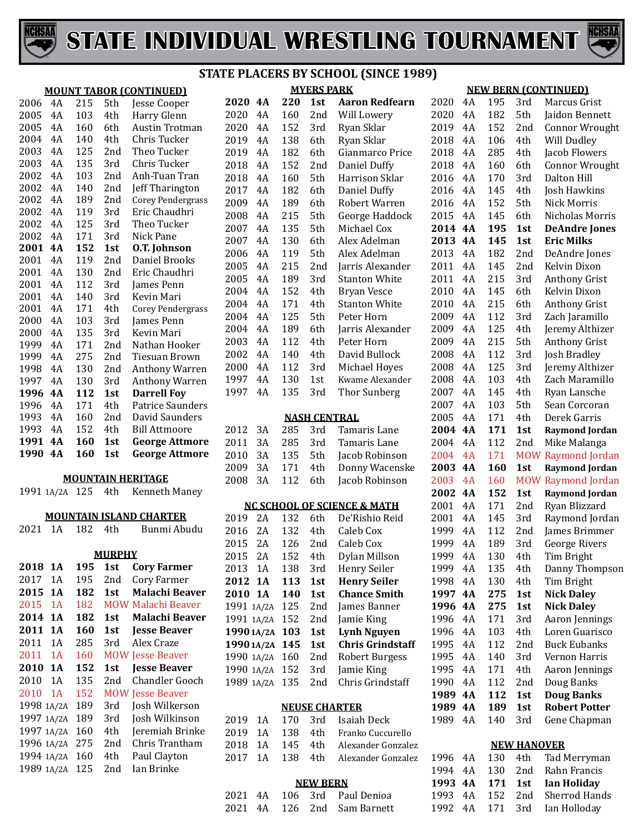



#### **MOUNT TABOR (CONTINUED)** 4A 215 5th Jesse Cooper 4A 103 4th Harry Glenn 2005 4A 160 6th Austin Trotman<br>2004 4A 140 4th Chris Tucker 4A 140 4th Chris Tucker 4A 125 2nd Theo Tucker 4A 135 3rd Chris Tucker 4A 103 2nd Anh-Tuan Tran 2002 4A 140 2nd Jeff Tharington<br>2002 4A 189 2nd Corev-Pendergras 2002 4A 189 2nd Corey Pendergras<br>2002 4A 119 3rd Eric Chaudhri 4A 119 3rd Eric Chaudhri 4A 125 3rd Theo Tucker 2002 4A 171 3rd Nick Pane<br>2001 4A 152 1st 0.T. Johns **4A 152 1st O.T. Johnson** 4A 119 2nd Daniel Brooks 4A 130 2nd Eric Chaudhri 4A 112 3rd James Penn 4A 140 3rd Kevin Mari 2001 4A 171 4th Corey Pendergras<br>2000 4A 103 3rd James Penn 4A 103 3rd James Penn 4A 135 3rd Kevin Mari 4A 171 2nd Nathan Hooker 4A 275 2nd Tiesuan Brown 1998 4A 130 2nd Anthony Warren<br>1997 4A 130 3rd Anthony Warren 1997 4A 130 3rd Anthony Warren<br>1996 4A 112 1st Darrell Foy **1995 102 103 103 103 103 103 103 103 103 103 103 103 103 103 103 103 103 103 103 103 103 103 103 103 103 103 103 103 103 103 103 103 103 103 103** 1996 4A 171 4th Patrice Saunder<br>1993 4A 160 2nd David Saunders 4A 160 2nd David Saunders 1993 4A 152 4th Bill Attmoore<br>**1991 4A 160 1st George Attm**o **4A 160 1st George Attmore 4A 160 1st George Attmore MOUNTAIN HERITAGE** 1A/2A 125 4th Kenneth Maney **MOUNTAIN ISLAND CHARTER** 1A 182 4th Bunmi Abudu **MURPHY 1A 195 1st Cory Farmer** 2017 1A 195 2nd Cory Farmer<br>2015 1A 182 1st Malachi Bea **1A 182 1st Malachi Beaver** 2015 1A 182 MOW Malachi Beaver<br>2014 1A 182 1st Malachi Beave **1A 182 1st Malachi Beaver 1A 160 1st Jesse Beaver** 2011 1A 285 3rd Alex Craze<br>2011 1A 160 MOW Jesse Beave 2011 1A 160 MOW Jesse Beaver<br>2010 1A 152 1st Jesse Beaver **1A 152 1st Jesse Beaver** 2010 1A 135 2nd Chandler Gooch<br>2010 1A 152 MOW Jesse Beaver 1A 152 MOW Jesse Beaver 1A/2A 189 3rd Josh Wilkerson 1997 1A/2A 189 3rd<br>1997 1A/2A 160 4th 4th Jeremiah Brinke<br>2nd Chris Trantham 1996 1A/2A 275 2nd Chris Tranth<br>1994 1A/2A 160 4th Paul Clayton 1994 1A/2A 160 4th Paul Clayton<br>1989 1A/2A 125 2nd Ian Brinke 1989 1A/2A 125 **MYERS PARK NASH CENTRAL NEUSE CHARTER NEW BERN** 4A 126 2nd Sam Barnett

|    |        |           |     |                   | VIDUAL WRESTLING TOUI                       |      |              |
|----|--------|-----------|-----|-------------------|---------------------------------------------|------|--------------|
|    |        |           |     |                   | <b>STATE PLACERS BY SCHOOL (SINCE 1989)</b> |      |              |
|    |        |           |     | <b>MYERS PARK</b> |                                             |      | $\mathbf{M}$ |
|    | 2020   | <b>4A</b> | 220 | 1st               | <b>Aaron Redfearn</b>                       | 2020 | 4A           |
|    | 2020   | 4A        | 160 | 2nd               | Will Lowery                                 | 2020 | 4A           |
| ı  | 2020   | 4A        | 152 | 3rd               | Ryan Sklar                                  | 2019 | 4A           |
|    | 2019   | 4A        | 138 | 6th               | Ryan Sklar                                  | 2018 | 4A           |
|    | 2019   | 4A        | 182 | 6th               | Gianmarco Price                             | 2018 | 4A           |
|    | 2018   | 4A        | 152 | 2nd               | Daniel Duffy                                | 2018 | 4A           |
|    | 2018   | 4A        | 160 | 5th               | Harrison Sklar                              | 2016 | 4A           |
|    | 2017   | 4A        | 182 | 6th               | Daniel Duffy                                | 2016 | 4A           |
| SS | 2009   | 4A        | 189 | 6th               | Robert Warren                               | 2016 | 4A           |
|    | 2008   | 4A        | 215 | 5th               | George Haddock                              | 2015 | 4A           |
|    | 2007   | 4A        | 135 | 5th               | Michael Cox                                 | 2014 | <b>4A</b>    |
|    | 2007   | 4A        | 130 | 6th               | Alex Adelman                                | 2013 | <b>4A</b>    |
|    | 2006   | 4A        | 119 | 5th               | Alex Adelman                                | 2013 | 4A           |
|    | 2005   | 4A        | 215 | 2nd               | Jarris Alexander                            | 2011 | 4A           |
|    | 2005   | 4A        | 189 | 3rd               | <b>Stanton White</b>                        | 2011 | 4A           |
|    | 2004   | 4A        | 152 | 4th               | <b>Bryan Vesce</b>                          | 2010 | 4A           |
| SS | 2004   | 4A        | 171 | 4th               | <b>Stanton White</b>                        | 2010 | 4A           |
|    | 2004   | 4A        | 125 | 5th               | Peter Horn                                  | 2009 | 4A           |
|    | 2004   | 4A        | 189 | 6th               | Jarris Alexander                            | 2009 | 4A           |
|    | 2003   | 4A        | 112 | 4th               | Peter Horn                                  | 2009 | 4A           |
|    | 2002   | 4A        | 140 | 4th               | David Bullock                               | 2008 | 4A           |
| 'n | 2000   | 4A        | 112 | 3rd               | Michael Hoyes                               | 2008 | 4A           |
| 'n | 1997   | 4A        | 130 | 1st               | Kwame Alexander                             | 2008 | 4A           |
|    | 1997   | 4A        | 135 | 3rd               | Thor Sunberg                                | 2007 | 4A           |
| rs |        |           |     |                   |                                             | 2007 | 4A           |
| S  |        |           |     |                   | <b>NASH CENTRAL</b>                         | 2005 | 4A           |
|    | 2012   | 3A        | 285 | 3rd               | Tamaris Lane                                | 2004 | <b>4A</b>    |
| re | 2011   | 3A        | 285 | 3rd               | Tamaris Lane                                | 2004 | 4A           |
| re | 2010   | 3A        | 135 | 5th               | Jacob Robinson                              | 2004 | 4A           |
|    | 2009   | 3A        | 171 | 4th               | Donny Wacenske                              | 2003 | <b>4A</b>    |
|    | 2008   | 3A        | 112 | 6th               | Jacob Robinson                              | 2003 | 4A           |
| T  |        |           |     |                   |                                             | 2002 | <b>4A</b>    |
|    |        |           |     |                   | <b>NC SCHOOL OF SCIENCE &amp; MATH</b>      | 2001 | 4A           |
|    | 2019   | 2A        | 132 | 6th               | De'Rishio Reid                              | 2001 | 4A           |
| ū  | 2016 - | 2A        | 132 | 4th –             | Caleb Cox                                   | 1999 | 4Α           |

| 2016       | 2 A | 132 | 4th             | Caleb Cox           |
|------------|-----|-----|-----------------|---------------------|
| 2015       | 2 A | 126 | 2 <sub>nd</sub> | Caleb Cox           |
| 2015       | 2 A | 152 | 4th             | Dylan Millson       |
| 2013       | 1 A | 138 | 3rd             | Henry Seiler        |
| 2012 1A    |     | 113 | 1st             | <b>Henry Seiler</b> |
| 2010       | 1 A | 140 | 1st             | <b>Chance Smith</b> |
| 1991 1A/2A |     | 125 | 2 <sub>nd</sub> | James Banner        |
| 1991 1A/2A |     | 152 | 2 <sub>nd</sub> | Jamie King          |
| 1990 1A/2A |     | 103 | 1st             | <b>Lynh Nguyen</b>  |
| 1990 1A/2A |     | 145 | 1st             | Chris Grindstaff    |
| 1990 1A/2A |     | 160 | 2nd             | Robert Burgess      |
| 1990 1A/2A |     | 152 | 3rd             | Jamie King          |
| 1989 1A/2A |     | 135 | 2nd             | Chris Grindstaff    |
|            |     |     |                 |                     |

|  |  | 2019 1A 170 3rd Isaiah Deck        |
|--|--|------------------------------------|
|  |  | 2019 1A 138 4th Franko Cuccurello  |
|  |  | 2018 1A 145 4th Alexander Gonzalez |
|  |  | 2017 1A 138 4th Alexander-Gonzalez |
|  |  |                                    |

|  |  | 2021 4A 106 3rd PaulDenioa  |
|--|--|-----------------------------|
|  |  | 2021 4A 126 2nd Sam-Barnett |

#### **NEW BERN (CONTINUED)** 195 3rd Marcus Grist

| 2020 | 4Α | 182 | 5th                | Jaidon Bennett        |
|------|----|-----|--------------------|-----------------------|
| 2019 | 4A | 152 | 2nd                | Connor Wrought        |
| 2018 | 4A | 106 | 4th                | Will Dudley           |
| 2018 | 4A | 285 | 4th                | Jacob Flowers         |
| 2018 | 4Α | 160 | 6th                | <b>Connor Wrought</b> |
| 2016 | 4Α | 170 | 3rd                | Dalton Hill           |
| 2016 | 4Α | 145 | 4th                | Josh Hawkins          |
| 2016 | 4Α | 152 | 5th                | Nick Morris           |
| 2015 | 4Α | 145 | 6th                | Nicholas Morris       |
| 2014 | 4A | 195 | 1st                | <b>DeAndre Jones</b>  |
| 2013 | 4A | 145 | 1st                | <b>Eric Milks</b>     |
| 2013 | 4A | 182 | 2nd                | DeAndre Jones         |
| 2011 | 4A | 145 | 2nd                | Kelvin Dixon          |
| 2011 | 4Α | 215 | 3rd                | <b>Anthony Grist</b>  |
| 2010 | 4Α | 145 | 6th                | Kelvin Dixon          |
| 2010 | 4Α | 215 | 6th                | <b>Anthony Grist</b>  |
| 2009 | 4A | 112 | 3rd                | Zach Jaramillo        |
| 2009 | 4A | 125 | 4th                | Jeremy Althizer       |
| 2009 | 4A | 215 | 5th                | <b>Anthony Grist</b>  |
| 2008 | 4A | 112 | 3rd                | Josh Bradley          |
| 2008 | 4Α | 125 | 3rd                | Jeremy Althizer       |
| 2008 | 4Α | 103 | 4th                | Zach Maramillo        |
| 2007 | 4Α | 145 | 4th                | Ryan Lansche          |
| 2007 | 4Α | 103 | 5th                | Sean Corcoran         |
| 2005 | 4Α | 171 | 4th                | Derek Garris          |
| 2004 | 4A | 171 | 1st                | <b>Raymond Jordan</b> |
| 2004 | 4Α | 112 | 2nd                | Mike Malanga          |
| 2004 | 4A | 171 | <b>MOW</b>         | Raymond Jordan        |
| 2003 | 4A | 160 | 1st                | <b>Raymond Jordan</b> |
| 2003 | 4A | 160 | <b>MOW</b>         | Raymond Jordan        |
| 2002 | 4A | 152 | 1st                | <b>Raymond Jordan</b> |
| 2001 | 4A | 171 | 2nd                | Ryan Blizzard         |
| 2001 | 4A | 145 | 3rd                | Raymond Jordan        |
| 1999 | 4A | 112 | 2nd                | James Brimmer         |
| 1999 | 4A | 189 | 3rd                | George Rivers         |
| 1999 | 4Α | 130 | 4th                | Tim Bright            |
| 1999 | 4Α | 135 | 4th                | Danny Thompson        |
| 1998 | 4A | 130 | 4th                | Tim Bright            |
| 1997 | 4А | 275 | 1st                | <b>Nick Daley</b>     |
| 1996 | 4A | 275 | 1st                | <b>Nick Daley</b>     |
| 1996 | 4A | 171 | 3rd                | Aaron Jennings        |
| 1996 | 4A | 103 | 4th                | Loren Guarisco        |
| 1995 | 4A | 112 | 2nd                | <b>Buck Eubanks</b>   |
| 1995 | 4A | 140 | 3rd                | Vernon Harris         |
| 1995 | 4A | 171 | 4th                | Aaron Jennings        |
| 1990 | 4A | 112 | 2nd                | Doug Banks            |
| 1989 | 4A | 112 | 1st                | <b>Doug Banks</b>     |
| 1989 | 4A | 189 | 1st                | <b>Robert Potter</b>  |
| 1989 | 4A | 140 | 3rd                | Gene Chapman          |
|      |    |     | <b>NEW HANOVER</b> |                       |
| 1996 | 4A | 130 | 4th                | Tad Merryman          |
| 1994 | 4A | 130 | 2nd                | Rahn Francis          |
| 1993 | 4A | 171 | 1st                | <b>Ian Holidav</b>    |

**4A 171 1st Ian Holiday**

Ian Holloday

4A 152 2nd Sherrod Hands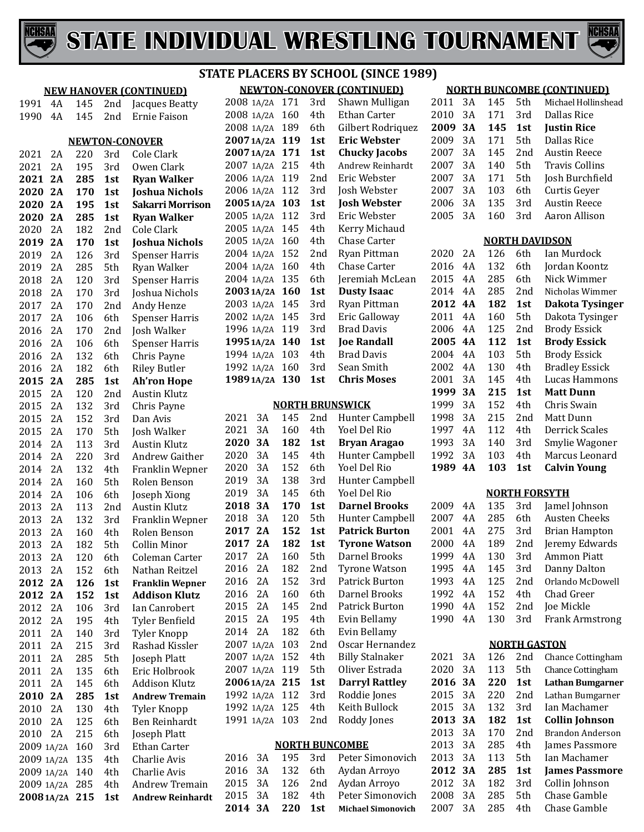



#### **NEWTON-CONOVER (CONTINUED) STATE PLACERS BY SCHOOL (SINCE 1989)**

|            | <b>NEW HANOVER (CONTINUED)</b> |     |     |                         |  |
|------------|--------------------------------|-----|-----|-------------------------|--|
| 1991       | 4A                             | 145 | 2nd | Jacques Beatty          |  |
| 1990       | 4A                             | 145 | 2nd | <b>Ernie Faison</b>     |  |
|            |                                |     |     |                         |  |
|            |                                |     |     | <b>NEWTON-CONOVER</b>   |  |
| 2021       | 2A                             | 220 | 3rd | Cole Clark              |  |
| 2021       | 2A                             | 195 | 3rd | Owen Clark              |  |
| 2021       | 2A                             | 285 | 1st | <b>Ryan Walker</b>      |  |
| 2020       | 2A                             | 170 | 1st | <b>Joshua Nichols</b>   |  |
| 2020       | 2A                             | 195 | 1st | Sakarri Morrison        |  |
| 2020       | 2A                             | 285 | 1st | <b>Ryan Walker</b>      |  |
| 2020       | 2A                             | 182 | 2nd | Cole Clark              |  |
| 2019       | 2A                             | 170 | 1st | <b>Joshua Nichols</b>   |  |
| 2019       | 2A                             | 126 | 3rd | <b>Spenser Harris</b>   |  |
| 2019       | 2A                             | 285 | 5th | Ryan Walker             |  |
| 2018       | 2A                             | 120 | 3rd | Spenser Harris          |  |
| 2018       | 2A                             | 170 | 3rd | Joshua Nichols          |  |
| 2017       | 2A                             | 170 | 2nd | Andy Henze              |  |
| 2017       | 2A                             | 106 | 6th | <b>Spenser Harris</b>   |  |
| 2016       | 2A                             | 170 | 2nd | Josh Walker             |  |
| 2016       | 2A                             | 106 | 6th | <b>Spenser Harris</b>   |  |
| 2016       | 2A                             | 132 | 6th | Chris Payne             |  |
| 2016       | 2A                             | 182 | 6th | <b>Riley Butler</b>     |  |
| 2015       | 2A                             | 285 | 1st | <b>Ah'ron Hope</b>      |  |
| 2015       | 2A                             | 120 | 2nd | <b>Austin Klutz</b>     |  |
| 2015       | 2A                             | 132 | 3rd | Chris Payne             |  |
| 2015       | 2A                             | 152 | 3rd | Dan Avis                |  |
| 2015       | 2A                             | 170 | 5th | Josh Walker             |  |
| 2014       | 2A                             | 113 | 3rd | <b>Austin Klutz</b>     |  |
| 2014       | 2A                             | 220 | 3rd | Andrew Gaither          |  |
| 2014       | 2A                             | 132 | 4th | Franklin Wepner         |  |
| 2014       | 2A                             | 160 | 5th | Rolen Benson            |  |
| 2014       | 2A                             | 106 | 6th | Joseph Xiong            |  |
| 2013       | 2A                             | 113 | 2nd | <b>Austin Klutz</b>     |  |
| 2013       | 2A                             | 132 | 3rd | Franklin Wepner         |  |
| 2013       | 2A                             | 160 | 4th | Rolen Benson            |  |
| 2013       | 2A                             | 182 | 5th | Collin Minor            |  |
| 2013       | 2A                             | 120 | 6th | Coleman Carter          |  |
| 2013       | 2A                             | 152 | 6th | Nathan Reitzel          |  |
| 2012       | 2A                             | 126 | 1st | <b>Franklin Wepner</b>  |  |
| 2012       | 2A                             | 152 | 1st | <b>Addison Klutz</b>    |  |
| 2012       | 2A                             | 106 | 3rd | Ian Canrobert           |  |
| 2012       | 2A                             | 195 | 4th | Tyler Benfield          |  |
| 2011       | 2A                             | 140 | 3rd | Tyler Knopp             |  |
| 2011       | 2Α                             | 215 | 3rd | Rashad Kissler          |  |
| 2011       | 2Α                             | 285 | 5th | Joseph Platt            |  |
| 2011       | 2Α                             | 135 | 6th | Eric Holbrook           |  |
| 2011       | 2Α                             | 145 | 6th | <b>Addison Klutz</b>    |  |
| 2010       | 2A                             | 285 | 1st | <b>Andrew Tremain</b>   |  |
| 2010       | 2A                             | 130 | 4th | Tyler Knopp             |  |
| 2010       | 2A                             | 125 | 6th | <b>Ben Reinhardt</b>    |  |
| 2010       | 2A                             | 215 | 6th | Joseph Platt            |  |
| 2009       | 1A/2A                          | 160 | 3rd | Ethan Carter            |  |
| 2009       | 1A/2A                          | 135 | 4th | Charlie Avis            |  |
| 2009       | 1A/2A                          | 140 | 4th | Charlie Avis            |  |
| 2009       | 1A/2A                          | 285 | 4th | <b>Andrew Tremain</b>   |  |
| 2008 1A/2A |                                | 215 | 1st | <b>Andrew Reinhardt</b> |  |

| 2008 1A/2A | 171 | 3rd | Shawn Mulligan      |
|------------|-----|-----|---------------------|
| 2008 1A/2A | 160 | 4th | Ethan Carter        |
| 2008 1A/2A | 189 | 6th | Gilbert Rodriquez   |
| 20071A/2A  | 119 | 1st | <b>Eric Webster</b> |
| 20071A/2A  | 171 | 1st | Chucky Jacobs       |
| 2007 1A/2A | 215 | 4th | Andrew Reinhardt    |
| 2006 1A/2A | 119 | 2nd | Eric Webster        |
| 2006 1A/2A | 112 | 3rd | Josh Webster        |
| 20051A/2A  | 103 | 1st | <b>Josh Webster</b> |
| 2005 1A/2A | 112 | 3rd | Eric Webster        |
| 2005 1A/2A | 145 | 4th | Kerry Michaud       |
| 2005 1A/2A | 160 | 4th | <b>Chase Carter</b> |
| 2004 1A/2A | 152 | 2nd | Ryan Pittman        |
| 2004 1A/2A | 160 | 4th | Chase Carter        |
| 2004 1A/2A | 135 | 6th | Jeremiah McLean     |
| 2003 1A/2A | 160 | 1st | <b>Dusty Isaac</b>  |
| 2003 1A/2A | 145 | 3rd | Ryan Pittman        |
| 2002 1A/2A | 145 | 3rd | Eric Galloway       |
| 1996 1A/2A | 119 | 3rd | Brad Davis          |
| 1995 1A/2A | 140 | 1st | <b>Joe Randall</b>  |
| 1994 1A/2A | 103 | 4th | Brad Davis          |
| 1992 1A/2A | 160 | 3rd | Sean Smith          |
| 1989 1A/2A | 130 | 1st | <b>Chris Moses</b>  |
|            |     |     |                     |

#### **NORTH BRUNSWICK**

| 2021       | 3A    | 145 | 2nd | Hunter Campbell        |
|------------|-------|-----|-----|------------------------|
| 2021       | 3Α    | 160 | 4th | Yoel Del Rio           |
| 2020       | 3A    | 182 | 1st | <b>Bryan Aragao</b>    |
| 2020       | 3A    | 145 | 4th | Hunter Campbell        |
| 2020       | 3A    | 152 | 6th | Yoel Del Rio           |
| 2019       | 3A    | 138 | 3rd | <b>Hunter Campbell</b> |
| 2019       | 3A    | 145 | 6th | <b>Yoel Del Rio</b>    |
| 2018       | 3A    | 170 | 1st | <b>Darnel Brooks</b>   |
| 2018       | 3A    | 120 | 5th | <b>Hunter Campbell</b> |
| 2017       | 2A    | 152 | 1st | <b>Patrick Burton</b>  |
| 2017       | 2A    | 182 | 1st | <b>Tyrone Watson</b>   |
| 2017       | 2A    | 160 | 5th | Darnel Brooks          |
| 2016       | 2A    | 182 | 2nd | <b>Tyrone Watson</b>   |
| 2016       | 2A    | 152 | 3rd | Patrick Burton         |
| 2016       | 2A    | 160 | 6th | Darnel Brooks          |
| 2015       | 2A    | 145 | 2nd | Patrick Burton         |
| 2015       | 2A    | 195 | 4th | Evin Bellamy           |
| 2014       | 2Α    | 182 | 6th | Evin Bellamy           |
| 2007       | 1A/2A | 103 | 2nd | Oscar Hernandez        |
| 2007       | 1A/2A | 152 | 4th | <b>Billy Stalnaker</b> |
| 2007 1A/2A |       | 119 | 5th | Oliver Estrada         |
| 20061A/2A  |       | 215 | 1st | <b>Darryl Rattley</b>  |
| 1992 1A/2A |       | 112 | 3rd | Roddie Jones           |
| 1992 1A/2A |       | 125 | 4th | Keith Bullock          |
| 1991 1A/2A |       | 103 | 2nd | Roddy Jones            |
|            |       |     |     |                        |

#### **NORTH BUNCOMBE**

|  |  | 2014 3A 220 1st Michael Simonovich |
|--|--|------------------------------------|
|  |  | 2015 3A 182 4th Peter Simonovich   |
|  |  | 2015 3A 126 2nd Aydan Arroyo       |
|  |  | 2016 3A 132 6th Aydan Arroyo       |
|  |  | 2016 3A 195 3rd Peter Simonovich   |

#### **NORTH BUNCOMBE (CONTINUED)**

| 2011 | 3A | 145 | 5th | Michael Hollinshead |
|------|----|-----|-----|---------------------|
| 2010 | 3A | 171 | 3rd | Dallas Rice         |
| 2009 | 3A | 145 | 1st | <b>Justin Rice</b>  |
| 2009 | 3A | 171 | 5th | Dallas Rice         |
| 2007 | 3A | 145 | 2nd | <b>Austin Reece</b> |
| 2007 | 3A | 140 | 5th | Travis Collins      |
| 2007 | 3A | 171 | 5th | Josh Burchfield     |
| 2007 | 3Α | 103 | 6th | Curtis Geyer        |
| 2006 | 3А | 135 | 3rd | <b>Austin Reece</b> |
| 2005 | 3A | 160 | 3rd | Aaron Allison       |
|      |    |     |     |                     |
|      |    |     |     |                     |

#### **NORTH DAVIDSON**

| 2020 | 2Α | 126 | 6th  | Ian Murdock           |  |  |
|------|----|-----|------|-----------------------|--|--|
| 2016 | 4Α | 132 | 6th  | Jordan Koontz         |  |  |
| 2015 | 4Α | 285 | 6th  | Nick Wimmer           |  |  |
| 2014 | 4Α | 285 | 2nd  | Nicholas Wimmer       |  |  |
| 2012 | 4A | 182 | 1st  | Dakota Tysinger       |  |  |
| 2011 | 4Α | 160 | 5th  | Dakota Tysinger       |  |  |
| 2006 | 4Α | 125 | 2nd  | Brody Essick          |  |  |
| 2005 | 4A | 112 | 1st  | <b>Brody Essick</b>   |  |  |
| 2004 | 4Α | 103 | 5th. | <b>Brody Essick</b>   |  |  |
| 2002 | 4Α | 130 | 4th  | <b>Bradley Essick</b> |  |  |
| 2001 | 3A | 145 | 4th  | Lucas Hammons         |  |  |
| 1999 | 3А | 215 | 1st  | <b>Matt Dunn</b>      |  |  |
| 1999 | 3A | 152 | 4th  | Chris Swain           |  |  |
| 1998 | 3A | 215 | 2nd  | Matt Dunn             |  |  |
| 1997 | 4Α | 112 | 4th  | Derrick Scales        |  |  |
| 1993 | 3Α | 140 | 3rd  | Smylie Wagoner        |  |  |
| 1992 | 3Α | 103 | 4th  | Marcus Leonard        |  |  |
| 1989 | 4Α | 103 | 1st  | Calvin Young          |  |  |
|      |    |     |      |                       |  |  |

|      |     |     |                 | NUKIH FUKSY I H        |
|------|-----|-----|-----------------|------------------------|
| 2009 | 4Α  | 135 | 3rd             | Jamel Johnson          |
| 2007 | 4Α  | 285 | 6th             | Austen Cheeks          |
| 2001 | 4Α  | 275 | 3rd             | <b>Brian Hampton</b>   |
| 2000 | 4Α  | 189 | 2 <sub>nd</sub> | Jeremy Edwards         |
| 1999 | 4Α  | 130 | 3rd             | <b>Ammon Piatt</b>     |
| 1995 | 4 A | 145 | 3rd             | Danny Dalton           |
| 1993 | 4Α  | 125 | 2 <sub>nd</sub> | Orlando McDowell       |
| 1992 | 4Α  | 152 | 4th             | Chad Greer             |
| 1990 | 4Α  | 152 | 2nd             | Joe Mickle             |
| 1990 | 4Α  | 130 | 3rd             | <b>Frank Armstrong</b> |

#### **NORTH GASTON**

| 2021 | 3Α | 126 | 2 <sub>nd</sub> | <b>Chance Cottingham</b> |
|------|----|-----|-----------------|--------------------------|
| 2020 | 3Α | 113 | 5th             | <b>Chance Cottingham</b> |
| 2016 | 3Α | 220 | 1st             | Lathan Bumgarner         |
| 2015 | 3Α | 220 | 2nd             | Lathan Bumgarner         |
| 2015 | 3Α | 132 | 3rd             | Ian Machamer             |
| 2013 | 3Α | 182 | 1st             | Collin Johnson           |
| 2013 | 3Α | 170 | 2nd             | Brandon Anderson         |
| 2013 | 3Α | 285 | 4th             | James Passmore           |
| 2013 | 3Α | 113 | 5th             | Ian Machamer             |
| 2012 | 3Α | 285 | 1st             | <b>James Passmore</b>    |
| 2012 | 3Α | 182 | 3rd             | Collin Johnson           |
| 2008 | 3Α | 285 | 5th             | Chase Gamble             |
| 2007 | 3Α | 285 | 4th             | Chase Gamble             |
|      |    |     |                 |                          |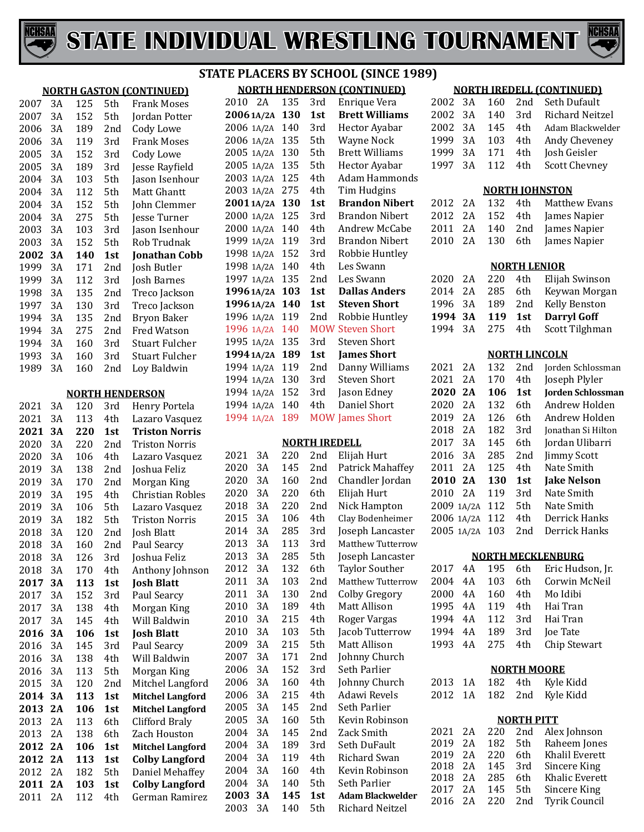



|                 | <b>STATE PLACERS BY SCHOOL (SINCE 1989)</b> |            |                 |                                         |                                    |    |     |                      |                                       |                                  |          |            |                     |                                           |
|-----------------|---------------------------------------------|------------|-----------------|-----------------------------------------|------------------------------------|----|-----|----------------------|---------------------------------------|----------------------------------|----------|------------|---------------------|-------------------------------------------|
|                 |                                             |            |                 | <b>NORTH GASTON (CONTINUED)</b>         | <b>NORTH HENDERSON (CONTINUED)</b> |    |     |                      |                                       | <b>NORTH IREDELL (CONTINUED)</b> |          |            |                     |                                           |
| 2007            | 3A                                          | 125        | 5th             | <b>Frank Moses</b>                      | 2010 2A                            |    | 135 | 3rd                  | Enrique Vera                          | 2002                             | 3A       | 160        | 2nd                 | Seth Dufault                              |
| 2007            | 3A                                          | 152        | 5th             | Jordan Potter                           | 20061A/2A 130                      |    |     | 1st                  | <b>Brett Williams</b>                 | 2002                             | 3A       | 140        | 3rd                 | Richard Neitzel                           |
| 2006            | 3A                                          | 189        | 2 <sub>nd</sub> | Cody Lowe                               | 2006 1A/2A 140                     |    |     | 3rd                  | Hector Ayabar                         | 2002                             | 3A       | 145        | 4th                 | Adam Blackwelder                          |
| 2006            | 3A                                          | 119        | 3rd             | <b>Frank Moses</b>                      | 2006 1A/2A 135                     |    |     | 5th                  | <b>Wayne Nock</b>                     | 1999                             | 3A       | 103        | 4th                 | Andy Cheveney                             |
| 2005            | 3A                                          | 152        | 3rd             | Cody Lowe                               | 2005 1A/2A 130                     |    |     | 5th                  | <b>Brett Williams</b>                 | 1999                             | 3A       | 171        | 4th                 | Josh Geisler                              |
| 2005            | 3A                                          | 189        | 3rd             | Jesse Rayfield                          | 2005 1A/2A 135                     |    |     | 5th                  | Hector Ayabar                         | 1997                             | 3A       | 112        | 4th                 | <b>Scott Chevney</b>                      |
| 2004            | 3A                                          | 103        | 5th             | Jason Isenhour                          | 2003 1A/2A 125                     |    |     | 4th                  | Adam Hammonds                         |                                  |          |            |                     |                                           |
| 2004            | 3A                                          | 112        | 5th             | Matt Ghantt                             | 2003 1A/2A 275                     |    |     | 4th                  | Tim Hudgins                           |                                  |          |            |                     | <b>NORTH JOHNSTON</b>                     |
| 2004            | 3A                                          | 152        | 5th             | John Clemmer                            | 20011A/2A 130                      |    |     | 1st                  | <b>Brandon Nibert</b>                 | 2012                             | 2A       | 132        | 4th                 | Matthew Evans                             |
| 2004            | 3A                                          | 275        | 5th             | Jesse Turner                            | 2000 1A/2A 125                     |    |     | 3rd                  | <b>Brandon Nibert</b>                 | 2012                             | 2A       | 152        | 4th                 | James Napier                              |
| 2003            | 3A                                          | 103        | 3rd             | Jason Isenhour                          | 2000 1A/2A 140                     |    |     | 4th                  | Andrew McCabe                         | 2011                             | 2A       | 140        | 2nd                 | James Napier                              |
| 2003            | 3A                                          | 152        | 5th             | Rob Trudnak                             | 1999 1A/2A 119                     |    |     | 3rd                  | <b>Brandon Nibert</b>                 | 2010                             | 2A       | 130        | 6th                 | James Napier                              |
| 2002 3A         |                                             | 140        | 1st             | <b>Jonathan Cobb</b>                    | 1998 1A/2A 152                     |    |     | 3rd                  | Robbie Huntley                        |                                  |          |            |                     |                                           |
| 1999            | 3A                                          | 171        | 2nd             | Josh Butler                             | 1998 1A/2A 140                     |    |     | 4th                  | Les Swann                             |                                  |          |            | <b>NORTH LENIOR</b> |                                           |
| 1999            | 3A                                          | 112        | 3rd             | Josh Barnes                             | 1997 1A/2A 135                     |    |     | 2 <sub>nd</sub>      | Les Swann                             | 2020                             | 2A       | 220        | 4th                 | Elijah Swinson                            |
| 1998            | 3A                                          | 135        | 2nd             | Treco Jackson                           | 1996 1A/2A 103                     |    |     | 1st                  | <b>Dallas Anders</b>                  | 2014                             | 2A       | 285        | 6th                 | Keywan Morgan                             |
| 1997            | 3A                                          | 130        | 3rd             | Treco Jackson                           | 1996 1A/2A 140                     |    |     | 1st                  | <b>Steven Short</b>                   | 1996                             | 3A       | 189        | 2 <sub>nd</sub>     | Kelly Benston                             |
| 1994            | 3A                                          | 135        | 2nd             | Bryon Baker                             | 1996 1A/2A 119                     |    |     | 2 <sub>nd</sub>      | Robbie Huntley                        | 1994 3A                          |          | 119        | 1st                 | <b>Darryl Goff</b>                        |
| 1994            | 3A                                          | 275        | 2nd             | Fred Watson                             | 1996 1A/2A 140                     |    |     |                      | <b>MOW Steven Short</b>               | 1994 3A                          |          | 275        | 4th                 | Scott Tilghman                            |
| 1994            | 3A                                          | 160        | 3rd             | <b>Stuart Fulcher</b>                   | 1995 1A/2A 135                     |    |     | 3rd                  | <b>Steven Short</b>                   |                                  |          |            |                     |                                           |
| 1993            | 3A                                          | 160        | 3rd             | <b>Stuart Fulcher</b>                   | 1994 1A/2A 189                     |    |     | 1st                  | <b>James Short</b>                    | 2021 2A                          |          | 132        | 2nd                 | <b>NORTH LINCOLN</b>                      |
| 1989            | 3A                                          | 160        | 2nd             | Loy Baldwin                             | 1994 1A/2A 119                     |    |     | 2nd                  | Danny Williams<br><b>Steven Short</b> | 2021                             | 2A       | 170        |                     | Jorden Schlossman                         |
|                 |                                             |            |                 |                                         | 1994 1A/2A 130<br>1994 1A/2A 152   |    |     | 3rd<br>3rd           | Jason Edney                           | 2020 2A                          |          | 106        | 4th<br>1st          | Joseph Plyler<br><b>Jorden Schlossman</b> |
|                 |                                             |            |                 | <b>NORTH HENDERSON</b>                  | 1994 1A/2A 140                     |    |     | 4th                  | Daniel Short                          | 2020                             | 2A       | 132        | 6th                 | Andrew Holden                             |
| 2021            | 3A<br>3A                                    | 120<br>113 | 3rd             | Henry Portela                           | 1994 1A/2A 189                     |    |     |                      | <b>MOW James Short</b>                | 2019                             | 2A       | 126        | 6th                 | Andrew Holden                             |
| 2021<br>2021 3A |                                             | 220        | 4th<br>1st      | Lazaro Vasquez<br><b>Triston Norris</b> |                                    |    |     |                      |                                       | 2018                             | 2A       | 182        | 3rd                 | Jonathan Si Hilton                        |
| 2020            | 3A                                          | 220        | 2nd             | <b>Triston Norris</b>                   |                                    |    |     | <b>NORTH IREDELL</b> |                                       | 2017                             | 3A       | 145        | 6th                 | Jordan Ulibarri                           |
| 2020            | 3A                                          | 106        | 4th             | Lazaro Vasquez                          | 2021                               | 3A | 220 | 2nd                  | Elijah Hurt                           | 2016                             | 3A       | 285        | 2 <sub>nd</sub>     | <b>Jimmy Scott</b>                        |
| 2019            | 3A                                          | 138        | 2nd             | Joshua Feliz                            | 2020                               | 3A | 145 | 2 <sub>nd</sub>      | Patrick Mahaffey                      | 2011                             | 2A       | 125        | 4th                 | Nate Smith                                |
| 2019            | 3A                                          | 170        | 2nd             | Morgan King                             | 2020                               | 3A | 160 | 2 <sub>nd</sub>      | Chandler Jordan                       | 2010 2A                          |          | 130        | 1st                 | <b>Jake Nelson</b>                        |
| 2019            | 3A                                          | 195        | 4th             | <b>Christian Robles</b>                 | 2020                               | 3A | 220 | 6th                  | Elijah Hurt                           | 2010                             | 2A       | 119        | 3rd                 | Nate Smith                                |
| 2019            | 3A                                          | 106        | 5th             | Lazaro Vasquez                          | 2018                               | 3A | 220 | 2 <sub>nd</sub>      | Nick Hampton                          | 2009 1A/2A 112                   |          |            | 5th                 | Nate Smith                                |
| 2019            | 3A                                          | 182        | 5th             | <b>Triston Norris</b>                   | 2015                               | 3A | 106 | 4th                  | Clay Bodenheimer                      | 2006 1A/2A 112                   |          |            | 4th                 | Derrick Hanks                             |
| 2018            | 3A                                          | 120        | 2nd             | Josh Blatt                              | 2014                               | 3A | 285 | 3rd                  | Joseph Lancaster                      | 2005 1A/2A 103                   |          |            | 2nd                 | Derrick Hanks                             |
| 2018            | 3A                                          | 160        | 2nd             | Paul Searcy                             | 2013                               | 3A | 113 | 3rd                  | Matthew Tutterrow                     |                                  |          |            |                     |                                           |
| 2018            | 3A                                          | 126        | 3rd             | Joshua Feliz                            | 2013                               | 3A | 285 | 5th                  | Joseph Lancaster                      |                                  |          |            |                     | <b>NORTH MECKLENBURG</b>                  |
| 2018            | 3A                                          | 170        | 4th             | Anthony Johnson                         | 2012                               | 3A | 132 | 6th                  | <b>Taylor Souther</b>                 | 2017                             | 4A       | 195        | 6th                 | Eric Hudson, Jr.                          |
| 2017 3A         |                                             | 113        | 1st             | <b>Josh Blatt</b>                       | 2011                               | 3A | 103 | 2nd                  | <b>Matthew Tutterrow</b>              | 2004                             | 4A       | 103        | 6th                 | Corwin McNeil                             |
| 2017            | 3A                                          | 152        | 3rd             | Paul Searcy                             | 2011                               | 3A | 130 | 2nd                  | <b>Colby Gregory</b>                  | 2000                             | 4A       | 160        | 4th                 | Mo Idibi                                  |
| 2017            | 3A                                          | 138        | 4th             | Morgan King                             | 2010                               | 3A | 189 | 4th                  | Matt Allison                          | 1995                             | 4A       | 119        | 4th                 | Hai Tran                                  |
| 2017            | 3A                                          | 145        | 4th             | Will Baldwin                            | 2010                               | 3A | 215 | 4th                  | Roger Vargas                          | 1994 4A                          |          | 112        | 3rd                 | Hai Tran                                  |
| 2016 3A         |                                             | 106        | 1st             | <b>Josh Blatt</b>                       | 2010                               | 3A | 103 | 5th                  | Jacob Tutterrow                       | 1994 4A                          |          | 189        | 3rd                 | Joe Tate                                  |
| 2016            | 3A                                          | 145        | 3rd             | Paul Searcy                             | 2009                               | 3A | 215 | 5th                  | Matt Allison                          | 1993 4A                          |          | 275        | 4th                 | Chip Stewart                              |
| 2016            | 3A                                          | 138        | 4th             | Will Baldwin                            | 2007                               | 3A | 171 | 2nd                  | Johnny Church                         |                                  |          |            |                     |                                           |
| 2016            | 3A                                          | 113        | 5th             | Morgan King                             | 2006                               | 3A | 152 | 3rd                  | Seth Parlier                          |                                  |          |            | <b>NORTH MOORE</b>  |                                           |
| 2015            | 3A                                          | 120        | 2nd             | Mitchel Langford                        | 2006                               | 3A | 160 | 4th                  | Johnny Church                         | 2013 1A                          |          | 182        | 4th                 | Kyle Kidd                                 |
| 2014 3A         |                                             | 113        | 1st             | <b>Mitchel Langford</b>                 | 2006                               | 3A | 215 | 4th                  | Adawi Revels                          | 2012 1A                          |          | 182        | 2nd                 | Kyle Kidd                                 |
| 2013 2A         |                                             | 106        | 1st             | <b>Mitchel Langford</b>                 | 2005                               | 3A | 145 | 2 <sub>nd</sub>      | Seth Parlier                          |                                  |          |            |                     |                                           |
| 2013            | 2A                                          | 113        | 6th             | <b>Clifford Braly</b>                   | 2005                               | 3A | 160 | 5th                  | Kevin Robinson                        |                                  |          |            | <b>NORTH PITT</b>   |                                           |
| 2013 2A         |                                             | 138        | 6th             | Zach Houston                            | 2004                               | 3A | 145 | 2nd                  | Zack Smith                            | 2021                             | 2A       | 220        | 2nd                 | Alex Johnson                              |
| 2012 2A         |                                             | 106        | 1st             | <b>Mitchel Langford</b>                 | 2004                               | 3A | 189 | 3rd                  | Seth DuFault                          | 2019<br>2019                     | 2A<br>2A | 182<br>220 | 5th<br>6th          | Raheem Jones<br>Khalil Everett            |
| 2012 2A         |                                             | 113        | 1st             | <b>Colby Langford</b>                   | 2004                               | 3A | 119 | 4th                  | Richard Swan                          | 2018                             | 2A       | 145        | 3rd                 | Sincere King                              |
| 2012 2A         |                                             | 182        | 5th             | Daniel Mehaffey                         | 2004                               | 3A | 160 | 4th                  | Kevin Robinson                        | 2018                             | 2A       | 285        | 6th                 | Khalic Everett                            |
| 2011 2A         |                                             | 103        | 1st             | <b>Colby Langford</b>                   | 2004 3A                            |    | 140 | 5th                  | Seth Parlier                          | 2017                             | 2A       | 145        | 5th                 | Sincere King                              |
| 2011 2A         |                                             | 112        | 4th             | German Ramirez                          | 2003 3A<br>0.000                   |    | 145 | 1st                  | <b>Adam Blackwelder</b>               | 2016                             | 2A       | 220        | 2nd                 | Tyrik Council                             |

3A 140 5th Richard Neitzel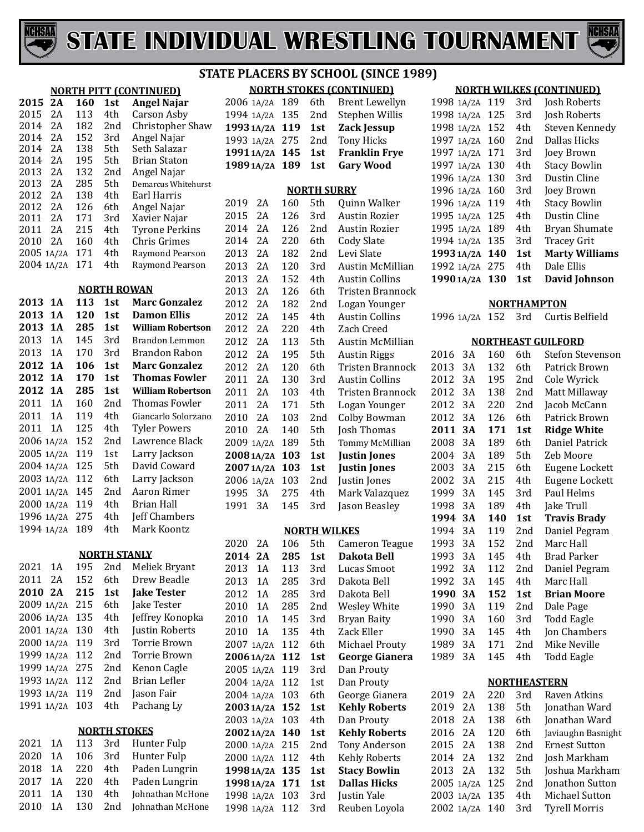



#### **NORTH PITT (CONTINUED) 2A 160 1st Angel Najar** 2A 113 4th Carson Asby 2014 2A 182 2nd Christopher Shaw<br>2014 2A 152 3rd Angel Najar 2A 152 3rd Angel Najar 2A 138 5th Seth Salazar 2A 195 5th Brian Staton 2A 132 2nd Angel Najar 2013 2A 285 5th Demarcus Whitehurst<br>2012 2A 138 4th Earl Harris 2A 138 4th Earl Harris 2A 126 6th Angel Najar 2A 171 3rd Xavier Najar 2011 2A 215 4th Tyrone Perkins<br>2010 2A 160 4th Chris Grimes 4th Chris Grimes<br>4th Raymond Pearson 2005 1A/2A 171 4th<br>2004 1A/2A 171 4th Raymond Pearson **NORTH ROWAN 1A 113 1st Marc Gonzalez 1A 120 1st Damon Ellis 1A 285 1st William Robertson** 2013 1A 145 3rd Brandon Lemmon<br>2013 1A 170 3rd Brandon Rabon 2013 1A 170 3rd Brandon Rabon<br>2012 1A 106 1st Marc Gonzalez **1A 106 1st Marc Gonzalez 1A 170 1st Thomas Fowler 1A 285 1st William Robertson** 2011 1A 160 2nd Thomas Fowler<br>2011 1A 119 4th Giancarlo Solorza 2011 1A 119 4th Giancarlo Solorzano<br>2011 1A 125 4th Tyler Powers 4th Tyler Powers<br>2nd Lawrence Black 2006 1A/2A 152 2nd Lawrence Black 2005 1A/2A 119 1st Larry Jackson 1A/2A 119 1st Larry Jackson 1A/2A 125 5th David Coward 2003 1A/2A 112 6th Larry Jackson<br>2001 1A/2A 145 2nd Aaron Rimer 2001 1A/2A 145 2nd Aaron Rim<br>2000 1A/2A 119 4th Brian Hall 1A/2A 119 4th Brian Hall 1996 1A/2A 275 4th Jeff Chamber<br>1994 1A/2A 189 4th Mark Koontz 1994 1A/2A 189 **NORTH STANLY** 2021 1A 195 2nd Meliek Bryant<br>2011 2A 152 6th Drew Beadle 2011 2A 152 6th Drew Beadle<br>**2010 2A 215 1st Jake Tester 2A 215 1st Jake Tester** 1A/2A 215 6th Jake Tester 4th Jeffrey Konopka<br>4th Justin Roberts 1A/2A 130 4th Justin Roberts 1A/2A 119 3rd Torrie Brown 1A/2A 112 2nd Torrie Brown 1A/2A 275 2nd Kenon Cagle 1993 1A/2A 112 2nd Brian Lefle<br>1993 1A/2A 119 2nd Jason Fair 1A/2A 119 2nd Jason Fair 1991 1A/2A 103 **NORTH STOKES** 1A 113 3rd Hunter Fulp 1A 106 3rd Hunter Fulp 1A 220 4th Paden Lungrin 2017 1A 220 4th Paden Lungrin<br>2011 1A 130 4th Johnathan McHo 2011 1A 130 4th Johnathan McHone<br>2010 1A 130 2nd Johnathan McHone

Johnathan McHone

# **STATE PLACERS BY SCHOOL (SINCE 1989)**

|               |     |                     | <b>NORTH STOKES (CONTINUED)</b> |
|---------------|-----|---------------------|---------------------------------|
| 2006 1A/2A    | 189 | 6th                 | <b>Brent Lewellyn</b>           |
| 1994 1A/2A    | 135 | 2nd                 | Stephen Willis                  |
| 1993 1A/2A    | 119 | 1st                 | <b>Zack Jessup</b>              |
| 1993 1A/2A    | 275 | 2nd                 | <b>Tony Hicks</b>               |
| 19911A/2A     | 145 | 1st                 | <b>Franklin Frye</b>            |
| 1989 1A/2A    | 189 | 1st                 | <b>Gary Wood</b>                |
|               |     |                     |                                 |
|               |     | <b>NORTH SURRY</b>  |                                 |
| 2019<br>2A    | 160 | 5th                 | Quinn Walker                    |
| 2015<br>2A    | 126 | 3rd                 | <b>Austin Rozier</b>            |
| 2014<br>2A    | 126 | 2nd                 | <b>Austin Rozier</b>            |
| 2A<br>2014    | 220 | 6th                 | <b>Cody Slate</b>               |
| 2A<br>2013    | 182 | 2nd                 | Levi Slate                      |
| 2A<br>2013    | 120 | 3rd                 | <b>Austin McMillian</b>         |
| 2A<br>2013    | 152 | 4th                 | <b>Austin Collins</b>           |
| 2A<br>2013    | 126 | 6th                 | Tristen Brannock                |
| 2A<br>2012    | 182 | 2nd                 | Logan Younger                   |
| 2A<br>2012    | 145 | 4th                 | <b>Austin Collins</b>           |
| 2A<br>2012    | 220 | 4th                 | Zach Creed                      |
| 2A<br>2012    |     |                     |                                 |
|               | 113 | 5th                 | <b>Austin McMillian</b>         |
| 2A<br>2012    | 195 | 5th                 | <b>Austin Riggs</b>             |
| 2A<br>2012    | 120 | 6th                 | <b>Tristen Brannock</b>         |
| 2A<br>2011    | 130 | 3rd                 | <b>Austin Collins</b>           |
| 2A<br>2011    | 103 | 4th                 | Tristen Brannock                |
| 2A<br>2011    | 171 | 5th                 | Logan Younger                   |
| 2010<br>2A    | 103 | 2nd                 | <b>Colby Bowman</b>             |
| 2010<br>2A    | 140 | 5th                 | Josh Thomas                     |
| 2009<br>1A/2A | 189 | 5th                 | Tommy McMillian                 |
| 20081A/2A     | 103 | 1st                 | <b>Justin Jones</b>             |
| 20071A/2A     | 103 | 1st                 | <b>Justin Jones</b>             |
| 2006 1A/2A    | 103 | 2nd                 | Justin Jones                    |
| 1995<br>3A    | 275 | 4th                 | Mark Valazquez                  |
| 3A<br>1991    | 145 | 3rd                 | Jason Beasley                   |
|               |     | <b>NORTH WILKES</b> |                                 |
| 2020<br>2A    | 106 | 5th                 | <b>Cameron Teague</b>           |
| 2014<br>2A    |     |                     | Dakota Bell                     |
|               | 285 | 1st                 |                                 |
| 1A<br>2013    | 113 | 3rd                 | Lucas Smoot                     |
| 1A<br>2013    | 285 | 3rd                 | Dakota Bell                     |
| 1A<br>2012    | 285 | 3rd                 | Dakota Bell                     |
| 1A<br>2010    | 285 | 2nd                 | Wesley White                    |
| 1A<br>2010    | 145 | 3rd                 | <b>Bryan Baity</b>              |
| 1A<br>2010    | 135 | 4th                 | Zack Eller                      |
| 2007 1A/2A    | 112 | 6th                 | Michael Prouty                  |
| 20061A/2A     | 112 | 1st                 | <b>George Gianera</b>           |
| 2005 1A/2A    | 119 | 3rd                 | Dan Prouty                      |
| 2004 1A/2A    | 112 | 1st                 | Dan Prouty                      |
| 2004 1A/2A    | 103 | 6th                 | George Gianera                  |
| 2003 1A/2A    | 152 | 1st                 | <b>Kehly Roberts</b>            |
| 2003 1A/2A    | 103 | 4th                 | Dan Prouty                      |
| 20021A/2A     | 140 | 1st                 | <b>Kehly Roberts</b>            |
| 2000 1A/2A    | 215 | 2nd                 | Tony Anderson                   |
| 2000 1A/2A    | 112 | 4th                 | Kehly Roberts                   |
| 1998 1A/2A    | 135 | 1st                 | <b>Stacy Bowlin</b>             |
| 1998 1A/2A    | 171 | 1st                 | <b>Dallas Hicks</b>             |
| 1998 1A/2A    | 103 | 3rd                 | Justin Yale                     |
| 1998 1A/2A    | 112 | 3rd                 | Reuben Loyola                   |

#### **NORTH WILKES (CONTINUED)**

| 1998 1A/2A         | 119 | 3rd  | Josh Roberts              |  |  |  |  |  |
|--------------------|-----|------|---------------------------|--|--|--|--|--|
| 1998 1A/2A         | 125 | 3rd  | Josh Roberts              |  |  |  |  |  |
| 1998 1A/2A         | 152 | 4th. | Steven Kennedy            |  |  |  |  |  |
| 1997 1A/2A         | 160 | 2nd  | Dallas Hicks              |  |  |  |  |  |
| 1997 1A/2A         | 171 | 3rd  | Joey Brown                |  |  |  |  |  |
| 1997 1A/2A         | 130 | 4th. | <b>Stacy Bowlin</b>       |  |  |  |  |  |
| 1996 1A/2A         | 130 | 3rd  | Dustin Cline              |  |  |  |  |  |
| 1996 1A/2A         | 160 | 3rd  | Joey Brown                |  |  |  |  |  |
| 1996 1A/2A         | 119 | 4th. | <b>Stacy Bowlin</b>       |  |  |  |  |  |
| 1995 1A/2A         | 125 | 4th. | Dustin Cline              |  |  |  |  |  |
| 1995 1A/2A         | 189 | 4th. | <b>Bryan Shumate</b>      |  |  |  |  |  |
| 1994 1A/2A         | 135 | 3rd  | <b>Tracey Grit</b>        |  |  |  |  |  |
| 1993 1A/2A         | 140 | 1st  | <b>Marty Williams</b>     |  |  |  |  |  |
| 1992 1A/2A         | 275 | 4th. | Dale Ellis                |  |  |  |  |  |
| 1990 1A/2A         | 130 | 1st  | <b>David Johnson</b>      |  |  |  |  |  |
| <b>NORTHAMPTON</b> |     |      |                           |  |  |  |  |  |
| 1996 1A/2A         | 152 | 3rd  | Curtis Belfield           |  |  |  |  |  |
|                    |     |      |                           |  |  |  |  |  |
|                    |     |      | <b>NORTHEAST GUILFORD</b> |  |  |  |  |  |

| 2016 | 3A        | 160 | 6th             | Stefon Stevenson     |
|------|-----------|-----|-----------------|----------------------|
| 2013 | 3A        | 132 | 6th             | Patrick Brown        |
| 2012 | 3A        | 195 | 2nd             | Cole Wyrick          |
| 2012 | 3A        | 138 | 2nd             | Matt Millaway        |
| 2012 | 3A        | 220 | 2nd             | Jacob McCann         |
| 2012 | 3A        | 126 | 6th             | Patrick Brown        |
| 2011 | 3A        | 171 | 1st             | <b>Ridge White</b>   |
| 2008 | 3A        | 189 | 6th             | Daniel Patrick       |
| 2004 | 3A        | 189 | 5th             | Zeb Moore            |
| 2003 | 3A        | 215 | 6th             | Eugene Lockett       |
| 2002 | 3A        | 215 | 4th             | Eugene Lockett       |
| 1999 | 3A        | 145 | 3rd             | Paul Helms           |
| 1998 | 3A        | 189 | 4th             | Jake Trull           |
| 1994 | 3А        | 140 | 1st             | <b>Travis Brady</b>  |
| 1994 | 3A        | 119 | 2nd             | Daniel Pegram        |
| 1993 | 3A        | 152 | 2nd             | Marc Hall            |
| 1993 | 3A        | 145 | 4th             | <b>Brad Parker</b>   |
| 1992 | 3A        | 112 | 2nd             | Daniel Pegram        |
| 1992 | 3A        | 145 | 4th             | Marc Hall            |
| 1990 | <b>3A</b> | 152 | 1st             | <b>Brian Moore</b>   |
| 1990 | 3A        | 119 | 2 <sub>nd</sub> | Dale Page            |
| 1990 | 3A        | 160 | 3rd             | <b>Todd Eagle</b>    |
| 1990 | 3A        | 145 | 4th             | Jon Chambers         |
| 1989 | 3A        | 171 | 2nd             | Mike Neville         |
| 1989 | 3A        | 145 | 4th             | <b>Todd Eagle</b>    |
|      |           |     |                 | <b>NORTHEASTERN</b>  |
| 2019 | 2Α        | 220 | 3rd             | Raven Atkins         |
| 2019 | 2A        | 138 | 5th             | Jonathan Ward        |
| 2018 | 2A        | 138 | 6th             | Jonathan Ward        |
| 2016 | 2Α        | 120 | 6th             | Javiaughn Basnight   |
| 2015 | 2A        | 138 | 2nd             | <b>Ernest Sutton</b> |
| 2014 | 2A        | 132 | 2nd             | Josh Markham         |
| 2013 | 2A        | 132 | 5th             | Ioshua Markham       |

5th Joshua Markham<br>2nd Jonathon Sutton

 1A/2A 125 2nd Jonathon Sutton 1A/2A 135 4th Michael Sutton

2002 1A/2A 140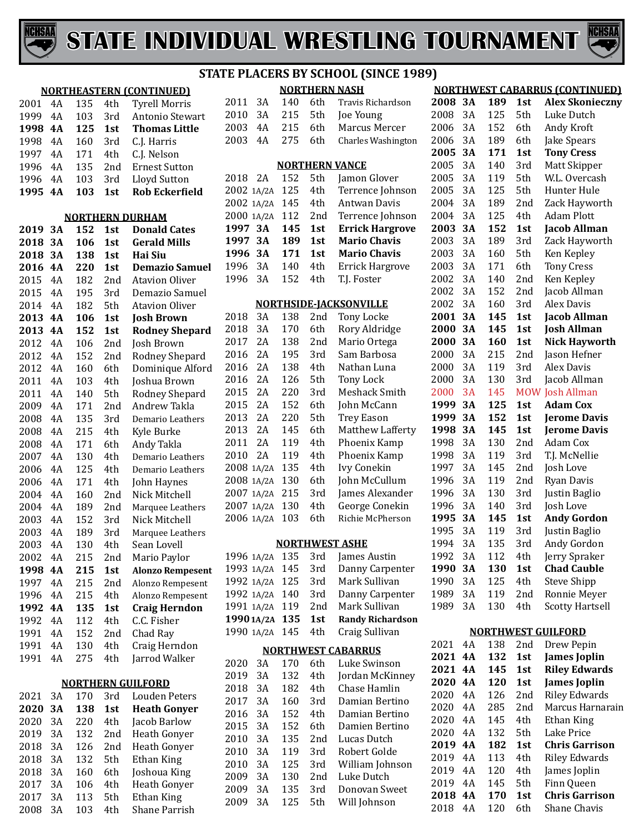



|      |    |     |     | <u>NORTHEASTERN (CONTINUED)</u> |                |
|------|----|-----|-----|---------------------------------|----------------|
| 2001 | 4A | 135 | 4th | <b>Tyrell Morris</b>            | $\overline{2}$ |
| 1999 | 4A | 103 | 3rd | Antonio Stewart                 | $\overline{2}$ |
| 1998 | 4A | 125 | 1st | <b>Thomas Little</b>            | $\overline{2}$ |
| 1998 | 4A | 160 | 3rd | C.J. Harris                     | $\overline{2}$ |
| 1997 | 4A | 171 | 4th | C.J. Nelson                     |                |
| 1996 | 4A | 135 | 2nd | <b>Ernest Sutton</b>            |                |
| 1996 | 4A | 103 | 3rd | Lloyd Sutton                    | $\overline{2}$ |
| 1995 | 4A | 103 | 1st | <b>Rob Eckerfield</b>           | $\overline{2}$ |
|      |    |     |     |                                 | $\overline{2}$ |
|      |    |     |     |                                 | $\overline{2}$ |
|      |    |     |     | <b>NORTHERN DURHAM</b>          | $1^{\circ}$    |
| 2019 | 3А | 152 | 1st | <b>Donald Cates</b>             | $1^{\circ}$    |
| 2018 | 3A | 106 | 1st | <b>Gerald Mills</b>             | $1^{\circ}$    |
| 2018 | 3A | 138 | 1st | <b>Hai Siu</b>                  | $1^{\prime}$   |
| 2016 | 4A | 220 | 1st | <b>Demazio Samuel</b>           | 1 <sup>1</sup> |
| 2015 | 4A | 182 | 2nd | <b>Atavion Oliver</b>           |                |
| 2015 | 4A | 195 | 3rd | Demazio Samuel                  |                |
| 2014 | 4A | 182 | 5th | <b>Atavion Oliver</b>           |                |
| 2013 | 4A | 106 | 1st | <b>Josh Brown</b>               | $\overline{2}$ |
| 2013 | 4A | 152 | 1st | <b>Rodney Shepard</b>           | $\overline{2}$ |
| 2012 | 4A | 106 | 2nd | Josh Brown                      | 2 <sub>0</sub> |
| 2012 | 4A | 152 | 2nd | Rodney Shepard                  | $\overline{2}$ |
| 2012 | 4A | 160 | 6th | Dominique Alford                | $\overline{2}$ |
| 2011 | 4A | 103 | 4th | Joshua Brown                    | $\overline{2}$ |
| 2011 | 4A | 140 | 5th | Rodney Shepard                  | $\overline{2}$ |
| 2009 | 4A | 171 | 2nd | Andrew Takla                    | $\overline{2}$ |
| 2008 | 4A | 135 | 3rd | Demario Leathers                | $\overline{2}$ |
| 2008 | 4A | 215 | 4th | Kyle Burke                      | $\overline{2}$ |
| 2008 | 4A | 171 | 6th | Andy Takla                      | $\overline{2}$ |
| 2007 | 4A | 130 | 4th | Demario Leathers                | $\overline{2}$ |
| 2006 | 4A | 125 | 4th | Demario Leathers                | $\overline{2}$ |
| 2006 | 4A | 171 | 4th | John Haynes                     | $\overline{2}$ |
| 2004 | 4A | 160 | 2nd | Nick Mitchell                   | $\overline{2}$ |
| 2004 | 4A | 189 | 2nd | Marquee Leathers                | $\overline{2}$ |
| 2003 | 4A | 152 | 3rd | Nick Mitchell                   | $\overline{2}$ |
| 2003 | 4A | 189 | 3rd | Marquee Leathers                |                |
| 2003 | 4A | 130 | 4th | Sean Lovell                     |                |
| 2002 | 4Α | 215 | 2nd | Mario Paylor                    | 1 <sup>1</sup> |
| 1998 | 4A | 215 | 1st | <b>Alonzo Rempesent</b>         | $1^{\prime}$   |
| 1997 | 4A | 215 | 2nd | Alonzo Rempesent                | $1^{\prime}$   |
| 1996 | 4A | 215 | 4th | Alonzo Rempesent                | 1 <sup>1</sup> |
| 1992 | 4Α | 135 | 1st | <b>Craig Herndon</b>            | 1 <sup>1</sup> |
| 1992 | 4A | 112 | 4th | C.C. Fisher                     | $1^{\prime}$   |
| 1991 | 4A | 152 | 2nd | Chad Ray                        | 1 <sup>1</sup> |
| 1991 | 4A | 130 | 4th | Craig Herndon                   |                |
| 1991 | 4Α | 275 | 4th | Jarrod Walker                   |                |
|      |    |     |     |                                 | $\overline{2}$ |
|      |    |     |     | <b>NORTHERN GUILFORD</b>        | $\overline{2}$ |
| 2021 | 3A | 170 | 3rd | Louden Peters                   | $\overline{2}$ |
| 2020 | 3A | 138 | 1st | <b>Heath Gonyer</b>             | $\overline{2}$ |
| 2020 | 3A | 220 | 4th |                                 | $\overline{2}$ |
|      |    |     |     | Jacob Barlow                    | $\overline{2}$ |
| 2019 | 3A | 132 | 2nd | Heath Gonyer                    | $\overline{2}$ |
| 2018 | 3A | 126 | 2nd | Heath Gonyer                    | $\overline{2}$ |
| 2018 | 3A | 132 | 5th | Ethan King                      | $\overline{2}$ |
| 2018 | 3A | 160 | 6th | Joshoua King                    | $\overline{2}$ |
| 2017 | 3A | 106 | 4th | Heath Gonyer                    | $\overline{2}$ |
| 2017 | 3A | 113 | 5th | Ethan King                      | $\overline{2}$ |

3A 103 4th Shane Parrish

**NORTHEASTERN (CONTINUED)**

|         |            |     |     | <b>NORTHERN NASH</b>          |         |           |     |     | <b>NORTHWEST CABARRUS (CONTINU</b> |
|---------|------------|-----|-----|-------------------------------|---------|-----------|-----|-----|------------------------------------|
| 2011    | 3A         | 140 | 6th | Travis Richardson             | 2008 3A |           | 189 | 1st | <b>Alex Skoniec</b>                |
| 2010    | 3A         | 215 | 5th | Joe Young                     | 2008    | 3A        | 125 | 5th | Luke Dutch                         |
| 2003    | 4A         | 215 | 6th | Marcus Mercer                 | 2006    | 3A        | 152 | 6th | Andy Kroft                         |
| 2003    | 4A         | 275 | 6th | <b>Charles Washington</b>     | 2006    | 3A        | 189 | 6th | Jake Spears                        |
|         |            |     |     |                               | 2005    | <b>3A</b> | 171 | 1st | <b>Tony Cress</b>                  |
|         |            |     |     | <b>NORTHERN VANCE</b>         | 2005    | 3A        | 140 | 3rd | Matt Skipper                       |
| 2018    | 2A         | 152 | 5th | Jamon Glover                  | 2005    | 3A        | 119 | 5th | W.L. Overcash                      |
|         | 2002 1A/2A | 125 | 4th | Terrence Johnson              | 2005    | 3A        | 125 | 5th | Hunter Hule                        |
|         | 2002 1A/2A | 145 | 4th | Antwan Davis                  | 2004    | 3A        | 189 | 2nd | Zack Haywor                        |
|         | 2000 1A/2A | 112 | 2nd | Terrence Johnson              | 2004    | 3A        | 125 | 4th | Adam Plott                         |
| 1997 3A |            | 145 | 1st | <b>Errick Hargrove</b>        | 2003    | 3A        | 152 | 1st | <b>Jacob Allman</b>                |
| 1997    | 3A         | 189 | 1st | <b>Mario Chavis</b>           | 2003    | 3A        | 189 | 3rd | Zack Haywor                        |
| 1996    | 3A         | 171 | 1st | <b>Mario Chavis</b>           | 2003    | 3A        | 160 | 5th | Ken Kepley                         |
| 1996    | 3A         | 140 | 4th | <b>Errick Hargrove</b>        | 2003    | 3A        | 171 | 6th | <b>Tony Cress</b>                  |
| 1996    | 3A         | 152 | 4th | T.J. Foster                   | 2002    | 3A        | 140 | 2nd | Ken Kepley                         |
|         |            |     |     |                               | 2002    | 3A        | 152 | 2nd | Jacob Allman                       |
|         |            |     |     | <b>NORTHSIDE-JACKSONVILLE</b> | 2002    | 3A        | 160 | 3rd | Alex Davis                         |
| 2018    | 3A         | 138 | 2nd | <b>Tony Locke</b>             | 2001    | 3A        | 145 | 1st | <b>Jacob Allman</b>                |
| 2018    | 3A         | 170 | 6th | Rory Aldridge                 | 2000    | 3A        | 145 | 1st | <b>Josh Allman</b>                 |
| 2017    | 2A         | 138 | 2nd | Mario Ortega                  | 2000    | 3A        | 160 | 1st | <b>Nick Haywor</b>                 |
| 2016    | 2A         | 195 | 3rd | Sam Barbosa                   | 2000    | 3A        | 215 | 2nd | Jason Hefner                       |
| 2016    | 2A         | 138 | 4th | Nathan Luna                   | 2000    | 3A        | 119 | 3rd | Alex Davis                         |
| 2016    | 2A         | 126 | 5th | <b>Tony Lock</b>              | 2000    | 3A        | 130 | 3rd | Jacob Allman                       |
| 2015    | 2A         | 220 | 3rd | Meshack Smith                 | 2000    | 3A        | 145 |     | <b>MOW Josh Allman</b>             |
| 2015    | 2A         | 152 | 6th | John McCann                   | 1999    | 3A        | 125 | 1st | <b>Adam Cox</b>                    |
| 2013    | 2A         | 220 | 5th | <b>Trey Eason</b>             | 1999    | 3A        | 152 | 1st | Jerome Davi:                       |
| 2013    | 2A         | 145 | 6th | Matthew Lafferty              | 1998    | 3A        | 145 | 1st | Jerome Davi:                       |
| 2011    | 2A         | 119 | 4th | Phoenix Kamp                  | 1998    | 3A        | 130 | 2nd | Adam Cox                           |
| 2010    | 2A         | 119 | 4th | Phoenix Kamp                  | 1998    | 3A        | 119 | 3rd | T.J. McNellie                      |
|         | 2008 1A/2A | 135 | 4th | <b>Ivy Conekin</b>            | 1997    | 3A        | 145 | 2nd | Josh Love                          |
|         | 2008 1A/2A | 130 | 6th | John McCullum                 | 1996    | 3A        | 119 | 2nd | Ryan Davis                         |
|         | 2007 1A/2A | 215 | 3rd | James Alexander               | 1996    | 3A        | 130 | 3rd | Justin Baglio                      |
|         | 2007 1A/2A | 130 | 4th | George Conekin                | 1996    | 3A        | 140 | 3rd | Josh Love                          |
|         | 2006 1A/2A | 103 | 6th | Richie McPherson              | 1995    | <b>3A</b> | 145 | 1st | <b>Andy Gordor</b>                 |
|         |            |     |     |                               | 1995    | 3A        | 119 | 3rd | Justin Baglio                      |
|         |            |     |     | <b>NORTHWEST ASHE</b>         | 1994    | 3A        | 135 | 3rd | Andy Gordon                        |
|         | 1996 1A/2A | 135 | 3rd | James Austin                  | 1992    | 3A        | 112 | 4th | Jerry Spraker                      |
|         | 1993 1A/2A | 145 | 3rd | Danny Carpenter               | 1990    | 3A        | 130 | 1st | <b>Chad Cauble</b>                 |
|         | 1992 1A/2A | 125 | 3rd | Mark Sullivan                 | 1990    | 3A        | 125 | 4th | <b>Steve Shipp</b>                 |
|         | 1992 1A/2A | 140 | 3rd | Danny Carpenter               | 1989    | 3A        | 119 | 2nd | Ronnie Meyer                       |
|         | 1991 1A/2A | 119 | 2nd | Mark Sullivan                 | 1989    | 3A        | 130 | 4th | <b>Scotty Hartse</b>               |
|         | 1990 1A/2A | 135 | 1st | <b>Randy Richardson</b>       |         |           |     |     |                                    |
|         | 1990 1A/2A | 145 | 4th | Craig Sullivan                |         |           |     |     | <b>NORTHWEST GUILFORD</b>          |
|         |            |     |     | <b>NORTHWEST CABARRUS</b>     | 2021    | 4A        | 138 | 2nd | Drew Pepin                         |
| 2020    | 3A         | 170 | 6th | Luke Swinson                  | 2021    | <b>4A</b> | 132 | 1st | <b>James Joplin</b>                |
| 2019    | 3A         | 132 | 4th | Jordan McKinney               | 2021 4A |           | 145 | 1st | <b>Riley Edward</b>                |
| 2018    | 3A         | 182 | 4th | Chase Hamlin                  | 2020    | <b>4A</b> | 120 | 1st | <b>James Joplin</b>                |
| 2017    | 3A         | 160 | 3rd | Damian Bertino                | 2020    | 4A        | 126 | 2nd | <b>Riley Edward</b>                |
| 2016    | 3A         | 152 | 4th | Damian Bertino                | 2020    | 4A        | 285 | 2nd | Marcus Harna                       |
| 2015    | 3A         | 152 | 6th | Damien Bertino                | 2020    | 4A        | 145 | 4th | Ethan King                         |
| 2010    | 3A         | 135 | 2nd | Lucas Dutch                   | 2020    | 4A        | 132 | 5th | Lake Price                         |
| 2010    | 3A         | 119 | 3rd | Robert Golde                  | 2019    | <b>4A</b> | 182 | 1st | <b>Chris Garriso</b>               |
| 2010    | 3A         | 125 | 3rd | William Johnson               | 2019    | 4A        | 113 | 4th | <b>Riley Edward</b>                |
| 2009    | 3A         | 130 | 2nd | Luke Dutch                    | 2019    | 4A        | 120 | 4th | James Joplin                       |
| 2009    | 3A         | 135 | 3rd | Donovan Sweet                 | 2019    | 4A        | 145 | 5th | Finn Queen                         |
| 2009    | 3A         | 125 | 5th | Will Johnson                  | 2018    | <b>4A</b> | 170 | 1st | <b>Chris Garriso</b>               |
|         |            |     |     |                               | 2018    | 4A        | 120 | 6th | Shane Chavis                       |

#### **RTHWEST CABARRUS (CONTINUED) 3A 189 1st Alex Skonieczny**

| ∠∪∪  | JA        | 10 J | ᅩコし | ARA JAVIHCCZHY            |
|------|-----------|------|-----|---------------------------|
| 2008 | 3A        | 125  | 5th | Luke Dutch                |
| 2006 | 3A        | 152  | 6th | Andy Kroft                |
| 2006 | 3A        | 189  | 6th | Jake Spears               |
| 2005 | 3А        | 171  | 1st | <b>Tony Cress</b>         |
| 2005 | 3A        | 140  | 3rd | Matt Skipper              |
| 2005 | 3A        | 119  | 5th | W.L. Overcash             |
| 2005 | 3A        | 125  | 5th | Hunter Hule               |
| 2004 | 3A        | 189  | 2nd | Zack Hayworth             |
| 2004 | 3A        | 125  | 4th | <b>Adam Plott</b>         |
| 2003 | 3А        | 152  | 1st | <b>Jacob Allman</b>       |
| 2003 | 3A        | 189  | 3rd | Zack Hayworth             |
| 2003 | 3A        | 160  | 5th | Ken Kepley                |
| 2003 | 3A        | 171  | 6th | <b>Tony Cress</b>         |
| 2002 | 3A        | 140  | 2nd | Ken Kepley                |
| 2002 | 3A        | 152  | 2nd | Jacob Allman              |
| 2002 | 3A        | 160  | 3rd | <b>Alex Davis</b>         |
| 2001 | 3A        | 145  | 1st | <b>Jacob Allman</b>       |
| 2000 | 3A        | 145  | 1st | <b>Josh Allman</b>        |
| 2000 | 3A        | 160  | 1st | <b>Nick Hayworth</b>      |
| 2000 | 3A        | 215  | 2nd | Jason Hefner              |
| 2000 | 3A        | 119  | 3rd | <b>Alex Davis</b>         |
| 2000 | 3A        | 130  | 3rd | Jacob Allman              |
| 2000 | 3A        | 145  |     | <b>MOW Josh Allman</b>    |
| 1999 | 3A        | 125  | 1st | <b>Adam Cox</b>           |
| 1999 | 3A        | 152  | 1st | <b>Jerome Davis</b>       |
| 1998 | 3A        | 145  | 1st | <b>Jerome Davis</b>       |
| 1998 | 3A        | 130  | 2nd | Adam Cox                  |
| 1998 | 3A        | 119  | 3rd | T.J. McNellie             |
| 1997 | 3A        | 145  | 2nd | Josh Love                 |
| 1996 | 3A        | 119  | 2nd | Ryan Davis                |
| 1996 | 3A        | 130  | 3rd | Justin Baglio             |
| 1996 | 3A        | 140  | 3rd | Josh Love                 |
| 1995 | 3А        | 145  | 1st | <b>Andy Gordon</b>        |
| 1995 | 3A        | 119  | 3rd | Justin Baglio             |
| 1994 | 3A        | 135  | 3rd | Andy Gordon               |
| 1992 | 3A        | 112  | 4th | Jerry Spraker             |
| 1990 | 3A        | 130  | 1st | <b>Chad Cauble</b>        |
| 1990 | 3A        | 125  | 4th | <b>Steve Shipp</b>        |
| 1989 | 3A        | 119  | 2nd | Ronnie Meyer              |
| 1989 | 3A        | 130  | 4th | <b>Scotty Hartsell</b>    |
|      |           |      |     | <b>NORTHWEST GUILFORD</b> |
| 2021 | 4A        | 138  | 2nd | Drew Pepin                |
| 2021 | 4A        | 132  | 1st | <b>James Joplin</b>       |
| 2021 | <b>4A</b> | 145  | 1st | <b>Riley Edwards</b>      |
| 2020 | 4A        | 120  | 1st | <b>James Joplin</b>       |
| 2020 | 4Α        | 126  | 2nd | <b>Riley Edwards</b>      |
| 2020 | 4Α        | 285  | 2nd | Marcus Harnarain          |
| 2020 | 4A        | 145  | 4th | Ethan King                |
| 2020 | 4A        | 132  | 5th | Lake Price                |
| 2019 | 4A        | 182  | 1st | <b>Chris Garrison</b>     |
| 2019 | 4A        | 113  | 4th | <b>Riley Edwards</b>      |
| 2019 | 4A        | 120  | 4th | James Joplin              |

**21 <b>215 215 215 120 120 120 120 120 120 120 120 120 120 120 120 120 120 120 120 120 120 120 120 120 120 120 120 120 120 120 120 120 120 120 120 120 1**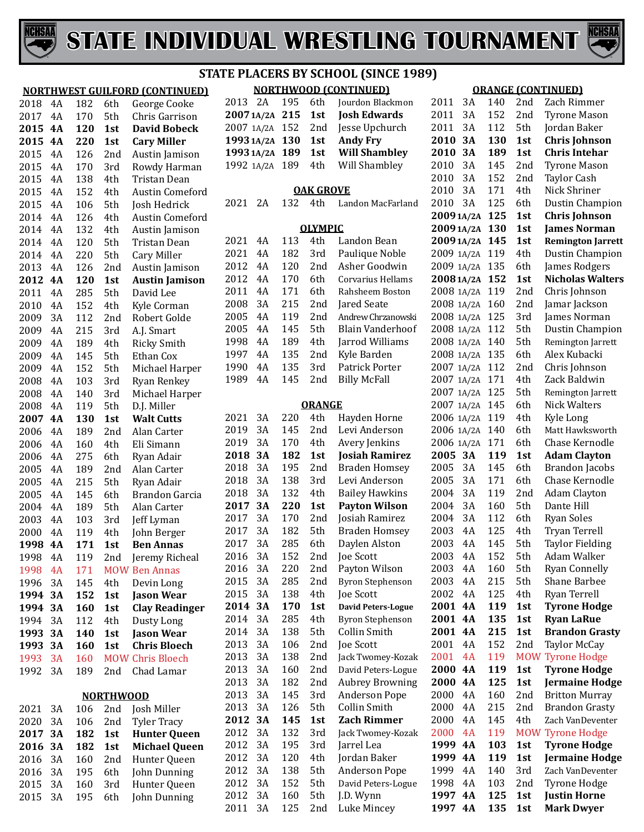



**3A 130 1st Chris Johnson**

6th Dustin Champion<br>1st Chris Johnson

5th Dustin Champion<br>5th Remington Jarrett

**20081A/2A 152 1st Nicholas Walters**

|              |          |     |                  | <b>NORTHWEST GUILFORD (CONTINUED)</b> |
|--------------|----------|-----|------------------|---------------------------------------|
| 2018         | 4Α       | 182 | 6th              | George Cooke                          |
| 2017         | 4A       | 170 | 5th              | Chris Garrison                        |
| 2015         | 4A       | 120 | 1st              | <b>David Bobeck</b>                   |
| 2015         | 4A       | 220 | 1st              | <b>Cary Miller</b>                    |
| 2015         | 4A       | 126 | 2nd              | Austin Jamison                        |
| 2015         | 4A       | 170 | 3rd              | Rowdy Harman                          |
| 2015         | 4A       | 138 | 4th              | Tristan Dean                          |
| 2015         | 4A       | 152 | 4th              | Austin Comeford                       |
| 2015         | 4A       | 106 | 5th              | Josh Hedrick                          |
| 2014         | 4A       | 126 | 4th              | <b>Austin Comeford</b>                |
| 2014         | 4A       | 132 | 4th              | Austin Jamison                        |
| 2014         | 4A       | 120 | 5th              | Tristan Dean                          |
| 2014         | 4A       | 220 | 5th              | Cary Miller                           |
| 2013         | 4A       | 126 | 2nd              | Austin Jamison                        |
| 2012         | 4A       | 120 | 1st              | <b>Austin Jamison</b>                 |
| 2011         | 4Α       | 285 | 5th              | David Lee                             |
| 2010         | 4A       | 152 | 4th              | Kyle Corman                           |
| 2009         | 3A       | 112 | 2nd              | Robert Golde                          |
| 2009         | 4A       | 215 | 3rd              | A.J. Smart                            |
| 2009         | 4A       | 189 | 4th              | <b>Ricky Smith</b>                    |
| 2009         | 4A       | 145 | 5th              | Ethan Cox                             |
| 2009         | 4A       | 152 | 5th              | Michael Harper                        |
| 2008         | 4A       | 103 | 3rd              | <b>Ryan Renkey</b>                    |
| 2008         | 4A       | 140 | 3rd              | Michael Harper                        |
| 2008         | 4A       | 119 | 5th              | D.J. Miller                           |
| 2007         | 4A       | 130 | 1st              | <b>Walt Cutts</b>                     |
| 2006         | 4A       | 189 | 2nd              | Alan Carter                           |
|              | 4A       | 160 | 4th              |                                       |
| 2006         | 4A       |     | 6th              | Eli Simann                            |
| 2006         | 4A       | 275 | 2nd              | Ryan Adair                            |
| 2005         | 4A       | 189 | 5th              | Alan Carter                           |
| 2005<br>2005 | 4A       | 215 | 6th              | Ryan Adair<br>Brandon Garcia          |
|              |          | 145 |                  |                                       |
| 2004         | 4A       | 189 | 5th              | Alan Carter                           |
| 2003         | 4A       | 103 | 3rd<br>4th       | Jeff Lyman                            |
| 2000         | 4A       | 119 |                  | John Berger                           |
| 1998         | 4Α       | 171 | 1st              | Ben Annas                             |
| 1998         | 4A<br>4A | 119 | 2nd              | Jeremy Richeal                        |
| 1998         |          | 171 | <b>MOW</b>       | <b>Ben Annas</b>                      |
| 1996         | 3A       | 145 | 4th              | Devin Long                            |
| 1994         | 3А       | 152 | 1st              | <b>Jason Wear</b>                     |
| 1994         | 3А       | 160 | 1st              | <b>Clay Readinger</b>                 |
| 1994         | 3A       | 112 | 4th              | Dusty Long                            |
| 1993         | 3А       | 140 | 1st              | <b>Jason Wear</b>                     |
| 1993         | 3А       | 160 | 1st              | Chris Bloech                          |
| 1993         | 3A       | 160 | MOW              | <b>Chris Bloech</b>                   |
| 1992         | 3A       | 189 | 2nd              | Chad Lamar                            |
|              |          |     | <u>NORTHWOOD</u> |                                       |
| 2021         | 3A       | 106 | 2nd              | Josh Miller                           |
| 2020         | 3A       | 106 | 2nd              | <b>Tyler Tracy</b>                    |
| 2017         | 3А       | 182 | 1st              | <b>Hunter Queen</b>                   |
| 2016         | 3А       | 182 | 1st              | <b>Michael Queen</b>                  |
| 2016         | 3A       | 160 | 2nd              | Hunter Queen                          |
| 2016         | 3A       | 195 | 6th              | John Dunning                          |
| 2015         | 3A       | 160 | 3rd              | Hunter Queen                          |
| 2015         | 3A       | 195 | 6th              | John Dunning                          |

## **STATE PLACERS BY SCHOOL (SINCE 1989)**

| <b>NORTHWOOD (CONTINUED)</b> |    |            |               |                         |  |  |  |  |  |  |
|------------------------------|----|------------|---------------|-------------------------|--|--|--|--|--|--|
| 2013                         | 2A | 195        | 6th           | Jourdon Blackmon        |  |  |  |  |  |  |
| 20071A/2A                    |    | 215        | 1st           | <b>Josh Edwards</b>     |  |  |  |  |  |  |
| 2007 1A/2A                   |    | 152        | 2nd           | Jesse Upchurch          |  |  |  |  |  |  |
| 1993 1A/2A                   |    | 130<br>1st |               | <b>Andy Fry</b>         |  |  |  |  |  |  |
| 1993 1A/2A                   |    | 189        | 1st           | <b>Will Shambley</b>    |  |  |  |  |  |  |
| 1992 1A/2A                   |    | 189        | 4th           | Will Shambley           |  |  |  |  |  |  |
|                              |    |            |               |                         |  |  |  |  |  |  |
| <b>OAK GROVE</b>             |    |            |               |                         |  |  |  |  |  |  |
| 2021                         | 2A | 132        | 4th           | Landon MacFarland       |  |  |  |  |  |  |
|                              |    |            |               |                         |  |  |  |  |  |  |
| <b>OLYMPIC</b>               |    |            |               |                         |  |  |  |  |  |  |
| 2021                         | 4A | 113        | 4th           | Landon Bean             |  |  |  |  |  |  |
| 2021                         | 4Α | 182        | 3rd           | Paulique Noble          |  |  |  |  |  |  |
| 2012                         | 4A | 120        | 2nd           | Asher Goodwin           |  |  |  |  |  |  |
| 2012                         | 4A | 170        | 6th           | Corvarius Hellams       |  |  |  |  |  |  |
| 2011                         | 4Α | 171        | 6th           | Rahsheem Boston         |  |  |  |  |  |  |
| 2008                         | 3A | 215        | 2nd           | Jared Seate             |  |  |  |  |  |  |
| 2005                         | 4A | 119        | 2nd           | Andrew Chrzanowski      |  |  |  |  |  |  |
| 2005                         | 4A | 145        | 5th.          | <b>Blain Vanderhoof</b> |  |  |  |  |  |  |
| 1998                         | 4A | 189        | 4th           | Jarrod Williams         |  |  |  |  |  |  |
| 1997                         | 4A | 135        | 2nd           | Kyle Barden             |  |  |  |  |  |  |
| 1990                         | 4Α | 135        | 3rd           | Patrick Porter          |  |  |  |  |  |  |
| 1989                         | 4A | 145        | 2nd           | <b>Billy McFall</b>     |  |  |  |  |  |  |
|                              |    |            |               |                         |  |  |  |  |  |  |
|                              |    |            | <b>ORANGE</b> |                         |  |  |  |  |  |  |
| 2021                         | 3A | 220        | 4th           | Hayden Horne            |  |  |  |  |  |  |
| 2019                         | 3A | 145        | 2nd           | Levi Anderson           |  |  |  |  |  |  |

|      |    |     | <b>ORANGE</b>   |                           | 2007 1A/2A |           | 145 | 6th | Nick Walters            |
|------|----|-----|-----------------|---------------------------|------------|-----------|-----|-----|-------------------------|
| 2021 | 3A | 220 | 4th             | Hayden Horne              | 2006 1A/2A |           | 119 | 4th | Kyle Long               |
| 2019 | 3A | 145 | 2 <sub>nd</sub> | Levi Anderson             | 2006 1A/2A |           | 140 | 6th | Matt Hawksworth         |
| 2019 | 3A | 170 | 4th             | Avery Jenkins             | 2006 1A/2A |           | 171 | 6th | Chase Kernodle          |
| 2018 | 3A | 182 | 1st             | <b>Josiah Ramirez</b>     | 2005 3A    |           | 119 | 1st | <b>Adam Clayton</b>     |
| 2018 | 3A | 195 | 2nd             | <b>Braden Homsey</b>      | 2005       | 3A        | 145 | 6th | Brandon Jacobs          |
| 2018 | 3A | 138 | 3rd             | Levi Anderson             | 2005       | 3A        | 171 | 6th | Chase Kernodle          |
| 2018 | 3A | 132 | 4th             | <b>Bailey Hawkins</b>     | 2004       | 3A        | 119 | 2nd | <b>Adam Clayton</b>     |
| 2017 | 3A | 220 | 1st             | <b>Payton Wilson</b>      | 2004       | 3A        | 160 | 5th | Dante Hill              |
| 2017 | 3A | 170 | 2 <sub>nd</sub> | Josiah Ramirez            | 2004       | 3A        | 112 | 6th | <b>Ryan Soles</b>       |
| 2017 | 3A | 182 | 5th             | <b>Braden Homsey</b>      | 2003       | 4A        | 125 | 4th | Tryan Terrell           |
| 2017 | 3A | 285 | 6th             | Daylen Alston             | 2003       | 4A        | 145 | 5th | <b>Taylor Fielding</b>  |
| 2016 | 3A | 152 | 2 <sub>nd</sub> | Joe Scott                 | 2003       | 4A        | 152 | 5th | Adam Walker             |
| 2016 | 3A | 220 | 2nd             | Payton Wilson             | 2003       | 4A        | 160 | 5th | <b>Ryan Connelly</b>    |
| 2015 | 3A | 285 | 2nd             | Byron Stephenson          | 2003       | 4A        | 215 | 5th | Shane Barbee            |
| 2015 | 3A | 138 | 4th             | Joe Scott                 | 2002       | 4A        | 125 | 4th | Ryan Terrell            |
| 2014 | 3A | 170 | 1st             | <b>David Peters-Logue</b> | 2001       | <b>4A</b> | 119 | 1st | <b>Tyrone Hodge</b>     |
| 2014 | 3A | 285 | 4th             | <b>Byron Stephenson</b>   | 2001 4A    |           | 135 | 1st | <b>Ryan LaRue</b>       |
| 2014 | 3A | 138 | 5th             | Collin Smith              | 2001 4A    |           | 215 | 1st | <b>Brandon Grasty</b>   |
| 2013 | 3A | 106 | 2nd             | Joe Scott                 | 2001       | 4A        | 152 | 2nd | Taylor McCay            |
| 2013 | 3A | 138 | 2nd             | Jack Twomey-Kozak         | 2001       | 4A        | 119 |     | <b>MOW Tyrone Hodge</b> |
| 2013 | 3A | 160 | 2nd             | David Peters-Logue        | 2000       | 4A        | 119 | 1st | <b>Tyrone Hodge</b>     |
| 2013 | 3A | 182 | 2nd             | <b>Aubrey Browning</b>    | 2000       | <b>4A</b> | 125 | 1st | <b>Jermaine Hodge</b>   |
| 2013 | 3A | 145 | 3rd             | <b>Anderson Pope</b>      | 2000       | 4A        | 160 | 2nd | <b>Britton Murray</b>   |
| 2013 | 3A | 126 | 5th             | <b>Collin Smith</b>       | 2000       | 4A        | 215 | 2nd | <b>Brandon Grasty</b>   |
| 2012 | 3A | 145 | 1st             | <b>Zach Rimmer</b>        | 2000       | 4A        | 145 | 4th | Zach VanDeventer        |
| 2012 | 3A | 132 | 3rd             | Jack Twomey-Kozak         | 2000       | 4A        | 119 |     | <b>MOW Tyrone Hodge</b> |
| 2012 | 3A | 195 | 3rd             | Jarrel Lea                | 1999       | 4A        | 103 | 1st | <b>Tyrone Hodge</b>     |
| 2012 | 3A | 120 | 4th             | Jordan Baker              | 1999       | <b>4A</b> | 119 | 1st | <b>Jermaine Hodge</b>   |
| 2012 | 3A | 138 | 5th             | <b>Anderson Pope</b>      | 1999       | 4A        | 140 | 3rd | Zach VanDeventer        |
| 2012 | 3A | 152 | 5th             | David Peters-Logue        | 1998       | 4A        | 103 | 2nd | Tyrone Hodge            |
| 2012 | 3A | 160 | 5th             | J.D. Wynn                 | 1997       | <b>4A</b> | 125 | 1st | <b>Justin Horne</b>     |
| 2011 | 3A | 125 | 2nd             | Luke Mincey               | 1997 4A    |           | 135 | 1st | <b>Mark Dwyer</b>       |
|      |    |     |                 |                           |            |           |     |     |                         |

## **ORANGE (CONTINUED)** 3A 140 2nd Zach Rimmer

 3A 152 2nd Tyrone Mason 2011 3A 112 5th Jordan Baker<br>**2010 3A 130 1st Chris Johnso** 

 **3A 189 1st Chris Intehar** 3A 145 2nd Tyrone Mason 3A 152 2nd Taylor Cash 3A 171 4th Nick Shriner

**20091A/2A 130 1st James Norman 20091A/2A 145 1st Remington Jarrett** 2009 1A/2A 119 4th Dustin Champion<br>2009 1A/2A 135 6th James Rodgers

 1A/2A 119 2nd Chris Johnson 1A/2A 160 2nd Jamar Jackson

2008 1A/2A 140 5th Remington Jar:<br>2008 1A/2A 135 6th Alex Kubacki 1A/2A 135 6th Alex Kubacki 1A/2A 112 2nd Chris Johnson 1A/2A 171 4th Zack Baldwin

**20091A/2A 125 1st Chris Johnson**

2009 1A/2A 135 6th<br>2008 1A/2A 152 1st

2008 1A/2A 125 3rd<br>2008 1A/2A 112 5th

2007 1A/2A 125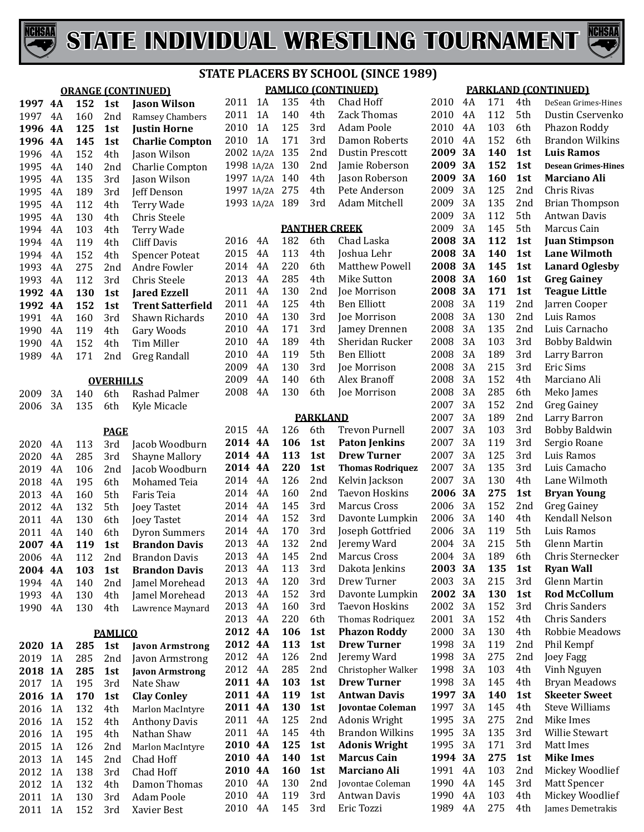



|         | <b>ORANGE (CONTINUED)</b> |     |                  |                          |            | <b>PAMLICO (CONTINUED)</b> |     |                 |                         |  |
|---------|---------------------------|-----|------------------|--------------------------|------------|----------------------------|-----|-----------------|-------------------------|--|
| 1997    | 4A                        | 152 | 1st              | <b>Jason Wilson</b>      | 2011       | 1A                         | 135 | 4th             | Chad Hoff               |  |
| 1997    | 4A                        | 160 | 2nd              | Ramsey Chambers          | 2011       | 1A                         | 140 | 4th             | Zack Thomas             |  |
| 1996    | <b>4A</b>                 | 125 | 1st              | <b>Justin Horne</b>      | 2010       | 1A                         | 125 | 3rd             | Adam Poole              |  |
| 1996    | 4A                        | 145 | 1st              | <b>Charlie Compton</b>   | 2010       | 1A                         | 171 | 3rd             | Damon Roberts           |  |
| 1996    | 4A                        | 152 | 4th              | Jason Wilson             | 2002 1A/2A |                            | 135 | 2nd             | <b>Dustin Prescott</b>  |  |
| 1995    | 4A                        | 140 | 2nd              | Charlie Compton          | 1998 1A/2A |                            | 130 | 2nd             | Jamie Roberson          |  |
| 1995    | 4A                        | 135 | 3rd              | Jason Wilson             | 1997 1A/2A |                            | 140 | 4th             | Jason Roberson          |  |
| 1995    | 4A                        | 189 | 3rd              | Jeff Denson              |            | 1997 1A/2A                 | 275 | 4th             | Pete Anderson           |  |
| 1995    | 4A                        | 112 | 4th              | Terry Wade               | 1993 1A/2A |                            | 189 | 3rd             | Adam Mitchell           |  |
| 1995    | 4A                        | 130 | 4th              | Chris Steele             |            |                            |     |                 |                         |  |
| 1994    | 4A                        | 103 | 4th              | Terry Wade               |            |                            |     |                 | <b>PANTHER CREEK</b>    |  |
| 1994    | 4A                        | 119 | 4th              | <b>Cliff Davis</b>       | 2016       | 4A                         | 182 | 6th             | Chad Laska              |  |
| 1994    | 4A                        | 152 | 4th              | <b>Spencer Poteat</b>    | 2015       | 4A                         | 113 | 4th             | Joshua Lehr             |  |
| 1993    | 4A                        | 275 | 2nd              | Andre Fowler             | 2014       | 4A                         | 220 | 6th             | <b>Matthew Powell</b>   |  |
| 1993    | 4A                        | 112 | 3rd              | Chris Steele             | 2013       | 4A                         | 285 | 4th             | Mike Sutton             |  |
| 1992    | <b>4A</b>                 | 130 | 1st              | <b>Jared Ezzell</b>      | 2011       | 4A                         | 130 | 2nd             | <b>Joe Morrison</b>     |  |
| 1992    | <b>4A</b>                 | 152 | 1st              | <b>Trent Satterfield</b> | 2011       | 4A                         | 125 | 4th             | <b>Ben Elliott</b>      |  |
| 1991    | 4A                        | 160 | 3rd              | Shawn Richards           | 2010       | 4A                         | 130 | 3rd             | Joe Morrison            |  |
| 1990    | 4A                        | 119 | 4th              | Gary Woods               | 2010       | 4A                         | 171 | 3rd             | Jamey Drennen           |  |
| 1990    | 4A                        | 152 | 4th              | Tim Miller               | 2010       | 4A                         | 189 | 4th             | Sheridan Rucker         |  |
| 1989    | 4A                        | 171 | 2nd              | <b>Greg Randall</b>      | 2010       | 4A                         | 119 | 5th             | <b>Ben Elliott</b>      |  |
|         |                           |     |                  |                          | 2009       | 4A                         | 130 | 3rd             | Joe Morrison            |  |
|         |                           |     | <b>OVERHILLS</b> |                          | 2009       | 4A                         | 140 | 6th             | Alex Branoff            |  |
| 2009    | 3A                        | 140 | 6th              | Rashad Palmer            | 2008       | 4A                         | 130 | 6th             | Joe Morrison            |  |
| 2006    | 3A                        | 135 | 6th              | Kyle Micacle             |            |                            |     |                 |                         |  |
|         |                           |     |                  |                          |            |                            |     | <b>PARKLAND</b> |                         |  |
|         |                           |     | <b>PAGE</b>      |                          | 2015       | 4A                         | 126 | 6th             | <b>Trevon Purnell</b>   |  |
| 2020    | 4A                        | 113 | 3rd              | Jacob Woodburn           | 2014 4A    |                            | 106 | 1st             | <b>Paton Jenkins</b>    |  |
| 2020    | 4A                        | 285 | 3rd              | <b>Shayne Mallory</b>    | 2014 4A    |                            | 113 | 1st             | <b>Drew Turner</b>      |  |
| 2019    | 4A                        | 106 | 2nd              | Jacob Woodburn           | 2014 4A    |                            | 220 | 1st             | <b>Thomas Rodriquez</b> |  |
| 2018    | 4A                        | 195 | 6th              | Mohamed Teia             | 2014       | 4A                         | 126 | 2nd             | Kelvin Jackson          |  |
| 2013    | 4A                        | 160 | 5th              | Faris Teia               | 2014       | 4A                         | 160 | 2nd             | <b>Taevon Hoskins</b>   |  |
| 2012    | 4A                        | 132 | 5th              | <b>Joey Tastet</b>       | 2014       | 4A                         | 145 | 3rd             | Marcus Cross            |  |
| 2011    | 4A                        | 130 | 6th              | <b>Joey Tastet</b>       | 2014       | 4A                         | 152 | 3rd             | Davonte Lumpkin         |  |
| 2011    | 4A                        | 140 | 6th              | <b>Dyron Summers</b>     | 2014       | 4A                         | 170 | 3rd             | Joseph Gottfried        |  |
| 2007 4A |                           | 119 | 1st              | <b>Brandon Davis</b>     | 2013       | 4A                         | 132 | 2nd             | Jeremy Ward             |  |
| 2006    | 4A                        | 112 | 2nd              | <b>Brandon Davis</b>     | 2013 4A    |                            | 145 |                 | 2nd Marcus Cross        |  |
| 2004    | 4A                        | 103 | 1st              | <b>Brandon Davis</b>     | 2013       | 4A                         | 113 | 3rd             | Dakota Jenkins          |  |
| 1994    | 4A                        | 140 | 2nd              | Jamel Morehead           | 2013       | 4A                         | 120 | 3rd             | Drew Turner             |  |
| 1993    | 4A                        | 130 | 4th              | Jamel Morehead           | 2013       | 4A                         | 152 | 3rd             | Davonte Lumpkin         |  |
| 1990    | 4A                        | 130 | 4th              | Lawrence Maynard         | 2013       | 4A                         | 160 | 3rd             | <b>Taevon Hoskins</b>   |  |
|         |                           |     |                  |                          | 2013       | 4A                         | 220 | 6th             | Thomas Rodriquez        |  |
|         |                           |     | <b>PAMLICO</b>   |                          | 2012 4A    |                            | 106 | 1st             | <b>Phazon Roddy</b>     |  |
| 2020    | <b>1A</b>                 | 285 | 1st              | <b>Javon Armstrong</b>   | 2012 4A    |                            | 113 | 1st             | <b>Drew Turner</b>      |  |
| 2019    | 1A                        | 285 | 2nd              | Javon Armstrong          | 2012       | 4A                         | 126 | 2nd             | Jeremy Ward             |  |
| 2018    | <b>1A</b>                 | 285 | 1st              | <b>Javon Armstrong</b>   | 2012       | 4A                         | 285 | 2nd             | Christopher Walker      |  |
| 2017    | 1A                        | 195 | 3rd              | Nate Shaw                | 2011 4A    |                            | 103 | 1st             | <b>Drew Turner</b>      |  |
| 2016    | <b>1A</b>                 | 170 | 1st              | <b>Clay Conley</b>       | 2011 4A    |                            | 119 | 1st             | <b>Antwan Davis</b>     |  |
| 2016    | 1A                        | 132 | 4th              | Marlon MacIntyre         | 2011 4A    |                            | 130 | 1st             | <b>Jovontae Coleman</b> |  |
| 2016    | 1A                        | 152 | 4th              | <b>Anthony Davis</b>     | 2011       | 4A                         | 125 | 2nd             | Adonis Wright           |  |
| 2016    | 1A                        | 195 | 4th              | Nathan Shaw              | 2011       | 4A                         | 145 | 4th             | Brandon Wilkins         |  |
| 2015    | 1A                        | 126 | 2nd              | Marlon MacIntyre         | 2010 4A    |                            | 125 | 1st             | <b>Adonis Wright</b>    |  |
| 2013    | 1A                        | 145 | 2nd              | Chad Hoff                | 2010 4A    |                            | 140 | 1st             | <b>Marcus Cain</b>      |  |
| 2012    | $1\mathrm{A}$             | 138 | 3rd              | Chad Hoff                | 2010 4A    |                            | 160 | 1st             | Marciano Ali            |  |
| 2012    | 1A                        | 132 | 4th              | Damon Thomas             | 2010       | 4A                         | 130 | 2nd             | Jovontae Coleman        |  |
| 2011    | 1A                        | 130 | 3rd              | <b>Adam Poole</b>        | 2010       | 4A                         | 119 | 3rd             | Antwan Davis            |  |

1A 130 3rd Adam Poole

Xavier Best

| <b>PAMLICO (CONTINUED)</b> |       |     |                      |                         |  |  |  |  |  |
|----------------------------|-------|-----|----------------------|-------------------------|--|--|--|--|--|
| 2011                       | 1A    | 135 | 4th                  | Chad Hoff               |  |  |  |  |  |
| 2011                       | 1A    | 140 | 4th                  | Zack Thomas             |  |  |  |  |  |
| 2010                       | 1A    | 125 | 3rd                  | <b>Adam Poole</b>       |  |  |  |  |  |
| 2010                       | 1A    | 171 | 3rd                  | <b>Damon Roberts</b>    |  |  |  |  |  |
| 2002                       | 1A/2A | 135 | 2nd                  | <b>Dustin Prescott</b>  |  |  |  |  |  |
| 1998                       | 1A/2A | 130 | 2nd                  | Jamie Roberson          |  |  |  |  |  |
| 1997                       | 1A/2A | 140 | 4th                  | Jason Roberson          |  |  |  |  |  |
| 1997                       | 1A/2A | 275 | 4th                  | Pete Anderson           |  |  |  |  |  |
| 1993                       | 1A/2A | 189 | 3rd                  | <b>Adam Mitchell</b>    |  |  |  |  |  |
|                            |       |     | <b>PANTHER CREEK</b> |                         |  |  |  |  |  |
| 2016                       | 4A    | 182 | 6th                  | Chad Laska              |  |  |  |  |  |
| 2015                       | 4A    | 113 | 4th                  | Joshua Lehr             |  |  |  |  |  |
| 2014                       | 4A    | 220 | 6th                  | Matthew Powell          |  |  |  |  |  |
| 2013                       | 4A    | 285 | 4th                  | <b>Mike Sutton</b>      |  |  |  |  |  |
| 2011                       | 4A    | 130 | 2nd                  | Joe Morrison            |  |  |  |  |  |
| 2011                       | 4A    | 125 | 4th                  | <b>Ben Elliott</b>      |  |  |  |  |  |
| 2010                       | 4A    | 130 | 3rd                  | Joe Morrison            |  |  |  |  |  |
| 2010                       | 4A    | 171 | 3rd                  | Jamey Drennen           |  |  |  |  |  |
| 2010                       | 4A    | 189 | 4th                  | Sheridan Rucker         |  |  |  |  |  |
| 2010                       | 4A    | 119 | 5th                  | <b>Ben Elliott</b>      |  |  |  |  |  |
| 2009                       | 4A    | 130 |                      | <b>Joe Morrison</b>     |  |  |  |  |  |
|                            |       |     | 3rd                  |                         |  |  |  |  |  |
| 2009                       | 4A    | 140 | 6th                  | Alex Branoff            |  |  |  |  |  |
| 2008                       | 4A    | 130 | 6th                  | Joe Morrison            |  |  |  |  |  |
|                            |       |     | <b>PARKLAND</b>      |                         |  |  |  |  |  |
| 2015                       | 4A    | 126 | 6th                  | <b>Trevon Purnell</b>   |  |  |  |  |  |
| 2014                       | 4A    | 106 | 1st                  | <b>Paton Jenkins</b>    |  |  |  |  |  |
| 2014                       | 4A    | 113 | 1st                  | <b>Drew Turner</b>      |  |  |  |  |  |
| 2014                       | 4A    | 220 | 1st                  | <b>Thomas Rodriquez</b> |  |  |  |  |  |
| 2014                       | 4A    | 126 | 2nd                  | Kelvin Jackson          |  |  |  |  |  |
| 2014                       | 4A    | 160 | 2nd                  | <b>Taevon Hoskins</b>   |  |  |  |  |  |
| 2014                       | 4A    | 145 | 3rd                  | <b>Marcus Cross</b>     |  |  |  |  |  |
| 2014                       | 4A    | 152 | 3rd                  | Davonte Lumpkin         |  |  |  |  |  |
| 2014                       | 4A    | 170 | 3rd                  | Joseph Gottfried        |  |  |  |  |  |
| 2013                       | 4A    | 132 | 2nd                  | Jeremy Ward             |  |  |  |  |  |
| 2013                       | 4A    | 145 | 2nd                  | Marcus Cross            |  |  |  |  |  |
| 2013                       | 4A    | 113 | 3rd                  | Dakota Jenkins          |  |  |  |  |  |
| 2013                       | 4A    | 120 | 3rd                  | Drew Turner             |  |  |  |  |  |
| 2013                       | 4A    | 152 | 3rd                  | Davonte Lumpkin         |  |  |  |  |  |
| 2013                       | 4A    | 160 | 3rd                  | <b>Taevon Hoskins</b>   |  |  |  |  |  |
| 2013                       | 4A    | 220 | 6th                  | Thomas Rodriquez        |  |  |  |  |  |
| 2012                       | 4A    | 106 | 1st                  | <b>Phazon Roddy</b>     |  |  |  |  |  |
| 2012                       | 4A    | 113 | 1st                  | <b>Drew Turner</b>      |  |  |  |  |  |
| 2012                       | 4A    | 126 | 2nd                  | Jeremy Ward             |  |  |  |  |  |
| 2012                       | 4A    | 285 | 2nd                  | Christopher Walker      |  |  |  |  |  |
| 2011                       | 4A    | 103 | 1st                  | <b>Drew Turner</b>      |  |  |  |  |  |

Eric Tozzi

4A 119 3rd Antwan Davis

#### **PARKLAND (CONTINUED)**

| 2010 | 4Α | 171 | 4th | DeSean Grimes-Hines        |
|------|----|-----|-----|----------------------------|
| 2010 | 4A | 112 | 5th | Dustin Cservenko           |
| 2010 | 4Α | 103 | 6th | Phazon Roddy               |
| 2010 | 4A | 152 | 6th | <b>Brandon Wilkins</b>     |
| 2009 | 3A | 140 | 1st | <b>Luis Ramos</b>          |
| 2009 | 3A | 152 | 1st | <b>Desean Grimes-Hines</b> |
| 2009 | 3A | 160 | 1st | <b>Marciano Ali</b>        |
| 2009 | 3A | 125 | 2nd | Chris Rivas                |
| 2009 | 3A | 135 | 2nd | <b>Brian Thompson</b>      |
| 2009 | 3A | 112 | 5th | <b>Antwan Davis</b>        |
| 2009 | 3A | 145 | 5th | Marcus Cain                |
| 2008 | 3A | 112 | 1st | <b>Juan Stimpson</b>       |
| 2008 | 3A | 140 | 1st | <b>Lane Wilmoth</b>        |
| 2008 | 3A | 145 | 1st | <b>Lanard Oglesby</b>      |
| 2008 | 3A | 160 | 1st | <b>Greg Gainey</b>         |
| 2008 | 3A | 171 | 1st | <b>Teague Little</b>       |
| 2008 | 3A | 119 | 2nd | Jarren Cooper              |
| 2008 | 3A | 130 | 2nd | Luis Ramos                 |
| 2008 | 3A | 135 | 2nd | Luis Carnacho              |
| 2008 | 3A | 103 | 3rd | <b>Bobby Baldwin</b>       |
| 2008 | 3A | 189 | 3rd | Larry Barron               |
| 2008 | 3A | 215 | 3rd | <b>Eric Sims</b>           |
| 2008 | 3A | 152 | 4th | Marciano Ali               |
| 2008 | 3A | 285 | 6th | Meko James                 |
| 2007 | 3A | 152 | 2nd | <b>Greg Gainey</b>         |
| 2007 | 3A | 189 | 2nd | Larry Barron               |
| 2007 | 3A | 103 | 3rd | <b>Bobby Baldwin</b>       |
| 2007 | 3A | 119 | 3rd | Sergio Roane               |
| 2007 | 3A | 125 | 3rd | Luis Ramos                 |
| 2007 | 3A | 135 | 3rd | Luis Camacho               |
| 2007 | 3A | 130 | 4th | Lane Wilmoth               |
| 2006 | 3A | 275 | 1st | <b>Bryan Young</b>         |
| 2006 | 3A | 152 | 2nd | <b>Greg Gainey</b>         |
| 2006 | 3A | 140 | 4th | Kendall Nelson             |
| 2006 | 3A | 119 | 5th | Luis Ramos                 |
| 2004 | 3A | 215 | 5th | <b>Glenn Martin</b>        |
| 2004 | 3A | 189 | 6th | Chris Sternecker           |
| 2003 | 3A | 135 | 1st | <b>Ryan Wall</b>           |
| 2003 | 3A | 215 | 3rd | Glenn Martin               |
| 2002 | 3А | 130 | 1st | <b>Rod McCollum</b>        |
| 2002 | 3A | 152 | 3rd | <b>Chris Sanders</b>       |
| 2001 | 3A | 152 | 4th | <b>Chris Sanders</b>       |
| 2000 | 3A | 130 | 4th | Robbie Meadows             |
| 1998 | 3A | 119 | 2nd | Phil Kempf                 |
| 1998 | 3A | 275 | 2nd | Joey Fagg                  |
| 1998 | 3A | 103 | 4th | Vinh Nguyen                |
| 1998 | 3A | 145 | 4th | <b>Bryan Meadows</b>       |
| 1997 | 3А | 140 | 1st | <b>Skeeter Sweet</b>       |
| 1997 | 3A | 145 | 4th | <b>Steve Williams</b>      |
| 1995 | 3A | 275 | 2nd | Mike Imes                  |
| 1995 | 3A | 135 | 3rd | Willie Stewart             |
| 1995 | 3A | 171 | 3rd | Matt Imes                  |
| 1994 | 3А | 275 | 1st | <b>Mike Imes</b>           |
| 1991 | 4Α | 103 | 2nd | Mickey Woodlief            |
| 1990 | 4Α | 145 | 3rd | Matt Spencer               |
| 1990 | 4A | 103 | 4th | Mickey Woodlief            |
| 1989 | 4A | 275 | 4th | James Demetrakis           |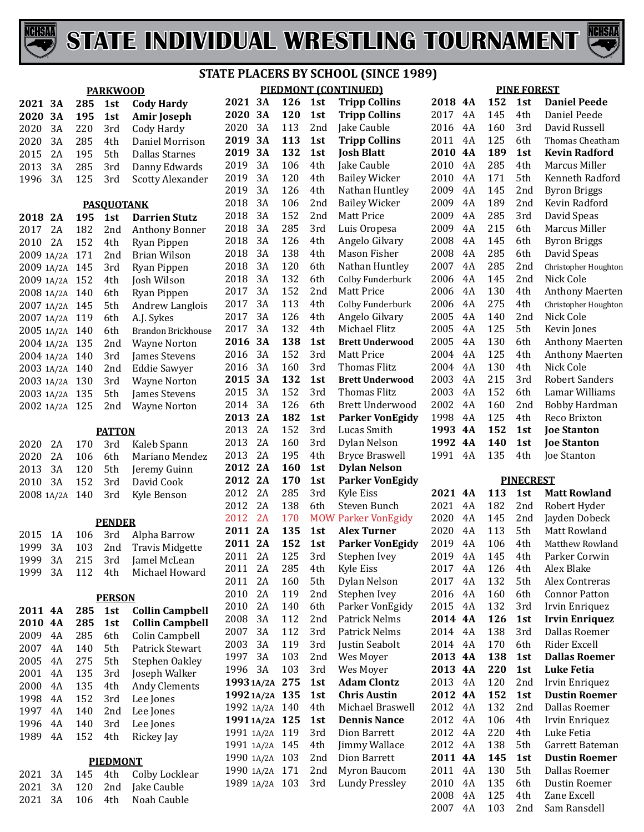



|                    |            | <b>PARKWOOD</b>   |                         |                |          |            |                 | PIEDMONT (CONTINUED)                       |              |          |            | <b>PINE FOREST</b> |                               |
|--------------------|------------|-------------------|-------------------------|----------------|----------|------------|-----------------|--------------------------------------------|--------------|----------|------------|--------------------|-------------------------------|
| 2021 3A            | 285        | 1st               | <b>Cody Hardy</b>       | 2021 3A        |          | 126        | 1st             | <b>Tripp Collins</b>                       | 2018 4A      |          | 152        | 1st                | <b>Daniel Peede</b>           |
| 2020<br>3A         | 195        | 1st               | <b>Amir Joseph</b>      | 2020           | 3A       | 120        | 1st             | <b>Tripp Collins</b>                       | 2017         | 4A       | 145        | 4th                | Daniel Peede                  |
| 2020<br>3A         | 220        | 3rd               | Cody Hardy              | 2020           | 3A       | 113        | 2 <sub>nd</sub> | Jake Cauble                                | 2016         | 4A       | 160        | 3rd                | David Russell                 |
| 2020<br>3A         | 285        | 4th               | Daniel Morrison         | 2019           | 3A       | 113        | 1st             | <b>Tripp Collins</b>                       | 2011         | 4A       | 125        | 6th                | Thomas Cheatham               |
| 2A<br>2015         | 195        | 5th               | <b>Dallas Starnes</b>   | 2019           | 3A       | 132        | 1st             | <b>Josh Blatt</b>                          | 2010         | 4A       | 189        | 1st                | <b>Kevin Radford</b>          |
| 2013<br>3A         | 285        | 3rd               | Danny Edwards           | 2019           | 3A       | 106        | 4th             | Jake Cauble                                | 2010         | 4A       | 285        | 4th                | Marcus Miller                 |
| 3A<br>1996         | 125        | 3rd               | <b>Scotty Alexander</b> | 2019           | 3A       | 120        | 4th             | <b>Bailey Wicker</b>                       | 2010         | 4A       | 171        | 5th                | Kenneth Radford               |
|                    |            |                   |                         | 2019           | 3A       | 126        | 4th             | Nathan Huntley                             | 2009         | 4A       | 145        | 2nd                | <b>Byron Briggs</b>           |
|                    |            | <b>PASOUOTANK</b> |                         | 2018           | 3A       | 106        | 2nd             | <b>Bailey Wicker</b>                       | 2009         | 4A       | 189        | 2nd                | Kevin Radford                 |
| 2018 2A            | 195        | 1st               | <b>Darrien Stutz</b>    | 2018           | 3A       | 152        | 2nd             | Matt Price                                 | 2009         | 4A       | 285        | 3rd                | David Speas                   |
| 2A<br>2017         | 182        | 2nd               | <b>Anthony Bonner</b>   | 2018           | 3A       | 285        | 3rd             | Luis Oropesa                               | 2009         | 4A       | 215        | 6th                | Marcus Miller                 |
| 2A<br>2010         | 152        | 4th               | Ryan Pippen             | 2018           | 3A       | 126        | 4th             | Angelo Gilvary                             | 2008         | 4A       | 145        | 6th                | <b>Byron Briggs</b>           |
| 2009 1A/2A 171     |            | 2 <sub>nd</sub>   | <b>Brian Wilson</b>     | 2018           | 3A       | 138        | 4th             | Mason Fisher                               | 2008         | 4A       | 285        | 6th                | David Speas                   |
| 2009 1A/2A 145     |            | 3rd               | Ryan Pippen             | 2018           | 3A       | 120        | 6th             | Nathan Huntley                             | 2007         | 4A       | 285        | 2nd                | Christopher Houghton          |
| 2009 1A/2A 152     |            | 4th               | Josh Wilson             | 2018           | 3A       | 132        | 6th             | Colby Funderburk                           | 2006         | 4A       | 145        | 2nd                | Nick Cole                     |
| 2008 1A/2A 140     |            | 6th               | Ryan Pippen             | 2017           | 3A       | 152        | 2nd             | Matt Price                                 | 2006         | 4A       | 130        | 4th                | <b>Anthony Maerten</b>        |
| 2007 1A/2A 145     |            | 5th               | Andrew Langlois         | 2017           | 3A       | 113        | 4th             | Colby Funderburk                           | 2006         | 4A       | 275        | 4th                | Christopher Houghton          |
| 2007 1A/2A 119     |            | 6th               | A.J. Sykes              | 2017           | 3A       | 126        | 4th             | Angelo Gilvary                             | 2005         | 4A       | 140        | 2nd                | Nick Cole                     |
| 2005 1A/2A 140     |            | 6th               | Brandon Brickhouse      | 2017           | 3A       | 132        | 4th             | Michael Flitz                              | 2005         | 4A       | 125        | 5th                | Kevin Jones                   |
| 2004 1A/2A 135     |            | 2 <sub>nd</sub>   | <b>Wayne Norton</b>     | 2016           | 3A       | 138        | 1st             | <b>Brett Underwood</b>                     | 2005         | 4A       | 130        | 6th                | <b>Anthony Maerten</b>        |
| 2004 1A/2A 140     |            | 3rd               | James Stevens           | 2016           | 3A       | 152        | 3rd             | <b>Matt Price</b>                          | 2004         | 4A       | 125        | 4th                | <b>Anthony Maerten</b>        |
| 2003 1A/2A 140     |            | 2nd               | <b>Eddie Sawyer</b>     | 2016           | 3A       | 160        | 3rd             | Thomas Flitz                               | 2004         | 4A       | 130        | 4th                | Nick Cole                     |
| 2003 1A/2A 130     |            | 3rd               | <b>Wayne Norton</b>     | 2015           | 3A       | 132        | 1st             | <b>Brett Underwood</b>                     | 2003         | 4A       | 215        | 3rd                | <b>Robert Sanders</b>         |
| 2003 1A/2A 135     |            | 5th               | James Stevens           | 2015           | 3A       | 152        | 3rd             | Thomas Flitz                               | 2003         | 4A       | 152        | 6th                | Lamar Williams                |
| 2002 1A/2A 125     |            | 2 <sub>nd</sub>   | <b>Wayne Norton</b>     | 2014           | 3A       | 126        | 6th             | <b>Brett Underwood</b>                     | 2002         | 4A       | 160        | 2nd                | Bobby Hardman                 |
|                    |            |                   |                         | 2013           | 2A       | 182        | 1st             | <b>Parker VonEgidy</b>                     | 1998         | 4A       | 125        | 4th                | Reco Brixton                  |
|                    |            | <b>PATTON</b>     |                         | 2013           | 2A       | 152        | 3rd             | Lucas Smith                                | 1993         | 4A       | 152        | 1st                | <b>Joe Stanton</b>            |
| 2020<br>2A         | 170        | 3rd               | Kaleb Spann             | 2013           | 2A       | 160        | 3rd             | Dylan Nelson                               | 1992         | 4A       | 140        | 1st                | <b>Joe Stanton</b>            |
| 2020<br>2A         | 106        | 6th               | Mariano Mendez          | 2013           | 2A       | 195        | 4th             | <b>Bryce Braswell</b>                      | 1991         | 4A       | 135        | 4th                | Joe Stanton                   |
| 2013<br>3A         | 120        | 5th               | Jeremy Guinn            | 2012 2A        |          | <b>160</b> | 1st             | <b>Dylan Nelson</b>                        |              |          |            |                    |                               |
| 3A<br>2010         | 152        | 3rd               | David Cook              | 2012 2A        |          | 170        | 1st             | <b>Parker VonEgidy</b>                     |              |          |            | <b>PINECREST</b>   |                               |
| 2008 1A/2A         | 140        | 3rd               | Kyle Benson             | 2012           | 2A<br>2A | 285<br>138 | 3rd             | Kyle Eiss                                  | 2021 4A      |          | 113<br>182 | 1st<br>2nd         | <b>Matt Rowland</b>           |
|                    |            |                   |                         | 2012<br>2012   | 2A       | 170        | 6th             | Steven Bunch<br><b>MOW Parker VonEgidy</b> | 2021<br>2020 | 4A<br>4A | 145        | 2nd                | Robert Hyder<br>Jayden Dobeck |
|                    |            | <b>PENDER</b>     |                         | 2011 2A        |          | 135        | 1st             | <b>Alex Turner</b>                         | 2020         | 4A       | 113        | 5th                | Matt Rowland                  |
| 2015<br>1A         | 106        | 3rd               | Alpha Barrow            | 2011 2A        |          | 152        | 1st             | <b>Parker VonEgidy</b>                     | 2019         | 4A       | 106        | 4th                | Matthew Rowland               |
| 1999<br>3A         | 103        | 2nd               | <b>Travis Midgette</b>  | 2011 2A        |          | 125        | 3rd             | Stephen Ivey                               | 2019         | 4A       | 145        | 4th                | Parker Corwin                 |
| 3A<br>1999         | 215        | 3rd               | Jamel McLean            | 2011           | 2A       | 285        | 4th             | Kyle Eiss                                  | 2017         | 4A       | 126        | 4th                | Alex Blake                    |
| 3A<br>1999         | 112        | 4th               | Michael Howard          | 2011           | 2A       | 160        | 5th             | Dylan Nelson                               | 2017         | 4A       | 132        | 5th                | Alex Contreras                |
|                    |            |                   |                         | 2010           | 2A       | 119        | 2nd             | Stephen Ivey                               | 2016         | 4A       | 160        | 6th                | <b>Connor Patton</b>          |
|                    |            | <b>PERSON</b>     |                         | 2010           | 2A       | 140        | 6th             | Parker VonEgidy                            | 2015         | 4A       | 132        | 3rd                | Irvin Enriquez                |
| 2011 4A            | 285        | 1st               | <b>Collin Campbell</b>  | 2008           | 3A       | 112        | 2nd             | Patrick Nelms                              | 2014 4A      |          | 126        | 1st                | <b>Irvin Enriquez</b>         |
| 2010 4A            | 285        | 1st               | <b>Collin Campbell</b>  | 2007           | 3A       | 112        | 3rd             | Patrick Nelms                              | 2014         | 4A       | 138        | 3rd                | Dallas Roemer                 |
| 2009<br>4A         | 285        | 6th               | Colin Campbell          | 2003           | 3A       | 119        | 3rd             | Justin Seabolt                             | 2014 4A      |          | 170        | 6th                | Rider Excell                  |
| 2007<br>4A         | 140        | 5th               | Patrick Stewart         | 1997           | 3A       | 103        | 2nd             | Wes Moyer                                  | 2013 4A      |          | 138        | 1st                | <b>Dallas Roemer</b>          |
| 2005<br>4A<br>4A   | 275        | 5th               | Stephen Oakley          | 1996           | 3A       | 103        | 3rd             | Wes Moyer                                  | 2013 4A      |          | 220        | 1st                | <b>Luke Fetia</b>             |
| 2001<br>4A         | 135        | 3rd               | Joseph Walker           | 1993 1A/2A 275 |          |            | 1st             | <b>Adam Clontz</b>                         | 2013         | 4A       | 120        | 2nd                | Irvin Enriquez                |
| 2000<br>1998<br>4A | 135<br>152 | 4th<br>3rd        | Andy Clements           | 1992 1A/2A 135 |          |            | 1st             | <b>Chris Austin</b>                        | 2012 4A      |          | 152        | 1st                | <b>Dustin Roemer</b>          |
| 1997<br>4A         | 140        |                   | Lee Jones               | 1992 1A/2A 140 |          |            | 4th             | Michael Braswell                           | 2012         | 4A       | 132        | 2nd                | Dallas Roemer                 |
| 1996<br>4A         | 140        | 2nd               | Lee Jones               | 19911A/2A 125  |          |            | 1st             | <b>Dennis Nance</b>                        | 2012         | 4A       | 106        | 4th                | Irvin Enriquez                |
| 1989<br>4A         | 152        | 3rd<br>4th        | Lee Jones<br>Rickey Jay | 1991 1A/2A 119 |          |            | 3rd             | Dion Barrett                               | 2012         | 4A       | 220        | 4th                | Luke Fetia                    |
|                    |            |                   |                         | 1991 1A/2A 145 |          |            | 4th             | Jimmy Wallace                              | 2012         | 4A       | 138        | 5th                | Garrett Bateman               |
|                    |            | <b>PIEDMONT</b>   |                         | 1990 1A/2A 103 |          |            | 2 <sub>nd</sub> | Dion Barrett                               | 2011 4A      |          | 145        | 1st                | <b>Dustin Roemer</b>          |
| 3A<br>2021         | 145        | 4th               | Colby Locklear          | 1990 1A/2A 171 |          |            | 2nd             | Myron Baucom                               | 2011         | 4A       | 130        | 5th                | Dallas Roemer                 |
| 2021<br>3A         | 120        | 2nd               | Jake Cauble             | 1989 1A/2A 103 |          |            | 3rd             | <b>Lundy Pressley</b>                      | 2010         | 4A       | 135        | 6th                | Dustin Roemer                 |
| 3A<br>2021         | 106        | 4th               | Noah Cauble             |                |          |            |                 |                                            | 2008         | 4A       | 125        | 4th                | Zane Excell                   |
|                    |            |                   |                         |                |          |            |                 |                                            | 2007         | 4A       | 103        | 2nd                | Sam Ransdell                  |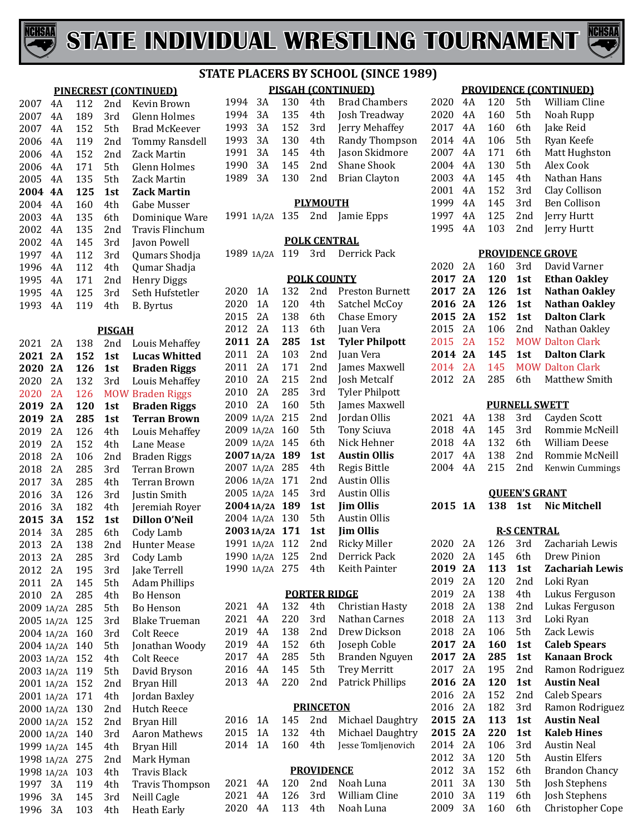



#### **PINECREST (CONTINUED)** 4A 112 2nd Kevin Brown 2007 4A 189 3rd Glenn Holmes<br>2007 4A 152 5th Brad McKeeve 2007 4A 152 5th Brad McKeever<br>2006 4A 119 2nd Tommy Ransde 4A 119 2nd Tommy Ransdell 4A 152 2nd Zack Martin 4A 171 5th Glenn Holmes 2005 4A 135 5th Zack Martin<br>2004 4A 125 1st Zack Martin **4A 125 1st Zack Martin** 2004 4A 160 4th Gabe Musser<br>2003 4A 135 6th Dominique M 2003 4A 135 6th Dominique Ware<br>2002 4A 135 2nd Travis Flinchum 4A 135 2nd Travis Flinchum 4A 145 3rd Javon Powell 4A 112 3rd Qumars Shodja 4A 112 4th Qumar Shadja 4A 171 2nd Henry Diggs 4A 125 3rd Seth Hufstetler **B. Byrtus PISGAH** 2021 2A 138 2nd Louis Mehaffey<br>2021 2A 152 1st Lucas Whitted **2A 152 1st Lucas Whitted 2A 126 1st Braden Riggs** 2020 2A 132 3rd Louis Mehaffey<br>2020 2A 126 MOW Braden Riggs 2020 2A 126 MOW Braden Riggs<br>2019 2A 120 1st Braden Riggs **Braden Riggs 2A 285 1st Terran Brown** 2019 2A 126 4th Louis Mehaffey<br>2019 2A 152 4th Lane Mease 2A 152 4th Lane Mease 2A 106 2nd Braden Riggs 2A 285 3rd Terran Brown 2017 3A 285 4th Terran Brown<br>2016 3A 126 3rd Iustin Smith 3A 126 3rd Justin Smith 2016 3A 182 4th Jeremiah Royer<br>2015 3A 152 1st Dillon O'Neil **3A 152 1st Dillon O'Neil** 2014 3A 285 6th Cody Lamb<br>2013 2A 138 2nd Hunter Mea 2013 2A 138 2nd Hunter Mease<br>2013 2A 285 3rd Cody Lamb 2A 285 3rd Cody Lamb 2A 195 3rd Jake Terrell 2A 145 5th Adam Phillips 4th Bo Henson<br>5th Bo Henson 1A/2A 285 5th Bo Henson 2005 1A/2A 125 3rd Blake True<br>2004 1A/2A 160 3rd Colt Reece 2004 1A/2A 160 3rd<br>2004 1A/2A 140 5th 5th Jonathan Woody<br>4th Colt Reece 1A/2A 152 4th Colt Reece 2003 1A/2A 119 5th David Brys<br>2001 1A/2A 152 2nd Bryan Hill

 1A/2A 152 2nd Bryan Hill 2001 1A/2A 171 4th Jordan Baxle<br>2000 1A/2A 130 2nd Hutch Reece 2000 1A/2A 130 2nd Hutch Ree<br>2000 1A/2A 152 2nd Brvan Hill 1A/2A 152 2nd Bryan Hill 2000 1A/2A 140 3rd Aaron Mat<br>1999 1A/2A 145 4th Bryan Hill 1A/2A 145 4th Bryan Hill 1A/2A 275 2nd Mark Hyman

1997 3A 119 4th Travis Thompson<br>1996 3A 145 3rd Neill Cagle 3A 145 3rd Neill Cagle

Heath Early

1998 1A/2A 103 4th<br>1997 3A 119 4th

#### **PISGAH (CONTINUED) STATE PLACERS BY SCHOOL (SINCE 1989)**

| 1994 3A |      | 130 | 4th             | <b>Brad Chambers</b>          |
|---------|------|-----|-----------------|-------------------------------|
| 1994    | - 3A | 135 | 4th             | Josh Treadway                 |
| 1993 3A |      | 152 | 3rd             | Jerry Mehaffey                |
| 1993 3A |      | 130 | 4th             | Randy Thompson                |
| 1991 3A |      | 145 | 4th             | Jason Skidmore                |
| 1990    | 3A   | 145 | 2 <sub>nd</sub> | Shane Shook                   |
|         |      |     |                 | 1989 3A 130 2nd Brian Clayton |
|         |      |     |                 |                               |

#### **PLYMOUTH**

| 1991 1A/2A 135 2nd Jamie Epps |  |
|-------------------------------|--|
|-------------------------------|--|

#### **POLK CENTRAL**

| 1989 1A/2A 119 3rd Derrick Pack |  |  |  |  |  |
|---------------------------------|--|--|--|--|--|
|---------------------------------|--|--|--|--|--|

|               |     | <b>POLK COUNTY</b> |                        |
|---------------|-----|--------------------|------------------------|
| 2020<br>1 A   | 132 | 2nd                | <b>Preston Burnett</b> |
| 2020<br>1 A   | 120 | 4th                | Satchel McCoy          |
| 2015<br>2A    | 138 | 6th.               | Chase Emory            |
| 2012<br>2Α    | 113 | 6th.               | Juan Vera              |
| 2011<br>2A    | 285 | 1st                | <b>Tyler Philpott</b>  |
| 2011<br>2A    | 103 | 2nd                | Juan Vera              |
| 2011<br>2A    | 171 | 2nd                | James Maxwell          |
| 2010<br>2A    | 215 | 2 <sub>nd</sub>    | Josh Metcalf           |
| 2010<br>2A    | 285 | 3rd                | <b>Tyler Philpott</b>  |
| 2010<br>2A    | 160 | 5th                | James Maxwell          |
| 2009<br>1A/2A | 215 | 2nd                | Jordan Ollis           |
| 2009<br>1A/2A | 160 | 5th.               | <b>Tony Sciuva</b>     |
| 2009 1A/2A    | 145 | 6th.               | Nick Hehner            |
| 2007 1A/2A    | 189 | 1st                | <b>Austin Ollis</b>    |
| 2007 1A/2A    | 285 | 4th                | Regis Bittle           |
| 2006 1A/2A    | 171 | 2nd                | Austin Ollis           |
| 2005 1A/2A    | 145 | 3rd                | Austin Ollis           |
| 2004 1A/2A    | 189 | 1st                | <b>Jim Ollis</b>       |
| 2004 1A/2A    | 130 | 5th.               | Austin Ollis           |
| 2003 1A/2A    | 171 | 1st                | <b>Jim Ollis</b>       |
| 1991 1A/2A    | 112 | 2nd                | Ricky Miller           |
| 1990 1A/2A    | 125 | 2nd                | Derrick Pack           |
| 1990 1A/2A    | 275 | 4th                | Keith Painter          |
|               |     |                    |                        |

#### **PORTER RIDGE**

|         |  |         | 2021 4A 132 4th Christian Hasty  |
|---------|--|---------|----------------------------------|
| 2021 4A |  | 220 3rd | Nathan Carnes                    |
|         |  |         | 2019 4A 138 2nd Drew Dickson     |
|         |  |         | 2019 4A 152 6th Joseph Coble     |
| 2017 4A |  |         | 285 5th Branden Nguyen           |
|         |  |         | 2016 4A 145 5th Trey Merritt     |
|         |  |         | 2013 4A 220 2nd Patrick Phillips |
|         |  |         |                                  |

#### **PRINCETON**

|  |  | 2016 1A 145 2nd Michael Daughtry   |
|--|--|------------------------------------|
|  |  | 2015 1A 132 4th Michael Daughtry   |
|  |  | 2014 1A 160 4th Jesse-Tomljenovich |

#### **PROVIDENCE**

|  |  | 2021 4A 120 2nd Noah-Luna     |
|--|--|-------------------------------|
|  |  | 2021 4A 126 3rd William Cline |
|  |  | 2020 4A 113 4th Noah-Luna     |

#### **PROVIDENCE (CONTINUED)**

| 2020 | 4Α  | 120 | 5th             | William Cline |
|------|-----|-----|-----------------|---------------|
| 2020 | 4A  | 160 | 5th             | Noah Rupp     |
| 2017 | 4A  | 160 | 6th             | Jake Reid     |
| 2014 | 4A  | 106 | 5th             | Ryan Keefe    |
| 2007 | 4A  | 171 | 6th             | Matt Hughston |
| 2004 | 4A  | 130 | 5th             | Alex Cook     |
| 2003 | 4A  | 145 | 4th             | Nathan Hans   |
| 2001 | 4A  | 152 | 3rd             | Clay Collison |
| 1999 | 4Α  | 145 | 3rd             | Ben Collison  |
| 1997 | 4Α  | 125 | 2 <sub>nd</sub> | Jerry Hurtt   |
| 1995 | 4 A | 103 | 2nd             | Jerry Hurtt   |
|      |     |     |                 |               |

#### **PROVIDENCE GROVE**

| 2020    | 2A | 160 | 3rd   | David Varner            |
|---------|----|-----|-------|-------------------------|
| 2017 2A |    | 120 | 1st   | <b>Ethan Oakley</b>     |
| 2017 2A |    | 126 | 1st   | <b>Nathan Oakley</b>    |
| 2016 2A |    | 126 | 1st   | <b>Nathan Oakley</b>    |
| 2015 2A |    | 152 | 1st   | <b>Dalton Clark</b>     |
| 2015 2A |    | 106 | 2nd   | Nathan Oakley           |
| 2015 2A |    | 152 |       | <b>MOW Dalton Clark</b> |
| 2014 2A |    | 145 | 1st - | <b>Dalton Clark</b>     |
| 2014 2A |    | 145 |       | <b>MOW Dalton Clark</b> |
| 2012 2A |    | 285 |       | 6th Matthew Smith       |

#### **PURNELL SWETT**

|  |  | 2021 4A 138 3rd Cayden Scott    |
|--|--|---------------------------------|
|  |  | 2018 4A 145 3rd Rommie McNeill  |
|  |  | 2018 4A 132 6th William Deese   |
|  |  | 2017 4A 138 2nd Rommie McNeill  |
|  |  | 2004 4A 215 2nd Kenwin Cummings |
|  |  |                                 |

#### **QUEEN'S GRANT**

**1A 138 1st Nic Mitchell**

#### **R-S CENTRAL**

| 2020 | 2Α | 126 | 3rd | Zachariah Lewis       |
|------|----|-----|-----|-----------------------|
| 2020 | 2Α | 145 | 6th | Drew Pinion           |
| 2019 | 2Α | 113 | 1st | Zachariah Lewis       |
| 2019 | 2A | 120 | 2nd | Loki Ryan             |
| 2019 | 2A | 138 | 4th | Lukus Ferguson        |
| 2018 | 2A | 138 | 2nd | Lukas Ferguson        |
| 2018 | 2A | 113 | 3rd | Loki Ryan             |
| 2018 | 2A | 106 | 5th | Zack Lewis            |
| 2017 | 2A | 160 | 1st | <b>Caleb Spears</b>   |
| 2017 | 2A | 285 | 1st | Kanaan Brock          |
| 2017 | 2Α | 195 | 2nd | Ramon Rodriguez       |
| 2016 | 2A | 120 | 1st | <b>Austin Neal</b>    |
|      |    |     |     |                       |
| 2016 | 2Α | 152 | 2nd | Caleb Spears          |
| 2016 | 2Α | 182 | 3rd | Ramon Rodriguez       |
| 2015 | 2A | 113 | 1st | <b>Austin Neal</b>    |
| 2015 | 2A | 220 | 1st | <b>Kaleb Hines</b>    |
| 2014 | 2A | 106 | 3rd | <b>Austin Neal</b>    |
| 2012 | 3A | 120 | 5th | <b>Austin Elfers</b>  |
| 2012 | 3A | 152 | 6th | <b>Brandon Chancy</b> |
| 2011 | 3A | 130 | 5th | Josh Stephens         |
| 2010 | 3A | 119 | 6th | Josh Stephens         |
| 2009 | 3A | 160 | 6th | Christopher Cope      |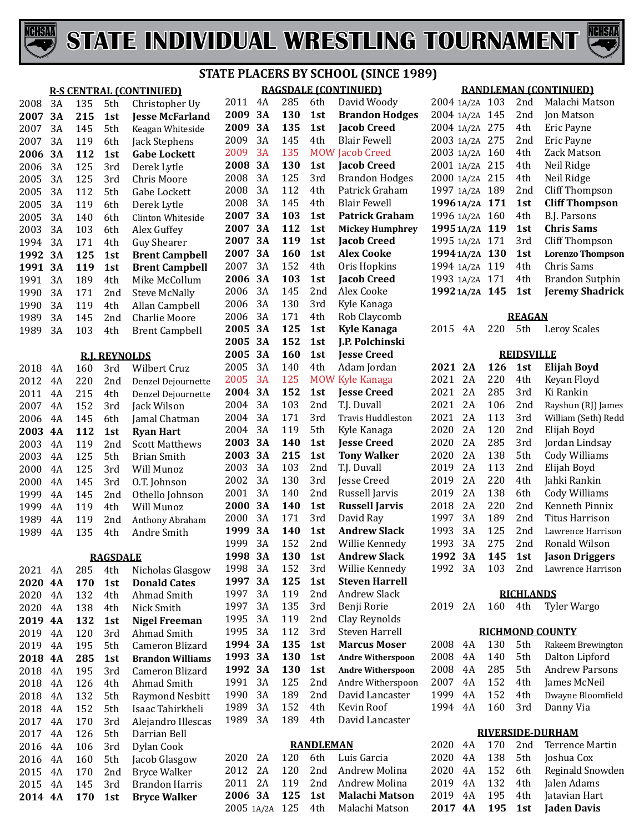



|              |                 |            |                      |                                              | <b>STATE PLACE</b> |              |
|--------------|-----------------|------------|----------------------|----------------------------------------------|--------------------|--------------|
|              |                 |            |                      | <b>R-S CENTRAL (CONTINUED)</b>               |                    | $\mathbf{R}$ |
| 2008         | 3A              | 135        | 5th                  | Christopher Uy                               | 2011               | 4A           |
| 2007         | 3A              | 215        | 1st                  | <b>Jesse McFarland</b>                       | 2009               | 3A           |
| 2007         | 3A              | 145        | 5th                  | Keagan Whiteside                             | 2009               | 3A           |
| 2007         | 3A              | 119        | 6th                  | Jack Stephens                                | 2009               | 3A           |
| 2006         | 3A              | 112        | 1st                  | <b>Gabe Lockett</b>                          | 2009               | 3A           |
| 2006         | 3A              | 125        | 3rd                  | Derek Lytle                                  | 2008               | 3A           |
| 2005         | 3A              | 125        | 3rd                  | Chris Moore                                  | 2008               | 3A           |
| 2005         | 3A              | 112        | 5th                  | Gabe Lockett                                 | 2008               | 3A           |
| 2005         | 3A              | 119        | 6th                  | Derek Lytle                                  | 2008               | 3A           |
| 2005         | 3A              | 140        | 6th                  | Clinton Whiteside                            | 2007               | 3A           |
| 2003         | 3A              | 103        | 6th                  | Alex Guffey                                  | 2007               | 3A           |
| 1994         | 3A              | 171        | 4th                  | <b>Guy Shearer</b>                           | 2007               | 3A           |
| 1992         | 3A              | 125        | 1st                  | <b>Brent Campbell</b>                        | 2007               | 3A           |
| 1991         | 3A              | 119        | 1st                  | <b>Brent Campbell</b>                        | 2007               | 3A           |
| 1991         | 3A              | 189        | 4th                  | Mike McCollum                                | 2006               | 3A           |
| 1990         | 3A              | 171        | 2nd                  | <b>Steve McNally</b>                         | 2006               | 3A           |
| 1990         | 3A              | 119        | 4th                  | Allan Campbell                               | 2006               | 3A           |
| 1989         | 3A              | 145        | 2nd                  | <b>Charlie Moore</b>                         | 2006               | 3A           |
| 1989         | 3A              | 103        | 4th                  | <b>Brent Campbell</b>                        | 2005               | 3A           |
|              |                 |            |                      |                                              | 2005               | 3A           |
|              |                 |            | <b>R.I. REYNOLDS</b> |                                              | 2005               | 3A           |
| 2018         | 4A              | 160        | 3rd                  | Wilbert Cruz                                 | 2005               | 3A           |
| 2012         | 4A              | 220        | 2nd                  | Denzel Dejournette                           | 2005<br>2004       | 3A<br>3A     |
| 2011         | 4A              | 215        | 4th                  | Denzel Dejournette                           | 2004               | 3A           |
| 2007         | 4A              | 152        | 3rd                  | Jack Wilson                                  | 2004               | 3A           |
| 2006         | 4A              | 145        | 6th                  | Jamal Chatman                                | 2004               | 3A           |
| 2003<br>2003 | <b>4A</b><br>4A | 112<br>119 | 1st<br>2nd           | <b>Ryan Hart</b><br><b>Scott Matthews</b>    | 2003               | 3A           |
| 2003         | 4A              | 125        | 5th                  | <b>Brian Smith</b>                           | 2003               | 3A           |
| 2000         | 4A              | 125        | 3rd                  | Will Munoz                                   | 2003               | 3A           |
| 2000         | 4A              | 145        | 3rd                  | O.T. Johnson                                 | 2002               | 3A           |
| 1999         | 4A              | 145        | 2nd                  | Othello Johnson                              | 2001               | 3A           |
| 1999         | 4A              | 119        | 4th                  | Will Munoz                                   | 2000               | 3A           |
| 1989         | 4A              | 119        | 2nd                  | Anthony Abraham                              | 2000               | 3A           |
| 1989         | 4A              | 135        | 4th                  | Andre Smith                                  | 1999               | 3A           |
|              |                 |            |                      |                                              | 1999               | 3A           |
|              |                 |            | <b>RAGSDALE</b>      |                                              | 1998               | 3А           |
| 2021         | 4A              | 285        | 4th                  | Nicholas Glasgow                             | 1998               | 3A           |
| 2020         | <b>4A</b>       | 170        | 1st                  | <b>Donald Cates</b>                          | 1997               | 3A           |
| 2020         | 4A              | 132        | 4th                  | Ahmad Smith                                  | 1997               | 3A           |
| 2020         | 4A              | 138        | 4th                  | Nick Smith                                   | 1997               | 3A           |
| 2019         | <b>4A</b>       | 132        | 1st                  | <b>Nigel Freeman</b>                         | 1995               | 3A           |
| 2019         | 4A              | 120        | 3rd                  | Ahmad Smith                                  | 1995               | 3A           |
| 2019         | 4A              | 195        | 5th                  | Cameron Blizard                              | 1994               | 3A           |
| 2018         | <b>4A</b>       | 285        | 1st                  | <b>Brandon Williams</b>                      | 1993               | 3A           |
| 2018         | 4A              | 195        | 3rd                  | Cameron Blizard                              | 1992               | 3A           |
| 2018         | 4A              | 126        | 4th                  | Ahmad Smith                                  | 1991               | 3A           |
| 2018         | 4A              | 132        | 5th                  | <b>Raymond Nesbitt</b>                       | 1990               | 3A           |
| 2018         | 4A              | 152        | 5th                  | Isaac Tahirkheli                             | 1989               | 3A<br>3A     |
| 2017         | 4A              | 170        | 3rd                  | Alejandro Illescas                           | 1989               |              |
| 2017         | 4A              | 126        | 5th                  | Darrian Bell                                 |                    |              |
| 2016         | 4A              | 106        | 3rd                  | Dylan Cook                                   | 2020               | 2A           |
| 2016         | 4A<br>4A        | 160<br>170 | 5th<br>2nd           | Jacob Glasgow                                | 2012               | 2A           |
| 2015<br>2015 | 4A              | 145        | 3rd                  | <b>Bryce Walker</b><br><b>Brandon Harris</b> | 2011               | 2A           |
| 2014         | <b>4A</b>       | 170        | 1st                  | <b>Bryce Walker</b>                          | 2006               | 3A           |
|              |                 |            |                      |                                              |                    |              |

#### **RAGSDALE (CONTINUED) STATE PLACERS BY SCHOOL (SINCE 1989)**

| 2011             | 4Α              | 285        | 6th        | David Woody                             |  |  |
|------------------|-----------------|------------|------------|-----------------------------------------|--|--|
| 2009             | <b>3A</b>       | 130        | 1st        | <b>Brandon Hodges</b>                   |  |  |
| 2009             | <b>3A</b>       | 135        | 1st        | <b>Jacob Creed</b>                      |  |  |
| 2009             | 3A              | 145        | 4th        | <b>Blair Fewell</b>                     |  |  |
| 2009             | 3A              | 135        | <b>MOW</b> | <b>Jacob Creed</b>                      |  |  |
| 2008             | 3А              | 130        | 1st        | <b>Jacob Creed</b>                      |  |  |
| 2008             | 3A              | 125        | 3rd        | <b>Brandon Hodges</b>                   |  |  |
| 2008             | 3A              | 112        | 4th        | Patrick Graham                          |  |  |
| 2008             | 3A              | 145        | 4th        | <b>Blair Fewell</b>                     |  |  |
| 2007             | 3А              | 103        | 1st        | <b>Patrick Graham</b>                   |  |  |
| 2007             | 3А              | 112        | 1st        | <b>Mickey Humphrey</b>                  |  |  |
| 2007             | 3А              | 119        | 1st        | <b>Jacob Creed</b>                      |  |  |
| 2007             | <b>3A</b>       | 160        | 1st        | <b>Alex Cooke</b>                       |  |  |
| 2007             | 3A              | 152        | 4th        | Oris Hopkins                            |  |  |
| 2006             | 3А              | 103        | 1st        | <b>Jacob Creed</b>                      |  |  |
| 2006             | 3A              | 145        | 2nd        | Alex Cooke                              |  |  |
| 2006             | 3A              | 130        | 3rd        | Kyle Kanaga                             |  |  |
| 2006             | 3A              | 171        | 4th        | Rob Claycomb                            |  |  |
| 2005             | 3А              | 125        | 1st        | <b>Kyle Kanaga</b>                      |  |  |
| 2005             | 3А              | 152        | 1st        | J.P. Polchinski                         |  |  |
| 2005             | <b>3A</b>       | 160        | 1st        | <b>Jesse Creed</b>                      |  |  |
| 2005             | 3A              | 140        | 4th        | Adam Jordan                             |  |  |
| 2005             | 3A              | 125        | <b>MOW</b> | <b>Kyle Kanaga</b>                      |  |  |
| 2004             | 3А              | 152        | 1st        | <b>Jesse Creed</b>                      |  |  |
| 2004             | 3A              | 103        | 2nd        | T.J. Duvall                             |  |  |
| 2004             | 3A              | 171        | 3rd        | <b>Travis Huddleston</b>                |  |  |
| 2004             | 3A              | 119        | 5th        | Kyle Kanaga                             |  |  |
| 2003             | 3А              | 140        | 1st        | <b>Jesse Creed</b>                      |  |  |
| 2003             | 3А              | 215        | 1st        | <b>Tony Walker</b>                      |  |  |
| 2003             | 3A              | 103        | 2nd        | T.J. Duvall                             |  |  |
| 2002             | 3A              | 130        | 3rd        | Jesse Creed                             |  |  |
| 2001             | 3A              | 140        | 2nd        | Russell Jarvis                          |  |  |
| 2000             | 3А              | 140        | 1st        | <b>Russell Jarvis</b>                   |  |  |
| 2000             | 3A              | 171        | 3rd        | David Ray                               |  |  |
| 1999             | 3А              | 140        | 1st        | Andrew Slack                            |  |  |
| 1999             | 3A              | 152        | 2nd        | Willie Kennedy                          |  |  |
| 1998             | 3A              | 130        | 1st        | <b>Andrew Slack</b>                     |  |  |
| 1998             | 3A              | 152        | 3rd        | Willie Kennedy<br><b>Steven Harrell</b> |  |  |
| 1997<br>1997     | <b>3A</b><br>3A | 125<br>119 | 1st<br>2nd | <b>Andrew Slack</b>                     |  |  |
|                  | 3A              |            |            |                                         |  |  |
| 1997<br>1995     | 3A              | 135        | 3rd<br>2nd | Benji Rorie                             |  |  |
| 1995             | 3A              | 119        | 3rd        | Clay Reynolds<br><b>Steven Harrell</b>  |  |  |
|                  |                 | 112        |            | <b>Marcus Moser</b>                     |  |  |
| 1994             | 3А<br>3A        | 135        | 1st        |                                         |  |  |
| 1993             |                 | 130        | 1st        | <b>Andre Witherspoon</b>                |  |  |
| 1992<br>1991     | <b>3A</b><br>3A | 130<br>125 | 1st        | <b>Andre Witherspoon</b>                |  |  |
| 1990             | 3A              |            | 2nd<br>2nd | Andre Witherspoon                       |  |  |
| 1989             | 3A              | 189<br>152 | 4th        | David Lancaster<br>Kevin Roof           |  |  |
| 1989             | 3A              | 189        | 4th        | David Lancaster                         |  |  |
|                  |                 |            |            |                                         |  |  |
| <b>RANDLEMAN</b> |                 |            |            |                                         |  |  |

#### 120 6th Luis Garcia 120 2nd Andrew Molina 119 2nd Andrew Molina **3A 125 1st Malachi Matson** 1A/2A 125 4th Malachi Matson

#### **RANDLEMAN (CONTINUED)**

| 2004 1A/2A | 103 | 2 <sub>nd</sub> | Malachi Matson          |
|------------|-----|-----------------|-------------------------|
| 2004 1A/2A | 145 | 2nd             | Jon Matson              |
| 2004 1A/2A | 275 | 4th             | Eric Payne              |
| 2003 1A/2A | 275 | 2 <sub>nd</sub> | Eric Payne              |
| 2003 1A/2A | 160 | 4th             | Zack Matson             |
| 2001 1A/2A | 215 | 4th             | Neil Ridge              |
| 2000 1A/2A | 215 | 4th             | Neil Ridge              |
| 1997 1A/2A | 189 | 2nd             | <b>Cliff Thompson</b>   |
| 1996 1A/2A | 171 | 1st             | <b>Cliff Thompson</b>   |
| 1996 1A/2A | 160 | 4th             | <b>B.J. Parsons</b>     |
| 1995 1A/2A | 119 | 1st             | <b>Chris Sams</b>       |
| 1995 1A/2A | 171 | 3rd             | <b>Cliff Thompson</b>   |
| 1994 1A/2A | 130 | 1st             | <b>Lorenzo Thompson</b> |
| 1994 1A/2A | 119 | 4th             | Chris Sams              |
| 1993 1A/2A | 171 | 4th             | <b>Brandon Sutphin</b>  |
| 1992 1A/2A | 145 | 1st             | <b>Jeremy Shadrick</b>  |
|            |     |                 |                         |

#### **REAGAN**

| 2015 | 4Α         | 220 | 5th             | Leroy Scales          |  |  |  |  |
|------|------------|-----|-----------------|-----------------------|--|--|--|--|
|      | REIDSVILLE |     |                 |                       |  |  |  |  |
| 2021 | 2A         | 126 | 1st             | Elijah Boyd           |  |  |  |  |
| 2021 | 2A         | 220 | 4th             | Keyan Floyd           |  |  |  |  |
| 2021 | 2Α         | 285 | 3rd             | Ki Rankin             |  |  |  |  |
| 2021 | 2A         | 106 | 2nd             | Rayshun (RJ) James    |  |  |  |  |
| 2021 | 2A         | 113 | 3rd             | William (Seth) Redd   |  |  |  |  |
| 2020 | 2Α         | 120 | 2nd             | Elijah Boyd           |  |  |  |  |
| 2020 | 2A         | 285 | 3rd             | Jordan Lindsay        |  |  |  |  |
| 2020 | 2Α         | 138 | 5th             | Cody Williams         |  |  |  |  |
| 2019 | 2A         | 113 | 2 <sub>nd</sub> | Elijah Boyd           |  |  |  |  |
| 2019 | 2.A        | 220 | 4th             | Jahki Rankin          |  |  |  |  |
| 2019 | 2Α         | 138 | 6th             | Cody Williams         |  |  |  |  |
| 2018 | 2A         | 220 | 2nd             | Kenneth Pinnix        |  |  |  |  |
| 1997 | 3Α         | 189 | 2 <sub>nd</sub> | Titus Harrison        |  |  |  |  |
| 1993 | 3Α         | 125 | 2 <sub>nd</sub> | Lawrence Harrison     |  |  |  |  |
| 1993 | 3A         | 275 | 2nd             | Ronald Wilson         |  |  |  |  |
| 1992 | 3Α         | 145 | 1st             | <b>Jason Driggers</b> |  |  |  |  |
| 1992 | 3Α         | 103 | 2nd             | Lawrence Harrison     |  |  |  |  |

#### **RICHLANDS**

|  |  | 2019 2A 160 4th Tyler Wargo |
|--|--|-----------------------------|
|  |  |                             |

|  | <b>RICHMOND COUNTY</b> |
|--|------------------------|
|  |                        |

|  |  | 2008 4A 130 5th Rakeem Brewington |
|--|--|-----------------------------------|
|  |  | 2008 4A 140 5th Dalton Lipford    |
|  |  | 2008 4A 285 5th Andrew Parsons    |
|  |  | 2007 4A 152 4th James McNeil      |
|  |  | 1999 4A 152 4th Dwayne Bloomfield |
|  |  | 1994 4A 160 3rd Danny Via         |

| <b>RIVERSIDE-DURHAM</b> |
|-------------------------|
|-------------------------|

|  |  | 2017 4A 195 1st Jaden Davis      |
|--|--|----------------------------------|
|  |  | 2019 4A 195 4th Jatavian Hart    |
|  |  | 2019 4A 132 4th Jalen Adams      |
|  |  | 2020 4A 152 6th Reginald Snowden |
|  |  | 2020 4A 138 5th Joshua Cox       |
|  |  | 2020 4A 170 2nd Terrence Martin  |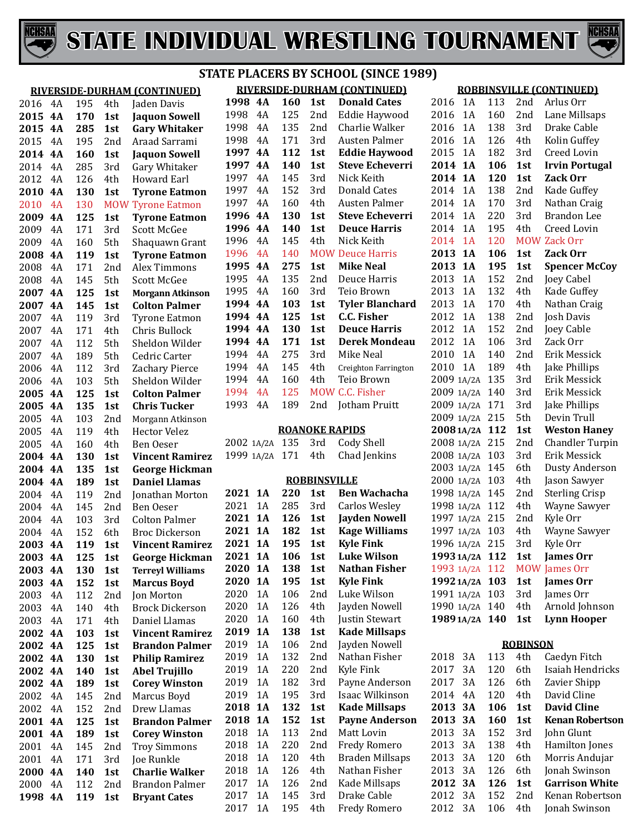



|      |           |     |            | 11 C                         |
|------|-----------|-----|------------|------------------------------|
|      |           |     |            | RIVERSIDE-DURHAM (CONTINUED) |
| 2016 | 4A        | 195 | 4th        | Jaden Davis                  |
| 2015 | <b>4A</b> | 170 | 1st        | <b>Jaquon Sowell</b>         |
| 2015 | <b>4A</b> | 285 | 1st        | <b>Gary Whitaker</b>         |
| 2015 | 4A        | 195 | 2nd        | Araad Sarrami                |
| 2014 | <b>4A</b> | 160 | 1st        | <b>Jaquon Sowell</b>         |
| 2014 | 4A        | 285 | 3rd        | Gary Whitaker                |
| 2012 | 4A        | 126 | 4th        | Howard Earl                  |
| 2010 | 4A        | 130 | 1st        | <b>Tyrone Eatmon</b>         |
| 2010 | 4A        | 130 | <b>MOW</b> |                              |
|      | 4A        |     |            | <b>Tyrone Eatmon</b>         |
| 2009 |           | 125 | 1st        | <b>Tyrone Eatmon</b>         |
| 2009 | 4A        | 171 | 3rd        | <b>Scott McGee</b>           |
| 2009 | 4A        | 160 | 5th        | Shaquawn Grant               |
| 2008 | 4A        | 119 | 1st        | <b>Tyrone Eatmon</b>         |
| 2008 | 4A        | 171 | 2nd        | Alex Timmons                 |
| 2008 | 4A        | 145 | 5th        | <b>Scott McGee</b>           |
| 2007 | 4Α        | 125 | 1st        | <b>Morgann Atkinson</b>      |
| 2007 | 4A        | 145 | 1st        | <b>Colton Palmer</b>         |
| 2007 | 4A        | 119 | 3rd        | <b>Tyrone Eatmon</b>         |
| 2007 | 4A        | 171 | 4th        | Chris Bullock                |
| 2007 | 4A        | 112 | 5th        | Sheldon Wilder               |
| 2007 | 4A        | 189 | 5th        | Cedric Carter                |
| 2006 | 4A        | 112 | 3rd        | Zachary Pierce               |
| 2006 | 4A        | 103 | 5th        | Sheldon Wilder               |
| 2005 | <b>4A</b> | 125 | 1st        | <b>Colton Palmer</b>         |
| 2005 | 4A        | 135 | 1st        | <b>Chris Tucker</b>          |
| 2005 | 4A        | 103 | 2nd        | Morgann Atkinson             |
| 2005 | 4A        | 119 | 4th        | <b>Hector Velez</b>          |
| 2005 | 4A        | 160 | 4th        | Ben Oeser                    |
| 2004 | <b>4A</b> | 130 | 1st        | <b>Vincent Ramirez</b>       |
| 2004 | 4A        | 135 | 1st        | <b>George Hickman</b>        |
| 2004 | 4A        | 189 | 1st        | <b>Daniel Llamas</b>         |
| 2004 | 4A        | 119 | 2nd        | Jonathan Morton              |
| 2004 | 4A        | 145 | 2nd        | Ben Oeser                    |
| 2004 | 4A        | 103 | 3rd        | <b>Colton Palmer</b>         |
| 2004 | 4A        | 152 | 6th        | <b>Broc Dickerson</b>        |
| 2003 | 4A        | 119 | 1st        | <b>Vincent Ramirez</b>       |
| 2003 | 4A        | 125 | 1st        | <b>George Hickman</b>        |
| 2003 | 4A        | 130 | 1st        | <b>Terreyl Williams</b>      |
| 2003 | <b>4A</b> | 152 | 1st        | <b>Marcus Boyd</b>           |
| 2003 | 4A        | 112 | 2nd        | Jon Morton                   |
| 2003 | 4A        | 140 | 4th        | <b>Brock Dickerson</b>       |
| 2003 | 4A        | 171 | 4th        | Daniel Llamas                |
| 2002 | 4A        | 103 | 1st        | <b>Vincent Ramirez</b>       |
| 2002 | <b>4A</b> | 125 | 1st        | <b>Brandon Palmer</b>        |
| 2002 | <b>4A</b> | 130 | 1st        | <b>Philip Ramirez</b>        |
| 2002 | <b>4A</b> | 140 | 1st        | <b>Abel Trujillo</b>         |
| 2002 | <b>4A</b> | 189 | 1st        | <b>Corey Winston</b>         |
| 2002 | 4A        | 145 | 2nd        | Marcus Boyd                  |
| 2002 | 4A        | 152 | 2nd        | Drew Llamas                  |
| 2001 | 4A        | 125 | 1st        | <b>Brandon Palmer</b>        |
| 2001 | <b>4A</b> | 189 | 1st        | <b>Corey Winston</b>         |
| 2001 | 4A        | 145 | 2nd        | <b>Troy Simmons</b>          |
| 2001 | 4A        | 171 | 3rd        | Joe Runkle                   |
| 2000 | 4A        | 140 | 1st        | <b>Charlie Walker</b>        |
| 2000 | 4A        | 112 | 2nd        | <b>Brandon Palmer</b>        |
| 1998 | 4A        | 119 | 1st        | <b>Bryant Cates</b>          |

#### **RIVERSIDE-DURHAM (CONTINUED) STATE PLACERS BY SCHOOL (SINCE 1989)**

|      |    |     |       | <u>Kivekside-dukham [Con Linued]</u> |
|------|----|-----|-------|--------------------------------------|
| 1998 | 4A | 160 | 1st   | <b>Donald Cates</b>                  |
| 1998 | 4A | 125 | 2nd   | Eddie Haywood                        |
| 1998 | 4A | 135 | 2nd   | Charlie Walker                       |
| 1998 | 4A | 171 | 3rd   | Austen Palmer                        |
| 1997 | 4A | 112 | 1st   | <b>Eddie Haywood</b>                 |
| 1997 | 4A | 140 | 1st   | <b>Steve Echeverri</b>               |
| 1997 | 4Α | 145 | 3rd   | Nick Keith                           |
| 1997 | 4Α | 152 | 3rd   | Donald Cates                         |
| 1997 | 4A | 160 | 4th   | Austen Palmer                        |
| 1996 | 4A | 130 | 1st   | <b>Steve Echeverri</b>               |
| 1996 | 4A | 140 | 1st   | <b>Deuce Harris</b>                  |
| 1996 | 4A | 145 | 4th   | Nick Keith                           |
| 1996 | 4A | 140 |       | <b>MOW Deuce Harris</b>              |
| 1995 | 4A | 275 | 1st   | <b>Mike Neal</b>                     |
| 1995 | 4Α | 135 | 2nd   | Deuce Harris                         |
| 1995 | 4Α | 160 | 3rd   | Teio Brown                           |
| 1994 | 4A | 103 | 1st   | <b>Tyler Blanchard</b>               |
| 1994 | 4A | 125 | 1st   | C.C. Fisher                          |
| 1994 | 4A | 130 | 1st   | <b>Deuce Harris</b>                  |
| 1994 | 4A | 171 | 1st   | <b>Derek Mondeau</b>                 |
| 1994 | 4Α | 275 | 3rd - | Mike Neal                            |
| 1994 | 4A | 145 | 4th   | Creighton Farrington                 |
| 1994 | 4A | 160 | 4th   | Teio Brown                           |
| 1994 | 4A | 125 |       | MOW C.C. Fisher                      |
| 1993 | 4A | 189 | 2nd   | Jotham Pruitt                        |

#### **ROANOKE RAPIDS**

|  | 2002 1A/2A 135 3rd Cody Shell   |
|--|---------------------------------|
|  | 1999 1A/2A 171 4th Chad Jenkins |

#### **ROBBINSVILLE**

| 2021 | 1A        | 220 | 1st | <b>Ben Wachacha</b>    | 1998 1/ |                          |
|------|-----------|-----|-----|------------------------|---------|--------------------------|
| 2021 | 1A        | 285 | 3rd | <b>Carlos Wesley</b>   | 1998 1/ |                          |
| 2021 | <b>1A</b> | 126 | 1st | <b>Jayden Nowell</b>   | 1997 1/ |                          |
| 2021 | <b>1A</b> | 182 | 1st | <b>Kage Williams</b>   | 1997 1/ |                          |
| 2021 | <b>1A</b> | 195 | 1st | <b>Kyle Fink</b>       | 1996 1/ |                          |
| 2021 | <b>1A</b> | 106 | 1st | <b>Luke Wilson</b>     | 199314  |                          |
| 2020 | <b>1A</b> | 138 | 1st | Nathan Fisher          | 1993 1/ |                          |
| 2020 | <b>1A</b> | 195 | 1st | <b>Kyle Fink</b>       | 199214  |                          |
| 2020 | 1A        | 106 | 2nd | Luke Wilson            | 1991 1/ |                          |
| 2020 | 1A        | 126 | 4th | Jayden Nowell          | 1990 1/ |                          |
| 2020 | 1A        | 160 | 4th | Justin Stewart         | 198914  |                          |
| 2019 | 1A        | 138 | 1st | <b>Kade Millsaps</b>   |         |                          |
| 2019 | 1A        | 106 | 2nd | Jayden Nowell          |         |                          |
| 2019 | 1A        | 132 | 2nd | Nathan Fisher          | 2018    | í                        |
| 2019 | 1A        | 220 | 2nd | Kyle Fink              | 2017    | í                        |
| 2019 | 1A        | 182 | 3rd | Payne Anderson         | 2017    | Í                        |
| 2019 | 1A        | 195 | 3rd | Isaac Wilkinson        | 2014    | $\overline{\phantom{a}}$ |
| 2018 | <b>1A</b> | 132 | 1st | <b>Kade Millsaps</b>   | 2013    | Í                        |
| 2018 | <b>1A</b> | 152 | 1st | <b>Payne Anderson</b>  | 2013    | í                        |
| 2018 | 1A        | 113 | 2nd | Matt Lovin             | 2013    | Í                        |
| 2018 | 1A        | 220 | 2nd | Fredy Romero           | 2013    | $\ddot{\phantom{0}}$     |
| 2018 | 1A        | 120 | 4th | <b>Braden Millsaps</b> | 2013    | $\ddot{\cdot}$           |
| 2018 | 1A        | 126 | 4th | Nathan Fisher          | 2013    | Í                        |
| 2017 | 1A        | 126 | 2nd | Kade Millsaps          | 2012    | $\ddot{\cdot}$           |
| 2017 | 1A        | 145 | 3rd | Drake Cable            | 2012    | Í                        |
| 2017 | 1A        | 195 | 4th | Fredy Romero           | 2012    | í                        |
|      |           |     |     |                        |         |                          |

| IJ         |            |     |                 |                                 |
|------------|------------|-----|-----------------|---------------------------------|
|            |            |     |                 | <b>ROBBINSVILLE (CONTINUED)</b> |
| 2016       | 1A         | 113 | 2nd             | Arlus Orr                       |
| 2016       | 1A         | 160 | 2nd             | Lane Millsaps                   |
| 2016       | 1A         | 138 | 3rd             | Drake Cable                     |
| 2016       | 1A         | 126 | 4th             | Kolin Guffey                    |
| 2015       | 1A         | 182 | 3rd             | Creed Lovin                     |
| 2014       | <b>1A</b>  | 106 | 1st             | <b>Irvin Portugal</b>           |
| 2014       | <b>1A</b>  | 120 | 1st             | Zack Orr                        |
| 2014       | 1 A        | 138 | 2nd             | Kade Guffey                     |
| 2014       | 1 A        | 170 | 3rd             | Nathan Craig                    |
| 2014       | 1 A        | 220 | 3rd             | <b>Brandon Lee</b>              |
| 2014       | 1 A        | 195 | 4th             | Creed Lovin                     |
| 2014       | 1A         | 120 |                 | <b>MOW Zack Orr</b>             |
| 2013       | <b>1A</b>  | 106 | 1st             | Zack Orr                        |
| 2013       | 1A         | 195 | 1st             | <b>Spencer McCoy</b>            |
| 2013       | 1 A        | 152 | 2nd             | Joey Cabel                      |
| 2013       | 1 A        | 132 | 4th             | Kade Guffey                     |
| 2013       | 1A         | 170 | 4th             | Nathan Craig                    |
| 2012       | 1A         | 138 | 2nd             | Josh Davis                      |
| 2012       | 1A         | 152 | 2nd             | Joey Cable                      |
| 2012       | 1A         | 106 | 3rd             | Zack Orr                        |
| 2010       | 1A         | 140 | 2nd             | Erik Messick                    |
| 2010       | 1A         | 189 | 4th             | Jake Phillips                   |
| 2009       | 1A/2A      | 135 | 3rd             | Erik Messick                    |
| 2009       | 1A/2A      | 140 | 3rd             | Erik Messick                    |
| 2009       | 1A/2A      | 171 | 3rd             | Jake Phillips                   |
| 2009       | 1A/2A      | 215 | 5th             | Devin Trull                     |
| 20081A/2A  |            | 112 | 1st             | <b>Weston Haney</b>             |
| 2008       | 1A/2A      | 215 | 2nd             | Chandler Turpin                 |
| 2008       | 1A/2A      | 103 | 3rd             | Erik Messick                    |
| 2003       | 1A/2A      | 145 | 6th             | Dusty Anderson                  |
| 2000       | 1A/2A      | 103 | 4th             | Jason Sawyer                    |
| 1998       | 1A/2A      | 145 | 2nd             | <b>Sterling Crisp</b>           |
|            | 1998 1A/2A | 112 | 4th             | Wayne Sawyer                    |
| 1997       | 1A/2A      | 215 | 2nd             | Kyle Orr                        |
| 1997       | 1A/2A      | 103 | 4th             | Wayne Sawyer                    |
|            | 1996 1A/2A | 215 | 3rd             | Kyle Orr                        |
| 1993 1A/2A |            | 112 | 1st             | <b>James Orr</b>                |
|            | 1993 1A/2A | 112 |                 | <b>MOW James Orr</b>            |
|            | 1992 1A/2A | 103 | 1st             | <b>James Orr</b>                |
|            | 1991 1A/2A | 103 | 3rd             | James Orr                       |
|            | 1990 1A/2A | 140 | 4th             | Arnold Johnson                  |
|            | 1989 1A/2A | 140 | 1st             | <b>Lynn Hooper</b>              |
|            |            |     |                 |                                 |
|            |            |     | <b>ROBINSON</b> |                                 |
| 2018       | 3A         | 113 | 4th             | Caedyn Fitch                    |

| 2018 | 3A  | 113 | 4th | Caedyn Fitch           |
|------|-----|-----|-----|------------------------|
| 2017 | 3Α  | 120 | 6th | Isaiah Hendricks       |
| 2017 | 3Α  | 126 | 6th | Zavier Shipp           |
| 2014 | 4 A | 120 | 4th | David Cline            |
| 2013 | 3A  | 106 | 1st | <b>David Cline</b>     |
| 2013 | 3A  | 160 | 1st | <b>Kenan Robertson</b> |
| 2013 | 3Α  | 152 | 3rd | John Glunt             |
| 2013 | 3Α  | 138 | 4th | Hamilton Jones         |
| 2013 | 3Α  | 120 | 6th | Morris Andujar         |
| 2013 | 3Α  | 126 | 6th | Jonah Swinson          |
| 2012 | 3A  | 126 | 1st | <b>Garrison White</b>  |
| 2012 | 3Α  | 152 | 2nd | Kenan Robertson        |
| 2012 | 3Α  | 106 | 4th | Jonah Swinson          |
|      |     |     |     |                        |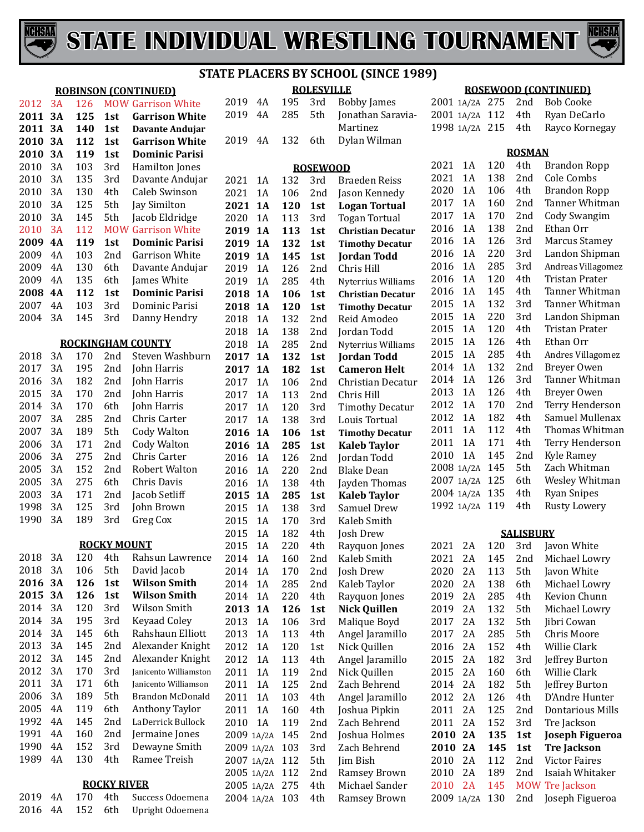

**ROBINSON (CONTINUED)** 2012 3A 126 MOW Garrison White<br>2011 3A 125 1st Garrison White

 **3A 140 1st Davante Andujar 3A 112 1st Garrison White**

**3A 125 1st Garrison White**



#### **STATE PLACERS BY SCHOOL (SINCE 1989)**

4A 195 3rd Bobby James

Martinez<br>2019 4A 132 6th Dylan Wil

**ROLESVILLE**

**Jonathan Saravia-**

Dylan Wilman

#### **ROSEWOOD (CONTINUED)**

|  | 2001 1A/2A 275 2nd Bob Cooke      |
|--|-----------------------------------|
|  | 2001 1A/2A 112 4th Ryan DeCarlo   |
|  | 1998 1A/2A 215 4th Rayco Kornegay |

#### **ROSMAN**

1A/2A 130 2nd Joseph Figueroa

| 2010         | 3A        | 119        | 1st                | <b>Dominic Parisi</b>               |                                  |    |     |                 |                                 |                    |    |            | <b>ROSMAN</b>    |                                            |
|--------------|-----------|------------|--------------------|-------------------------------------|----------------------------------|----|-----|-----------------|---------------------------------|--------------------|----|------------|------------------|--------------------------------------------|
| 2010         | 3A        | 103        | 3rd                | Hamilton Jones                      |                                  |    |     | <b>ROSEWOOD</b> |                                 | 2021               | 1A | 120        | 4th              | <b>Brandon Ropp</b>                        |
| 2010         | 3A        | 135        | 3rd                | Davante Andujar                     | 2021                             | 1A | 132 | 3rd             | <b>Braeden Reiss</b>            | 2021               | 1A | 138        | 2nd              | Cole Combs                                 |
| 2010         | 3A        | 130        | 4th                | Caleb Swinson                       | 2021                             | 1A | 106 | 2nd             | Jason Kennedy                   | 2020               | 1A | 106        | 4th              | <b>Brandon Ropp</b>                        |
| 2010         | 3A        | 125        | 5th                | Jay Similton                        | 2021 1A                          |    | 120 | 1st             | <b>Logan Tortual</b>            | 2017               | 1A | 160        | 2nd              | Tanner Whitman                             |
| 2010         | 3A        | 145        | 5th                | Jacob Eldridge                      | 2020                             | 1A | 113 | 3rd             | <b>Togan Tortual</b>            | 2017               | 1A | 170        | 2 <sub>nd</sub>  | Cody Swangim                               |
| 2010         | 3A        | 112        |                    | <b>MOW Garrison White</b>           | 2019 1A                          |    | 113 | 1st             | <b>Christian Decatur</b>        | 2016               | 1A | 138        | 2 <sub>nd</sub>  | Ethan Orr                                  |
| 2009         | <b>4A</b> | 119        | 1st                | <b>Dominic Parisi</b>               | 2019 1A                          |    | 132 | 1st             | <b>Timothy Decatur</b>          | 2016               | 1A | 126        | 3rd              | <b>Marcus Stamey</b>                       |
| 2009         | 4A        | 103        | 2nd                | <b>Garrison White</b>               | 2019                             | 1A | 145 | 1st             | <b>Jordan Todd</b>              | 2016               | 1A | 220        | 3rd              | Landon Shipman                             |
| 2009         | 4A        | 130        | 6th                | Davante Andujar                     | 2019                             | 1A | 126 | 2nd             | Chris Hill                      | 2016               | 1A | 285        | 3rd              | Andreas Villagomez                         |
| 2009         | 4A        | 135        | 6th                | James White                         | 2019                             | 1A | 285 | 4th             | Nyterrius Williams              | 2016               | 1A | 120        | 4th              | <b>Tristan Prater</b>                      |
| 2008         | <b>4A</b> | 112        | 1st                | <b>Dominic Parisi</b>               | 2018 1A                          |    | 106 | 1st             | <b>Christian Decatur</b>        | 2016               | 1A | 145        | 4th              | Tanner Whitman                             |
| 2007         | 4A        | 103        | 3rd                | Dominic Parisi                      | 2018 1A                          |    | 120 | 1st             | <b>Timothy Decatur</b>          | 2015               | 1A | 132        | 3rd              | Tanner Whitman                             |
| 2004         | 3A        | 145        | 3rd                | Danny Hendry                        | 2018                             | 1A | 132 | 2nd             | Reid Amodeo                     | 2015               | 1A | 220        | 3rd              | Landon Shipman                             |
|              |           |            |                    |                                     | 2018                             | 1A | 138 | 2nd             | Jordan Todd                     | 2015               | 1A | 120        | 4th              | <b>Tristan Prater</b>                      |
|              |           |            |                    | <b>ROCKINGHAM COUNTY</b>            | 2018                             | 1A | 285 | 2nd             | Nyterrius Williams              | 2015               | 1A | 126        | 4th              | Ethan Orr                                  |
| 2018         | 3A        | 170        | 2nd                | Steven Washburn                     | 2017 1A                          |    | 132 | 1st             | <b>Jordan Todd</b>              | 2015               | 1A | 285        | 4th              | Andres Villagomez                          |
| 2017         | 3A        | 195        | 2nd                | John Harris                         | 2017 1A                          |    | 182 | 1st             | <b>Cameron Helt</b>             | 2014               | 1A | 132        | 2nd              | Breyer Owen                                |
| 2016         | 3A        | 182        | 2nd                | John Harris                         | 2017                             | 1A | 106 | 2nd             | Christian Decatur               | 2014               | 1A | 126        | 3rd              | Tanner Whitman                             |
| 2015         | 3A        | 170        | 2nd                | John Harris                         | 2017                             | 1A | 113 | 2nd             | Chris Hill                      | 2013               | 1A | 126        | 4th              | Breyer Owen                                |
| 2014         | 3A        | 170        | 6th                | John Harris                         | 2017                             | 1A | 120 | 3rd             | <b>Timothy Decatur</b>          | 2012               | 1A | 170        | 2nd              | Terry Henderson                            |
| 2007         | 3A        | 285        | 2nd                | Chris Carter                        | 2017                             | 1A | 138 | 3rd             | Louis Tortual                   | 2012               | 1A | 182        | 4th              | Samuel Mullenax                            |
| 2007         | 3A        | 189        | 5th                | <b>Cody Walton</b>                  | 2016 1A                          |    | 106 | 1st             | <b>Timothy Decatur</b>          | 2011               | 1A | 112        | 4th              | Thomas Whitman                             |
| 2006         | 3A        | 171        | 2nd                | <b>Cody Walton</b>                  | 2016 1A                          |    | 285 | 1st             | <b>Kaleb Taylor</b>             | 2011               | 1A | 171        | 4th              | Terry Henderson                            |
| 2006         | 3A        | 275        | 2nd                | Chris Carter                        | 2016                             | 1A | 126 | 2nd             | Jordan Todd                     | 2010               | 1A | 145        | 2 <sub>nd</sub>  | Kyle Ramey                                 |
| 2005         | 3A        | 152        | 2nd                | Robert Walton                       | 2016                             | 1A | 220 | 2nd             | <b>Blake Dean</b>               | 2008 1A/2A         |    | 145        | 5th              | Zach Whitman                               |
| 2005         | 3A        | 275        | 6th                | Chris Davis                         | 2016                             | 1A | 138 | 4th             | Jayden Thomas                   | 2007 1A/2A 125     |    |            | 6th              | Wesley Whitman                             |
| 2003         | 3A        | 171        | 2nd                | Jacob Setliff                       | 2015                             | 1A | 285 | 1st             | <b>Kaleb Taylor</b>             | 2004 1A/2A 135     |    |            | 4th              | <b>Ryan Snipes</b>                         |
| 1998         | 3A        | 125        | 3rd                | John Brown                          | 2015                             | 1A | 138 | 3rd             | Samuel Drew                     | 1992 1A/2A 119     |    |            | 4th              | <b>Rusty Lowery</b>                        |
| 1990         | 3A        | 189        | 3rd                | Greg Cox                            | 2015                             | 1A | 170 | 3rd             | Kaleb Smith                     |                    |    |            |                  |                                            |
|              |           |            |                    |                                     | 2015                             | 1A | 182 | 4th             | Josh Drew                       |                    |    |            | <b>SALISBURY</b> |                                            |
|              |           |            | <b>ROCKY MOUNT</b> |                                     | 2015                             | 1A | 220 | 4th             | Rayquon Jones                   | 2021               | 2A | 120        | 3rd              | Javon White                                |
| 2018         | 3A        | 120        | 4th                | Rahsun Lawrence                     | 2014                             | 1A | 160 | 2nd             | Kaleb Smith                     | 2021               | 2A | 145        | 2nd              | Michael Lowry                              |
| 2018         | 3A        | 106        | 5th                | David Jacob                         | 2014                             | 1A | 170 | 2nd             | Josh Drew                       | 2020               | 2A | 113        | 5th              | Javon White                                |
| 2016         | 3A        | 126        | 1st                | <b>Wilson Smith</b>                 | 2014                             | 1A | 285 | 2nd             | Kaleb Taylor                    | 2020               | 2A | 138        | 6th              | Michael Lowry                              |
| 2015         | 3A        | 126        | 1st                | <b>Wilson Smith</b>                 | 2014                             | 1A | 220 | 4th             | Rayquon Jones                   | 2019               | 2A | 285        | 4th              | Kevion Chunn                               |
| 2014         | 3A        | 120        | 3rd                | Wilson Smith                        | 2013 1A                          |    | 126 | 1st             | <b>Nick Quillen</b>             | 2019               | 2A | 132        | 5th              | Michael Lowry                              |
| 2014 3A      |           | 195        | 3rd                | Keyaad Coley                        | 2013 1A                          |    | 106 | 3rd             | Malique Boyd                    | 2017 2A            |    | 132        | 5th              | Jibri Cowan                                |
| 2014         | 3A        | 145        | 6th                | Rahshaun Elliott                    | 2013                             | 1A | 113 | 4th             | Angel Jaramillo                 | 2017               | 2A | 285        | 5th              | Chris Moore                                |
| 2013         | 3A        | 145        | 2nd                | Alexander Knight                    | 2012                             | 1A | 120 | 1st             | Nick Quillen                    | 2016               | 2A | 152        | 4th              | Willie Clark                               |
| 2012         | 3A        | 145        | 2nd                | Alexander Knight                    | 2012                             | 1A | 113 | 4th             | Angel Jaramillo                 | 2015 2A            |    | 182        | 3rd              | Jeffrey Burton                             |
| 2012         | 3A<br>3A  | 170        | 3rd                | Janicento Williamston               | 2011 1A                          |    | 119 | 2nd             | Nick Quillen                    | 2015 2A            |    | 160        | 6th              | Willie Clark                               |
| 2011         | 3A        | 171<br>189 | 6th                | Janicento Williamson                | 2011 1A                          |    | 125 | 2nd             | Zach Behrend                    | 2014 2A            |    | 182        | 5th              | Jeffrey Burton                             |
| 2006         | 4A        | 119        | 5th                | Brandon McDonald                    | 2011 1A                          |    | 103 | 4th             | Angel Jaramillo                 | 2012 2A            |    | 126        | 4th              | D'Andre Hunter                             |
| 2005<br>1992 | 4A        | 145        | 6th<br>2nd         | Anthony Taylor<br>LaDerrick Bullock | 2011 1A                          |    | 160 | 4th             | Joshua Pipkin                   | 2011 2A            |    | 125        | 2nd              | <b>Dontarious Mills</b>                    |
| 1991         | 4A        | 160        | 2nd                | Jermaine Jones                      | 2010 1A                          |    | 119 | 2nd             | Zach Behrend                    | 2011 2A            |    | 152        | 3rd              | Tre Jackson                                |
| 1990         | 4A        | 152        | 3rd                | Dewayne Smith                       | 2009 1A/2A 145                   |    |     | 2nd             | Joshua Holmes<br>Zach Behrend   | 2010 2A            |    | 135        | 1st              | <b>Joseph Figueroa</b>                     |
| 1989         | 4A        | 130        | 4th                | Ramee Treish                        | 2009 1A/2A 103                   |    |     | 3rd             |                                 | 2010 2A<br>2010 2A |    | 145<br>112 | 1st<br>2nd       | <b>Tre Jackson</b><br><b>Victor Faires</b> |
|              |           |            |                    |                                     | 2007 1A/2A 112<br>2005 1A/2A 112 |    |     | 5th<br>2nd      | Jim Bish<br><b>Ramsey Brown</b> | 2010 2A            |    | 189        | 2nd              | Isaiah Whitaker                            |
|              |           |            | <b>ROCKY RIVER</b> |                                     | 2005 1A/2A 275                   |    |     | 4th             | Michael Sander                  | 2010 2A            |    | 145        |                  | <b>MOW Tre Jackson</b>                     |
|              |           |            |                    |                                     |                                  |    |     |                 |                                 |                    |    |            |                  |                                            |

1A/2A 103 4th Ramsey Brown

2019 4A 170 4th Success Odoemena<br>2016 4A 152 6th Upright Odoemena Upright Odoemena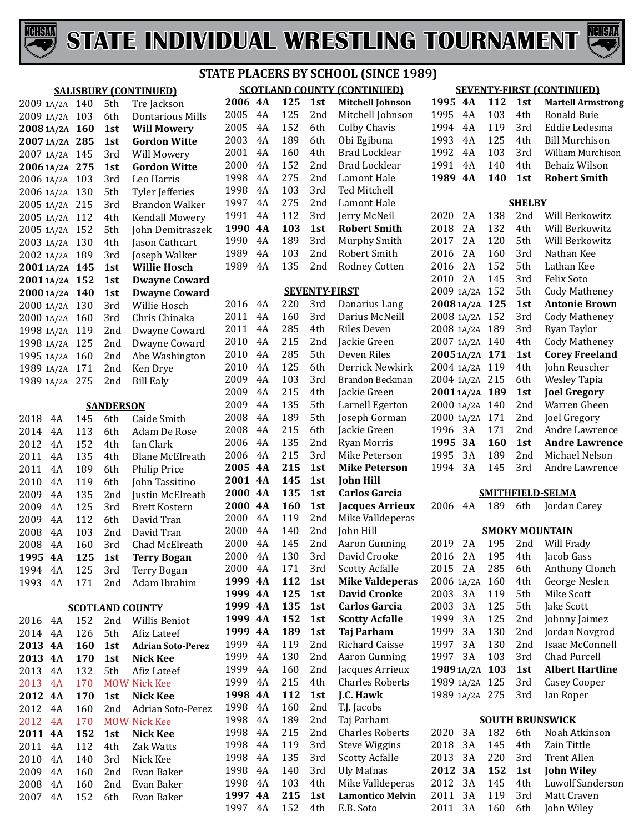



#### **SALISBURY (CONTINUED)** 1A/2A 140 5th Tre Jackson 6th Dontarious Mills<br>1st Will Mowery **20081A/2A 160 1st Will Mowery 20071A/2A 285 1st Gordon Witte** 2007 1A/2A 145 3rd Will Mowery<br>2006 1A/2A 275 1st Gordon Witte **20061A/2A 275 1st Gordon W**<br>2006 1A/2A 103 3rd Leo Harris 1A/2A 103 3rd Leo Harris 2006 1A/2A 130 5th Tyler Jefferies<br>2005 1A/2A 215 3rd Brandon Walker 1A/2A 215 3rd Brandon Walker 2005 1A/2A 112 4th<br>2005 1A/2A 152 5th 5th John Demitraszek<br>4th Jason Cathcart 1A/2A 130 4th Jason Cathcart 2002 1A/2A 189 3rd Joseph Walker<br>2001 1A/2A 145 1st Willie Hosch **20011A/2A 145 1st Willie Hosch 20011A/2A 152 1st Dwayne Coward 20001A/2A 140 1st Dwayne Coward** 1A/2A 130 3rd Willie Hosch 2000 1A/2A 160<br>1998 1A/2A 119 1A/2A 119 2nd Dwayne Coward 1A/2A 125 2nd Dwayne Coward 2nd Abe Washington<br>2nd Ken Drye 1A/2A 171 2nd Ken Drye 1989 1A/2A 275 **SANDERSON** 4A 145 6th Caide Smith 113 6th Adam De Rose<br>152 4th Ian Clark 2012 4A 152 4th<br>2011 4A 135 4th 2011 4A 135 4th Blane McElreath<br>2011 4A 189 6th Philip Price 4A 189 6th Philip Price 2010 4A 119 6th John Tassitino<br>2009 4A 135 2nd Iustin McElrea 2009 4A 135 2nd Justin McElreath<br>2009 4A 125 3rd Brett Kostern 125 3rd Brett Kostern<br>112 6th David Tran 2009 4A 112<br>2008 4A 103 2008 4A 103 2nd David Tran<br>2008 4A 160 3rd Chad McElr 2008 4A 160 3rd Chad McElreath<br>**1995 4A 125 1st Terry Bogan 125 125 125 125 125 125 125 125 125 125 125 125 125 125 125 125 125 125 125 125 125 125 125 125 125 125 125 125 125 125 125 125 125 125 125 125**  4A 125 3rd Terry Bogan Adam Ibrahim **SCOTLAND COUNTY** 2016 4A 152 2nd Willis Beniot<br>2014 4A 126 5th Afiz Lateef 2014 4A 126 5th Afiz Lateef<br>2013 4A 160 1st Adrian Soto **4A 160 1st Adrian Soto-Perez 4A 170 1st Nick Kee** 2013 4A 132 5th Afiz Lateef<br>2013 4A 170 MOW Nick Kee 170 MOW Nick Kee<br>170 1st Nick Kee **4A 170 1st Nick Kee** 2012 4A 160 2nd Adrian Soto-Perez<br>2012 4A 170 MOW Nick Kee 4A 170 MOW Nick Kee **4A 152 1st Nick Kee** 2011 4A 112 4th Zak Watts<br>2010 4A 140 3rd Nick Kee 2010 4A 140<br>2009 4A 160 4A 160 2nd Evan Baker 4A 160 2nd Evan Baker Evan Baker

#### **SCOTLAND COUNTY (CONTINUED) STATE PLACERS BY SCHOOL (SINCE 1989)**

| <b>SCOTLAND COUNTY</b><br><u>ICONTINUEDI</u> |    |     |                 |                         |  |  |  |  |  |  |  |
|----------------------------------------------|----|-----|-----------------|-------------------------|--|--|--|--|--|--|--|
| 2006                                         | 4A | 125 | 1st             | <b>Mitchell Johnson</b> |  |  |  |  |  |  |  |
| 2005                                         | 4Α | 125 | 2nd             | Mitchell Johnson        |  |  |  |  |  |  |  |
| 2005                                         | 4Α | 152 | 6th             | <b>Colby Chavis</b>     |  |  |  |  |  |  |  |
| 2003                                         | 4Α | 189 | 6th             | Obi Egibuna             |  |  |  |  |  |  |  |
| 2001                                         | 4Α | 160 | 4th             | Brad Locklear           |  |  |  |  |  |  |  |
| 2000                                         | 4A | 152 | 2nd             | Brad Locklear           |  |  |  |  |  |  |  |
| 1998                                         | 4Α | 275 | 2nd             | Lamont Hale             |  |  |  |  |  |  |  |
| 1998                                         | 4Α | 103 | 3rd             | Ted Mitchell            |  |  |  |  |  |  |  |
| 1997                                         | 4Α | 275 | 2nd             | Lamont Hale             |  |  |  |  |  |  |  |
| 1991                                         | 4Α | 112 | 3rd             | Jerry McNeil            |  |  |  |  |  |  |  |
| 1990                                         | 4A | 103 | 1 <sub>st</sub> | <b>Robert Smith</b>     |  |  |  |  |  |  |  |
| 1990                                         | 4Α | 189 | 3rd             | Murphy Smith            |  |  |  |  |  |  |  |
| 1989                                         | 4Α | 103 | 2nd             | Robert Smith            |  |  |  |  |  |  |  |
| 1989                                         | 4Α | 135 | 2 <sub>nd</sub> | <b>Rodney Cotten</b>    |  |  |  |  |  |  |  |
|                                              |    |     |                 |                         |  |  |  |  |  |  |  |

#### **SEVENTY-FIRST**

| 2016 | 4A        | 220 | 3rd | Danarius Lang           |
|------|-----------|-----|-----|-------------------------|
| 2011 | 4A        | 160 | 3rd | Darius McNeill          |
| 2011 | 4A        | 285 | 4th | <b>Riles Deven</b>      |
| 2010 | 4A        | 215 | 2nd | Jackie Green            |
| 2010 | 4A        | 285 | 5th | Deven Riles             |
| 2010 | 4A        | 125 | 6th | Derrick Newkirk         |
| 2009 | 4A        | 103 | 3rd | <b>Brandon Beckman</b>  |
| 2009 | 4A        | 215 | 4th | Jackie Green            |
| 2009 | 4A        | 135 | 5th | Larnell Egerton         |
| 2008 | 4A        | 189 | 5th | Joseph Gorman           |
| 2008 | 4A        | 215 | 6th | Jackie Green            |
| 2006 | 4A        | 135 | 2nd | <b>Ryan Morris</b>      |
| 2006 | 4A        | 215 | 3rd | Mike Peterson           |
| 2005 | 4A        | 215 | 1st | <b>Mike Peterson</b>    |
| 2001 | <b>4A</b> | 145 | 1st | <b>John Hill</b>        |
| 2000 | 4A        | 135 | 1st | <b>Carlos Garcia</b>    |
| 2000 | 4A        | 160 | 1st | <b>Jacques Arrieux</b>  |
| 2000 | 4Α        | 119 | 2nd | Mike Valldeperas        |
| 2000 | 4Α        | 140 | 2nd | John Hill               |
| 2000 | 4A        | 145 | 2nd | <b>Aaron Gunning</b>    |
| 2000 | 4A        | 130 | 3rd | David Crooke            |
| 2000 | 4A        | 171 | 3rd | <b>Scotty Acfalle</b>   |
| 1999 | 4Α        | 112 | 1st | <b>Mike Valdeperas</b>  |
| 1999 | 4A        | 125 | 1st | <b>David Crooke</b>     |
| 1999 | 4A        | 135 | 1st | <b>Carlos Garcia</b>    |
| 1999 | 4A        | 152 | 1st | <b>Scotty Acfalle</b>   |
| 1999 | 4A        | 189 | 1st | <b>Taj Parham</b>       |
| 1999 | 4A        | 119 | 2nd | <b>Richard Caisse</b>   |
| 1999 | 4A        | 130 | 2nd | <b>Aaron Gunning</b>    |
| 1999 | 4A        | 160 | 2nd | Jacques Arrieux         |
| 1999 | 4A        | 215 | 4th | <b>Charles Roberts</b>  |
| 1998 | 4A        | 112 | 1st | J.C. Hawk               |
| 1998 | 4A        | 160 | 2nd | T.J. Jacobs             |
| 1998 | 4A        | 189 | 2nd | Taj Parham              |
| 1998 | 4A        | 215 | 2nd | <b>Charles Roberts</b>  |
| 1998 | 4A        | 119 | 3rd | <b>Steve Wiggins</b>    |
| 1998 | 4A        | 135 | 3rd | <b>Scotty Acfalle</b>   |
| 1998 | 4A        | 140 | 3rd | <b>Uly Mafnas</b>       |
| 1998 | 4A        | 103 | 4th | Mike Valldeperas        |
| 1997 | 4A        | 215 | 1st | <b>Lamontico Melvin</b> |
| 1997 | 4Α        | 152 | 4th | E.B. Soto               |

| <b>SEVENTY-FIRST (CONTINUED)</b> |       |     |     |                          |  |  |  |  |  |  |  |  |
|----------------------------------|-------|-----|-----|--------------------------|--|--|--|--|--|--|--|--|
| 1995                             | 4A    | 112 | 1st | <b>Martell Armstrong</b> |  |  |  |  |  |  |  |  |
| 1995                             | 4A    | 103 | 4th | <b>Ronald Buie</b>       |  |  |  |  |  |  |  |  |
| 1994                             | 4A    | 119 | 3rd | Eddie Ledesma            |  |  |  |  |  |  |  |  |
| 1993                             | 4Α    | 125 | 4th | <b>Bill Murchison</b>    |  |  |  |  |  |  |  |  |
| 1992                             | 4Α    | 103 | 3rd | <b>William Murchison</b> |  |  |  |  |  |  |  |  |
| 1991                             | 4Α    | 140 | 4th | <b>Behaiz Wilson</b>     |  |  |  |  |  |  |  |  |
| 1989                             | 4A    | 140 | 1st | <b>Robert Smith</b>      |  |  |  |  |  |  |  |  |
| <b>SHELBY</b>                    |       |     |     |                          |  |  |  |  |  |  |  |  |
| 2020                             | 2A    | 138 | 2nd | Will Berkowitz           |  |  |  |  |  |  |  |  |
| 2018                             | 2A    | 132 | 4th | <b>Will Berkowitz</b>    |  |  |  |  |  |  |  |  |
| 2017                             | 2A    | 120 | 5th | Will Berkowitz           |  |  |  |  |  |  |  |  |
| 2016                             | 2A    | 160 | 3rd | Nathan Kee               |  |  |  |  |  |  |  |  |
| 2016                             | 2A    | 152 | 5th | Lathan Kee               |  |  |  |  |  |  |  |  |
| 2010                             | 2A    | 145 | 3rd | <b>Felix Soto</b>        |  |  |  |  |  |  |  |  |
| 2009                             | 1A/2A | 152 | 5th | <b>Cody Matheney</b>     |  |  |  |  |  |  |  |  |
| 20081A/2A                        |       | 125 | 1st | <b>Antonie Brown</b>     |  |  |  |  |  |  |  |  |
| 2008 1A/2A                       |       | 152 | 3rd | <b>Cody Matheney</b>     |  |  |  |  |  |  |  |  |
| 2008 1A/2A                       |       | 189 | 3rd | Ryan Taylor              |  |  |  |  |  |  |  |  |
| 2007 1A/2A                       |       | 140 | 4th | <b>Cody Matheney</b>     |  |  |  |  |  |  |  |  |
| 20051A/2A                        |       | 171 | 1st | <b>Corey Freeland</b>    |  |  |  |  |  |  |  |  |
| 2004 1A/2A                       |       | 119 | 4th | John Reuscher            |  |  |  |  |  |  |  |  |
| 2004 1A/2A                       |       | 215 | 6th | <b>Wesley Tapia</b>      |  |  |  |  |  |  |  |  |
| 20011A/2A                        |       | 189 | 1st | <b>Joel Gregory</b>      |  |  |  |  |  |  |  |  |
| 2000 1A/2A                       |       | 140 | 2nd | Warren Gheen             |  |  |  |  |  |  |  |  |
| 2000 1A/2A                       |       | 171 | 2nd | Joel Gregory             |  |  |  |  |  |  |  |  |
| 1996                             | 3A    | 171 | 2nd | Andre Lawrence           |  |  |  |  |  |  |  |  |
| 1995                             | 3A    | 160 | 1st | <b>Andre Lawrence</b>    |  |  |  |  |  |  |  |  |
| 1995                             | 3A    | 189 | 2nd | Michael Nelson           |  |  |  |  |  |  |  |  |
| 1994                             | 3A    | 145 | 3rd | Andre Lawrence           |  |  |  |  |  |  |  |  |
|                                  |       |     |     | SMITHFIELD-SELMA         |  |  |  |  |  |  |  |  |
| 2006                             | 4A    | 189 | 6th | Jordan Carey             |  |  |  |  |  |  |  |  |
|                                  |       |     |     |                          |  |  |  |  |  |  |  |  |
|                                  |       |     |     | <b>SMOKY MOUNTAIN</b>    |  |  |  |  |  |  |  |  |
| 2019                             | 2A    | 195 | 2nd | Will Frady               |  |  |  |  |  |  |  |  |
| 2016                             | 2A    | 195 | 4th | Jacob Gass               |  |  |  |  |  |  |  |  |
| 2015                             | 2A    | 285 | 6th | Anthony Clonch           |  |  |  |  |  |  |  |  |
| 2006                             | 1A/2A | 160 | 4th | George Neslen            |  |  |  |  |  |  |  |  |
| 2003                             | 3A    | 119 | 5th | <b>Mike Scott</b>        |  |  |  |  |  |  |  |  |
| 2003                             | 3A    | 125 | 5th | <b>Jake Scott</b>        |  |  |  |  |  |  |  |  |

| ていいつ    | H              | 117 | . ) LH          | MIKE SLUIT             |
|---------|----------------|-----|-----------------|------------------------|
| 2003    | 3A             | 125 | 5th             | Jake Scott             |
| 1999    | 3Α             | 125 | 2nd             | Johnny Jaimez          |
| 1999    | 3Α             | 130 | 2 <sub>nd</sub> | Jordan Novgrod         |
| 1997    | 3A             | 130 | 2 <sub>nd</sub> | Isaac McConnell        |
| 1997 3A |                | 103 | 3rd             | Chad Purcell           |
|         |                |     |                 |                        |
|         | 1989 1A/2A 103 |     | 1st             | <b>Albert Hartline</b> |
|         | 1989 1A/2A 125 |     | 3rd             | Casey Cooper           |
|         | 1989 1A/2A 275 |     | 3rd             | Ian Roper              |
|         |                |     |                 |                        |

#### **SOUTH BRUNSWICK**

|  |  | 2020 3A 182 6th Noah Atkinson    |
|--|--|----------------------------------|
|  |  | 2018 3A 145 4th Zain Tittle      |
|  |  | 2013 3A 220 3rd Trent Allen      |
|  |  | 2012 3A 152 1st John Wiley       |
|  |  | 2012 3A 145 4th Luwolf Sanderson |
|  |  | 2011 3A 119 3rd Matt Craven      |
|  |  | 2011 3A 160 6th John Wiley       |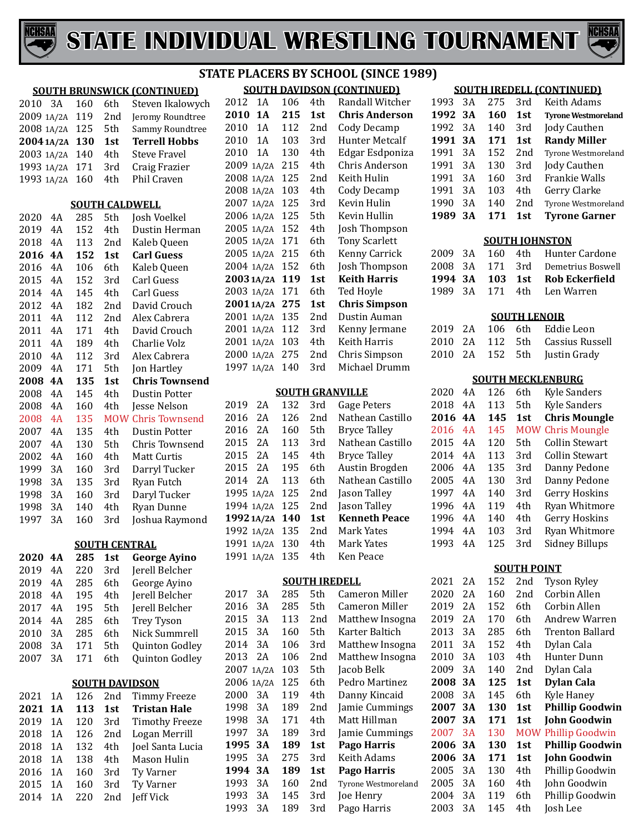



#### **SOUTH BRUNSWICK (CONTINUED)** 2010 3A 160 6th Steven Ikalowych<br>2009 1A/2A 119 2nd Jeromy Roundtree 2nd Jeromy Roundtree<br>5th Sammy Roundtree 1A/2A  $125$  5th Sammy Roundtre<br> $2004$  1A/2A  $130$  1st Terrell Hobbs **20041A/2A 130 1st Terrell Hobbs** 1A/2A 140 4th Steve Fravel 1A/2A 171 3rd Craig Frazier 1993 1A/2A 160 **SOUTH CALDWELL** 4A 285 5th Josh Voelkel 4A 152 4th Dustin Herman 2018 4A 113 2nd Kaleb Queen<br>2016 4A 152 1st Carl Guess **4A 152 1st Carl Guess** 2016 4A 106 6th Kaleb Queen<br>2015 4A 152 3rd Carl Guess 152 3rd Carl Guess<br>145 4th Carl Guess 2014 4A 145 4th<br>2012 4A 182 2nd 4A 182 2nd David Crouch 4A 112 2nd Alex Cabrera 2011 4A 171 4th David Crouch<br>2011 4A 189 4th Charlie Volz 2011 4A 189 4th Charlie Volz<br>2010 4A 112 3rd Alex Cabrera 4A 112 3rd Alex Cabrera 2009 4A 171 5th Jon Hartley<br>**2008 4A 135 1st Chris Town 4A 135 1st Chris Townsend** 2008 4A 145 4th Dustin Potter<br>2008 4A 160 4th Jesse Nelson 2008 4A 160 4th Jesse Nelson<br>2008 4A 135 MOW Chris Townse 4A 135 MOW Chris Townsend 2007 4A 135 4th Dustin Potter<br>2007 4A 130 5th Chris Townse 4A 130 5th Chris Townsend 4A 160 4th Matt Curtis 3A 160 3rd Darryl Tucker 3A 135 3rd Ryan Futch 3A 160 3rd Daryl Tucker 3A 140 4th Ryan Dunne Joshua Raymond **SOUTH CENTRAL 4A 285 1st George Ayino**  2019 4A 220 3rd Jerell Belcher<br>2019 4A 285 6th George Avino 4A 285 6th George Ayino 4A 195 4th Jerell Belcher 4A 195 5th Jerell Belcher 2014 4A 285 6th Trey Tyson<br>2010 3A 285 6th Nick Summ 3A 285 6th Nick Summrell 3A 171 5th Quinton Godley Quinton Godley **SOUTH DAVIDSON** 2021 1A 126 2nd Timmy Freeze<br>2021 1A 113 1st Tristan Hale **1A 113 1st Tristan Hale**  2019 1A 120 3rd Timothy Freeze<br>2018 1A 126 2nd Logan Merrill 1A 126 2nd Logan Merrill 2018 1A 132 4th Joel Santa Lucia<br>2018 1A 138 4th Mason Hulin 2018 1A 138 4th Mason Hulin<br>2016 1A 160 3rd Tv Varner

1A 160 3rd Ty Varner

1A

160 3rd Ty Varner<br>220 2nd Jeff Vick

#### **SOUTH DAVIDSON (CONTINUED) STATE PLACERS BY SCHOOL (SINCE 1989)**

| <u>SUUTH DAVIDSUN ILUNTINUEDI</u> |       |     |     |                       |  |  |  |  |  |  |
|-----------------------------------|-------|-----|-----|-----------------------|--|--|--|--|--|--|
| 2012                              | 1A    | 106 | 4th | Randall Witcher       |  |  |  |  |  |  |
| 2010                              | 1A    | 215 | 1st | <b>Chris Anderson</b> |  |  |  |  |  |  |
| 2010                              | 1A    | 112 | 2nd | Cody Decamp           |  |  |  |  |  |  |
| 2010                              | 1A    | 103 | 3rd | <b>Hunter Metcalf</b> |  |  |  |  |  |  |
| 2010                              | 1A    | 130 | 4th | Edgar Esdponiza       |  |  |  |  |  |  |
| 2009                              | 1A/2A | 215 | 4th | Chris Anderson        |  |  |  |  |  |  |
| 2008 1A/2A                        |       | 125 | 2nd | Keith Hulin           |  |  |  |  |  |  |
| 2008 1A/2A                        |       | 103 | 4th | <b>Cody Decamp</b>    |  |  |  |  |  |  |
| 2007 1A/2A                        |       | 125 | 3rd | Kevin Hulin           |  |  |  |  |  |  |
| 2006 1A/2A                        |       | 125 | 5th | Kevin Hullin          |  |  |  |  |  |  |
| 2005 1A/2A                        |       | 152 | 4th | Josh Thompson         |  |  |  |  |  |  |
| 2005 1A/2A                        |       | 171 | 6th | <b>Tony Scarlett</b>  |  |  |  |  |  |  |
| 2005 1A/2A                        |       | 215 | 6th | Kenny Carrick         |  |  |  |  |  |  |
| 2004 1A/2A                        |       | 152 | 6th | Josh Thompson         |  |  |  |  |  |  |
| 2003 1A/2A                        |       | 119 | 1st | <b>Keith Harris</b>   |  |  |  |  |  |  |
| 2003 1A/2A                        |       | 171 | 6th | Ted Hoyle             |  |  |  |  |  |  |
| 20011A/2A                         |       | 275 | 1st | <b>Chris Simpson</b>  |  |  |  |  |  |  |
| 2001 1A/2A                        |       | 135 | 2nd | Dustin Auman          |  |  |  |  |  |  |
| 2001 1A/2A                        |       | 112 | 3rd | Kenny Jermane         |  |  |  |  |  |  |
| 2001 1A/2A                        |       | 103 | 4th | Keith Harris          |  |  |  |  |  |  |
| 2000 1A/2A                        |       | 275 | 2nd | Chris Simpson         |  |  |  |  |  |  |
| 1997 1A/2A                        |       | 140 | 3rd | Michael Drumm         |  |  |  |  |  |  |
|                                   |       |     |     |                       |  |  |  |  |  |  |

#### **SOUTH GRANVILLE**

| 2019       | 2 A | 132 | 3rd | Gage Peters          |
|------------|-----|-----|-----|----------------------|
| 2016       | 2A  | 126 | 2nd | Nathean Castillo     |
| 2016       | 2A  | 160 | 5th | <b>Bryce Talley</b>  |
| 2015       | 2A  | 113 | 3rd | Nathean Castillo     |
| 2015       | 2A  | 145 | 4th | <b>Bryce Talley</b>  |
| 2015       | 2A  | 195 | 6th | Austin Brogden       |
| 2014       | 2A  | 113 | 6th | Nathean Castillo     |
| 1995 1A/2A |     | 125 | 2nd | Jason Talley         |
| 1994 1A/2A |     | 125 | 2nd | Jason Talley         |
| 1992 1A/2A |     | 140 | 1st | <b>Kenneth Peace</b> |
| 1992 1A/2A |     | 135 | 2nd | Mark Yates           |
| 1991 1A/2A |     | 130 | 4th | Mark Yates           |
| 1991 1A/2A |     | 135 | 4th | Ken Peace            |
|            |     |     |     |                      |

#### **SOUTH IREDELL**

| 2017 | 3Α         | 285 | 5th | Cameron Miller      |
|------|------------|-----|-----|---------------------|
| 2016 | 3Α         | 285 | 5th | Cameron Miller      |
| 2015 | 3Α         | 113 | 2nd | Matthew Insogna     |
| 2015 | 3A         | 160 | 5th | Karter Baltich      |
| 2014 | 3A         | 106 | 3rd | Matthew Insogna     |
| 2013 | 2Α         | 106 | 2nd | Matthew Insogna     |
|      | 2007 1A/2A | 103 | 5th | Jacob Belk          |
|      | 2006 1A/2A | 125 | 6th | Pedro Martinez      |
| 2000 | 3Α         | 119 | 4th | Danny Kincaid       |
| 1998 | 3A         | 189 | 2nd | Jamie Cummings      |
| 1998 | 3Α         | 171 | 4th | Matt Hillman        |
| 1997 | 3Α         | 189 | 3rd | Jamie Cummings      |
| 1995 | 3A         | 189 | 1st | Pago Harris         |
| 1995 | 3A         | 275 | 3rd | Keith Adams         |
| 1994 | 3A         | 189 | 1st | Pago Harris         |
| 1993 | 3Α         | 160 | 2nd | Tyrone Westmoreland |
| 1993 | 3Α         | 145 | 3rd | Joe Henry           |
| 1993 | 3A         | 189 | 3rd | Pago Harris         |
|      |            |     |     |                     |

#### **SOUTH IREDELL (CONTINUED)**

| 1993    | 3A | 275 | 3rd             | Keith Adams                |
|---------|----|-----|-----------------|----------------------------|
| 1992 3A |    | 160 | 1st             | <b>Tyrone Westmoreland</b> |
| 1992    | 3A | 140 | 3rd             | Jody Cauthen               |
| 1991 3A |    | 171 | 1st             | <b>Randy Miller</b>        |
| 1991    | 3Α | 152 | 2 <sub>nd</sub> | Tyrone Westmoreland        |
| 1991    | 3Α | 130 | 3rd             | <b>Jody Cauthen</b>        |
| 1991    | 3Α | 160 | 3rd             | Frankie Walls              |
| 1991    | 3Α | 103 | 4th             | Gerry Clarke               |
| 1990    | 3Α | 140 | 2 <sub>nd</sub> | Tyrone Westmoreland        |
| 1989    | 3А | 171 | 1st             | <b>Tyrone Garner</b>       |

#### **SOUTH JOHNSTON**

|  |  | 2009 3A 160 4th Hunter Cardone    |
|--|--|-----------------------------------|
|  |  | 2008 3A 171 3rd Demetrius Boswell |
|  |  | 1994 3A 103 1st Rob Eckerfield    |
|  |  |                                   |
|  |  | 1989 3A 171 4th Len Warren        |

#### **SOUTH LENOIR**

|  |  | 2019 2A 106 6th Eddie Leon      |
|--|--|---------------------------------|
|  |  | 2010 2A 112 5th Cassius Russell |
|  |  | 2010 2A 152 5th Justin Grady    |

#### **SOUTH MECKLENBURG**

| 2020 | 4Α | 126 | 6th             | <b>Kyle Sanders</b>  |
|------|----|-----|-----------------|----------------------|
| 2018 | 4A | 113 | 5th             | <b>Kyle Sanders</b>  |
| 2016 | 4A | 145 | 1 <sub>st</sub> | <b>Chris Moungle</b> |
| 2016 | 4A | 145 | <b>MOW</b>      | <b>Chris Moungle</b> |
| 2015 | 4A | 120 | 5th             | Collin Stewart       |
| 2014 | 4A | 113 | 3rd             | Collin Stewart       |
| 2006 | 4A | 135 | 3rd             | Danny Pedone         |
| 2005 | 4Α | 130 | 3rd             | Danny Pedone         |
| 1997 | 4Α | 140 | 3rd             | Gerry Hoskins        |
| 1996 | 4Α | 119 | 4th             | <b>Ryan Whitmore</b> |
| 1996 | 4Α | 140 | 4th             | Gerry Hoskins        |
| 1994 | 4Α | 103 | 3rd             | <b>Ryan Whitmore</b> |
| 1993 | 4Α | 125 | 3rd             | Sidney Billups       |
|      |    |     |                 |                      |

#### **SOUTH POINT**

| 2021 | 2Α | 152 | 2nd        | Tyson Ryley            |
|------|----|-----|------------|------------------------|
| 2020 | 2Α | 160 | 2nd        | Corbin Allen           |
| 2019 | 2Α | 152 | 6th        | Corbin Allen           |
| 2019 | 2Α | 170 | 6th        | Andrew Warren          |
| 2013 | 3Α | 285 | 6th        | Trenton Ballard        |
| 2011 | 3Α | 152 | 4th        | Dylan Cala             |
| 2010 | 3A | 103 | 4th        | Hunter Dunn            |
| 2009 | 3Α | 140 | 2nd        | Dylan Cala             |
| 2008 | 3А | 125 | 1st        | <b>Dylan Cala</b>      |
| 2008 | 3Α | 145 | 6th        | Kyle Haney             |
|      | 3Α | 130 | 1st        | <b>Phillip Goodwin</b> |
| 2007 |    |     |            |                        |
| 2007 | 3A | 171 | 1st        | <b>John Goodwin</b>    |
| 2007 | 3A | 130 | <b>MOW</b> | Phillip Goodwin        |
| 2006 | 3А | 130 | 1st        | <b>Phillip Goodwin</b> |
| 2006 | 3А | 171 | 1st        | <b>John Goodwin</b>    |
| 2005 | 3Α | 130 | 4th        | Phillip Goodwin        |
| 2005 | 3Α | 160 | 4th        | John Goodwin           |
| 2004 | 3A | 119 | 6th        | Phillip Goodwin        |
| 2003 | 3A | 145 | 4th        | Josh Lee               |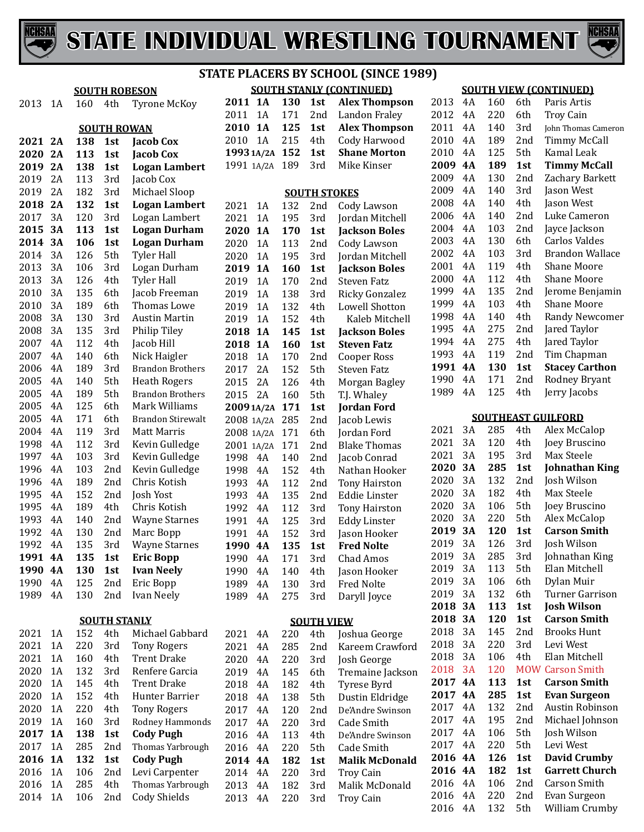



**SOUTH STANLY (CONTINUED)**

|         |           | <b>SOUTH ROBESON</b> |                     |                          | <b>SOUTH STANLY (CONTINUED)</b> |           |     |                     |                       | <b>SOUT</b> |            |
|---------|-----------|----------------------|---------------------|--------------------------|---------------------------------|-----------|-----|---------------------|-----------------------|-------------|------------|
| 2013    | 1A        | 160                  | 4th                 | <b>Tyrone McKoy</b>      | 2011 1A                         |           | 130 | 1st                 | <b>Alex Thompson</b>  | 2013        | 4A         |
|         |           |                      |                     |                          | 2011 1A                         |           | 171 | 2nd                 | <b>Landon Fraley</b>  | 2012        | 4A         |
|         |           |                      | <b>SOUTH ROWAN</b>  |                          | 2010 1A                         |           | 125 | 1st                 | <b>Alex Thompson</b>  | 2011        | 4A         |
| 2021 2A |           | 138                  | 1st                 | <b>Jacob Cox</b>         | 2010                            | 1A        | 215 | 4th                 | Cody Harwood          | 2010        | 4A         |
| 2020    | 2A        | 113                  | 1st                 | <b>Jacob Cox</b>         | 1993 1A/2A 152                  |           |     | 1st                 | <b>Shane Morton</b>   | 2010        | 4A         |
| 2019    | 2A        | 138                  | 1st                 | <b>Logan Lambert</b>     | 1991 1A/2A 189                  |           |     | 3rd                 | Mike Kinser           | 2009        | <b>4A</b>  |
| 2019    | 2A        | 113                  | 3rd                 | Jacob Cox                |                                 |           |     |                     |                       | 2009        | 4A         |
| 2019    | 2A        | 182                  | 3rd                 | Michael Sloop            |                                 |           |     | <b>SOUTH STOKES</b> |                       | 2009        | 4A         |
| 2018    | 2A        | 132                  | 1st                 | <b>Logan Lambert</b>     | 2021                            | 1A        | 132 | 2nd                 | Cody Lawson           | 2008        | 4A         |
| 2017    | 3A        | 120                  | 3rd                 | Logan Lambert            | 2021                            | 1A        | 195 | 3rd                 | Jordan Mitchell       | 2006        | 4A         |
| 2015    | 3A        | 113                  | 1st                 | <b>Logan Durham</b>      | 2020                            | <b>1A</b> | 170 | 1st                 | <b>Jackson Boles</b>  | 2004        | 4A         |
| 2014    | 3A        | 106                  | 1st                 | <b>Logan Durham</b>      | 2020                            | 1A        | 113 | 2nd                 | Cody Lawson           | 2003        | 4A         |
| 2014    | 3A        | 126                  | 5th                 | <b>Tyler Hall</b>        | 2020                            | 1A        | 195 | 3rd                 | Jordan Mitchell       | 2002        | 4A         |
| 2013    | 3A        | 106                  | 3rd                 | Logan Durham             | 2019                            | <b>1A</b> | 160 | 1st                 | <b>Jackson Boles</b>  | 2001        | 4A         |
| 2013    | 3A        | 126                  | 4th                 | <b>Tyler Hall</b>        | 2019                            | 1A        | 170 | 2nd                 | Steven Fatz           | 2000        | 4A         |
| 2010    | 3A        | 135                  | 6th                 | Jacob Freeman            | 2019                            | 1A        | 138 | 3rd                 | Ricky Gonzalez        | 1999        | 4A         |
| 2010    | 3A        | 189                  | 6th                 | Thomas Lowe              | 2019                            | 1A        | 132 | 4th                 | Lowell Shotton        | 1999        | 4A         |
| 2008    | 3A        | 130                  | 3rd                 | <b>Austin Martin</b>     | 2019                            | 1A        | 152 | 4th                 | Kaleb Mitchell        | 1998        | 4A         |
| 2008    | 3A        | 135                  | 3rd                 | Philip Tiley             | 2018                            | <b>1A</b> | 145 | 1st                 | <b>Jackson Boles</b>  | 1995        | 4A         |
| 2007    | 4A        | 112                  | 4th                 | Jacob Hill               | 2018                            | <b>1A</b> | 160 | 1st                 | <b>Steven Fatz</b>    | 1994        | 4A         |
| 2007    | 4A        | 140                  | 6th                 | Nick Haigler             | 2018                            | 1A        | 170 | 2nd                 | Cooper Ross           | 1993        | 4A         |
| 2006    | 4A        | 189                  | 3rd                 | <b>Brandon Brothers</b>  | 2017                            | 2A        | 152 | 5th                 | Steven Fatz           | 1991 4A     |            |
| 2005    | 4A        | 140                  | 5th                 | <b>Heath Rogers</b>      | 2015                            | 2A        | 126 | 4th                 | Morgan Bagley         | 1990        | 4A         |
| 2005    | 4A        | 189                  | 5th                 | <b>Brandon Brothers</b>  | 2015                            | 2A        | 160 | 5th                 | T.J. Whaley           | 1989        | 4A         |
| 2005    | 4A        | 125                  | 6th                 | Mark Williams            | 20091A/2A                       |           | 171 | 1st                 | <b>Jordan Ford</b>    |             |            |
| 2005    | 4A        | 171                  | 6th                 | <b>Brandon Stirewalt</b> | 2008 1A/2A 285                  |           |     | 2 <sub>nd</sub>     | Jacob Lewis           |             | <b>SOI</b> |
| 2004    | 4A        | 119                  | 3rd                 | <b>Matt Marris</b>       | 2008 1A/2A                      |           | 171 | 6th                 | Jordan Ford           | 2021        | 3A         |
| 1998    | 4A        | 112                  | 3rd                 | Kevin Gulledge           | 2001 1A/2A                      |           | 171 | 2nd                 | <b>Blake Thomas</b>   | 2021        | 3A         |
| 1997    | 4A        | 103                  | 3rd                 | Kevin Gulledge           | 1998                            | 4A        | 140 | 2nd                 | Jacob Conrad          | 2021        | 3A         |
| 1996    | 4A        | 103                  | 2nd                 | Kevin Gulledge           | 1998                            | 4A        | 152 | 4th                 | Nathan Hooker         | 2020        | 3A         |
| 1996    | 4A        | 189                  | 2nd                 | Chris Kotish             | 1993                            | 4A        | 112 | 2nd                 | <b>Tony Hairston</b>  | 2020        | 3A         |
| 1995    | 4A        | 152                  | 2nd                 | Josh Yost                | 1993                            | 4A        | 135 | 2nd                 | Eddie Linster         | 2020        | 3A         |
| 1995    | 4A        | 189                  | 4th                 | Chris Kotish             | 1992                            | 4A        | 112 | 3rd                 | <b>Tony Hairston</b>  | 2020        | 3A         |
| 1993    | 4A        | 140                  | 2nd                 | <b>Wayne Starnes</b>     | 1991                            | 4A        | 125 | 3rd                 | <b>Eddy Linster</b>   | 2020        | 3A         |
| 1992    | 4A        | 130                  | 2nd                 | Marc Bopp                | 1991                            | 4A        | 152 | 3rd                 | Jason Hooker          | 2019        | 3A         |
| 1992    | 4A        | 135                  | 3rd                 | <b>Wayne Starnes</b>     | 1990 4A                         |           | 135 | 1st                 | <b>Fred Nolte</b>     | 2019        | 3A         |
| 1991 4A |           | 135                  | 1st                 | <b>Eric Bopp</b>         | 1990                            | 4A        | 171 | 3rd                 | Chad Amos             | 2019 3A     |            |
| 1990    | <b>4A</b> | 130                  | 1st                 | <b>Ivan Neely</b>        | 1990                            | 4A        | 140 | 4th                 | Jason Hooker          | 2019        | 3A         |
| 1990    | 4A        | 125                  | 2nd                 | Eric Bopp                | 1989                            | 4A        | 130 | 3rd                 | Fred Nolte            | 2019        | 3A         |
| 1989    | 4A        | 130                  | 2nd                 | Ivan Neely               | 1989                            | 4A        | 275 | 3rd                 | Daryll Joyce          | 2019        | 3A         |
|         |           |                      |                     |                          |                                 |           |     |                     |                       | 2018 3A     |            |
|         |           |                      | <b>SOUTH STANLY</b> |                          |                                 |           |     | <b>SOUTH VIEW</b>   |                       | 2018 3A     |            |
| 2021    | 1A        | 152                  | 4th                 | Michael Gabbard          | 2021                            | 4A        | 220 | 4th                 | Joshua George         | 2018        | 3A         |
| 2021    | 1A        | 220                  | 3rd                 | <b>Tony Rogers</b>       | 2021                            | 4A        | 285 | 2nd                 | Kareem Crawford       | 2018        | 3A         |
| 2021    | 1A        | 160                  | 4th                 | <b>Trent Drake</b>       | 2020                            | 4A        | 220 | 3rd                 | Josh George           | 2018        | 3A         |
| 2020    | 1A        | 132                  | 3rd                 | Renfere Garcia           | 2019                            | 4A        | 145 | 6th                 | Tremaine Jackson      | 2018        | 3A         |
| 2020    | 1A        | 145                  | 4th                 | <b>Trent Drake</b>       | 2018                            | 4A        | 182 | 4th                 | Tyrese Byrd           | 2017 4A     |            |
| 2020    | 1A        | 152                  | 4th                 | Hunter Barrier           | 2018                            | 4A        | 138 | 5th                 | Dustin Eldridge       | 2017 4A     |            |
| 2020    | 1A        | 220                  | 4th                 | <b>Tony Rogers</b>       | 2017                            | 4A        | 120 | 2nd                 | De'Andre Swinson      | 2017        | 4A         |
| 2019    | 1A        | 160                  | 3rd                 | Rodney Hammonds          | 2017                            | 4A        | 220 | 3rd                 | Cade Smith            | 2017        | 4A         |
| 2017    | <b>1A</b> | 138                  | 1st                 | <b>Cody Pugh</b>         | 2016                            | 4A        | 113 | 4th                 | De'Andre Swinson      | 2017        | 4A         |
| 2017    | 1A        | 285                  | 2nd                 | Thomas Yarbrough         | 2016                            | 4A        | 220 | 5th                 | Cade Smith            | 2017        | 4A         |
| 2016    | <b>1A</b> | 132                  | 1st                 | <b>Cody Pugh</b>         | 2014 4A                         |           | 182 | 1st                 | <b>Malik McDonald</b> | 2016 4A     |            |
| 2016    | 1A        | 106                  | 2nd                 | Levi Carpenter           | 2014                            | 4A        | 220 | 3rd                 | <b>Troy Cain</b>      | 2016 4A     |            |
| 2016    | 1A        | 285                  | 4th                 | Thomas Yarbrough         | 2013                            | 4A        | 182 | 3rd                 | Malik McDonald        | 2016        | 4A         |
| 2014    | 1A        | 106                  | 2nd                 | Cody Shields             | 2013                            | 4A        | 220 | 3rd                 | <b>Troy Cain</b>      | 2016        | 4A         |

#### **SOUTH VIEW (CONTINUED)**

| 2013 | 4Α | 160 | 6th | Paris Artis           |
|------|----|-----|-----|-----------------------|
| 2012 | 4Α | 220 | 6th | Troy Cain             |
| 2011 | 4Α | 140 | 3rd | John Thomas Cameron   |
| 2010 | 4Α | 189 | 2nd | <b>Timmy McCall</b>   |
| 2010 | 4A | 125 | 5th | Kamal Leak            |
| 2009 | 4Α | 189 | 1st | <b>Timmy McCall</b>   |
| 2009 | 4Α | 130 | 2nd | Zachary Barkett       |
| 2009 | 4Α | 140 | 3rd | Jason West            |
| 2008 | 4Α | 140 | 4th | Jason West            |
| 2006 | 4Α | 140 | 2nd | Luke Cameron          |
| 2004 | 4Α | 103 | 2nd | Jayce Jackson         |
| 2003 | 4A | 130 | 6th | Carlos Valdes         |
| 2002 | 4Α | 103 | 3rd | Brandon Wallace       |
| 2001 | 4A | 119 | 4th | Shane Moore           |
| 2000 | 4Α | 112 | 4th | Shane Moore           |
| 1999 | 4Α | 135 | 2nd | Jerome Benjamin       |
| 1999 | 4Α | 103 | 4th | Shane Moore           |
| 1998 | 4Α | 140 | 4th | <b>Randy Newcomer</b> |
| 1995 | 4Α | 275 | 2nd | Jared Taylor          |
| 1994 | 4Α | 275 | 4th | Jared Taylor          |
| 1993 | 4A | 119 | 2nd | Tim Chapman           |
| 1991 | 4A | 130 | 1st | <b>Stacey Carthon</b> |
| 1990 | 4A | 171 | 2nd | Rodney Bryant         |
| 1989 | 4A | 125 | 4th | Jerry Jacobs          |
|      |    |     |     |                       |

**SOUTHEAST GUILFORD**

|          |            |            | <u>, uum viw</u>               |
|----------|------------|------------|--------------------------------|
| 3Α       | 285        | 4th        | Alex McCalop                   |
| 3A       | 120        | 4th        | Joey Bruscino                  |
| 3Α       | 195        | 3rd        | Max Steele                     |
| 3А       | 285        | 1st        | Johnathan King                 |
| 3A       | 132        | 2nd        | Josh Wilson                    |
| 3A       | 182        | 4th        | Max Steele                     |
| 3Α       | 106        | 5th        | Joey Bruscino                  |
| 3A       | 220        | 5th        | Alex McCalop                   |
| 3A       | 120        | 1st        | Carson Smith                   |
| 3A       | 126        | 3rd        | Josh Wilson                    |
| 3A       | 285        | 3rd        | Johnathan King                 |
| 3A       | 113        | 5th        | Elan Mitchell                  |
| 3A       | 106        | 6th        | Dylan Muir                     |
| 3A       | 132        | 6th        | Turner Garrison                |
| 3А       | 113        | 1st        | <b>Josh Wilson</b>             |
|          |            |            |                                |
| 3А       | 120        | 1st        | <b>Carson Smith</b>            |
| 3A       | 145        | 2nd        | <b>Brooks Hunt</b>             |
| 3A       | 220        | 3rd        | Levi West                      |
| 3A       | 106        | 4th        | Elan Mitchell                  |
| 3A       | 120        |            | <b>MOW Carson Smith</b>        |
| 4A       | 113        | 1st        | <b>Carson Smith</b>            |
| 4Α       | 285        | 1st        | <b>Evan Surgeon</b>            |
| 4Α       | 132        | 2nd        | Austin Robinson                |
| 4Α       | 195        | 2nd        | Michael Johnson                |
| 4Α       | 106        | 5th        | Josh Wilson                    |
| 4A       | 220        | 5th        | Levi West                      |
| 4A       | 126        | 1st        | <b>David Crumby</b>            |
| 4A       | 182        | 1st        | <b>Garrett Church</b>          |
| 4A       | 106        | 2nd        | <b>Carson Smith</b>            |
| 4A<br>4A | 220<br>132 | 2nd<br>5th | Evan Surgeon<br>William Crumby |
|          |            |            | <u>JVV</u>                     |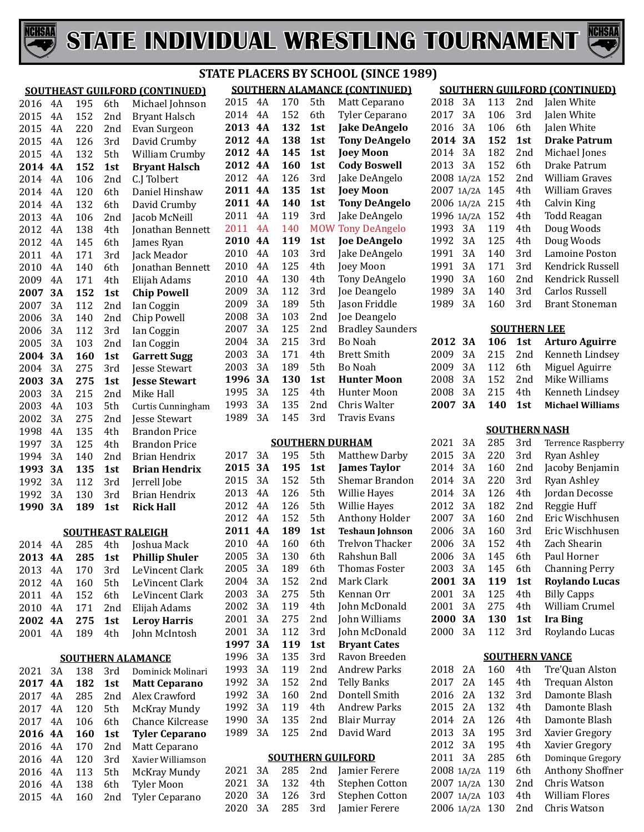



#### **SOUTHEAST GUILFORD (CONTINUED)** 2016 4A 195 6th Michael Johnson<br>2015 4A 152 2nd Bryant Halsch 4A 152 2nd Bryant Halsch 4A 220 2nd Evan Surgeon 4A 126 3rd David Crumby 2015 4A 132 5th William Crumby<br>2014 4A 152 1st Brvant Halsch **4A 152 1st Bryant Halsch** 4A 106 2nd C.J Tolbert 2014 4A 120 6th Daniel Hinshaw<br>2014 4A 132 6th David Crumby 2014 4A 132 6th David Crumby<br>2013 4A 106 2nd Jacob McNeill 4A 106 2nd Jacob McNeill 2012 4A 138 4th Jonathan Bennett<br>2012 4A 145 6th James Ryan 4A 145 6th James Ryan 4A 171 3rd Jack Meador 2010 4A 140 6th Jonathan Bennett<br>2009 4A 171 4th Eliiah Adams 2009 4A 171 4th Elijah Adams<br>2007 3A 152 1st Chip Powell **3A 152 1st Chip Powell** 3A 112 2nd Ian Coggin 3A 140 2nd Chip Powell 3A 112 3rd Ian Coggin 2005 3A 103 2nd Ian Coggin<br>2004 3A 160 1st Garrett Su **3A 160 1st Garrett Sugg** 2004 3A 275 3rd Jesse Stewart<br>2003 3A 275 1st Jesse Stewart **3A 275 1st Jesse Stewart** 3A 215 2nd Mike Hall 2003 4A 103 5th Curtis Cunningham<br>2002 3A 275 2nd Jesse Stewart 3A 275 2nd Jesse Stewart 4A 135 4th Brandon Price 3A 125 4th Brandon Price 1994 3A 140 2nd Brian Hendrix<br>**1993 3A 135 1st Brian Hendri**x **3A 135 1st Brian Hendrix** 3A 112 3rd Jerrell Jobe 130 3rd Brian Hendrix<br>189 1st Rick Hall **3A 189 1st Rick Hall SOUTHEAST RALEIGH** 2014 4A 285 4th Joshua Mack<br>2013 4A 285 1st Phillin Shule **4A 285 1st Phillip Shuler** 2013 4A 170 3rd LeVincent Clark<br>2012 4A 160 5th LeVincent Clark 2012 4A 160 5th LeVincent Clark<br>2011 4A 152 6th LeVincent Clark 2011 4A 152 6th LeVincent Clark<br>2010 4A 171 2nd Eliiah Adams 4A 171 2nd Elijah Adams **4A 275 1st Leroy Harris** 4A 189 4th John McIntosh **SOUTHERN ALAMANCE**  3A 138 3rd Dominick Molinari **4A 182 1st Matt Ceparano**

| $\triangle$ U $\triangle$ 1 | $.~\prime\prime$ | .   | .               | ишшка вишан           |
|-----------------------------|------------------|-----|-----------------|-----------------------|
| 2017                        | 4A               | 182 | 1st             | <b>Matt Ceparano</b>  |
| 2017                        | 4 A              | 285 | 2 <sub>nd</sub> | Alex Crawford         |
| 2017                        | 4 A              | 120 | 5th             | McKray Mundy          |
| 2017                        | 4 A              | 106 | 6th             | Chance Kilcrease      |
| 2016 4A                     |                  | 160 | 1st             | <b>Tyler Ceparano</b> |
| 2016                        | 4 A              | 170 | 2 <sub>nd</sub> | Matt Ceparano         |
| 2016                        | 4A               | 120 | 3rd             | Xavier Williamson     |
| 2016                        | 4 A              | 113 | 5th             | McKray Mundy          |
| 2016                        | 4 A              | 138 | 6th             | <b>Tyler Moon</b>     |
| 2015                        | 4 A              | 160 | 2nd             | Tyler Ceparano        |
|                             |                  |     |                 |                       |

#### **SOUTHERN ALAMANCE (CONTINUED) STATE PLACERS BY SCHOOL (SINCE 1989)**

|      |           |     |            | <u>SUUTHENN ALAMANUE LUONTINUEDJ</u> |
|------|-----------|-----|------------|--------------------------------------|
| 2015 | 4A        | 170 | 5th        | Matt Ceparano                        |
| 2014 | 4Α        | 152 | 6th        | Tyler Ceparano                       |
| 2013 | 4A        | 132 | 1st        | <b>Jake DeAngelo</b>                 |
| 2012 | 4A        | 138 | 1st        | <b>Tony DeAngelo</b>                 |
| 2012 | 4A        | 145 | 1st        | <b>Joey Moon</b>                     |
| 2012 | 4A        | 160 | 1st        | <b>Cody Boswell</b>                  |
| 2012 | 4Α        | 126 | 3rd        | Jake DeAngelo                        |
| 2011 | 4A        | 135 | 1st        | <b>Joey Moon</b>                     |
| 2011 | 4A        | 140 | 1st        | <b>Tony DeAngelo</b>                 |
| 2011 | 4Α        | 119 | 3rd        | Jake DeAngelo                        |
| 2011 | 4A        | 140 | <b>MOW</b> | <b>Tony DeAngelo</b>                 |
| 2010 | 4A        | 119 | 1st        | <b>Joe DeAngelo</b>                  |
| 2010 | 4Α        | 103 | 3rd        | Jake DeAngelo                        |
| 2010 | 4Α        | 125 | 4th        | Joey Moon                            |
| 2010 | 4A        | 130 | 4th        | Tony DeAngelo                        |
| 2009 | 3A        | 112 | 3rd        | Joe Deangelo                         |
| 2009 | 3A        | 189 | 5th        | Jason Friddle                        |
| 2008 | 3A        | 103 | 2nd        | Joe Deangelo                         |
| 2007 | 3A        | 125 | 2nd        | <b>Bradley Saunders</b>              |
| 2004 | 3A        | 215 | 3rd        | Bo Noah                              |
| 2003 | 3A        | 171 | 4th        | Brett Smith                          |
| 2003 | 3A        | 189 | 5th        | Bo Noah                              |
| 1996 | <b>3A</b> | 130 | 1st        | Hunter Moon                          |
| 1995 | 3A        | 125 | 4th        | Hunter Moon                          |
| 1993 | 3A        | 135 | 2nd        | Chris Walter                         |
| 1989 | 3A        | 145 | 3rd        | Travis Evans                         |
|      |           |     |            |                                      |

#### **SOUTHERN DURHAM**

| 2017 | 3A        | 195 | 5th             | Matthew Darby          |
|------|-----------|-----|-----------------|------------------------|
| 2015 | <b>3A</b> | 195 | 1st             | <b>James Taylor</b>    |
| 2015 | 3A        | 152 | 5th             | Shemar Brandon         |
| 2013 | 4A        | 126 | 5th             | Willie Hayes           |
| 2012 | 4Α        | 126 | 5th             | Willie Hayes           |
| 2012 | 4A        | 152 | 5th             | Anthony Holder         |
| 2011 | 4A        | 189 | 1st             | <b>Teshaun Johnson</b> |
| 2010 | 4A        | 160 | 6th             | Trelvon Thacker        |
| 2005 | 3A        | 130 | 6th             | Rahshun Ball           |
| 2005 | 3A        | 189 | 6th             | Thomas Foster          |
| 2004 | 3A        | 152 | 2nd             | Mark Clark             |
| 2003 | 3A        | 275 | 5th             | Kennan Orr             |
| 2002 | 3A        | 119 | 4th             | John McDonald          |
| 2001 | 3A        | 275 | 2nd             | John Williams          |
| 2001 | 3A        | 112 | 3rd             | John McDonald          |
| 1997 | 3A        | 119 | 1st             | <b>Bryant Cates</b>    |
| 1996 | 3A        | 135 | 3rd             | Ravon Breeden          |
| 1993 | 3A        | 119 | 2nd             | Andrew Parks           |
| 1992 | 3A        | 152 | 2nd             | <b>Telly Banks</b>     |
| 1992 | 3A        | 160 | 2 <sub>nd</sub> | Dontell Smith          |
| 1992 | 3A        | 119 | 4th             | <b>Andrew Parks</b>    |
| 1990 | 3A        | 135 | 2nd             | Blair Murray           |
| 1989 | 3A        | 125 | 2nd             | David Ward             |
|      |           |     |                 |                        |

#### **SOUTHERN GUILFORD**

|  |  | 2021 3A 285 2nd Jamier Ferere  |
|--|--|--------------------------------|
|  |  | 2021 3A 132 4th Stephen Cotton |
|  |  | 2020 3A 126 3rd Stephen Cotton |
|  |  | 2020 3A 285 3rd Jamier Ferere  |
|  |  |                                |

| 2014 3A    |    | 152 | 1st                 | <b>Drake Patrum</b>   |
|------------|----|-----|---------------------|-----------------------|
| 2014       | 3A | 182 | 2nd                 | Michael Jones         |
| 2013       | 3A | 152 | 6th                 | Drake Patrum          |
| 2008 1A/2A |    | 152 | 2 <sub>nd</sub>     | William Graves        |
| 2007 1A/2A |    | 145 | 4th                 | William Graves        |
| 2006 1A/2A |    | 215 | 4th                 | Calvin King           |
| 1996 1A/2A |    | 152 | 4th                 | <b>Todd Reagan</b>    |
| 1993       | 3Α | 119 | 4th                 | Doug Woods            |
| 1992       | 3A | 125 | 4th                 | Doug Woods            |
| 1991       | 3A | 140 | 3rd                 | Lamoine Poston        |
| 1991       | 3A | 171 | 3rd                 | Kendrick Russell      |
| 1990       | 3A | 160 | 2nd                 | Kendrick Russell      |
| 1989       | 3Α | 140 | 3rd                 | <b>Carlos Russell</b> |
| 1989       | 3A | 160 | 3rd                 | <b>Brant Stoneman</b> |
|            |    |     |                     |                       |
|            |    |     | <b>SOUTHERN LEE</b> |                       |
| 2012       | 3А | 106 | 1st                 | <b>Arturo Aguirre</b> |
| 2009       | 3Α | 215 | 2nd                 | Kenneth Lindsey       |
| 2009       | 3A | 112 | 6th -               | Miguel Aguirre        |
| 2008       | 3A | 152 | 2nd                 | Mike Williams         |
| 2008       | 3A | 215 | 4th                 | Kenneth Lindsev       |

**SOUTHERN GUILFORD (CONTINUED)**

Jalen White

2018 3A 113 2nd Jalen White<br>2017 3A 106 3rd Jalen White 3A 106 3rd Jalen White

#### **SOUTHERN NASH**

2008 3A 215 4th Kenneth Lindsey<br>2007 3A 140 1st Michael Williams

**3A 140 1st Michael Williams**

| 2021 | 3A | 285 | 3rd             | <b>Terrence Raspberry</b> |
|------|----|-----|-----------------|---------------------------|
| 2015 | 3Α | 220 | 3rd             | Ryan Ashley               |
| 2014 | 3A | 160 | 2 <sub>nd</sub> | Jacoby Benjamin           |
| 2014 | 3Α | 220 | 3rd             | Ryan Ashley               |
| 2014 | 3A | 126 | 4th             | Jordan Decosse            |
| 2012 | 3Α | 182 | 2nd             | Reggie Huff               |
| 2007 | 3A | 160 | 2nd             | Eric Wischhusen           |
| 2006 | 3Α | 160 | 3rd             | Eric Wischhusen           |
| 2006 | 3Α | 152 | 4th             | Zach Shearin              |
| 2006 | 3A | 145 | 6th             | Paul Horner               |
| 2003 | 3Α | 145 | 6th             | <b>Channing Perry</b>     |
| 2001 | 3А | 119 | 1st             | <b>Roylando Lucas</b>     |
| 2001 | 3A | 125 | 4th             | <b>Billy Capps</b>        |
| 2001 | 3Α | 275 | 4th             | William Crumel            |
| 2000 | 3А | 130 | 1st             | <b>Ira Bing</b>           |
| 2000 | 3Α | 112 | 3rd             | Roylando Lucas            |
|      |    |     |                 |                           |

#### **SOUTHERN VANCE**

| 2018 | 2A         | 160 | 4th             | Tre'Quan Alston         |
|------|------------|-----|-----------------|-------------------------|
| 2017 | 2.A        | 145 | 4th             | <b>Trequan Alston</b>   |
| 2016 | 2.A        | 132 | 3rd             | Damonte Blash           |
| 2015 | 2.A        | 132 | 4th             | Damonte Blash           |
| 2014 | 2.A        | 126 | 4th             | Damonte Blash           |
| 2013 | 3Α         | 195 | 3rd             | Xavier Gregory          |
| 2012 | 3Α         | 195 | 4th             | Xavier Gregory          |
| 2011 | 3Α         | 285 | 6th             | Dominque Gregory        |
|      | 2008 1A/2A | 119 | 6th             | <b>Anthony Shoffner</b> |
|      | 2007 1A/2A | 130 | 2 <sub>nd</sub> | Chris Watson            |
|      | 2007 1A/2A | 103 | 4th             | William Flores          |
|      | 2006 1A/2A | 130 | 2nd             | Chris Watson            |
|      |            |     |                 |                         |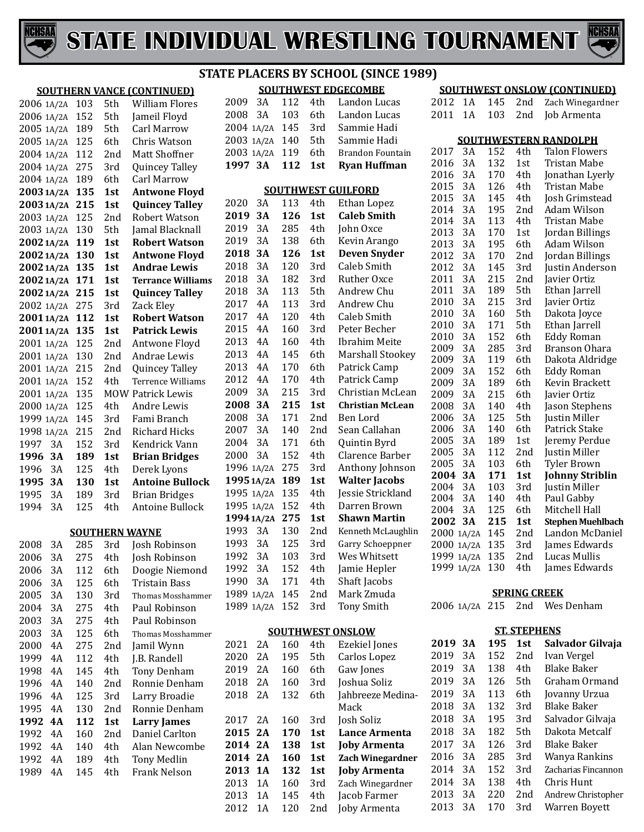



#### **STATE EXAMPLE PROPERTY**

|            |                |     |     |                                   |                |    |     |     | <b>STATE PLACERS BY SCHOOL (SIN</b> |
|------------|----------------|-----|-----|-----------------------------------|----------------|----|-----|-----|-------------------------------------|
|            |                |     |     | <b>SOUTHERN VANCE (CONTINUED)</b> |                |    |     |     | <b>SOUTHWEST EDGECOMBE</b>          |
|            | 2006 1A/2A     | 103 | 5th | <b>William Flores</b>             | 2009           | 3A | 112 | 4th | Landon Lu                           |
| 2006 1A/2A |                | 152 | 5th | Jameil Floyd                      | 2008           | 3A | 103 | 6th | Landon Lu                           |
|            | 2005 1A/2A     | 189 | 5th | Carl Marrow                       | 2004 1A/2A     |    | 145 | 3rd | Sammie Ha                           |
|            | 2005 1A/2A     | 125 | 6th | Chris Watson                      | 2003 1A/2A     |    | 140 | 5th | Sammie Ha                           |
|            | 2004 1A/2A     | 112 | 2nd | Matt Shoffner                     | 2003 1A/2A     |    | 119 | 6th | Brandon Fo                          |
|            | 2004 1A/2A     | 275 | 3rd | Quincey Talley                    | 1997 3A        |    | 112 | 1st | <b>Ryan Huff</b>                    |
|            | 2004 1A/2A     | 189 | 6th | Carl Marrow                       |                |    |     |     |                                     |
|            | 2003 1A/2A 135 |     | 1st | <b>Antwone Floyd</b>              |                |    |     |     | <b>SOUTHWEST GUILFORD</b>           |
|            | 2003 1A/2A 215 |     | 1st | <b>Quincey Talley</b>             | 2020           | 3A | 113 | 4th | Ethan Lope                          |
|            | 2003 1A/2A     | 125 | 2nd | Robert Watson                     | 2019           | 3A | 126 | 1st | <b>Caleb Smi</b>                    |
|            | 2003 1A/2A     | 130 | 5th | Jamal Blacknall                   | 2019           | 3A | 285 | 4th | John Oxce                           |
|            | 20021A/2A 119  |     | 1st | <b>Robert Watson</b>              | 2019           | 3A | 138 | 6th | Kevin Arar                          |
|            | 2002 1A/2A 130 |     | 1st | <b>Antwone Floyd</b>              | 2018           | 3A | 126 | 1st | <b>Deven Sny</b>                    |
|            | 2002 1A/2A 135 |     | 1st | <b>Andrae Lewis</b>               | 2018           | 3A | 120 | 3rd | Caleb Smit                          |
|            | 2002 1A/2A 171 |     | 1st | <b>Terrance Williams</b>          | 2018           | 3A | 182 | 3rd | Ruther Oxo                          |
|            | 20021A/2A 215  |     | 1st | <b>Quincey Talley</b>             | 2018           | 3A | 113 | 5th | Andrew Ch                           |
|            | 2002 1A/2A 275 |     | 3rd | Zack Eley                         | 2017           | 4A | 113 | 3rd | Andrew Ch                           |
|            | 20011A/2A 112  |     | 1st | <b>Robert Watson</b>              | 2017           | 4A | 120 | 4th | Caleb Smit                          |
|            | 2001 1A/2A     | 135 | 1st | <b>Patrick Lewis</b>              | 2015           | 4A | 160 | 3rd | Peter Bech                          |
| 2001 1A/2A |                | 125 | 2nd | Antwone Floyd                     | 2013           | 4A | 160 | 4th | Ibrahim M                           |
| 2001 1A/2A |                | 130 | 2nd | Andrae Lewis                      | 2013           | 4A | 145 | 6th | Marshall S <sup>®</sup>             |
|            | 2001 1A/2A     | 215 | 2nd | Quincey Talley                    | 2013           | 4A | 170 | 6th | Patrick Car                         |
| 2001 1A/2A |                | 152 | 4th | Terrence Williams                 | 2012           | 4A | 170 | 4th | Patrick Car                         |
| 2001 1A/2A |                | 135 |     | <b>MOW Patrick Lewis</b>          | 2009           | 3A | 215 | 3rd | Christian N                         |
| 2000 1A/2A |                | 125 | 4th | Andre Lewis                       | 2008           | 3A | 215 | 1st | <b>Christian M</b>                  |
| 1999 1A/2A |                | 145 | 3rd | Fami Branch                       | 2008           | 3A | 171 | 2nd | Ben Lord                            |
| 1998 1A/2A |                | 215 | 2nd | <b>Richard Hicks</b>              | 2007           | 3A | 140 | 2nd | Sean Callal                         |
| 1997       | 3A             | 152 | 3rd | Kendrick Vann                     | 2004           | 3A | 171 | 6th | Quintin By                          |
| 1996       | 3A             | 189 | 1st | <b>Brian Bridges</b>              | 2000           | 3A | 152 | 4th | Clarence B                          |
| 1996       | 3A             | 125 | 4th | Derek Lyons                       | 1996 1A/2A     |    | 275 | 3rd | Anthony Jo                          |
| 1995       | 3A             | 130 | 1st | <b>Antoine Bullock</b>            | 1995 1A/2A     |    | 189 | 1st | Walter Jac                          |
| 1995       | $3A$           | 189 | 3rd | <b>Brian Bridges</b>              | 1995 1A/2A     |    | 135 | 4th | Jessie Stric                        |
| 1994       | 3A             | 125 | 4th | Antoine Bullock                   | 1995 1A/2A     |    | 152 | 4th | Darren Bro                          |
|            |                |     |     |                                   | 1994 1A/2A 275 |    |     | 1st | <b>Shawn Ma</b>                     |
|            |                |     |     | <b>SOUTHERN WAYNE</b>             | 1993 3A        |    | 130 | 2nd | Kenneth Mcl                         |
| 2008       | 3A             | 285 | 3rd | Josh Robinson                     | 1993           | 3A | 125 | 3rd | Garry Schoe                         |
| 2006       | 3A             | 275 | 4th | Josh Robinson                     | 1992           | 3A | 103 | 3rd | Wes Whits                           |
| 2006       | 3A             | 112 | 6th | Doogie Niemond                    | 1992           | 3A | 152 | 4th | Jamie Hepl                          |
| 2006       | 3A             | 125 | 6th | Tristain Bass                     | 1990           | 3A | 171 | 4th | Shaft Jacob                         |
| 2005       | 3A             | 130 | 3rd | <b>Thomas Mosshammer</b>          | 1989 1A/2A     |    | 145 | 2nd | Mark Zmu                            |
| 2004       | 3A             | 275 | 4th | Paul Robinson                     | 1989 1A/2A     |    | 152 | 3rd | <b>Tony Smith</b>                   |
| 2003       | 3A             | 275 | 4th | Paul Robinson                     |                |    |     |     |                                     |
| 2003       | 3A             | 125 | 6th | Thomas Mosshammer                 |                |    |     |     | <b>SOUTHWEST ONSLOW</b>             |

| 2009 | 3A         | 112 | 4th | Landon Lucas              |
|------|------------|-----|-----|---------------------------|
| 2008 | 3A         | 103 | 6th | Landon Lucas              |
| 2004 | 1A/2A      | 145 | 3rd | Sammie Hadi               |
| 2003 | 1A/2A      | 140 | 5th | Sammie Hadi               |
| 2003 | 1A/2A      | 119 | 6th | Brandon Fountain          |
| 1997 | 3A         | 112 | 1st | <b>Ryan Huffman</b>       |
|      |            |     |     |                           |
|      |            |     |     | <b>SOUTHWEST GUILFORD</b> |
| 2020 | 3A         | 113 | 4th | <b>Ethan Lopez</b>        |
| 2019 | 3A         | 126 | 1st | <b>Caleb Smith</b>        |
| 2019 | 3A         | 285 | 4th | John Oxce                 |
| 2019 | 3A         | 138 | 6th | Kevin Arango              |
| 2018 | 3A         | 126 | 1st | <b>Deven Snyder</b>       |
| 2018 | 3A         | 120 | 3rd | <b>Caleb Smith</b>        |
| 2018 | 3A         | 182 | 3rd | Ruther Oxce               |
| 2018 | 3A         | 113 | 5th | Andrew Chu                |
| 2017 | 4A         | 113 | 3rd | Andrew Chu                |
| 2017 | 4A         | 120 | 4th | Caleb Smith               |
| 2015 | 4Α         | 160 | 3rd | Peter Becher              |
| 2013 | 4Α         | 160 | 4th | Ibrahim Meite             |
| 2013 | 4Α         | 145 | 6th | Marshall Stookey          |
| 2013 | 4A         | 170 | 6th | Patrick Camp              |
| 2012 | 4A         | 170 | 4th | Patrick Camp              |
| 2009 | 3A         | 215 | 3rd | Christian McLean          |
| 2008 | 3A         | 215 | 1st | <b>Christian McLean</b>   |
| 2008 | 3A         | 171 | 2nd | <b>Ben Lord</b>           |
| 2007 | 3A         | 140 | 2nd | Sean Callahan             |
| 2004 | 3A         | 171 | 6th | Quintin Byrd              |
| 2000 | 3A         | 152 | 4th | Clarence Barber           |
| 1996 | 1A/2A      | 275 | 3rd | Anthony Johnson           |
|      | 1995 1A/2A | 189 | 1st | <b>Walter Jacobs</b>      |
| 1995 | 1A/2A      | 135 | 4th | Jessie Strickland         |
| 1995 | 1A/2A      | 152 | 4th | Darren Brown              |
|      | 1994 1A/2A | 275 | 1st | <b>Shawn Martin</b>       |
| 1993 | 3A         | 130 | 2nd | Kenneth McLaughlin        |
| 1993 | 3A         | 125 | 3rd | Garry Schoeppner          |
| 1992 | 3A         | 103 | 3rd | Wes Whitsett              |
| 1992 | 3A         | 152 | 4th | Jamie Hepler              |
| 1990 | 3A         | 171 | 4th | Shaft Jacobs              |
| 1989 | 1A/2A      | 145 | 2nd | Mark Zmuda                |
| 1989 | 1A/2A      | 152 | 3rd | <b>Tony Smith</b>         |

#### **ST ONSLOW**

| 2021    | 2A  | 160 | 4th  | <b>Ezekiel Jones</b>    | 20 |
|---------|-----|-----|------|-------------------------|----|
| 2020    | 2A  | 195 | 5th  | Carlos Lopez            | 20 |
| 2019    | 2A  | 160 | 6th. | Gaw Jones               | 20 |
| 2018    | 2A  | 160 | 3rd  | Joshua Soliz            | 20 |
| 2018    | 2Α  | 132 | 6th  | Jahbreeze Medina-       | 20 |
|         |     |     |      | Mack                    | 20 |
| 2017    | 2A  | 160 | 3rd  | Josh Soliz              | 20 |
|         |     |     |      |                         | 20 |
| 2015 2A |     | 170 | 1st  | Lance Armenta           |    |
| 2014 2A |     | 138 | 1st  | <b>Joby Armenta</b>     | 20 |
| 2014 2A |     | 160 | 1st  | <b>Zach Winegardner</b> | 20 |
| 2013 1A |     | 132 | 1st  | <b>Joby Armenta</b>     | 20 |
| 2013    | 1A  | 160 | 3rd  | Zach Winegardner        | 20 |
| 2013    | 1 A | 145 | 4th  | Jacob Farmer            | 20 |
| 2012    | 1 A | 120 | 2nd  | Joby Armenta            | 20 |

#### **SOUTHWEST ONSLOW (CONTINUED)**

|  |  | 2012 1A 145 2nd Zach Winegardner |
|--|--|----------------------------------|
|  |  | 2011 1A 103 2nd Job Armenta      |

**SOUTHWESTERN RANDOLPH**

| 2017 | 3A    | 152 | 4th | <b>Talon Flowers</b>     |
|------|-------|-----|-----|--------------------------|
| 2016 | 3A    | 132 | 1st | Tristan Mabe             |
| 2016 | 3A    | 170 | 4th | Jonathan Lyerly          |
| 2015 | 3A    | 126 | 4th | Tristan Mabe             |
| 2015 | 3A    | 145 | 4th | Josh Grimstead           |
| 2014 | 3A    | 195 | 2nd | Adam Wilson              |
| 2014 | 3A    | 113 | 4th | Tristan Mabe             |
| 2013 | 3A    | 170 | 1st | Jordan Billings          |
| 2013 | 3A    | 195 | 6th | Adam Wilson              |
| 2012 | 3A    | 170 | 2nd | Jordan Billings          |
| 2012 | 3A    | 145 | 3rd | Justin Anderson          |
| 2011 | 3A    | 215 | 2nd | Javier Ortiz             |
| 2011 | 3A    | 189 | 5th | Ethan Jarrell            |
| 2010 | 3A    | 215 | 3rd | Javier Ortiz             |
| 2010 | 3A    | 160 | 5th | Dakota Joyce             |
| 2010 | 3A    | 171 | 5th | Ethan Jarrell            |
| 2010 | 3A    | 152 | 6th | <b>Eddy Roman</b>        |
| 2009 | 3A    | 285 | 3rd | Branson Ohara            |
| 2009 | 3A    | 119 | 6th | Dakota Aldridge          |
| 2009 | 3A    | 152 | 6th | Eddy Roman               |
| 2009 | 3A    | 189 | 6th | Kevin Brackett           |
| 2009 | 3A    | 215 | 6th | Javier Ortiz             |
| 2008 | 3A    | 140 | 4th | Jason Stephens           |
| 2006 | 3A    | 125 | 5th | Justin Miller            |
| 2006 | 3A    | 140 | 6th | Patrick Stake            |
| 2005 | 3A    | 189 | 1st | Jeremy Perdue            |
| 2005 | 3A    | 112 | 2nd | Justin Miller            |
| 2005 | 3A    | 103 | 6th | <b>Tyler Brown</b>       |
| 2004 | 3A    | 171 | 1st | <b>Johnny Striblin</b>   |
| 2004 | 3A    | 103 | 3rd | Justin Miller            |
| 2004 | 3A    | 140 | 4th | Paul Gabby               |
| 2004 | 3A    | 125 | 6th | Mitchell Hall            |
| 2002 | 3А    | 215 | 1st | <b>Stephen Muehlbach</b> |
| 2000 | 1A/2A | 145 | 2nd | Landon McDaniel          |
| 2000 | 1A/2A | 135 | 3rd | James Edwards            |
| 1999 | 1A/2A | 135 | 2nd | Lucas Mullis             |
| 1999 | 1A/2A | 130 | 4th | James Edwards            |

#### **SPRING CREEK**

1A/2A 215 2nd Wes Denham

|      | <b>ST. STEPHENS</b> |     |                 |                     |  |  |  |  |
|------|---------------------|-----|-----------------|---------------------|--|--|--|--|
| 2019 | 3A                  | 195 | 1st             | Salvador Gilvaja    |  |  |  |  |
| 2019 | 3Α                  | 152 | 2 <sub>nd</sub> | Ivan Vergel         |  |  |  |  |
| 2019 | 3A                  | 138 | 4th             | <b>Blake Baker</b>  |  |  |  |  |
| 2019 | 3Α                  | 126 | 5th             | Graham Ormand       |  |  |  |  |
| 2019 | 3A                  | 113 | 6th             | Jovanny Urzua       |  |  |  |  |
| 2018 | 3Α                  | 132 | 3rd             | Blake Baker         |  |  |  |  |
| 2018 | 3Α                  | 195 | 3rd             | Salvador Gilvaja    |  |  |  |  |
| 2018 | 3Α                  | 182 | 5th             | Dakota Metcalf      |  |  |  |  |
| 2017 | 3A                  | 126 | 3rd             | Blake Baker         |  |  |  |  |
| 2016 | 3Α                  | 285 | 3rd             | Wanya Rankins       |  |  |  |  |
| 2014 | 3A                  | 152 | 3rd             | Zacharias Fincannon |  |  |  |  |
| 2014 | 3A                  | 138 | 4th             | Chris Hunt          |  |  |  |  |
| 2013 | 3A                  | 220 | 2 <sub>nd</sub> | Andrew Christopher  |  |  |  |  |
| 2013 | 3Α                  | 170 | 3rd             | Warren Bovett       |  |  |  |  |
|      |                     |     |                 |                     |  |  |  |  |

| 2002 1A/2A            |    | 275 | 3rd             | Zack Eley                |  |  |
|-----------------------|----|-----|-----------------|--------------------------|--|--|
| 20011A/2A             |    | 112 | 1st             | <b>Robert Watson</b>     |  |  |
| 20011A/2A             |    | 135 | 1st             | <b>Patrick Lewis</b>     |  |  |
| 2001 1A/2A            |    | 125 | 2nd             | Antwone Floyd            |  |  |
| 2001 1A/2A            |    | 130 | 2 <sub>nd</sub> | Andrae Lewis             |  |  |
| 2001 1A/2A            |    | 215 | 2 <sub>nd</sub> | Quincey Talley           |  |  |
| 2001 1A/2A            |    | 152 | 4th             | Terrence Williams        |  |  |
| 2001 1A/2A            |    | 135 |                 | <b>MOW Patrick Lewis</b> |  |  |
| 2000 1A/2A            |    | 125 | 4th             | Andre Lewis              |  |  |
| 1999 1A/2A            |    | 145 | 3rd             | Fami Branch              |  |  |
| 1998 1A/2A            |    | 215 | 2nd             | Richard Hicks            |  |  |
| 1997                  | 3A | 152 | 3rd             | Kendrick Vann            |  |  |
| 1996                  | 3А | 189 | 1st             | <b>Brian Bridges</b>     |  |  |
| 1996                  | 3A | 125 | 4th             | Derek Lyons              |  |  |
| 1995                  | 3А | 130 | 1st             | <b>Antoine Bullocl</b>   |  |  |
| 1995                  | 3A | 189 | 3rd             | Brian Bridges            |  |  |
| 1994                  | 3A | 125 | 4th             | Antoine Bullock          |  |  |
| <b>SOUTHERN WAYNE</b> |    |     |                 |                          |  |  |

| 2008 | 3Α | 285 | 3rd | Josh Robinson            |
|------|----|-----|-----|--------------------------|
| 2006 | 3A | 275 | 4th | Josh Robinson            |
| 2006 | 3A | 112 | 6th | Doogie Niemond           |
| 2006 | 3A | 125 | 6th | Tristain Bass            |
| 2005 | 3A | 130 | 3rd | <b>Thomas Mosshammer</b> |
| 2004 | 3A | 275 | 4th | Paul Robinson            |
| 2003 | 3A | 275 | 4th | Paul Robinson            |
| 2003 | 3A | 125 | 6th | <b>Thomas Mosshammer</b> |
| 2000 | 4Α | 275 | 2nd | Jamil Wynn               |
| 1999 | 4Α | 112 | 4th | J.B. Randell             |
| 1998 | 4Α | 145 | 4th | Tony Denham              |
| 1996 | 4Α | 140 | 2nd | Ronnie Denham            |
| 1996 | 4Α | 125 | 3rd | Larry Broadie            |
| 1995 | 4Α | 130 | 2nd | Ronnie Denham            |
| 1992 | 4A | 112 | 1st | <b>Larry James</b>       |
| 1992 | 4Α | 160 | 2nd | Daniel Carlton           |
| 1992 | 4Α | 140 | 4th | Alan Newcombe            |
| 1992 | 4Α | 189 | 4th | Tony Medlin              |
| 1989 | 4Α | 145 | 4th | Frank Nelson             |
|      |    |     |     |                          |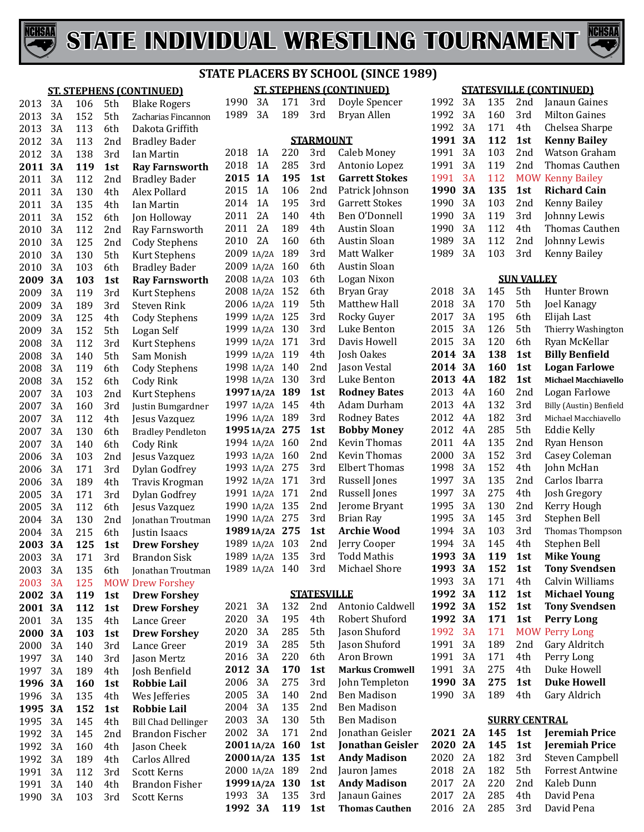



**ST. STEPHENS (CONTINUED)**

|      |    |     |     | <b>ST. STEPHENS (CONTINUED)</b> | <b>ST. STEPHENS (CONTINUED)</b> |            |                    |                                        |  |  |
|------|----|-----|-----|---------------------------------|---------------------------------|------------|--------------------|----------------------------------------|--|--|
| 2013 | 3A | 106 | 5th | <b>Blake Rogers</b>             | 1990<br>3A                      | 171        | 3rd                | Doyle Spencer                          |  |  |
| 2013 | 3A | 152 | 5th | Zacharias Fincannon             | 1989<br>3A                      | 189        | 3rd                | Bryan Allen                            |  |  |
| 2013 | 3A | 113 | 6th | Dakota Griffith                 |                                 |            |                    |                                        |  |  |
| 2012 | 3A | 113 | 2nd | <b>Bradley Bader</b>            |                                 |            | <b>STARMOUNT</b>   |                                        |  |  |
| 2012 | 3A | 138 | 3rd | Ian Martin                      | 2018<br>1A                      | 220        | 3rd                | Caleb Money                            |  |  |
| 2011 | 3A | 119 | 1st | <b>Ray Farnsworth</b>           | 2018<br>1A                      | 285        | 3rd                | Antonio Lopez                          |  |  |
| 2011 | 3A | 112 | 2nd | <b>Bradley Bader</b>            | 2015<br><b>1A</b>               | 195        | 1st                | <b>Garrett Stokes</b>                  |  |  |
| 2011 | 3A | 130 | 4th | Alex Pollard                    | 2015<br>1A                      | 106        | 2nd                | Patrick Johnson                        |  |  |
| 2011 | 3A | 135 | 4th | Ian Martin                      | 1A<br>2014                      | 195        | 3rd                | <b>Garrett Stokes</b>                  |  |  |
| 2011 | 3A | 152 | 6th | Jon Holloway                    | 2A<br>2011                      | 140        | 4th                | Ben O'Donnell                          |  |  |
| 2010 | 3A | 112 | 2nd | Ray Farnsworth                  | 2A<br>2011                      | 189        | 4th                | Austin Sloan                           |  |  |
| 2010 | 3A | 125 | 2nd | <b>Cody Stephens</b>            | 2A<br>2010                      | 160        | 6th                | Austin Sloan                           |  |  |
| 2010 | 3A | 130 | 5th | Kurt Stephens                   | 2009 1A/2A                      | 189        | 3rd                | Matt Walker                            |  |  |
| 2010 | 3A | 103 | 6th | <b>Bradley Bader</b>            | 2009 1A/2A                      | 160        | 6th                | Austin Sloan                           |  |  |
| 2009 | 3A | 103 | 1st | <b>Ray Farnsworth</b>           | 2008 1A/2A                      | 103        | 6th                | Logan Nixon                            |  |  |
| 2009 | 3A | 119 | 3rd | Kurt Stephens                   | 2008 1A/2A                      | 152        | 6th                | Bryan Gray                             |  |  |
| 2009 | 3A | 189 | 3rd | <b>Steven Rink</b>              | 2006 1A/2A                      | 119        | 5th                | Matthew Hall                           |  |  |
| 2009 | 3A | 125 | 4th | <b>Cody Stephens</b>            | 1999 1A/2A                      | 125        | 3rd                | Rocky Guyer                            |  |  |
| 2009 | 3A | 152 | 5th | Logan Self                      | 1999 1A/2A                      | 130        | 3rd                | Luke Benton                            |  |  |
| 2008 | 3A | 112 | 3rd | Kurt Stephens                   | 1999 1A/2A                      | 171        | 3rd                | Davis Howell                           |  |  |
| 2008 | 3A | 140 | 5th | Sam Monish                      | 1999 1A/2A                      | 119        | 4th                | Josh Oakes                             |  |  |
| 2008 | 3A | 119 | 6th | <b>Cody Stephens</b>            | 1998 1A/2A                      | 140        | 2nd                | Jason Vestal                           |  |  |
| 2008 | 3A | 152 | 6th | Cody Rink                       | 1998 1A/2A                      | 130        | 3rd                | Luke Benton                            |  |  |
| 2007 | 3A | 103 | 2nd | Kurt Stephens                   | 1997 1A/2A                      | 189        | 1st                | <b>Rodney Bates</b>                    |  |  |
| 2007 | 3A | 160 | 3rd | Justin Bumgardner               | 1997 1A/2A                      | 145        | 4th                | Adam Durham                            |  |  |
| 2007 | 3A | 112 | 4th | Jesus Vazquez                   | 1996 1A/2A                      | 189        | 3rd                | <b>Rodney Bates</b>                    |  |  |
| 2007 | 3A | 130 | 6th | <b>Bradley Pendleton</b>        | 1995 1A/2A 275                  |            | 1st                | <b>Bobby Money</b>                     |  |  |
| 2007 | 3A | 140 | 6th | Cody Rink                       | 1994 1A/2A                      | 160        | 2nd                | Kevin Thomas                           |  |  |
| 2006 | 3A | 103 | 2nd | Jesus Vazquez                   | 1993 1A/2A                      | 160        | 2nd                | Kevin Thomas                           |  |  |
| 2006 | 3A | 171 | 3rd | Dylan Godfrey                   | 1993 1A/2A                      | 275        | 3rd                | <b>Elbert Thomas</b>                   |  |  |
| 2006 | 3A | 189 | 4th | Travis Krogman                  | 1992 1A/2A                      | 171        | 3rd                | Russell Jones                          |  |  |
| 2005 | 3A | 171 | 3rd | Dylan Godfrey                   | 1991 1A/2A                      | 171        | 2nd                | Russell Jones                          |  |  |
| 2005 | 3A | 112 | 6th | Jesus Vazquez                   | 1990 1A/2A                      | 135        | 2nd                | Jerome Bryant                          |  |  |
| 2004 | 3A | 130 | 2nd | Jonathan Troutman               | 1990 1A/2A 275                  |            | 3rd                | <b>Brian Ray</b>                       |  |  |
| 2004 | 3A | 215 | 6th | Justin Isaacs                   | 1989 1A/2A 275                  |            | 1st                | <b>Archie Wood</b>                     |  |  |
| 2003 | 3A | 125 | 1st | <b>Drew Forshey</b>             | 1989 1A/2A 103                  |            | 2nd                | Jerry Cooper                           |  |  |
| 2003 | 3A | 171 | 3rd | <b>Brandon Sisk</b>             | 1989 1A/2A 135                  |            | 3rd                | Todd Mathis                            |  |  |
| 2003 | 3A | 135 | 6th | Jonathan Troutman               | 1989 1A/2A 140                  |            | 3rd                | Michael Shore                          |  |  |
| 2003 | 3A | 125 |     | <b>MOW Drew Forshey</b>         |                                 |            |                    |                                        |  |  |
| 2002 | 3A | 119 | 1st | <b>Drew Forshey</b>             |                                 |            | <b>STATESVILLE</b> |                                        |  |  |
| 2001 | 3A | 112 | 1st | <b>Drew Forshey</b>             | 2021<br>3A                      | 132        | 2nd                | Antonio Caldwell                       |  |  |
| 2001 | 3A | 135 | 4th | Lance Greer                     | 3A<br>2020                      | 195        | 4th                | Robert Shuford                         |  |  |
| 2000 | 3A | 103 | 1st | <b>Drew Forshey</b>             | 3A<br>2020                      | 285        | 5th                | Jason Shuford                          |  |  |
| 2000 | 3A | 140 | 3rd | Lance Greer                     | 3A<br>2019                      | 285        | 5th                | Jason Shuford                          |  |  |
| 1997 | 3A | 140 | 3rd | Jason Mertz                     | 3A<br>2016                      | 220        | 6th                | Aron Brown                             |  |  |
| 1997 | 3A | 189 | 4th | Josh Benfield                   | 3A<br>2012                      | 170        | 1st                | <b>Markus Cromwell</b>                 |  |  |
| 1996 | 3A | 160 | 1st | <b>Robbie Lail</b>              | 3A<br>2006                      | 275        | 3rd                | John Templeton                         |  |  |
| 1996 | 3A | 135 | 4th | Wes Jefferies                   | 3A<br>2005                      | 140        | 2nd                | Ben Madison                            |  |  |
| 1995 | 3A | 152 | 1st | <b>Robbie Lail</b>              | 3A<br>2004                      | 135        | 2nd                | <b>Ben Madison</b>                     |  |  |
| 1995 | 3A | 145 | 4th | <b>Bill Chad Dellinger</b>      | 3A<br>2003                      | 130        | 5th                | Ben Madison                            |  |  |
| 1992 | 3A | 145 | 2nd | <b>Brandon Fischer</b>          | 3A<br>2002                      | 171        | 2nd                | Jonathan Geisler                       |  |  |
| 1992 | 3A | 160 | 4th | Jason Cheek                     | 20011A/2A 160                   |            | 1st                | Jonathan Geisler                       |  |  |
| 1992 | 3A | 189 | 4th | Carlos Allred                   | 2000 1A/2A 135                  |            | 1st                | <b>Andy Madison</b>                    |  |  |
| 1991 | 3A | 112 | 3rd | <b>Scott Kerns</b>              | 2000 1A/2A                      | 189        | 2nd                | Jauron James                           |  |  |
| 1991 | 3A | 140 | 4th | <b>Brandon Fisher</b>           | 1999 1A/2A 130                  |            | 1st                | <b>Andy Madison</b>                    |  |  |
| 1990 | 3A | 103 | 3rd | Scott Kerns                     | 1993 3A<br>1992 3A              | 135<br>119 | 3rd<br>1st         | Janaun Gaines<br><b>Thomas Cauthen</b> |  |  |
|      |    |     |     |                                 |                                 |            |                    |                                        |  |  |

#### **STATESVILLE (CONTINUED)**

| 1992 | 3Α | 135 | 2 <sub>nd</sub> | Janaun Gaines           |
|------|----|-----|-----------------|-------------------------|
| 1992 | 3Α | 160 | 3rd             | Milton Gaines           |
| 1992 | 3A | 171 | 4th             | Chelsea Sharpe          |
| 1991 | 3А | 112 | 1st             | <b>Kenny Bailey</b>     |
| 1991 | 3Α | 103 | 2 <sub>nd</sub> | Watson Graham           |
| 1991 | 3Α | 119 | 2 <sub>nd</sub> | Thomas Cauthen          |
| 1991 | 3A | 112 |                 | <b>MOW Kenny Bailey</b> |
|      |    |     |                 |                         |
| 1990 | 3A | 135 | 1st             | <b>Richard Cain</b>     |
| 1990 | 3A | 103 | 2nd             | Kenny Bailey            |
| 1990 | 3Α | 119 | 3rd             | Johnny Lewis            |
| 1990 | 3A | 112 | 4th             | Thomas Cauthen          |
| 1989 | 3A | 112 | 2 <sub>nd</sub> | Johnny Lewis            |
| 1989 | 3Α | 103 | 3rd             | Kenny Bailey            |

#### **SUN VALLEY** 3A 145 5th Hunter Brown

|          |                                                                                  |                                                                                                                                                                                                                              | nulliel DIUWII                                                                                                                                                                                                                                                             |
|----------|----------------------------------------------------------------------------------|------------------------------------------------------------------------------------------------------------------------------------------------------------------------------------------------------------------------------|----------------------------------------------------------------------------------------------------------------------------------------------------------------------------------------------------------------------------------------------------------------------------|
| 3A       |                                                                                  |                                                                                                                                                                                                                              | Joel Kanagy                                                                                                                                                                                                                                                                |
| 3A       |                                                                                  |                                                                                                                                                                                                                              | Elijah Last                                                                                                                                                                                                                                                                |
| 3A       |                                                                                  |                                                                                                                                                                                                                              | Thierry Washington                                                                                                                                                                                                                                                         |
| 3A       |                                                                                  |                                                                                                                                                                                                                              | Ryan McKellar                                                                                                                                                                                                                                                              |
| 3А       |                                                                                  |                                                                                                                                                                                                                              | <b>Billy Benfield</b>                                                                                                                                                                                                                                                      |
| 3A       |                                                                                  |                                                                                                                                                                                                                              | <b>Logan Farlowe</b>                                                                                                                                                                                                                                                       |
| 4A       |                                                                                  |                                                                                                                                                                                                                              | <b>Michael Macchiavello</b>                                                                                                                                                                                                                                                |
| 4A       |                                                                                  |                                                                                                                                                                                                                              | Logan Farlowe                                                                                                                                                                                                                                                              |
| 4Α       |                                                                                  |                                                                                                                                                                                                                              | Billy (Austin) Benfield                                                                                                                                                                                                                                                    |
| 4A       |                                                                                  |                                                                                                                                                                                                                              | Michael Macchiavello                                                                                                                                                                                                                                                       |
| 4Α       |                                                                                  |                                                                                                                                                                                                                              | Eddie Kelly                                                                                                                                                                                                                                                                |
| 4A       |                                                                                  |                                                                                                                                                                                                                              | Ryan Henson                                                                                                                                                                                                                                                                |
|          |                                                                                  |                                                                                                                                                                                                                              | Casey Coleman                                                                                                                                                                                                                                                              |
| 3A       |                                                                                  |                                                                                                                                                                                                                              | John McHan                                                                                                                                                                                                                                                                 |
| 3A       |                                                                                  |                                                                                                                                                                                                                              | Carlos Ibarra                                                                                                                                                                                                                                                              |
| 3A       |                                                                                  |                                                                                                                                                                                                                              | Josh Gregory                                                                                                                                                                                                                                                               |
|          |                                                                                  |                                                                                                                                                                                                                              | Kerry Hough                                                                                                                                                                                                                                                                |
| 3A       |                                                                                  |                                                                                                                                                                                                                              | Stephen Bell                                                                                                                                                                                                                                                               |
|          |                                                                                  |                                                                                                                                                                                                                              | Thomas Thompson                                                                                                                                                                                                                                                            |
|          |                                                                                  |                                                                                                                                                                                                                              | Stephen Bell                                                                                                                                                                                                                                                               |
| 3А       |                                                                                  |                                                                                                                                                                                                                              | <b>Mike Young</b>                                                                                                                                                                                                                                                          |
|          |                                                                                  |                                                                                                                                                                                                                              | <b>Tony Svendsen</b>                                                                                                                                                                                                                                                       |
| 3A       |                                                                                  |                                                                                                                                                                                                                              | Calvin Williams                                                                                                                                                                                                                                                            |
|          |                                                                                  |                                                                                                                                                                                                                              | <b>Michael Young</b>                                                                                                                                                                                                                                                       |
|          |                                                                                  |                                                                                                                                                                                                                              | <b>Tony Svendsen</b>                                                                                                                                                                                                                                                       |
|          |                                                                                  |                                                                                                                                                                                                                              | <b>Perry Long</b>                                                                                                                                                                                                                                                          |
|          |                                                                                  |                                                                                                                                                                                                                              | Perry Long                                                                                                                                                                                                                                                                 |
|          |                                                                                  |                                                                                                                                                                                                                              | Gary Aldritch                                                                                                                                                                                                                                                              |
|          |                                                                                  |                                                                                                                                                                                                                              | Perry Long                                                                                                                                                                                                                                                                 |
|          |                                                                                  |                                                                                                                                                                                                                              | Duke Howell                                                                                                                                                                                                                                                                |
| 3А       |                                                                                  |                                                                                                                                                                                                                              | <b>Duke Howell</b>                                                                                                                                                                                                                                                         |
|          |                                                                                  |                                                                                                                                                                                                                              | Gary Aldrich                                                                                                                                                                                                                                                               |
|          |                                                                                  |                                                                                                                                                                                                                              |                                                                                                                                                                                                                                                                            |
|          |                                                                                  |                                                                                                                                                                                                                              |                                                                                                                                                                                                                                                                            |
|          |                                                                                  |                                                                                                                                                                                                                              |                                                                                                                                                                                                                                                                            |
| 2A       | 145                                                                              | 1st                                                                                                                                                                                                                          | Jeremiah Price                                                                                                                                                                                                                                                             |
| 2A       | 145                                                                              | 1st                                                                                                                                                                                                                          | Jeremiah Price                                                                                                                                                                                                                                                             |
| 2A<br>2A | 182<br>182                                                                       | 3rd<br>5th                                                                                                                                                                                                                   | <b>Steven Campbell</b><br><b>Forrest Antwine</b>                                                                                                                                                                                                                           |
|          | эл<br>3A<br>3A<br>3A<br>3A<br>3A<br>3A<br>3A<br>3A<br>3A<br>3A<br>3A<br>3A<br>3A | 170<br>195<br>126<br>120<br>138<br>160<br>182<br>160<br>132<br>182<br>285<br>135<br>152<br>152<br>135<br>275<br>130<br>145<br>103<br>145<br>119<br>152<br>171<br>112<br>152<br>171<br>171<br>189<br>171<br>275<br>275<br>189 | 67 L<br>oui<br>5th<br>6th<br>5th<br>6th<br>1st<br>1st<br>1st<br>2nd<br>3rd<br>3rd<br>5th<br>2nd<br>3rd<br>4th<br>2nd<br>4th<br>2nd<br>3rd<br>3rd<br>4th<br>1st<br>1st<br>4th<br>1st<br>1st<br>1st<br><b>MOW</b><br>2nd<br>4th<br>4th<br>1st<br>4th<br><b>SURRY CENTRAL</b> |

 2A 285 4th David Pena 2A 285 3rd David Pena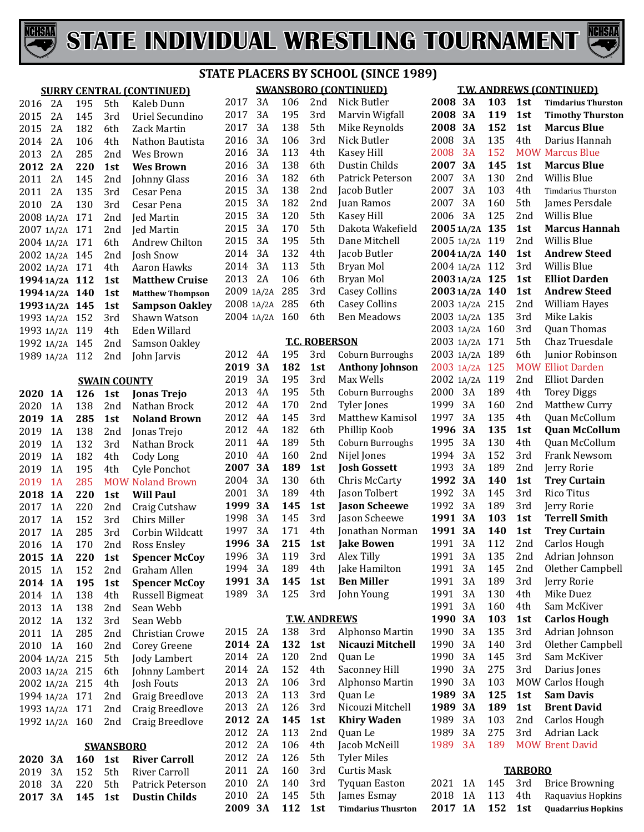



#### **SURRY CENTRAL (CONTINUED)** 2A 195 5th Kaleb Dunn 2015 2A 145 3rd Uriel Secundino<br>2015 2A 182 6th Zack-Martin 2A 182 6th Zack Martin 2A 106 4th Nathon Bautista 2013 2A 285 2nd Wes Brown<br>2012 2A 220 1st Wes Brown **225 Brown**  2A 145 2nd Johnny Glass 2A 135 3rd Cesar Pena 3rd Cesar Pena<br>2nd Ied Martin 1A/2A 171 2nd Jed Martin 1A/2A 171 2nd Jed Martin 2004 1A/2A 171 6th Andrew Childon 2002 1A/2A 145 2nd Josh Snow 1A/2A 145 2nd Josh Snow 2002 1A/2A 171 4th Aaron Hawks<br>**1994 1A/2A 112 1st Matthew Cruise 19941A/2A 112 1st Matthew Cruise 19941A/2A 140 1st Matthew Thompson 19931A/2A 145 1st Sampson Oakley** 1A/2A 152 3rd Shawn Watson 1A/2A 119 4th Eden Willard 1992 1A/2A 145 2nd Samson Oa<br>1989 1A/2A 112 2nd John Jarvis 1989 1A/2A 112 **SWAIN COUNTY 1A 126 1st Jonas Trejo** 2020 1A 138 2nd Nathan Brock<br>2019 1A 285 1st Noland Brow **1A 285 1st Noland Brown** 1A 138 2nd Jonas Trejo 1A 132 3rd Nathan Brock 1A 182 4th Cody Long 2019 1A 195 4th Cyle Ponchot<br>2019 1A 285 MOW Noland Brow 285 MOW Noland Brown<br>220 1st Will Paul **1A 220 1st Will Paul** 2017 1A 220 2nd Craig Cutshaw<br>2017 1A 152 3rd Chirs Miller 1A 152 3rd Chirs Miller 2017 1A 285 3rd Corbin Wildcatt<br>2016 1A 170 2nd Ross Ensley 2016 1A 170 2nd Ross Ensley<br>2015 1A 220 1st Spencer Mo **1A 220 1st Spencer McCoy** 2015 1A 152 2nd Graham Allen<br>2014 1A 195 1st Spencer McC **1A 195 1st Spencer McCoy** 2014 1A 138 4th Russell Bigmeat<br>2013 1A 138 2nd Sean Webb 2013 1A 138 2nd<br>2012 1A 132 3rd 2012 1A 132 3rd Sean Webb<br>2011 1A 285 2nd Christian C 1A 285 2nd Christian Crowe 2nd Corey Greene<br>5th Jody Lambert 1A/2A 215 5th Jody Lambert 2003 1A/2A 215 6th Johnny Lan<br>2002 1A/2A 215 4th Josh Fouts 1A/2A 215 4th Josh Fouts 1A/2A 171 2nd Graig Breedlove 1A/2A 171 2nd Craig Breedlove 1992 1A/2A 160 **SWANSBORO 3A 160 1st River Carroll**  3A 152 5th River Carroll 2018 3A 220 5th Patrick Peterson<br>2017 3A 145 1st Dustin Childs **3A 145 1st Dustin Childs**

#### **SWANSBORO (CONTINUED) STATE PLACERS BY SCHOOL (SINCE 1989)**

| 2017       | 3A    | 106 | 2nd                  | Nick Butler               | :                        |
|------------|-------|-----|----------------------|---------------------------|--------------------------|
| 2017       | 3A    | 195 | 3rd                  | Marvin Wigfall            | '                        |
| 2017       | 3A    | 138 | 5th                  | Mike Reynolds             | '                        |
| 2016       | 3A    | 106 | 3rd                  | Nick Butler               | $\overline{\phantom{a}}$ |
| 2016       | 3A    | 113 | 4th                  | Kasey Hill                | í                        |
| 2016       | 3A    | 138 | 6th                  | Dustin Childs             | '                        |
| 2016       | 3A    | 182 | 6th                  | Patrick Peterson          |                          |
| 2015       | 3A    | 138 | 2nd                  | Jacob Butler              | $\overline{\phantom{a}}$ |
| 2015       | 3A    | 182 | 2nd                  | Juan Ramos                | $\overline{\phantom{a}}$ |
| 2015       | 3A    | 120 | 5th                  | Kasey Hill                | :                        |
| 2015       | 3A    | 170 | 5th                  | Dakota Wakefield          | 1                        |
| 2015       | 3A    | 195 | 5th                  | Dane Mitchell             |                          |
| 2014       | 3A    | 132 | 4th                  | Jacob Butler              |                          |
| 2014       | 3A    | 113 | 5th                  | Bryan Mol                 | <b>------------</b>      |
| 2013       | 2A    | 106 | 6th                  | Bryan Mol                 |                          |
| 2009       | 1A/2A | 285 | 3rd                  | <b>Casey Collins</b>      |                          |
| 2008       | 1A/2A | 285 | 6th                  | <b>Casey Collins</b>      |                          |
| 2004 1A/2A |       | 160 | 6th                  | <b>Ben Meadows</b>        |                          |
|            |       |     |                      |                           | $\overline{\phantom{a}}$ |
|            |       |     | <u>T.C. ROBERSON</u> |                           | $\overline{\phantom{a}}$ |
| 2012       | 4Α    | 195 | 3rd                  | Coburn Burroughs          | í                        |
| 2019       | 3A    | 182 | 1st                  | <b>Anthony Johnson</b>    | $\overline{\phantom{a}}$ |
| 2019       | 3A    | 195 | 3rd                  | Max Wells                 | $\overline{\phantom{a}}$ |
| 2013       | 4A    | 195 | 5th                  | Coburn Burroughs          | $\overline{\phantom{a}}$ |
| 2012       | 4A    | 170 | 2nd                  | Tyler Jones               | $\ddot{\phantom{0}}$     |
| 2012       | 4A    | 145 | 3rd                  | Matthew Kamisol           | $\ddot{\phantom{0}}$     |
| 2012       | 4A    | 182 | 6th                  | Phillip Koob              | $\ddot{\phantom{0}}$     |
| 2011       | 4A    | 189 | 5th                  | <b>Coburn Burroughs</b>   | $\ddot{\phantom{0}}$     |
| 2010       | 4A    | 160 | 2nd                  | Nijel Jones               | $\ddot{\phantom{0}}$     |
| 2007       | 3А    | 189 | 1st                  | <b>Josh Gossett</b>       |                          |
| 2004       | 3A    | 130 | 6th                  | Chris McCarty             | $\ddot{\phantom{0}}$     |
| 2001       | 3A    | 189 | 4th                  | Jason Tolbert             | $\ddot{\phantom{0}}$     |
| 1999       | 3А    | 145 | 1st                  | <b>Jason Scheewe</b>      | Í                        |
| 1998       | 3A    | 145 | 3rd                  | Jason Scheewe             | Ĺ                        |
| 1997       | 3A    | 171 | 4th                  | Jonathan Norman           | $\ddot{\phantom{0}}$     |
| 1996       | 3А    | 215 | 1st                  | <b>Jake Bowen</b>         | $\ddot{\phantom{0}}$     |
| 1996       | 3A    | 119 | 3rd                  | Alex Tilly                | Í                        |
| 1994       | 3A    | 189 | 4th                  | Jake Hamilton             |                          |
| 1991       | 3A    | 145 | 1st                  | <b>Ben Miller</b>         | $\ddot{\phantom{0}}$     |
| 1989       | 3A    | 125 | 3rd                  | John Young                |                          |
|            |       |     |                      |                           |                          |
|            |       |     | <b>T.W. ANDREWS</b>  |                           | シャン・スーツ アンシャン            |
| 2015       | 2A    | 138 | 3rd                  | Alphonso Martin           |                          |
| 2014       | 2A    | 132 | 1st                  | Nicauzi Mitchell          |                          |
| 2014       | 2A    | 120 | 2nd                  | Quan Le                   |                          |
| 2014       | 2A    | 152 | 4th                  | Saconney Hill             |                          |
| 2013       | 2A    | 106 | 3rd                  | Alphonso Martin           |                          |
| 2013       | 2A    | 113 | 3rd                  | Quan Le                   | $\ddot{\phantom{0}}$     |
| 2013       | 2A    | 126 | 3rd                  | Nicouzi Mitchell          | $\ddot{\phantom{0}}$     |
| 2012       | 2A    | 145 | 1st                  | <b>Khiry Waden</b>        | $\ddot{\phantom{0}}$     |
| 2012       | 2A    | 113 | 2nd                  | Quan Le                   | $\ddot{\phantom{0}}$     |
| 2012       | 2A    | 106 | 4th                  | Jacob McNeill             | í                        |
| 2012       | 2A    | 126 | 5th                  | <b>Tyler Miles</b>        |                          |
| 2011       | 2A    | 160 | 3rd                  | <b>Curtis Mask</b>        |                          |
| 2010       | 2A    | 140 | 3rd                  | <b>Tyquan Easton</b>      | í                        |
| 2010       | 2A    | 145 | 5th                  | James Esmay               | $\overline{\phantom{a}}$ |
| 2009       | 3A    | 112 | 1st                  | <b>Timdarius Thusrton</b> | ֓                        |

#### **T.W. ANDREWS (CONTINUED)**

| 2008       | 3А        | 103 | 1st            | <b>Timdarius Thurston</b> |
|------------|-----------|-----|----------------|---------------------------|
| 2008       | 3А        | 119 | 1st            | <b>Timothy Thurston</b>   |
| 2008       | 3А        | 152 | 1st            | <b>Marcus Blue</b>        |
| 2008       | 3A        | 135 | 4th            | Darius Hannah             |
| 2008       | 3A        | 152 | <b>MOW</b>     | <b>Marcus Blue</b>        |
| 2007       | 3A        | 145 | 1st            | <b>Marcus Blue</b>        |
| 2007       | 3A        | 130 | 2nd            | Willis Blue               |
| 2007       | 3A        | 103 | 4th            | <b>Timdarius Thurston</b> |
| 2007       | 3A        | 160 | 5th            | James Persdale            |
| 2006       | 3A        | 125 | 2nd            | Willis Blue               |
| 2005 1A/2A |           | 135 | 1st            | <b>Marcus Hannah</b>      |
| 2005 1A/2A |           | 119 | 2nd            | Willis Blue               |
| 2004 1A/2A |           | 140 | 1st            | <b>Andrew Steed</b>       |
| 2004 1A/2A |           | 112 | 3rd            | Willis Blue               |
| 2003 1A/2A |           | 125 | 1st            | <b>Elliot Darden</b>      |
| 2003 1A/2A |           | 140 | 1st            | <b>Andrew Steed</b>       |
| 2003 1A/2A |           | 215 | 2nd            | William Hayes             |
| 2003       | 1A/2A     | 135 | 3rd            | Mike Lakis                |
| 2003       | 1A/2A     | 160 | 3rd            | Quan Thomas               |
| 2003       | 1A/2A     | 171 | 5th            | Chaz Truesdale            |
| 2003       | 1A/2A     | 189 | 6th            | Junior Robinson           |
| 2003       | 1A/2A     | 125 |                | <b>MOW Elliot Darden</b>  |
| 2002       | 1A/2A     | 119 | 2nd            | <b>Elliot Darden</b>      |
| 2000       | 3A        | 189 | 4th            | <b>Torey Diggs</b>        |
| 1999       | 3A        | 160 | 2nd            | Matthew Curry             |
| 1997       | 3A        | 135 | 4th            | Quan McCollum             |
| 1996       | 3A        | 135 | 1st            | <b>Quan McCollum</b>      |
| 1995       | 3A        | 130 | 4th            | Quan McCollum             |
| 1994       | 3A        | 152 | 3rd            | Frank Newsom              |
| 1993       | 3A        | 189 | 2nd            | Jerry Rorie               |
| 1992       | 3A        | 140 | 1st            | <b>Trey Curtain</b>       |
| 1992       | 3A        | 145 | 3rd            | <b>Rico Titus</b>         |
| 1992       | 3A        | 189 | 3rd            | Jerry Rorie               |
| 1991       | 3А        | 103 | 1st            | <b>Terrell Smith</b>      |
| 1991       | 3A        | 140 | 1st            | <b>Trey Curtain</b>       |
| 1991       | 3A        | 112 | 2nd            | Carlos Hough              |
| 1991       | 3A        | 135 | 2nd            | Adrian Johnson            |
| 1991       | 3A        | 145 | 2nd            | Olether Campbell          |
| 1991       | 3A        | 189 | 3rd            | Jerry Rorie               |
| 1991       | 3A        | 130 | 4th            | Mike Duez                 |
| 1991       | 3A        | 160 | 4th            | Sam McKiver               |
| 1990       | 3А        | 103 | 1st            | <b>Carlos Hough</b>       |
| 1990       | 3A        | 135 | 3rd            | Adrian Johnson            |
| 1990       | 3A        | 140 | 3rd            | Olether Campbell          |
| 1990       | 3A        | 145 | 3rd            | Sam McKiver               |
| 1990       | 3A        | 275 | 3rd            | Darius Jones              |
| 1990       | 3A        | 103 | MOW            | Carlos Hough              |
| 1989       | 3А        | 125 | 1st            | Sam Davis                 |
| 1989       | 3А        | 189 | 1st            | <b>Brent David</b>        |
| 1989       | 3A        | 103 | 2nd            | Carlos Hough              |
| 1989       | 3A        | 275 | 3rd            | Adrian Lack               |
| 1989       | 3A        | 189 |                | <b>MOW Brent David</b>    |
|            |           |     | <b>TARBORO</b> |                           |
| 2021       | 1Α        | 145 | 3rd            | <b>Brice Browning</b>     |
| 2018       | 1Α        | 113 | 4th            | Raquavius Hopkins         |
| 2017       | <b>1A</b> | 152 | 1st            | <b>Quadarrius Hopkins</b> |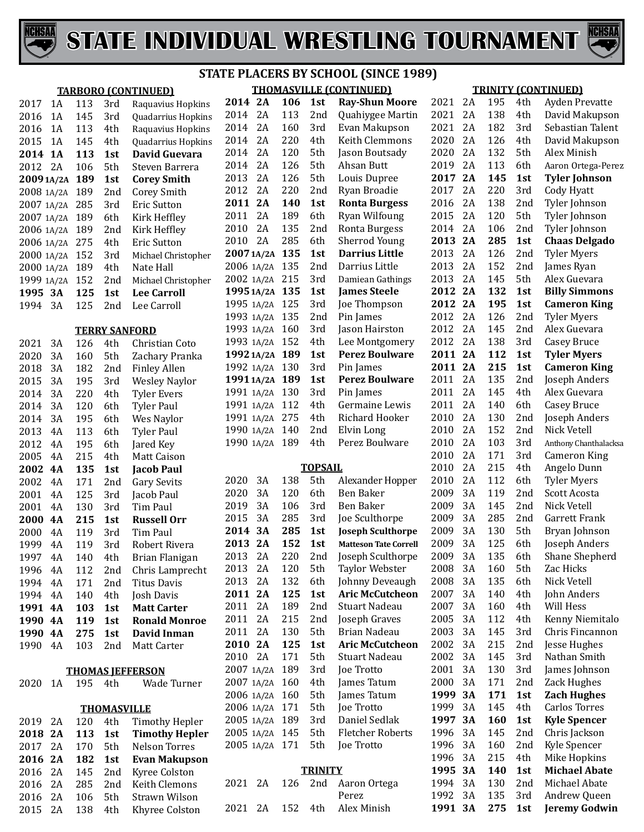



| <b>STATE PLACERS BY SCHOOL (SINCE 1989)</b> |     |                    |                            |                |    |     |                |                                |                 |    |            |                 |                            |
|---------------------------------------------|-----|--------------------|----------------------------|----------------|----|-----|----------------|--------------------------------|-----------------|----|------------|-----------------|----------------------------|
|                                             |     |                    | <b>TARBORO (CONTINUED)</b> |                |    |     |                | <b>THOMASVILLE (CONTINUED)</b> |                 |    |            |                 | <b>TRINITY (CONTINUED)</b> |
| 2017<br>1A                                  | 113 | 3rd                | Raquavius Hopkins          | 2014 2A        |    | 106 | 1st            | <b>Ray-Shun Moore</b>          | 2021            | 2A | 195        | 4th             | Ayden Prevatte             |
| 2016<br>1A                                  | 145 | 3rd                | Quadarrius Hopkins         | 2014           | 2A | 113 | 2nd            | Quahiygee Martin               | 2021            | 2A | 138        | 4th             | David Makupson             |
| 2016<br>1A                                  | 113 | 4th                | Raquavius Hopkins          | 2014           | 2A | 160 | 3rd            | Evan Makupson                  | 2021            | 2A | 182        | 3rd             | Sebastian Talent           |
| 2015<br>1A                                  | 145 | 4th                | Quadarrius Hopkins         | 2014           | 2A | 220 | 4th            | Keith Clemmons                 | 2020            | 2A | 126        | 4th             | David Makupson             |
| 2014 1A                                     | 113 | 1st                | David Guevara              | 2014           | 2A | 120 | 5th            | Jason Boutsady                 | 2020            | 2A | 132        | 5th             | Alex Minish                |
| 2012<br>2A                                  | 106 | 5th                | Steven Barrera             | 2014           | 2A | 126 | 5th            | Ahsan Butt                     | 2019            | 2A | 113        | 6th             | Aaron Ortega-Perez         |
| 2009 1A/2A 189                              |     | 1st                | <b>Corey Smith</b>         | 2013           | 2A | 126 | 5th            | Louis Dupree                   | 2017 2A         |    | 145        | 1st             | <b>Tyler Johnson</b>       |
| 2008 1A/2A 189                              |     | 2 <sub>nd</sub>    | Corey Smith                | 2012           | 2A | 220 | 2nd            | Ryan Broadie                   | 2017            | 2A | 220        | 3rd             | Cody Hyatt                 |
| 2007 1A/2A 285                              |     | 3rd                | Eric Sutton                | 2011 2A        |    | 140 | 1st            | <b>Ronta Burgess</b>           | 2016            | 2A | 138        | 2nd             | Tyler Johnson              |
| 2007 1A/2A 189                              |     | 6th                | Kirk Heffley               | 2011           | 2A | 189 | 6th            | Ryan Wilfoung                  | 2015            | 2A | 120        | 5th             | Tyler Johnson              |
| 2006 1A/2A 189                              |     | 2 <sub>nd</sub>    | Kirk Heffley               | 2010           | 2A | 135 | 2nd            | Ronta Burgess                  | 2014            | 2A | 106        | 2nd             | Tyler Johnson              |
| 2006 1A/2A 275                              |     | 4th                | Eric Sutton                | 2010           | 2A | 285 | 6th            | Sherrod Young                  | 2013 2A         |    | 285        | 1st             | <b>Chaas Delgado</b>       |
| 2000 1A/2A 152                              |     | 3rd                | Michael Christopher        | 20071A/2A 135  |    |     | 1st            | <b>Darrius Little</b>          | 2013            | 2A | 126        | 2nd             | <b>Tyler Myers</b>         |
| 2000 1A/2A 189                              |     | 4th                | Nate Hall                  | 2006 1A/2A 135 |    |     | 2nd            | Darrius Little                 | 2013            | 2A | 152        | 2nd             | James Ryan                 |
| 1999 1A/2A 152                              |     | 2 <sub>nd</sub>    | Michael Christopher        | 2002 1A/2A 215 |    |     | 3rd            | Damiean Gathings               | 2013            | 2A | 145        | 5th             | Alex Guevara               |
| 1995 3A                                     | 125 | 1st                | <b>Lee Carroll</b>         | 1995 1A/2A 135 |    |     | 1st            | <b>James Steele</b>            | 2012 2A         |    | 132        | 1st             | <b>Billy Simmons</b>       |
| 3A<br>1994                                  | 125 | 2nd                | Lee Carroll                | 1995 1A/2A 125 |    |     | 3rd            | Joe Thompson                   | 2012 2A         |    | 195        | 1st             | <b>Cameron King</b>        |
|                                             |     |                    |                            | 1993 1A/2A 135 |    |     | 2nd            | Pin James                      | 2012            | 2A | 126        | 2nd             | <b>Tyler Myers</b>         |
|                                             |     |                    | <b>TERRY SANFORD</b>       | 1993 1A/2A 160 |    |     | 3rd            | Jason Hairston                 | 2012            | 2A | 145        | 2nd             | Alex Guevara               |
| 3A<br>2021                                  | 126 | 4th                | Christian Coto             | 1993 1A/2A 152 |    |     | 4th            | Lee Montgomery                 | 2012            | 2A | 138        | 3rd             | Casey Bruce                |
| 2020<br>3A                                  | 160 | 5th                | Zachary Pranka             | 1992 1A/2A 189 |    |     | 1st            | <b>Perez Boulware</b>          | 2011 2A         |    | 112        | 1st             | <b>Tyler Myers</b>         |
| 2018<br>3A                                  | 182 | 2nd                | <b>Finley Allen</b>        | 1992 1A/2A 130 |    |     | 3rd            | Pin James                      | 2011 2A         |    | 215        | 1st             | <b>Cameron King</b>        |
| 2015<br>3A                                  | 195 | 3rd                | <b>Wesley Naylor</b>       | 19911A/2A 189  |    |     | 1st            | <b>Perez Boulware</b>          | 2011            | 2A | 135        | 2nd             | Joseph Anders              |
| 2014<br>3A                                  | 220 | 4th                | <b>Tyler Evers</b>         | 1991 1A/2A 130 |    |     | 3rd            | Pin James                      | 2011            | 2A | 145        | 4th             | Alex Guevara               |
| 2014<br>3A                                  | 120 | 6th                | <b>Tyler Paul</b>          | 1991 1A/2A 112 |    |     | 4th            | Germaine Lewis                 | 2011            | 2A | 140        | 6th             | <b>Casey Bruce</b>         |
| 2014<br>3A                                  | 195 | 6th                | Wes Naylor                 | 1991 1A/2A 275 |    |     | 4th            | Richard Hooker                 | 2010            | 2A | 130        | 2nd             | Joseph Anders              |
| 2013<br>4A                                  | 113 | 6th                | <b>Tyler Paul</b>          | 1990 1A/2A 140 |    |     | 2nd            | Elvin Long                     | 2010            | 2A | 152        | 2nd             | Nick Vetell                |
| 2012<br>4A                                  | 195 | 6th                | Jared Key                  | 1990 1A/2A 189 |    |     | 4th            | Perez Boulware                 | 2010            | 2A | 103        | 3rd             | Anthony Chanthalacksa      |
| 2005<br>4A                                  | 215 | 4th                | Matt Caison                |                |    |     |                |                                | 2010            | 2A | 171        | 3rd             | <b>Cameron King</b>        |
| 2002 4A                                     | 135 | 1st                | <b>Jacob Paul</b>          |                |    |     | <b>TOPSAIL</b> |                                | 2010            | 2A | 215        | 4th             | Angelo Dunn                |
| 2002<br>4A                                  | 171 | 2 <sub>nd</sub>    | <b>Gary Sevits</b>         | 2020           | 3A | 138 | 5th            | Alexander Hopper               | 2010            | 2A | 112        | 6th             | <b>Tyler Myers</b>         |
| 2001<br>4A                                  | 125 | 3rd                | Jacob Paul                 | 2020           | 3A | 120 | 6th            | Ben Baker                      | 2009            | 3A | 119        | 2nd             | Scott Acosta               |
| 2001<br>4A                                  | 130 | 3rd                | Tim Paul                   | 2019           | 3A | 106 | 3rd            | Ben Baker                      | 2009            | 3A | 145        | 2nd             | Nick Vetell                |
| 2000<br>4A                                  | 215 | 1st                | <b>Russell Orr</b>         | 2015           | 3A | 285 | 3rd            | Joe Sculthorpe                 | 2009            | 3A | 285        | 2nd             | Garrett Frank              |
| 2000<br>4A                                  | 119 | 3rd                | Tim Paul                   | 2014 3A        |    | 285 | 1st            | <b>Joseph Sculthorpe</b>       | 2009            | 3A | 130        | 5th             | Bryan Johnson              |
| 1999<br>4A                                  | 119 | 3rd                | Robert Rivera              | 2013 2A        |    | 152 | 1st            | <b>Matteson Tate Correll</b>   | 2009            | 3A | 125        | 6th             | Joseph Anders              |
| 1997<br>4A                                  | 140 | 4th                | Brian Flanigan             | 2013           | 2A | 220 | 2nd            | Joseph Sculthorpe              | 2009            | 3A | 135        | 6th             | Shane Shepherd             |
| 1996<br>4A                                  | 112 | 2 <sub>nd</sub>    | Chris Lamprecht            | 2013           | 2A | 120 | 5th            | Taylor Webster                 | 2008            | 3A | 160        | 5th             | Zac Hicks                  |
| 1994<br>4A                                  | 171 | 2 <sub>nd</sub>    | <b>Titus Davis</b>         | 2013           | 2A | 132 | 6th            | Johnny Deveaugh                | 2008            | 3A | 135        | 6th             | Nick Vetell                |
| 1994<br>4A                                  | 140 | 4th                | Josh Davis                 | 2011 2A        |    | 125 | 1st            | <b>Aric McCutcheon</b>         | 2007            | 3A | 140        | 4th             | John Anders                |
| 1991 4A                                     | 103 | 1st                | <b>Matt Carter</b>         | 2011 2A        |    | 189 | 2nd            | <b>Stuart Nadeau</b>           | 2007            | 3A | 160        | 4th             | Will Hess                  |
| 1990 4A                                     | 119 |                    | <b>Ronald Monroe</b>       | 2011           | 2A | 215 | 2nd            | Joseph Graves                  | 2005            | 3A | 112        | 4th             | Kenny Niemitalo            |
|                                             | 275 | 1st                | David Inman                | 2011           | 2A | 130 | 5th            | Brian Nadeau                   | 2003            | 3A | 145        | 3rd             | Chris Fincannon            |
| 1990 4A                                     |     | 1st                |                            | 2010 2A        |    | 125 | 1st            | <b>Aric McCutcheon</b>         | 2002            | 3A | 215        | 2 <sub>nd</sub> | Jesse Hughes               |
| 1990<br>4A                                  | 103 | 2nd                | Matt Carter                | 2010 2A        |    | 171 | 5th            | <b>Stuart Nadeau</b>           | 2002            | 3A | 145        | 3rd             | Nathan Smith               |
|                                             |     |                    |                            | 2007 1A/2A 189 |    |     | 3rd            | Joe Trotto                     | 2001            | 3A | 130        | 3rd             | James Johnson              |
|                                             |     |                    | <b>THOMAS JEFFERSON</b>    | 2007 1A/2A 160 |    |     | 4th            | James Tatum                    | 2000            | 3A | 171        | 2 <sub>nd</sub> | Zack Hughes                |
| 1A<br>2020                                  | 195 | 4th                | Wade Turner                |                |    |     | 5th            | James Tatum                    | 1999 3A         |    | 171        | 1st             | <b>Zach Hughes</b>         |
|                                             |     |                    |                            | 2006 1A/2A 160 |    |     |                |                                |                 |    |            |                 |                            |
|                                             |     | <b>THOMASVILLE</b> |                            | 2006 1A/2A 171 |    |     | 5th            | Joe Trotto<br>Daniel Sedlak    | 1999<br>1997 3A | 3A | 145        | 4th             | Carlos Torres              |
| 2019<br>2A                                  | 120 | 4th                | <b>Timothy Hepler</b>      | 2005 1A/2A 189 |    |     | 3rd            |                                |                 |    | <b>160</b> | 1st             | <b>Kyle Spencer</b>        |
| 2018 2A                                     | 113 | 1st                | <b>Timothy Hepler</b>      | 2005 1A/2A 145 |    |     | 5th            | <b>Fletcher Roberts</b>        | 1996            | 3A | 145        | 2nd             | Chris Jackson              |
| 2017<br>2A                                  | 170 | 5th                | Nelson Torres              | 2005 1A/2A 171 |    |     | 5th            | Joe Trotto                     | 1996            | 3A | 160        | 2 <sub>nd</sub> | Kyle Spencer               |
| 2016 2A                                     | 182 | 1st                | <b>Evan Makupson</b>       |                |    |     |                |                                | 1996            | 3A | 215        | 4th             | Mike Hopkins               |
| 2A<br>2016                                  | 145 | 2nd                | Kyree Colston              |                |    |     | <b>TRINITY</b> |                                | 1995 3A         |    | <b>140</b> | 1st             | <b>Michael Abate</b>       |
| 2016<br>2A                                  | 285 | 2 <sub>nd</sub>    | Keith Clemons              | 2021           | 2A | 126 | 2nd            | Aaron Ortega                   | 1994            | 3A | 130        | 2nd             | Michael Abate              |
| 2A<br>2016                                  | 106 | 5th                | Strawn Wilson              |                |    |     |                | Perez                          | 1992            | 3A | 135        | 3rd             | Andrew Queen               |
| 2015<br>2A                                  | 138 | 4th                | Khyree Colston             | 2021 2A        |    | 152 | 4th            | Alex Minish                    | 1991 3A         |    | 275        | 1st             | <b>Jeremy Godwin</b>       |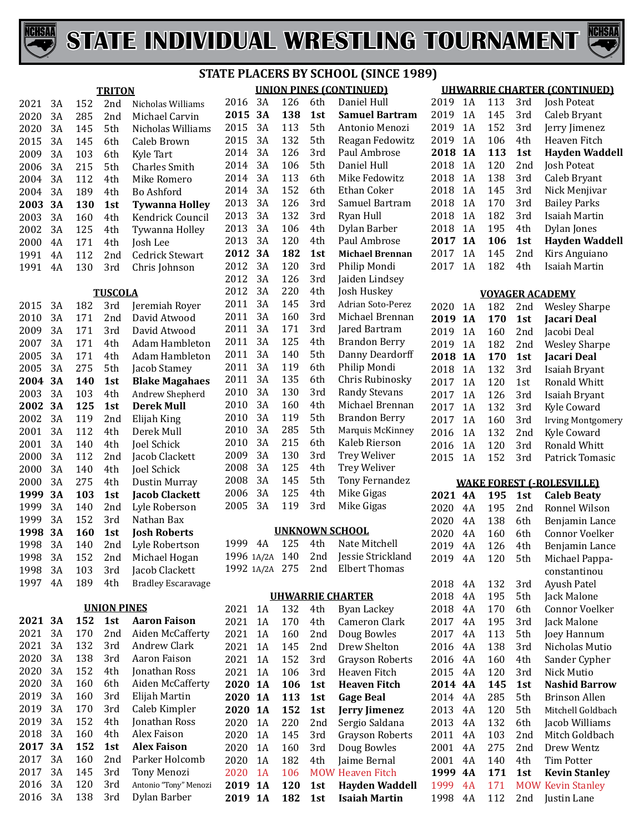# CHSAI

3A 138 3rd Dylan Barber



|            |     |                    |                                        |                |    |         |                 | <b>STATE PLACERS BY SCHOOL (SINCE 1989)</b> |                        |    |     |                 |                                     |
|------------|-----|--------------------|----------------------------------------|----------------|----|---------|-----------------|---------------------------------------------|------------------------|----|-----|-----------------|-------------------------------------|
|            |     | <b>TRITON</b>      |                                        |                |    |         |                 | <b>UNION PINES (CONTINUED)</b>              |                        |    |     |                 | <b>UHWARRIE CHARTER (CONTINUED)</b> |
| 2021<br>3A | 152 | 2nd                | Nicholas Williams                      | 2016           | 3A | 126     | 6th             | Daniel Hull                                 | 2019                   | 1A | 113 | 3rd             | <b>Josh Poteat</b>                  |
| 3A<br>2020 | 285 | 2 <sub>nd</sub>    | Michael Carvin                         | 2015           | 3A | 138     | 1st             | <b>Samuel Bartram</b>                       | 2019                   | 1A | 145 | 3rd             | Caleb Bryant                        |
| 3A<br>2020 | 145 | 5th                | Nicholas Williams                      | 2015           | 3A | 113     | 5th             | Antonio Menozi                              | 2019                   | 1A | 152 | 3rd             | Jerry Jimenez                       |
| 3A<br>2015 | 145 | 6th                | Caleb Brown                            | 2015           | 3A | 132     | 5th             | Reagan Fedowitz                             | 2019                   | 1A | 106 | 4th             | Heaven Fitch                        |
| 3A<br>2009 | 103 | 6th                | Kyle Tart                              | 2014           | 3A | 126     | 3rd             | Paul Ambrose                                | 2018 1A                |    | 113 | 1st             | <b>Hayden Waddell</b>               |
| 3A<br>2006 | 215 | 5th                | Charles Smith                          | 2014           | 3A | 106     | 5th             | Daniel Hull                                 | 2018                   | 1A | 120 | 2nd             | Josh Poteat                         |
| 3A<br>2004 | 112 | 4th                | Mike Romero                            | 2014           | 3A | 113     | 6th             | Mike Fedowitz                               | 2018                   | 1A | 138 | 3rd             | Caleb Bryant                        |
| 3A<br>2004 | 189 | 4th                | Bo Ashford                             | 2014           | 3A | 152     | 6th             | Ethan Coker                                 | 2018                   | 1A | 145 | 3rd             | Nick Menjivar                       |
| 3A<br>2003 | 130 | 1st                | <b>Tywanna Holley</b>                  | 2013           | 3A | 126     | 3rd             | Samuel Bartram                              | 2018                   | 1A | 170 | 3rd             | <b>Bailey Parks</b>                 |
| 3A<br>2003 | 160 | 4th                | Kendrick Council                       | 2013           | 3A | 132     | 3rd             | Ryan Hull                                   | 2018                   | 1A | 182 | 3rd             | Isaiah Martin                       |
| 3A<br>2002 | 125 | 4th                | Tywanna Holley                         | 2013           | 3A | 106     | 4th             | Dylan Barber                                | 2018                   | 1A | 195 | 4th             | Dylan Jones                         |
| 2000<br>4A | 171 | 4th                | Josh Lee                               | 2013           | 3A | 120     | 4th             | Paul Ambrose                                | 2017 1A                |    | 106 | 1st             | <b>Hayden Waddell</b>               |
| 4A<br>1991 | 112 | 2nd                | Cedrick Stewart                        | 2012           | 3A | 182     | 1st             | <b>Michael Brennan</b>                      | 2017                   | 1A | 145 | 2nd             | Kirs Anguiano                       |
| 4A<br>1991 | 130 | 3rd                | Chris Johnson                          | 2012           | 3A | 120     | 3rd             | Philip Mondi                                | 2017                   | 1A | 182 | 4th             | Isaiah Martin                       |
|            |     |                    |                                        | 2012           | 3A | 126     | 3rd             | Jaiden Lindsey                              |                        |    |     |                 |                                     |
|            |     | <b>TUSCOLA</b>     |                                        | 2012           | 3A | 220     | 4th             | Josh Huskey                                 | <b>VOYAGER ACADEMY</b> |    |     |                 |                                     |
| 3A<br>2015 | 182 | 3rd                | Jeremiah Royer                         | 2011           | 3A | 145     | 3rd             | Adrian Soto-Perez                           | 2020                   | 1A | 182 | 2nd             | <b>Wesley Sharpe</b>                |
| 3A<br>2010 | 171 | 2nd                | David Atwood                           | 2011           | 3A | 160     | 3rd             | Michael Brennan                             | 2019 1A                |    | 170 | 1st             | Jacari Deal                         |
| 3A<br>2009 | 171 | 3rd                | David Atwood                           | 2011           | 3A | 171     | 3rd             | Jared Bartram                               | 2019                   | 1A | 160 | 2nd             | Jacobi Deal                         |
| 3A<br>2007 | 171 | 4th                | Adam Hambleton                         | 2011           | 3A | 125     | 4th             | <b>Brandon Berry</b>                        | 2019                   | 1A | 182 | 2nd             | <b>Wesley Sharpe</b>                |
| 3A<br>2005 | 171 | 4th                | Adam Hambleton                         | 2011           | 3A | 140     | 5th             | Danny Deardorff                             | 2018 1A                |    | 170 | 1st             | Jacari Deal                         |
| 3A<br>2005 | 275 | 5th                | Jacob Stamey                           | 2011           | 3A | 119     | 6th             | Philip Mondi                                | 2018                   | 1A | 132 | 3rd             | <b>Isaiah Bryant</b>                |
| 3A<br>2004 | 140 | 1st                | <b>Blake Magahaes</b>                  | 2011           | 3A | 135     | 6th             | Chris Rubinosky                             | 2017                   | 1A | 120 | 1st             | Ronald Whitt                        |
| 3A<br>2003 | 103 | 4th                | Andrew Shepherd                        | 2010           | 3A | 130     | 3rd             | <b>Randy Stevans</b>                        | 2017                   | 1A | 126 | 3rd             |                                     |
| 3A<br>2002 | 125 | 1st                | <b>Derek Mull</b>                      | 2010           | 3A | 160     | 4th             | Michael Brennan                             | 2017                   | 1A | 132 |                 | Isaiah Bryant                       |
| 3A<br>2002 | 119 | 2nd                | Elijah King                            | 2010           | 3A | 119     | 5th             | <b>Brandon Berry</b>                        | 2017                   | 1A |     | 3rd             | Kyle Coward                         |
| 3A<br>2001 | 112 | 4th                | Derek Mull                             | 2010           | 3A | 285     | 5th             | Marquis McKinney                            | 2016                   |    | 160 | 3rd             | <b>Irving Montgomery</b>            |
| 3A<br>2001 | 140 | 4th                | <b>Joel Schick</b>                     | 2010           | 3A | 215     | 6th             | Kaleb Rierson                               |                        | 1A | 132 | 2nd             | Kyle Coward<br>Ronald Whitt         |
| 3A<br>2000 | 112 | 2nd                | Jacob Clackett                         | 2009           | 3A | 130     | 3rd             | <b>Trey Weliver</b>                         | 2016                   | 1A | 120 | 3rd             |                                     |
| 3A<br>2000 | 140 | 4th                | Joel Schick                            | 2008           | 3A | 125     | 4th             | <b>Trey Weliver</b>                         | 2015                   | 1A | 152 | 3rd             | Patrick Tomasic                     |
| 3A<br>2000 | 275 | 4th                | <b>Dustin Murray</b>                   | 2008           | 3A | 145     | 5th             | Tony Fernandez                              |                        |    |     |                 |                                     |
| 3A<br>1999 | 103 |                    |                                        | 2006           | 3A | 125     | 4th             | Mike Gigas                                  |                        |    |     |                 | <b>WAKE FOREST (-ROLESVILLE)</b>    |
| 3A         |     | 1st                | <b>Jacob Clackett</b><br>Lyle Roberson | 2005           | 3A | 119     | 3rd             | Mike Gigas                                  | 2021 4A                |    | 195 | 1st             | <b>Caleb Beaty</b>                  |
| 1999       | 140 | 2nd                |                                        |                |    |         |                 |                                             | 2020                   | 4A | 195 | 2nd             | Ronnel Wilson                       |
| 3A<br>1999 | 152 | 3rd                | Nathan Bax                             |                |    |         |                 | <b>UNKNOWN SCHOOL</b>                       | 2020                   | 4A | 138 | 6th             | Benjamin Lance                      |
| 3A<br>1998 | 160 | 1st                | <b>Josh Roberts</b>                    | 1999 4A        |    | 125     | 4th             | Nate Mitchell                               | 2020 4A                |    | 160 | 6th             | Connor Voelker                      |
| 3A<br>1998 | 140 | 2nd                | Lyle Robertson                         | 1996 1A/2A 140 |    |         | 2nd             | Jessie Strickland                           | 2019 4A                |    | 126 | 4th             | Benjamin Lance                      |
| 1998<br>3A | 152 | 2nd                | Michael Hogan                          | 1992 1A/2A 275 |    |         | 2nd             | <b>Elbert Thomas</b>                        | 2019 4A                |    | 120 | 5th             | Michael Pappa-                      |
| 1998<br>3A | 103 | 3rd                | Jacob Clackett                         |                |    |         |                 |                                             |                        |    |     |                 | constantinou                        |
| 4A<br>1997 | 189 | 4th                | <b>Bradley Escaravage</b>              |                |    |         |                 |                                             | 2018 4A                |    | 132 | 3rd             | Ayush Patel                         |
|            |     |                    |                                        |                |    |         |                 | <b>UHWARRIE CHARTER</b>                     | 2018                   | 4A | 195 | 5th             | Jack Malone                         |
|            |     | <b>UNION PINES</b> |                                        | 2021 1A        |    | 132     | 4th             | <b>Byan Lackey</b>                          | 2018                   | 4A | 170 | 6th             | Connor Voelker                      |
| 2021 3A    | 152 | 1st                | <b>Aaron Faison</b>                    | 2021           | 1A | 170     | 4th             | Cameron Clark                               | 2017                   | 4A | 195 | 3rd             | Jack Malone                         |
| 3A<br>2021 | 170 | 2 <sub>nd</sub>    | Aiden McCafferty                       | 2021           | 1A | 160     | 2 <sub>nd</sub> | Doug Bowles                                 | 2017                   | 4A | 113 | 5th             | Joey Hannum                         |
| 2021<br>3A | 132 | 3rd                | Andrew Clark                           | 2021 1A        |    | 145     | 2 <sub>nd</sub> | Drew Shelton                                | 2016                   | 4A | 138 | 3rd             | Nicholas Mutio                      |
| 2020<br>3A | 138 | 3rd                | Aaron Faison                           | 2021 1A        |    | 152     | 3rd             | Grayson Roberts                             | 2016 4A                |    | 160 | 4th             | Sander Cypher                       |
| 2020<br>3A | 152 | 4th                | Jonathan Ross                          | 2021 1A        |    | 106     | 3rd             | Heaven Fitch                                | 2015 4A                |    | 120 | 3rd             | Nick Mutio                          |
| 2020<br>3A | 160 | 6th                | Aiden McCafferty                       | 2020 1A        |    | 106     | 1st             | <b>Heaven Fitch</b>                         | 2014 4A                |    | 145 | 1st             | <b>Nashid Barrow</b>                |
| 3A<br>2019 | 160 | 3rd                | Elijah Martin                          | 2020 1A        |    | 113     | 1st             | <b>Gage Beal</b>                            | 2014 4A                |    | 285 | 5th             | <b>Brinson Allen</b>                |
| 2019<br>3A | 170 | 3rd                | Caleb Kimpler                          | 2020 1A        |    | 152     | 1st             | Jerry Jimenez                               | 2013                   | 4A | 120 | 5th             | Mitchell Goldbach                   |
| 2019<br>3A | 152 | 4th                | Jonathan Ross                          | 2020           | 1A | 220     | 2nd             | Sergio Saldana                              | 2013                   | 4A | 132 | 6th             | Jacob Williams                      |
| 2018<br>3A | 160 | 4th                | Alex Faison                            | 2020           | 1A | 145     | 3rd             | Grayson Roberts                             | 2011                   | 4A | 103 | 2 <sub>nd</sub> | Mitch Goldbach                      |
| 2017 3A    | 152 | 1st                | <b>Alex Faison</b>                     | 2020           | 1A | 160     | 3rd             | Doug Bowles                                 | 2001                   | 4A | 275 | 2 <sub>nd</sub> | Drew Wentz                          |
| 3A<br>2017 | 160 | 2 <sub>nd</sub>    | Parker Holcomb                         | 2020           | 1A | 182     | 4th             | Jaime Bernal                                | 2001 4A                |    | 140 | 4th             | Tim Potter                          |
| 3A<br>2017 | 145 | 3rd                | Tony Menozi                            | 2020 1A        |    | 106     |                 | <b>MOW Heaven Fitch</b>                     | 1999 4A                |    | 171 | 1st             | <b>Kevin Stanley</b>                |
| 3A<br>2016 | 120 | 3rd                | Antonio "Tony" Menozi                  | 2019 1A        |    | 120     | 1st             | <b>Hayden Waddell</b>                       | 1999 4A                |    | 171 |                 | <b>MOW Kevin Stanley</b>            |
| 3A<br>2016 | 138 | 3rd                | Dylan Barber                           | 2019 1A        |    | 182 1st |                 | <b>Isaiah Martin</b>                        | 1998 4A                |    | 112 |                 | 2nd Justin Lane                     |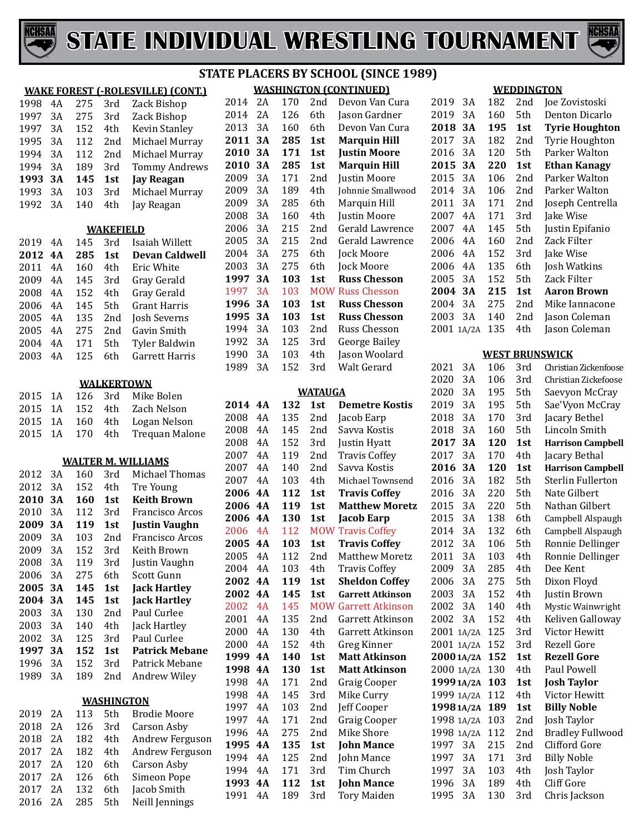



#### **WAKE FOREST (-ROLESVILLE) (CONT.)** 4A 275 3rd Zack Bishop 3A 275 3rd Zack Bishop 1997 3A 152 4th Kevin Stanley<br>1995 3A 112 2nd Michael Murra 3A 112 2nd Michael Murray 3A 112 2nd Michael Murray 1994 3A 189 3rd Tommy Andrews<br>**1993 3A 145 1st Jay Reagan 3A 145 1st Jay Reagan** 3A 103 3rd Michael Murray Jay Reagan **WAKEFIELD** 2019 4A 145 3rd Isaiah Willett<br>2012 4A 285 1st Devan Caldw **4A 285 1st Devan Caldwell** 2011 4A 160 4th Eric White<br>2009 4A 145 3rd Grav Gerald 4A 145 3rd Gray Gerald 4A 152 4th Gray Gerald 4A 145 5th Grant Harris 4A 135 2nd Josh Severns 4A 275 2nd Gavin Smith 2004 4A 171 5th Tyler Baldwin<br>2003 4A 125 6th Garrett Harris Garrett Harris **WALKERTOWN** 1A 126 3rd Mike Bolen 1A 152 4th Zach Nelson 1A 160 4th Logan Nelson **Trequan Malone WALTER M. WILLIAMS** 3A 160 3rd Michael Thomas 2012 3A 152 4th Tre Young<br>2010 3A 160 1st Keith Bro **3A 160 1st Keith Brown** 2010 3A 112 3rd Francisco Arcos<br>**2009 3A 119 1st Justin Vaughn 3A 119 1st Justin Vaughn** 3A 103 2nd Francisco Arcos 3A 152 3rd Keith Brown 3A 119 3rd Justin Vaughn 2006 3A 275 6th Scott Gunn<br>**2005 3A 145 1st Jack Hartl**o **3A 145 1st Jack Hartley 3A 145 1st Jack Hartley** 3A 130 2nd Paul Curlee 3A 140 4th Jack Hartley 2002 3A 125 3rd Paul Curlee<br>**1997 3A 152 1st Patrick Me 3A 152 1st Patrick Mebane** 3A 152 3rd Patrick Mebane Andrew Wiley **WASHINGTON** 2A 113 5th Brodie Moore 2A 126 3rd Carson Asby 2A 182 4th Andrew Ferguson 2017 2A 182 4th Andrew Ferguson<br>2017 2A 120 6th Carson Asby 2A 120 6th Carson Asby 2A 126 6th Simeon Pope 2A 132 6th Jacob Smith

Neill Jennings

#### **WASHINGTON (CONTINUED)** 2014 2A 170 2nd Devon Van Cura<br>2014 2A 126 6th Jason Gardner 2A 126 6th Jason Gardner 2013 3A 160 6th Devon Van Cura<br>**2011 3A 285 1st Marquin Hill 3A 285 1st Marquin Hill 3A 171 1st Justin Moore 3A 285 1st Marquin Hill** 3A 171 2nd Justin Moore 2009 3A 189 4th Johnnie Smallwood<br>2009 3A 285 6th Marquin Hill 3A 285 6th Marquin Hill 2008 3A 160 4th Justin Moore<br>2006 3A 215 2nd Gerald Lawre 2006 3A 215 2nd Gerald Lawrence<br>2005 3A 215 2nd Gerald Lawrence 3A 215 2nd Gerald Lawrence 3A 275 6th Jock Moore 2003 3A 275 6th Jock Moore<br>1997 3A 103 1st Russ Chess **Russ Chesson**  3A 103 MOW Russ Chesson **3A 103 1st Russ Chesson STATE PLACERS BY SCHOOL (SINCE 1989)**

| 1.997 | эA | 1 ט. |                 | <b>FOUND KUSS CHESSON</b> |
|-------|----|------|-----------------|---------------------------|
| 1996  | 3A | 103  | 1st             | <b>Russ Chesson</b>       |
| 1995  | 3А | 103  | 1st             | <b>Russ Chesson</b>       |
| 1994  | 3Α | 103  | 2 <sub>nd</sub> | Russ Chesson              |
| 1992  | 3A | 125  | 3rd             | George Bailey             |
| 1990  | 3Α | 103  | 4th             | Jason Woolard             |
| 1989  | 3A | 152  | 3rd             | Walt Gerard               |
|       |    |      |                 |                           |
|       |    |      | <b>WATAUGA</b>  |                           |
| 2014  | 4A | 132  | 1st             | <b>Demetre Kostis</b>     |
| 2008  | 4Α | 135  | 2nd             | Jacob Earp                |
| 2008  | 4Α | 145  | 2nd             | Savva Kostis              |
| 2008  | 4Α | 152  | 3rd             | Justin Hyatt              |
| 2007  | 4Α | 119  | 2 <sub>nd</sub> | <b>Travis Coffey</b>      |
| 2007  | 4Α | 140  | 2nd             | Savva Kostis              |
| 2007  | 4Α | 103  | 4th             | Michael Townsend          |
|       |    |      |                 |                           |

| zuuo | ΉЛ        | エキコ | zuu        | əavva iyusus             |
|------|-----------|-----|------------|--------------------------|
| 2008 | 4Α        | 152 | 3rd        | Justin Hyatt             |
| 2007 | 4Α        | 119 | 2nd        | <b>Travis Coffey</b>     |
| 2007 | 4A        | 140 | 2nd        | Savva Kostis             |
| 2007 | 4Α        | 103 | 4th        | Michael Townsend         |
| 2006 | 4A        | 112 | 1st        | <b>Travis Coffey</b>     |
| 2006 | <b>4A</b> | 119 | 1st        | <b>Matthew Moretz</b>    |
| 2006 | 4A        | 130 | 1st        | Jacob Earp               |
| 2006 | 4A        | 112 |            | <b>MOW Travis Coffey</b> |
| 2005 | 4A        | 103 | 1st        | <b>Travis Coffey</b>     |
| 2005 | 4Α        | 112 | 2nd        | <b>Matthew Moretz</b>    |
| 2004 | 4Α        | 103 | 4th.       | <b>Travis Coffey</b>     |
| 2002 | 4A        | 119 | 1st        | <b>Sheldon Coffey</b>    |
| 2002 | 4A        | 145 | 1st        | <b>Garrett Atkinson</b>  |
| 2002 | 4A        | 145 | <b>MOW</b> | <b>Garrett Atkinson</b>  |
| 2001 | 4Α        | 135 | 2nd        | Garrett Atkinson         |
| 2000 | 4A        | 130 | 4th        | Garrett Atkinson         |
| 2000 | 4Α        | 152 | 4th        | Greg Kinner              |
| 1999 | 4A        | 140 | 1st        | <b>Matt Atkinson</b>     |
| 1998 | 4A        | 130 | 1st        | <b>Matt Atkinson</b>     |
| 1998 | 4A        | 171 | 2nd        | Graig Cooper             |
| 1998 | 4Α        | 145 | 3rd        | Mike Curry               |
| 1997 | 4Α        | 103 | 2nd        | Jeff Cooper              |
| 1997 | 4A        | 171 | 2nd        | Graig Cooper             |
| 1996 | 4Α        | 275 | 2nd        | <b>Mike Shore</b>        |
| 1995 | 4A        | 135 | 1st        | <b>John Mance</b>        |
| 1994 | 4Α        | 125 | 2nd        | John Mance               |
| 1994 | 4Α        | 171 | 3rd        | Tim Church               |
| 1993 | 4Α        | 112 | 1st        | <b>John Mance</b>        |

4A 189 3rd Tory Maiden

#### **WEDDINGTON**

| 2019       | 3A    | 182 | 2nd | Joe Zovistoski           |
|------------|-------|-----|-----|--------------------------|
| 2019       | 3A    | 160 | 5th | Denton Dicarlo           |
| 2018       | 3A    | 195 | 1st | <b>Tyrie Houghton</b>    |
| 2017       | 3A    | 182 | 2nd | Tyrie Houghton           |
| 2016       | 3A    | 120 | 5th | Parker Walton            |
| 2015       | 3A    | 220 | 1st | <b>Ethan Kanagy</b>      |
| 2015       | 3A    | 106 | 2nd | Parker Walton            |
| 2014       | 3A    | 106 | 2nd | Parker Walton            |
| 2011       | 3A    | 171 | 2nd | Joseph Centrella         |
| 2007       | 4A    | 171 | 3rd | Jake Wise                |
| 2007       | 4A    | 145 | 5th | Justin Epifanio          |
| 2006       | 4A    | 160 | 2nd | Zack Filter              |
| 2006       | 4A    | 152 | 3rd | Jake Wise                |
| 2006       | 4A    | 135 | 6th | Josh Watkins             |
| 2005       | 3A    | 152 | 5th | Zack Filter              |
| 2004       | 3A    | 215 | 1st | <b>Aaron Brown</b>       |
| 2004       | 3A    | 275 | 2nd | Mike Iannacone           |
| 2003       | 3A    | 140 | 2nd | Jason Coleman            |
| 2001       | 1A/2A | 135 | 4th | Jason Coleman            |
|            |       |     |     |                          |
|            |       |     |     | <b>WEST BRUNSWICK</b>    |
| 2021       | 3A    | 106 | 3rd | Christian Zickenfoose    |
| 2020       | 3A    | 106 | 3rd | Christian Zickefoose     |
| 2020       | 3A    | 195 | 5th | Saevyon McCray           |
| 2019       | 3A    | 195 | 5th | Sae'Vyon McCray          |
| 2018       | 3A    | 170 | 3rd | Jacary Bethel            |
| 2018       | 3A    | 160 | 5th | Lincoln Smith            |
| 2017       | 3A    | 120 | 1st | <b>Harrison Campbell</b> |
| 2017       | 3A    | 170 | 4th | Jacary Bethal            |
| 2016       | 3A    | 120 | 1st | <b>Harrison Campbell</b> |
| 2016       | 3A    | 182 | 5th | Sterlin Fullerton        |
| 2016       | 3A    | 220 | 5th | Nate Gilbert             |
| 2015       | 3A    | 220 | 5th | Nathan Gilbert           |
| 2015       | 3A    | 138 | 6th | Campbell Alspaugh        |
| 2014       | 3A    | 132 | 6th | Campbell Alspaugh        |
| 2012       | 3A    | 106 | 5th | Ronnie Dellinger         |
| 2011       | 3A    | 103 | 4th | Ronnie Dellinger         |
| 2009       | 3A    | 285 | 4th | Dee Kent                 |
| 2006       | 3A    | 275 | 5th | Dixon Floyd              |
| 2003       | 3A    | 152 | 4th | Justin Brown             |
| 2002       | 3A    | 140 | 4th | Mystic Wainwright        |
| 2002       | 3A    | 152 | 4th | Keliven Galloway         |
| 2001       | 1A/2A | 125 | 3rd | Victor Hewitt            |
| 2001 1A/2A |       | 152 | 3rd | Rezell Gore              |
| 2000 1A/2A |       | 152 | 1st | <b>Rezell Gore</b>       |
| 2000 1A/2A |       | 130 | 4th | Paul Powell              |
| 1999 1A/2A |       | 103 | 1st | <b>Josh Taylor</b>       |
| 1999 1A/2A |       | 112 | 4th | Victor Hewitt            |
| 1998 1A/2A |       | 189 | 1st | <b>Billy Noble</b>       |
| 1998 1A/2A |       | 103 | 2nd | Josh Taylor              |
| 1998       | 1A/2A | 112 | 2nd | <b>Bradley Fullwood</b>  |
| 1997       | 3A    | 215 | 2nd | Clifford Gore            |
| 1997       | 3A    | 171 | 3rd | <b>Billy Noble</b>       |
| 1997       | 3A    | 103 | 4th | Josh Taylor              |
| 1996       | 3A    | 189 | 4th | <b>Cliff Gore</b>        |
| 1995       | 3A    | 130 | 3rd | Chris Jackson            |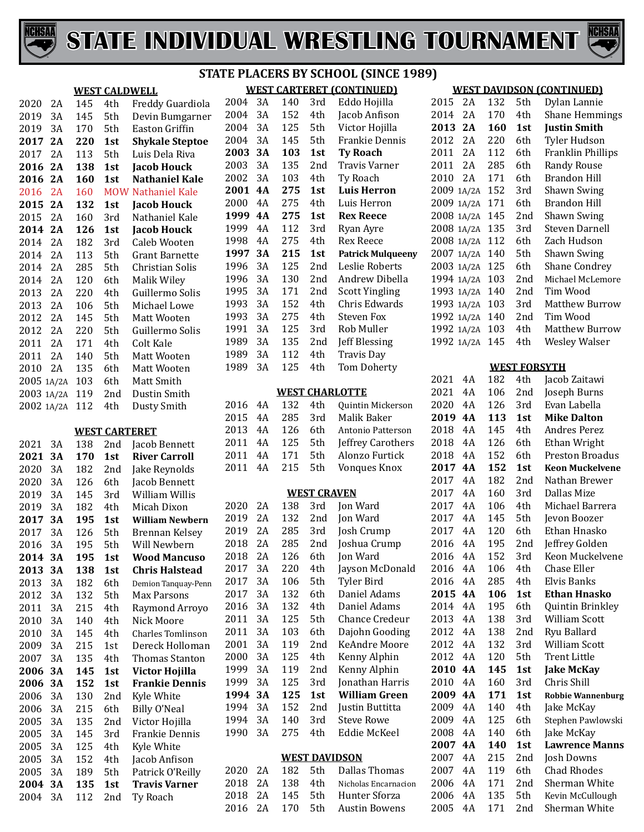



|                   |     |                      |                           |         |    |     |                    | <b>STATE PLACERS BY SCHOOL (SINCE :</b> |
|-------------------|-----|----------------------|---------------------------|---------|----|-----|--------------------|-----------------------------------------|
|                   |     |                      | <b>WEST CALDWELL</b>      |         |    |     |                    | <b>WEST CARTERET (CONTINUED)</b>        |
| 2020<br>2A        | 145 | 4th                  | Freddy Guardiola          | 2004    | 3A | 140 | 3rd                | Eddo Hojilla                            |
| 2019<br>3A        | 145 | 5th                  | Devin Bumgarner           | 2004    | 3A | 152 | 4th                | Jacob Anfison                           |
| 2019<br>3A        | 170 | 5th                  | Easton Griffin            | 2004    | 3A | 125 | 5th                | Victor Hojilla                          |
| 2017<br>2A        | 220 | 1st                  | <b>Shykale Steptoe</b>    | 2004    | 3A | 145 | 5th                | Frankie Dennis                          |
| 2017<br>2A        | 113 | 5th                  | Luis Dela Riva            | 2003    | 3A | 103 | 1st                | <b>Ty Roach</b>                         |
| 2016<br>2A        | 138 | 1st                  | <b>Jacob Houck</b>        | 2003    | 3A | 135 | 2nd                | Travis Varner                           |
| 2016<br>2A        | 160 | 1st                  | <b>Nathaniel Kale</b>     | 2002    | 3A | 103 | 4th                | Ty Roach                                |
| 2016<br>2A        | 160 |                      | <b>MOW Nathaniel Kale</b> | 2001 4A |    | 275 | 1st                | <b>Luis Herron</b>                      |
| 2015<br>2A        | 132 | 1st                  | <b>Jacob Houck</b>        | 2000    | 4A | 275 | 4th                | Luis Herron                             |
| 2015<br>2A        | 160 | 3rd                  | Nathaniel Kale            | 1999 4A |    | 275 | 1st                | <b>Rex Reece</b>                        |
| 2014<br>2A        | 126 | 1st                  | <b>Jacob Houck</b>        | 1999    | 4A | 112 | 3rd                | Ryan Ayre                               |
| 2014<br>2A        | 182 | 3rd                  | Caleb Wooten              | 1998    | 4A | 275 | 4th                | Rex Reece                               |
| 2014<br>2A        | 113 | 5th                  | <b>Grant Barnette</b>     | 1997    | 3A | 215 | 1st                | <b>Patrick Mulquee</b>                  |
| 2014<br>2A        | 285 | 5th                  | Christian Solis           | 1996    | 3A | 125 | 2nd                | Leslie Roberts                          |
| 2014<br>2A        | 120 | 6th                  | Malik Wiley               | 1996    | 3A | 130 | 2nd                | Andrew Dibella                          |
| 2013<br>2A        | 220 | 4th                  | Guillermo Solis           | 1995    | 3A | 171 | 2nd                | <b>Scott Yingling</b>                   |
| 2013<br>2A        | 106 | 5th                  | Michael Lowe              | 1993    | 3A | 152 | 4th                | Chris Edwards                           |
| 2012<br>2A        | 145 | 5th                  | Matt Wooten               | 1993    | 3A | 275 | 4th                | Steven Fox                              |
| 2012<br>2A        | 220 | 5th                  | Guillermo Solis           | 1991    | 3A | 125 | 3rd                | Rob Muller                              |
| 2011<br>2A        | 171 | 4th                  | Colt Kale                 | 1989    | 3A | 135 | 2nd                | Jeff Blessing                           |
| 2011<br>2A        | 140 | 5th                  | Matt Wooten               | 1989    | 3A | 112 | 4th                | <b>Travis Day</b>                       |
| 2010<br>2A        | 135 | 6th                  | Matt Wooten               | 1989    | 3A | 125 | 4th                | Tom Doherty                             |
| 2005 1A/2A        | 103 | 6th                  | Matt Smith                |         |    |     |                    |                                         |
| 2003 1A/2A        | 119 | 2nd                  | Dustin Smith              |         |    |     |                    | <b>WEST CHARLOTTE</b>                   |
| 2002 1A/2A        | 112 | 4th                  | Dusty Smith               | 2016    | 4A | 132 | 4th                | Quintin Mickers                         |
|                   |     |                      |                           | 2015    | 4A | 285 | 3rd                | Malik Baker                             |
|                   |     | <b>WEST CARTERET</b> |                           | 2013    | 4A | 126 | 6th                | Antonio Patterso                        |
| 2021<br>3A        | 138 | 2nd                  | Jacob Bennett             | 2011    | 4A | 125 | 5th                | Jeffrey Carothe                         |
| 2021<br>3A        | 170 | 1st                  | <b>River Carroll</b>      | 2011    | 4A | 171 | 5th                | Alonzo Furtick                          |
| 2020<br>3A        | 182 | 2nd                  | Jake Reynolds             | 2011    | 4A | 215 | 5th                | Vonques Knox                            |
| 2020<br>3A        | 126 | 6th                  | Jacob Bennett             |         |    |     |                    |                                         |
| 2019<br>3A        | 145 | 3rd                  | William Willis            |         |    |     | <b>WEST CRAVEN</b> |                                         |
| 2019<br>3A        | 182 | 4th                  | Micah Dixon               | 2020    | 2A | 138 | 3rd                | Jon Ward                                |
| 2017<br><b>3A</b> | 195 | 1st                  | <b>William Newbern</b>    | 2019    | 2A | 132 | 2nd                | Jon Ward                                |
| 2017<br>3A        | 126 | 5th                  | <b>Brennan Kelsey</b>     | 2019    | 2A | 285 | 3rd                | Josh Crump                              |
| 2016<br>3A        | 195 | 5th                  | Will Newbern              | 2018    | 2A | 285 | 2nd                | Joshua Crump                            |
| 3A<br>2014        | 195 | 1st                  | <b>Wood Mancuso</b>       | 2018    | 2A | 126 | 6th                | Jon Ward                                |
| 2013<br>3A        | 138 | 1st                  | <b>Chris Halstead</b>     | 2017    | 3A | 220 | 4th                | Jayson McDona                           |
| 2013<br>3A        | 182 | 6th                  | Demion Tanquay-Penn       | 2017    | 3A | 106 | 5th                | Tyler Bird                              |
| 2012<br>3A        | 132 | 5th                  | Max Parsons               | 2017    | 3A | 132 | 6th                | Daniel Adams                            |
| 2011<br>3A        | 215 | 4th                  | Raymond Arroyo            | 2016    | 3A | 132 | 4th                | Daniel Adams                            |
| 2010<br>3A        | 140 | 4th                  | Nick Moore                | 2011    | 3A | 125 | 5th                | <b>Chance Credeu</b>                    |
| 2010<br>3A        | 145 | 4th                  | <b>Charles Tomlinson</b>  | 2011    | 3A | 103 | 6th                | Dajohn Goodin                           |
| 2009<br>3A        | 215 | 1st                  | Dereck Holloman           | 2001    | 3A | 119 | 2nd                | KeAndre Moor                            |
| 2007<br>3A        | 135 | 4th                  | Thomas Stanton            | 2000    | 3A | 125 | 4th                | Kenny Alphin                            |
| 2006<br>3A        | 145 | 1st                  | Victor Hojilla            | 1999    | 3A | 119 | 2nd                | Kenny Alphin                            |
| 2006<br><b>3A</b> | 152 | 1st                  | <b>Frankie Dennis</b>     | 1999    | 3A | 125 | 3rd                | Jonathan Harri                          |
| 2006<br>3A        | 130 | 2nd                  | Kyle White                | 1994 3A |    | 125 | 1st                | <b>William Green</b>                    |
| 2006<br>3A        | 215 | 6th                  | Billy O'Neal              | 1994    | 3A | 152 | 2nd                | Justin Buttitta                         |
| 2005<br>3A        | 135 | 2nd                  | Victor Hojilla            | 1994    | 3A | 140 | 3rd                | <b>Steve Rowe</b>                       |
| 2005<br>3A        | 145 | 3rd                  | Frankie Dennis            | 1990    | 3A | 275 | 4th                | Eddie McKeel                            |
| 2005<br>3A        | 125 | 4th                  | Kyle White                |         |    |     |                    |                                         |
| 2005<br>3A        | 152 | 4th                  | Jacob Anfison             |         |    |     |                    | <b>WEST DAVIDSON</b>                    |
| 2005<br>3A        | 189 | 5th                  | Patrick O'Reilly          | 2020    | 2A | 182 | 5th                | Dallas Thomas                           |
| 2004<br>3A        | 135 | 1st                  | <b>Travis Varner</b>      | 2018    | 2A | 138 | 4th                | Nicholas Encarnac                       |
| 2004<br>3A        | 112 | 2nd                  | Ty Roach                  | 2018    | 2A | 145 | 5th                | Hunter Sforza                           |

# **TERET (CONTINUED)**<br>1 3rd Fddo Hoiilla **SY SCHOOL (SINCE 1989)**

| 2004         | 3A       | 140        | 3rd                | Eddo Hojilla             |  |  |  |
|--------------|----------|------------|--------------------|--------------------------|--|--|--|
| 2004         | 3A       | 152        | 4th                | Jacob Anfison            |  |  |  |
| 2004         | 3A       | 125        | 5th                | Victor Hojilla           |  |  |  |
| 2004         | 3A       | 145        | 5th                | Frankie Dennis           |  |  |  |
| 2003         | 3А       | 103        | 1st                | Ty Roach                 |  |  |  |
| 2003         | 3A       | 135        | 2nd                | <b>Travis Varner</b>     |  |  |  |
| 2002         | 3A       | 103        | 4th                | Ty Roach                 |  |  |  |
| 2001         | 4A       | 275        | 1st                | Luis Herron              |  |  |  |
| 2000         | 4A       | 275        | 4th                | Luis Herron              |  |  |  |
| 1999         | 4A       | 275        | 1st                | <b>Rex Reece</b>         |  |  |  |
| 1999         | 4A       | 112        | 3rd                | Ryan Ayre                |  |  |  |
| 1998         | 4A       | 275        | 4th                | <b>Rex Reece</b>         |  |  |  |
| 1997         | 3А       | 215        | 1st                | <b>Patrick Mulqueeny</b> |  |  |  |
| 1996         | 3A       | 125        | 2nd                | Leslie Roberts           |  |  |  |
| 1996         | 3A       | 130        | 2nd                | Andrew Dibella           |  |  |  |
| 1995         | 3A       | 171        | 2nd                | <b>Scott Yingling</b>    |  |  |  |
| 1993         | 3A       | 152        | 4th                | Chris Edwards            |  |  |  |
| 1993         | 3A       | 275        | 4th                | Steven Fox               |  |  |  |
| 1991         | 3A       | 125        | 3rd                | Rob Muller               |  |  |  |
| 1989         | 3A       | 135        | 2nd                | Jeff Blessing            |  |  |  |
| 1989         | 3A       | 112        | 4th                | <b>Travis Day</b>        |  |  |  |
| 1989         | 3A       | 125        | 4th                | <b>Tom Doherty</b>       |  |  |  |
|              |          |            |                    |                          |  |  |  |
|              |          |            |                    | <b>WEST CHARLOTTE</b>    |  |  |  |
| 2016         | 4A       | 132        | 4th                | Quintin Mickerson        |  |  |  |
| 2015         | 4A       | 285        | 3rd                | Malik Baker              |  |  |  |
| 2013         | 4A       | 126        | 6th                | Antonio Patterson        |  |  |  |
| 2011         | 4A<br>4A | 125        | 5th                | Jeffrey Carothers        |  |  |  |
| 2011<br>2011 | 4A       | 171<br>215 | 5th<br>5th         | Alonzo Furtick           |  |  |  |
|              |          |            |                    | Vonques Knox             |  |  |  |
|              |          |            | <b>WEST CRAVEN</b> |                          |  |  |  |
| 2020         | 2A       | 138        | 3rd                | Jon Ward                 |  |  |  |
| 2019         | 2A       | 132        | 2nd                | Jon Ward                 |  |  |  |
| 2019         | 2A       | 285        | 3rd                | Josh Crump               |  |  |  |
| 2018         | 2Α       | 285        | 2nd                | Joshua Crump             |  |  |  |
| 2018         | 2Α       | 126        | 6th                | Jon Ward                 |  |  |  |
| 2017         | 3A       | 220        | 4th                | Jayson McDonald          |  |  |  |
| 2017         | 3A       | 106        | 5th                | Tyler Bird               |  |  |  |
| 2017         | 3A       | 132        | 6th                | Daniel Adams             |  |  |  |
| 2016         | 3A       | 132        | 4th                | Daniel Adams             |  |  |  |
| 2011         | 3A       | 125        | 5th                | Chance Credeur           |  |  |  |
| 2011         | 3A       | 103        | 6th                | Dajohn Gooding           |  |  |  |
| 2001         | 3A       | 119        | 2nd                | <b>KeAndre Moore</b>     |  |  |  |
| 2000         | 3A       | 125        | 4th                | Kenny Alphin             |  |  |  |
| 1999         | 3A       | 119        | 2nd                | Kenny Alphin             |  |  |  |
| 1999         | 3A       | 125        | 3rd                | Jonathan Harris          |  |  |  |
| 1994         | 3A       | 125        | 1st                | William Green            |  |  |  |
| 1994         | 3A       | 152        | 2nd                | Justin Buttitta          |  |  |  |
| 1994         | 3A       | 140        | 3rd                | Steve Rowe               |  |  |  |
| 1990         | 3A       | 275        | 4th                | <b>Eddie McKeel</b>      |  |  |  |
|              |          |            |                    |                          |  |  |  |
|              |          |            |                    | <b>WEST DAVIDSON</b>     |  |  |  |
| 2020         | 2Α       | 182        | 5th                | <b>Dallas Thomas</b>     |  |  |  |
| 2018         | 2A       | 138        | 4th                | Nicholas Encarnacion     |  |  |  |

2A 170 5th Austin Bowens

# **WEST DAVIDSON (CONTINUED)**

| 2015 | 2A    | 132 | 5th                 | Dylan Lannie             |
|------|-------|-----|---------------------|--------------------------|
| 2014 | 2Α    | 170 | 4th                 | <b>Shane Hemmings</b>    |
| 2013 | 2A    | 160 | 1st                 | <b>Justin Smith</b>      |
| 2012 | 2A    | 220 | 6th                 | Tyler Hudson             |
| 2011 | 2A    | 112 | 6th                 | Franklin Phillips        |
| 2011 | 2A    | 285 | 6th                 | <b>Randy Rouse</b>       |
| 2010 | 2A    | 171 | 6th                 | <b>Brandon Hill</b>      |
| 2009 | 1A/2A | 152 | 3rd                 | <b>Shawn Swing</b>       |
| 2009 | 1A/2A | 171 | 6th                 | <b>Brandon Hill</b>      |
| 2008 | 1A/2A | 145 | 2nd                 | <b>Shawn Swing</b>       |
| 2008 | 1A/2A | 135 | 3rd                 | <b>Steven Darnell</b>    |
| 2008 | 1A/2A | 112 | 6th                 | Zach Hudson              |
| 2007 | 1A/2A | 140 | 5th                 | <b>Shawn Swing</b>       |
| 2003 | 1A/2A | 125 | 6th                 | <b>Shane Condrey</b>     |
| 1994 | 1A/2A | 103 | 2nd                 | Michael McLemore         |
| 1993 | 1A/2A | 140 | 2nd                 | Tim Wood                 |
| 1993 | 1A/2A | 103 | 3rd                 | <b>Matthew Burrow</b>    |
| 1992 | 1A/2A | 140 | 2nd                 | Tim Wood                 |
| 1992 | 1A/2A | 103 | 4th                 | <b>Matthew Burrow</b>    |
| 1992 | 1A/2A | 145 | 4th                 | <b>Wesley Walser</b>     |
|      |       |     |                     |                          |
|      |       |     | <b>WEST FORSYTH</b> |                          |
| 2021 | 4A    | 182 | 4th                 | Jacob Zaitawi            |
| 2021 | 4A    | 106 | 2nd                 | Joseph Burns             |
| 2020 | 4A    | 126 | 3rd                 | Evan Labella             |
| 2019 | 4A    | 113 | 1st                 | <b>Mike Dalton</b>       |
| 2018 | 4A    | 145 | 4th                 | <b>Andres Perez</b>      |
| 2018 | 4A    | 126 | 6th                 | Ethan Wright             |
| 2018 | 4A    | 152 | 6th                 | <b>Preston Broadus</b>   |
| 2017 | 4A    | 152 | 1st                 | <b>Keon Muckelvene</b>   |
| 2017 | 4A    | 182 | 2nd                 | Nathan Brewer            |
| 2017 | 4A    | 160 | 3rd                 | Dallas Mize              |
| 2017 | 4A    | 106 | 4th                 | Michael Barrera          |
| 2017 | 4A    | 145 | 5th                 | Jevon Boozer             |
| 2017 | 4A    | 120 | 6th                 | Ethan Hnasko             |
| 2016 | 4A    | 195 | 2nd                 | Jeffrey Golden           |
| 2016 | 4A    | 152 | 3rd                 | Keon Muckelvene          |
| 2016 | 4Α    | 106 | 4th                 | Chase Eller              |
| 2016 | 4Α    | 285 | 4th                 | Elvis Banks              |
| 2015 | 4А    | 106 | 1st                 | <b>Ethan Hnasko</b>      |
| 2014 | 4A    | 195 | 6th                 | Quintin Brinkley         |
| 2013 | 4A    | 138 | 3rd                 | William Scott            |
| 2012 | 4A    | 138 | 2nd                 | Ryu Ballard              |
| 2012 | 4A    | 132 | 3rd                 | William Scott            |
| 2012 | 4A    | 120 | 5th                 | Trent Little             |
| 2010 | 4А    | 145 | 1st                 | <b>Jake McKay</b>        |
| 2010 | 4A    | 160 | 3rd                 | Chris Shill              |
| 2009 | 4A    | 171 | 1st                 | <b>Robbie Wannenburg</b> |
| 2009 | 4A    | 140 | 4th                 | Jake McKay               |
| 2009 | 4A    | 125 | 6th                 | Stephen Pawlowski        |
| 2008 | 4A    | 140 | 6th                 | Jake McKay               |
| 2007 | 4А    | 140 | 1st                 | <b>Lawrence Manns</b>    |
| 2007 | 4Α    | 215 | 2nd                 | Josh Downs               |
|      | 4A    |     | 6th                 |                          |
| 2007 | 4A    | 119 | 2nd                 | Chad Rhodes              |
| 2006 |       | 171 |                     | Sherman White            |
| 2006 | 4Α    | 135 | 5th                 | Kevin McCullough         |
| 2005 | 4Α    | 171 | 2nd                 | Sherman White            |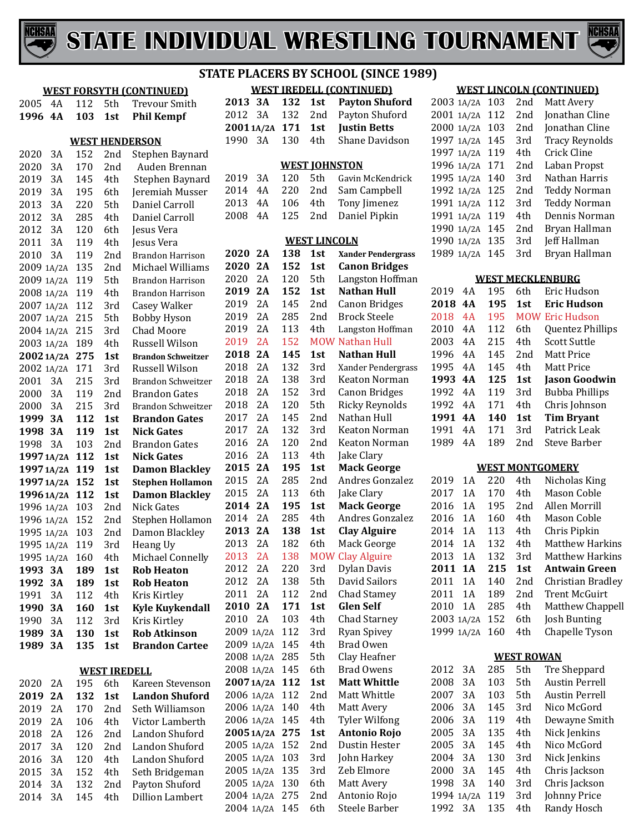



|  |  | <b>WEST IREDELL (CONTINUED)</b> |
|--|--|---------------------------------|
|  |  | 2013 3A 132 1st Payton Shuford  |
|  |  | 2012 3A 132 2nd Payton Shuford  |
|  |  | 2001 1A/2A 171 1st Justin Betts |
|  |  | 1990 3A 130 4th Shane Davidson  |
|  |  |                                 |

#### **WEST JOHNSTON**

|  |  | 2019 3A 120 5th Gavin McKendrick |
|--|--|----------------------------------|
|  |  | 2014 4A 220 2nd Sam Campbell     |
|  |  | 2013 4A 106 4th Tony Jimenez     |
|  |  | 2008 4A 125 2nd Daniel Pipkin    |
|  |  |                                  |

#### **WEST LINCOLN**

|            |       | <u>VV 1</u><br>للاستا |     | шчести                    |
|------------|-------|-----------------------|-----|---------------------------|
| 2020       | 2A    | 138                   | 1st | <b>Xander Pendergrass</b> |
| 2020       | 2A    | 152                   | 1st | <b>Canon Bridges</b>      |
| 2020       | 2A    | 120                   | 5th | Langston Hoffman          |
| 2019       | 2A    | 152                   | 1st | <b>Nathan Hull</b>        |
| 2019       | 2A    | 145                   | 2nd | <b>Canon Bridges</b>      |
| 2019       | 2A    | 285                   | 2nd | <b>Brock Steele</b>       |
| 2019       | 2A    | 113                   | 4th | Langston Hoffman          |
| 2019       | 2A    | 152                   |     | <b>MOW Nathan Hull</b>    |
| 2018       | 2A    | 145                   | 1st | <b>Nathan Hull</b>        |
| 2018       | 2A    | 132                   | 3rd | Xander Pendergrass        |
| 2018       | 2A    | 138                   | 3rd | <b>Keaton Norman</b>      |
| 2018       | 2A    | 152                   | 3rd | <b>Canon Bridges</b>      |
| 2018       | 2A    | 120                   | 5th | <b>Ricky Reynolds</b>     |
| 2017       | 2A    | 145                   | 2nd | Nathan Hull               |
| 2017       | 2A    | 132                   | 3rd | Keaton Norman             |
| 2016       | 2A    | 120                   | 2nd | Keaton Norman             |
| 2016       | 2A    | 113                   | 4th | Jake Clary                |
| 2015       | 2A    | 195                   | 1st | <b>Mack George</b>        |
| 2015       | 2A    | 285                   | 2nd | Andres Gonzalez           |
| 2015       | 2A    | 113                   | 6th | Jake Clary                |
| 2014       | 2A    | 195                   | 1st | <b>Mack George</b>        |
| 2014       | 2A    | 285                   | 4th | Andres Gonzalez           |
| 2013       | 2A    | 138                   | 1st | <b>Clay Alguire</b>       |
| 2013       | 2A    | 182                   | 6th | Mack George               |
| 2013       | 2A    | 138                   |     | <b>MOW Clay Alguire</b>   |
| 2012       | 2A    | 220                   | 3rd | Dylan Davis               |
| 2012       | 2A    | 138                   | 5th | <b>David Sailors</b>      |
| 2011       | 2A    | 112                   | 2nd | <b>Chad Stamey</b>        |
| 2010       | 2A    | 171                   | 1st | <b>Glen Self</b>          |
| 2010       | 2A    | 103                   | 4th | <b>Chad Starney</b>       |
| 2009       | 1A/2A | 112                   | 3rd | <b>Ryan Spivey</b>        |
| 2009 1A/2A |       | 145                   | 4th | <b>Brad Owen</b>          |
| 2008 1A/2A |       | 285                   | 5th | Clay Heafner              |
| 2008 1A/2A |       | 145                   | 6th | <b>Brad Owens</b>         |
| 2007 1A/2A |       | 112                   | 1st | <b>Matt Whittle</b>       |
| 2006 1A/2A |       | 112                   | 2nd | Matt Whittle              |
| 2006 1A/2A |       | 140                   | 4th | Matt Avery                |
| 2006 1A/2A |       | 145                   | 4th | <b>Tyler Wilfong</b>      |
| 2005 1A/2A |       | 275                   | 1st | Antonio Rojo              |
| 2005 1A/2A |       | 152                   | 2nd | Dustin Hester             |
| 2005 1A/2A |       | 103                   | 3rd | John Harkey               |
| 2005 1A/2A |       | 135                   | 3rd | Zeb Elmore                |
| 2005 1A/2A |       | 130                   | 6th | Matt Avery                |
| 2004 1A/2A |       | 275                   | 2nd | Antonio Rojo              |
| 2004 1A/2A |       | 145                   | 6th | <b>Steele Barber</b>      |

#### **WEST LINCOLN (CONTINUED)**

| 2003 1A/2A | 103 | 2 <sub>nd</sub> | Matt Avery            |
|------------|-----|-----------------|-----------------------|
| 2001 1A/2A | 112 | 2 <sub>nd</sub> | Jonathan Cline        |
| 2000 1A/2A | 103 | 2 <sub>nd</sub> | Jonathan Cline        |
| 1997 1A/2A | 145 | 3rd             | <b>Tracy Reynolds</b> |
| 1997 1A/2A | 119 | 4th             | Crick Cline           |
| 1996 1A/2A | 171 | 2nd             | Laban Propst          |
| 1995 1A/2A | 140 | 3rd             | Nathan Harris         |
| 1992 1A/2A | 125 | 2 <sub>nd</sub> | <b>Teddy Norman</b>   |
| 1991 1A/2A | 112 | 3rd             | <b>Teddy Norman</b>   |
| 1991 1A/2A | 119 | 4th             | Dennis Norman         |
| 1990 1A/2A | 145 | 2 <sub>nd</sub> | Bryan Hallman         |
| 1990 1A/2A | 135 | 3rd             | Jeff Hallman          |
| 1989 1A/2A | 145 | 3rd             | Bryan Hallman         |
|            |     |                 |                       |

|      |     |     |     | <b>WEST MECKLENBURG</b> |
|------|-----|-----|-----|-------------------------|
| 2019 | 4 A | 195 | 6th | Eric Hudson             |
| 2018 | 4A  | 195 | 1st | Eric Hudson             |
| 2018 | 4 A | 195 |     | <b>MOW Eric Hudson</b>  |
| 2010 | 4Α  | 112 | 6th | <b>Ouentez Phillips</b> |
| 2003 | 4Α  | 215 | 4th | <b>Scott Suttle</b>     |
| 1996 | 4 A | 145 | 2nd | Matt Price              |
| 1995 | 4Α  | 145 | 4th | Matt Price              |
| 1993 | 4 A | 125 | 1st | Jason Goodwin           |
| 1992 | 4 A | 119 | 3rd | <b>Bubba Phillips</b>   |
| 1992 | 4 A | 171 | 4th | Chris Johnson           |
| 1991 | 4A  | 140 | 1st | <b>Tim Bryant</b>       |
| 1991 | 4 A | 171 | 3rd | Patrick Leak            |
| 1989 | 4Α  | 189 | 2nd | Steve Barber            |
|      |     |     |     |                         |

#### **WEST MONTGOMERY**  $\sim$

 $\sim$   $\sim$   $\sim$ 

| 2019       | 1 A        | 220 | 4th             | Nicholas King          |
|------------|------------|-----|-----------------|------------------------|
| 2017       | 1 A        | 170 | 4th             | Mason Coble            |
| 2016       | 1 A        | 195 | 2 <sub>nd</sub> | Allen Morrill          |
| 2016       | 1 A        | 160 | 4th             | Mason Coble            |
| 2014       | 1 A        | 113 | 4th             | Chris Pipkin           |
| 2014       | 1 A        | 132 | 4th             | <b>Matthew Harkins</b> |
| 2013       | 1 A        | 132 | 3rd             | Matthew Harkins        |
|            |            |     |                 |                        |
| 2011       | 1 A        | 215 | 1st             | <b>Antwain Green</b>   |
| 2011       | 1 A        | 140 | 2nd             | Christian Bradley      |
| 2011       | 1 A        | 189 | 2 <sub>nd</sub> | Trent McGuirt          |
| 2010       | 1 A        | 285 | 4th             | Matthew Chappell       |
|            | 2003 1A/2A | 152 | 6th             | Josh Bunting           |
| 1999 1A/2A |            | 160 | 4th             | Chapelle Tyson         |

#### **WEST ROWAN**

| 2012       | 3Α | 285 | 5th | Tre Sheppard          |
|------------|----|-----|-----|-----------------------|
| 2008       | 3Α | 103 | 5th | <b>Austin Perrell</b> |
| 2007       | 3Α | 103 | 5th | Austin Perrell        |
| 2006       | 3Α | 145 | 3rd | Nico McGord           |
| 2006       | 3Α | 119 | 4th | Dewayne Smith         |
| 2005       | 3Α | 135 | 4th | Nick Jenkins          |
| 2005       | 3Α | 145 | 4th | Nico McGord           |
| 2004       | 3Α | 130 | 3rd | Nick Jenkins          |
| 2000       | 3Α | 145 | 4th | Chris Jackson         |
| 1998       | 3Α | 140 | 3rd | Chris Jackson         |
| 1994 1A/2A |    | 119 | 3rd | Johnny Price          |
| 1992       | 3Α | 135 | 4th | Randy Hosch           |
|            |    |     |     |                       |

## **WEST FORSYTH (CONTINUED)**

4A 112 5th Trevour Smith

| 1996       | 4A         | 103 | 1st                 | <b>Phil Kempf</b>         |
|------------|------------|-----|---------------------|---------------------------|
|            |            |     |                     | <b>WEST HENDERSON</b>     |
| 2020       | 3A         | 152 | 2nd                 | Stephen Baynard           |
| 2020       | 3A         | 170 | 2nd                 | Auden Brennan             |
| 2019       | 3A         | 145 | 4th                 | Stephen Baynard           |
| 2019       | 3A         | 195 | 6th                 | Jeremiah Musser           |
| 2013       | 3A         | 220 | 5th                 | Daniel Carroll            |
| 2012       | 3A         | 285 | 4th                 | Daniel Carroll            |
| 2012       | 3A         | 120 | 6th                 | Jesus Vera                |
| 2011       | 3A         | 119 | 4th                 | Jesus Vera                |
| 2010       | 3A         | 119 | 2nd                 | <b>Brandon Harrison</b>   |
| 2009 1A/2A |            | 135 | 2nd                 | Michael Williams          |
| 2009 1A/2A |            | 119 | 5th                 | <b>Brandon Harrison</b>   |
| 2008 1A/2A |            | 119 | 4th                 | <b>Brandon Harrison</b>   |
| 2007 1A/2A |            | 112 | 3rd                 | <b>Casey Walker</b>       |
| 2007 1A/2A |            | 215 | 5th                 | <b>Bobby Hyson</b>        |
| 2004 1A/2A |            | 215 | 3rd                 | <b>Chad Moore</b>         |
| 2003 1A/2A |            | 189 | 4th                 | <b>Russell Wilson</b>     |
| 20021A/2A  |            | 275 | 1st                 | <b>Brandon Schweitzer</b> |
| 2002 1A/2A |            | 171 | 3rd                 | Russell Wilson            |
| 2001       | 3A         | 215 | 3rd                 | <b>Brandon Schweitzer</b> |
| 2000       | 3A         | 119 | 2nd                 | <b>Brandon Gates</b>      |
| 2000       | 3A         | 215 | 3rd                 | <b>Brandon Schweitzer</b> |
| 1999       | 3A         | 112 | 1st                 | <b>Brandon Gates</b>      |
| 1998       | <b>3A</b>  | 119 | 1st                 | <b>Nick Gates</b>         |
| 1998       | 3A         | 103 | 2nd                 | <b>Brandon Gates</b>      |
| 1997 1A/2A |            | 112 | 1st                 | <b>Nick Gates</b>         |
|            | 1997 1A/2A | 119 | 1st                 | <b>Damon Blackley</b>     |
| 1997 1A/2A |            | 152 | 1st                 | <b>Stephen Hollamon</b>   |
| 1996 1A/2A |            | 112 | 1st                 | <b>Damon Blackley</b>     |
| 1996 1A/2A |            | 103 | 2nd                 | <b>Nick Gates</b>         |
| 1996 1A/2A |            | 152 | 2nd                 | Stephen Hollamon          |
| 1995 1A/2A |            | 103 | 2nd                 | Damon Blackley            |
| 1995 1A/2A |            | 119 | 3rd                 | Heang Uy                  |
| 1995 1A/2A |            | 160 | 4th                 | Michael Connelly          |
| 1993 3A    |            | 189 | 1st                 | <b>Rob Heaton</b>         |
| 1992       | 3A         | 189 | 1st                 | <b>Rob Heaton</b>         |
| 1991       | 3A         | 112 | 4th                 | Kris Kirtley              |
| 1990       | 3A         | 160 | 1st                 | <b>Kyle Kuykendall</b>    |
| 1990       | 3A         | 112 | 3rd                 | Kris Kirtley              |
| 1989       | 3А         | 130 | 1st                 | <b>Rob Atkinson</b>       |
| 1989       | 3A         | 135 | 1st                 | <b>Brandon Cartee</b>     |
|            |            |     |                     |                           |
|            |            |     | <b>WEST IREDELL</b> |                           |
| 2020       | 2Α         | 195 | 6th                 | Kareen Stevenson          |
| 2019       | 2A         | 132 | 1st                 | <b>Landon Shuford</b>     |
| 2019       | 2A         | 170 | 2nd                 | Seth Williamson           |
| 2019       | 2A         | 106 | 4th                 | Victor Lamberth           |
| 2018       | 2A         | 126 | 2nd                 | Landon Shuford            |
| 2017       | 3A         | 120 | 2nd                 | Landon Shuford            |
| 2016       | 3A         | 120 | 4th                 | Landon Shuford            |
| 2015       | 3A         | 152 | 4th                 | Seth Bridgeman            |

 3A 132 2nd Payton Shuford 3A 145 4th Dillion Lambert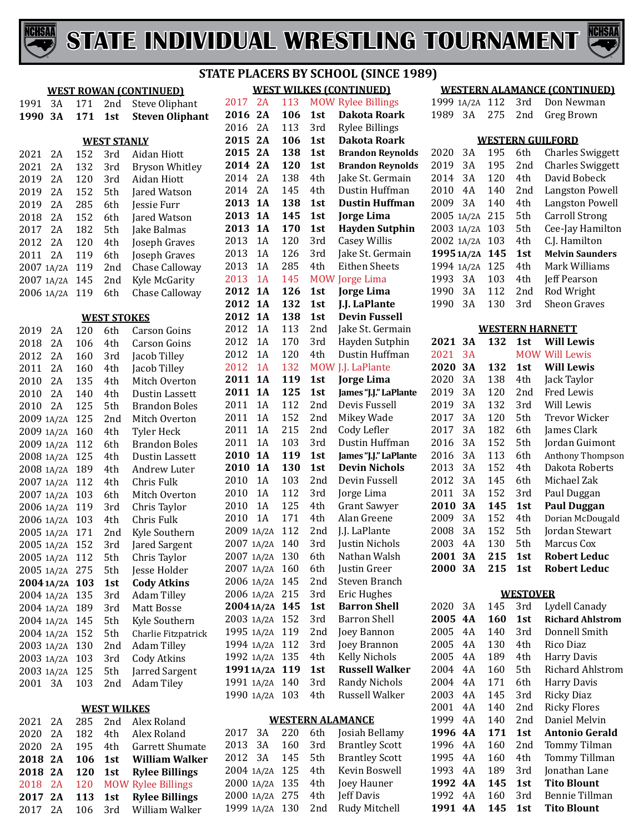



**2A 106 1st Dakota Roark**

**2A 106 1st Dakota Roark**

**1A 138 1st Dustin Huffman**

**1A 126 1st Jorge Lima**

**2A 120 1st Brandon Reynolds**

**WEST WILKES (CONTINUED)**<br>2017 2A 113 MOW Rylee Billing 2017 2A 113 MOW Rylee Billings<br>2016 2A 106 1st Dakota Roarl

2A 113 3rd Rylee Billings

**2A 138 1st Brandon Reynolds**

2014 2A 138 4th Jake St. Germain<br>2014 2A 145 4th Dustin Huffman 2014 2A 145 4th Dustin Huffman<br>2013 1A 138 1st Dustin Huffman

 **1A 145 1st Jorge Lima 1A 170 1st Hayden Sutphin**

 1A 120 3rd Casey Willis 1A 126 3rd Jake St. Germain 2013 1A 285 4th Eithen Sheets<br>2013 1A 145 MOW Jorge Lima 2013 1A 145 MOW Jorge Lima<br>2012 1A 126 1st Jorge Lima

|            | <b>WEST ROWAN (CONTINUED)</b> |     |                    |                        |  |  |  |
|------------|-------------------------------|-----|--------------------|------------------------|--|--|--|
| 1991       | 3A                            | 171 | 2nd                | <b>Steve Oliphant</b>  |  |  |  |
| 1990       | 3A                            | 171 | 1st                | <b>Steven Oliphant</b> |  |  |  |
|            |                               |     |                    |                        |  |  |  |
|            |                               |     | <b>WEST STANLY</b> |                        |  |  |  |
| 2021       | 2A                            | 152 | 3rd                | Aidan Hiott            |  |  |  |
| 2021       | 2A                            | 132 | 3rd                | <b>Bryson Whitley</b>  |  |  |  |
| 2019       | 2A                            | 120 | 3rd                | Aidan Hiott            |  |  |  |
| 2019       | 2A                            | 152 | 5th                | Jared Watson           |  |  |  |
| 2019       | 2A                            | 285 | 6th                | Jessie Furr            |  |  |  |
| 2018       | 2A                            | 152 | 6th                | Jared Watson           |  |  |  |
| 2017       | 2Α                            | 182 | 5th                | Jake Balmas            |  |  |  |
| 2012       | 2Α                            | 120 | 4th                | Joseph Graves          |  |  |  |
| 2011       | 2A                            | 119 | 6th                | Joseph Graves          |  |  |  |
| 2007       | 1A/2A                         | 119 | 2nd                | Chase Calloway         |  |  |  |
| 2007       | 1A/2A                         | 145 | 2nd                | Kyle McGarity          |  |  |  |
| 2006       | 1A/2A                         | 119 | 6th                | Chase Calloway         |  |  |  |
|            |                               |     |                    |                        |  |  |  |
|            |                               |     | <b>WEST STOKES</b> |                        |  |  |  |
| 2019       | 2A                            | 120 | 6th                | Carson Goins           |  |  |  |
| 2018       | 2A                            | 106 | 4th                | Carson Goins           |  |  |  |
| 2012       | 2A                            | 160 | 3rd                | Jacob Tilley           |  |  |  |
| 2011       | 2A                            | 160 | 4th                | Jacob Tilley           |  |  |  |
| 2010       | 2A                            | 135 | 4th                | Mitch Overton          |  |  |  |
| 2010       | 2A                            | 140 | 4th                | Dustin Lassett         |  |  |  |
| 2010       | 2A                            | 125 | 5th                | <b>Brandon Boles</b>   |  |  |  |
| 2009       | 1A/2A                         | 125 | 2nd                | Mitch Overton          |  |  |  |
| 2009       | 1A/2A                         | 160 | 4th                | <b>Tyler Heck</b>      |  |  |  |
| 2009       | 1A/2A                         | 112 | 6th                | <b>Brandon Boles</b>   |  |  |  |
| 2008       | 1A/2A                         | 125 | 4th                | Dustin Lassett         |  |  |  |
| 2008       | 1A/2A                         | 189 | 4th                | Andrew Luter           |  |  |  |
| 2007       | 1A/2A                         | 112 | 4th                | Chris Fulk             |  |  |  |
| 2007       | 1A/2A                         | 103 | 6th                | Mitch Overton          |  |  |  |
| 2006       | 1A/2A                         | 119 | 3rd                | Chris Taylor           |  |  |  |
| 2006       | 1A/2A                         | 103 | 4th                | Chris Fulk             |  |  |  |
| 2005       | 1A/2A                         | 171 | 2nd                | Kyle Southern          |  |  |  |
| 2005       | 1A/2A                         | 152 | 3rd                | Jared Sargent          |  |  |  |
| 2005 1A/2A |                               | 112 | 5th                | Chris Taylor           |  |  |  |
|            | 2005 1A/2A                    | 275 | 5th                | Jesse Holder           |  |  |  |
|            | 2004 1A/2A                    | 103 | 1st                | <b>Cody Atkins</b>     |  |  |  |
|            | 2004 1A/2A                    | 135 | 3rd                | <b>Adam Tilley</b>     |  |  |  |
|            | 2004 1A/2A                    | 189 | 3rd                | <b>Matt Bosse</b>      |  |  |  |
|            | 2004 1A/2A                    | 145 | 5th                | Kyle Southern          |  |  |  |
|            | 2004 1A/2A                    | 152 | 5th                | Charlie Fitzpatrick    |  |  |  |
|            | 2003 1A/2A                    | 130 | 2nd                | <b>Adam Tilley</b>     |  |  |  |
|            | 2003 1A/2A                    | 103 | 3rd                | <b>Cody Atkins</b>     |  |  |  |
|            | 2003 1A/2A                    | 125 | 5th                | Jarred Sargent         |  |  |  |
| 2001       | 3A                            | 103 | 2nd                | <b>Adam Tiley</b>      |  |  |  |
|            |                               |     |                    |                        |  |  |  |
|            |                               |     | <b>WEST WILKES</b> |                        |  |  |  |
| 2021       | 2A                            | 285 | 2nd                | Alex Roland            |  |  |  |
| 2020       | 2A                            | 182 | 4th                | Alex Roland            |  |  |  |
| 2020       | 2A                            | 195 | 4th                | Garrett Shumate        |  |  |  |
| 2018       | 2A                            | 106 | 1st                | William Walker         |  |  |  |
| 2018 2A    |                               | 120 | 1st                | <b>Rylee Billings</b>  |  |  |  |

2018 2A 120 MOW Rylee Billings<br>2017 2A 113 1st Rylee Billings

2A 106 3rd William Walker

**2A 113 1st Rylee Billings**

| 2012<br><b>1A</b><br><b>Devin Fussell</b><br>138<br>1st<br>2012<br>1A<br>113<br>Jake St. Germain<br>2nd<br>2012<br>1A<br>Hayden Sutphin<br>170<br>3rd<br>1A<br>Dustin Huffman<br>2012<br>120<br>4th<br>1A<br>J.J. LaPlante<br>2012<br>132<br><b>MOW</b><br><b>1A</b><br>Jorge Lima<br>2011<br>119<br>1st<br>2011<br><b>1A</b><br>125<br>James "J.J." LaPlante<br>1st<br>2011<br>1A<br>112<br>Devis Fussell<br>2nd<br>2011<br>1A<br>152<br>Mikey Wade<br>2nd<br>Cody Lefler<br>2011<br>1A<br>215<br>2nd<br>2011<br>1A<br>103<br>Dustin Huffman<br>3rd<br>2010<br><b>1A</b><br>James "J.J." LaPlante<br>119<br>1st<br>2010<br><b>1A</b><br><b>Devin Nichols</b><br>130<br>1st<br>2010<br>1A<br>Devin Fussell<br>103<br>2nd<br>2010<br>1A<br>112<br>3rd<br>Jorge Lima<br>2010<br>1A<br><b>Grant Sawyer</b><br>125<br>4th<br>2010<br>171<br>Alan Greene<br>1A<br>4th<br>2nd<br>J.J. LaPlante<br>2009 1A/2A<br>112<br>2007 1A/2A<br>140<br>3rd<br>Justin Nichols<br>130<br>Nathan Walsh<br>2007 1A/2A<br>6th<br>160<br>6th<br>2007 1A/2A<br>Justin Greer<br>2nd<br>2006 1A/2A<br>145<br>Steven Branch<br>2006 1A/2A<br>215<br>3rd<br><b>Eric Hughes</b><br>145<br><b>Barron Shell</b><br>2004 1A/2A<br>1st<br>152<br><b>Barron Shell</b><br>2003 1A/2A<br>3rd<br>1995 1A/2A<br>119<br>2nd<br>Joey Bannon<br>1994 1A/2A<br>Joey Brannon<br>112<br>3rd<br><b>Kelly Nichols</b><br>1992 1A/2A<br>135<br>4th<br><b>Russell Walker</b><br>19911A/2A<br>119<br>1st<br>1991 1A/2A<br><b>Randy Nichols</b><br>140<br>3rd<br>Russell Walker<br>1990 1A/2A<br>103<br>4th<br><b>WESTERN ALAMANCE</b><br>3A<br>220<br>Josiah Bellamy<br>2017<br>6th<br>2013<br>3A<br>160<br><b>Brantley Scott</b><br>3rd<br>2012<br>3A<br>5th<br><b>Brantley Scott</b><br>145<br>2004 1A/2A<br>Kevin Boswell<br>125<br>4th<br>135<br>2000 1A/2A<br>4th<br>Joey Hauner<br>2000 1A/2A<br>275<br><b>Jeff Davis</b><br>4th<br>1999 1A/2A<br>130<br>Rudy Mitchell<br>2nd | 2012 | <b>1A</b> | 132 | 1st | J.J. LaPlante |
|------------------------------------------------------------------------------------------------------------------------------------------------------------------------------------------------------------------------------------------------------------------------------------------------------------------------------------------------------------------------------------------------------------------------------------------------------------------------------------------------------------------------------------------------------------------------------------------------------------------------------------------------------------------------------------------------------------------------------------------------------------------------------------------------------------------------------------------------------------------------------------------------------------------------------------------------------------------------------------------------------------------------------------------------------------------------------------------------------------------------------------------------------------------------------------------------------------------------------------------------------------------------------------------------------------------------------------------------------------------------------------------------------------------------------------------------------------------------------------------------------------------------------------------------------------------------------------------------------------------------------------------------------------------------------------------------------------------------------------------------------------------------------------------------------------------------------------------------------------------------------------------------------------------------------------|------|-----------|-----|-----|---------------|
|                                                                                                                                                                                                                                                                                                                                                                                                                                                                                                                                                                                                                                                                                                                                                                                                                                                                                                                                                                                                                                                                                                                                                                                                                                                                                                                                                                                                                                                                                                                                                                                                                                                                                                                                                                                                                                                                                                                                    |      |           |     |     |               |
|                                                                                                                                                                                                                                                                                                                                                                                                                                                                                                                                                                                                                                                                                                                                                                                                                                                                                                                                                                                                                                                                                                                                                                                                                                                                                                                                                                                                                                                                                                                                                                                                                                                                                                                                                                                                                                                                                                                                    |      |           |     |     |               |
|                                                                                                                                                                                                                                                                                                                                                                                                                                                                                                                                                                                                                                                                                                                                                                                                                                                                                                                                                                                                                                                                                                                                                                                                                                                                                                                                                                                                                                                                                                                                                                                                                                                                                                                                                                                                                                                                                                                                    |      |           |     |     |               |
|                                                                                                                                                                                                                                                                                                                                                                                                                                                                                                                                                                                                                                                                                                                                                                                                                                                                                                                                                                                                                                                                                                                                                                                                                                                                                                                                                                                                                                                                                                                                                                                                                                                                                                                                                                                                                                                                                                                                    |      |           |     |     |               |
|                                                                                                                                                                                                                                                                                                                                                                                                                                                                                                                                                                                                                                                                                                                                                                                                                                                                                                                                                                                                                                                                                                                                                                                                                                                                                                                                                                                                                                                                                                                                                                                                                                                                                                                                                                                                                                                                                                                                    |      |           |     |     |               |
|                                                                                                                                                                                                                                                                                                                                                                                                                                                                                                                                                                                                                                                                                                                                                                                                                                                                                                                                                                                                                                                                                                                                                                                                                                                                                                                                                                                                                                                                                                                                                                                                                                                                                                                                                                                                                                                                                                                                    |      |           |     |     |               |
|                                                                                                                                                                                                                                                                                                                                                                                                                                                                                                                                                                                                                                                                                                                                                                                                                                                                                                                                                                                                                                                                                                                                                                                                                                                                                                                                                                                                                                                                                                                                                                                                                                                                                                                                                                                                                                                                                                                                    |      |           |     |     |               |
|                                                                                                                                                                                                                                                                                                                                                                                                                                                                                                                                                                                                                                                                                                                                                                                                                                                                                                                                                                                                                                                                                                                                                                                                                                                                                                                                                                                                                                                                                                                                                                                                                                                                                                                                                                                                                                                                                                                                    |      |           |     |     |               |
|                                                                                                                                                                                                                                                                                                                                                                                                                                                                                                                                                                                                                                                                                                                                                                                                                                                                                                                                                                                                                                                                                                                                                                                                                                                                                                                                                                                                                                                                                                                                                                                                                                                                                                                                                                                                                                                                                                                                    |      |           |     |     |               |
|                                                                                                                                                                                                                                                                                                                                                                                                                                                                                                                                                                                                                                                                                                                                                                                                                                                                                                                                                                                                                                                                                                                                                                                                                                                                                                                                                                                                                                                                                                                                                                                                                                                                                                                                                                                                                                                                                                                                    |      |           |     |     |               |
|                                                                                                                                                                                                                                                                                                                                                                                                                                                                                                                                                                                                                                                                                                                                                                                                                                                                                                                                                                                                                                                                                                                                                                                                                                                                                                                                                                                                                                                                                                                                                                                                                                                                                                                                                                                                                                                                                                                                    |      |           |     |     |               |
|                                                                                                                                                                                                                                                                                                                                                                                                                                                                                                                                                                                                                                                                                                                                                                                                                                                                                                                                                                                                                                                                                                                                                                                                                                                                                                                                                                                                                                                                                                                                                                                                                                                                                                                                                                                                                                                                                                                                    |      |           |     |     |               |
|                                                                                                                                                                                                                                                                                                                                                                                                                                                                                                                                                                                                                                                                                                                                                                                                                                                                                                                                                                                                                                                                                                                                                                                                                                                                                                                                                                                                                                                                                                                                                                                                                                                                                                                                                                                                                                                                                                                                    |      |           |     |     |               |
|                                                                                                                                                                                                                                                                                                                                                                                                                                                                                                                                                                                                                                                                                                                                                                                                                                                                                                                                                                                                                                                                                                                                                                                                                                                                                                                                                                                                                                                                                                                                                                                                                                                                                                                                                                                                                                                                                                                                    |      |           |     |     |               |
|                                                                                                                                                                                                                                                                                                                                                                                                                                                                                                                                                                                                                                                                                                                                                                                                                                                                                                                                                                                                                                                                                                                                                                                                                                                                                                                                                                                                                                                                                                                                                                                                                                                                                                                                                                                                                                                                                                                                    |      |           |     |     |               |
|                                                                                                                                                                                                                                                                                                                                                                                                                                                                                                                                                                                                                                                                                                                                                                                                                                                                                                                                                                                                                                                                                                                                                                                                                                                                                                                                                                                                                                                                                                                                                                                                                                                                                                                                                                                                                                                                                                                                    |      |           |     |     |               |
|                                                                                                                                                                                                                                                                                                                                                                                                                                                                                                                                                                                                                                                                                                                                                                                                                                                                                                                                                                                                                                                                                                                                                                                                                                                                                                                                                                                                                                                                                                                                                                                                                                                                                                                                                                                                                                                                                                                                    |      |           |     |     |               |
|                                                                                                                                                                                                                                                                                                                                                                                                                                                                                                                                                                                                                                                                                                                                                                                                                                                                                                                                                                                                                                                                                                                                                                                                                                                                                                                                                                                                                                                                                                                                                                                                                                                                                                                                                                                                                                                                                                                                    |      |           |     |     |               |
|                                                                                                                                                                                                                                                                                                                                                                                                                                                                                                                                                                                                                                                                                                                                                                                                                                                                                                                                                                                                                                                                                                                                                                                                                                                                                                                                                                                                                                                                                                                                                                                                                                                                                                                                                                                                                                                                                                                                    |      |           |     |     |               |
|                                                                                                                                                                                                                                                                                                                                                                                                                                                                                                                                                                                                                                                                                                                                                                                                                                                                                                                                                                                                                                                                                                                                                                                                                                                                                                                                                                                                                                                                                                                                                                                                                                                                                                                                                                                                                                                                                                                                    |      |           |     |     |               |
|                                                                                                                                                                                                                                                                                                                                                                                                                                                                                                                                                                                                                                                                                                                                                                                                                                                                                                                                                                                                                                                                                                                                                                                                                                                                                                                                                                                                                                                                                                                                                                                                                                                                                                                                                                                                                                                                                                                                    |      |           |     |     |               |
|                                                                                                                                                                                                                                                                                                                                                                                                                                                                                                                                                                                                                                                                                                                                                                                                                                                                                                                                                                                                                                                                                                                                                                                                                                                                                                                                                                                                                                                                                                                                                                                                                                                                                                                                                                                                                                                                                                                                    |      |           |     |     |               |
|                                                                                                                                                                                                                                                                                                                                                                                                                                                                                                                                                                                                                                                                                                                                                                                                                                                                                                                                                                                                                                                                                                                                                                                                                                                                                                                                                                                                                                                                                                                                                                                                                                                                                                                                                                                                                                                                                                                                    |      |           |     |     |               |
|                                                                                                                                                                                                                                                                                                                                                                                                                                                                                                                                                                                                                                                                                                                                                                                                                                                                                                                                                                                                                                                                                                                                                                                                                                                                                                                                                                                                                                                                                                                                                                                                                                                                                                                                                                                                                                                                                                                                    |      |           |     |     |               |
|                                                                                                                                                                                                                                                                                                                                                                                                                                                                                                                                                                                                                                                                                                                                                                                                                                                                                                                                                                                                                                                                                                                                                                                                                                                                                                                                                                                                                                                                                                                                                                                                                                                                                                                                                                                                                                                                                                                                    |      |           |     |     |               |
|                                                                                                                                                                                                                                                                                                                                                                                                                                                                                                                                                                                                                                                                                                                                                                                                                                                                                                                                                                                                                                                                                                                                                                                                                                                                                                                                                                                                                                                                                                                                                                                                                                                                                                                                                                                                                                                                                                                                    |      |           |     |     |               |
|                                                                                                                                                                                                                                                                                                                                                                                                                                                                                                                                                                                                                                                                                                                                                                                                                                                                                                                                                                                                                                                                                                                                                                                                                                                                                                                                                                                                                                                                                                                                                                                                                                                                                                                                                                                                                                                                                                                                    |      |           |     |     |               |
|                                                                                                                                                                                                                                                                                                                                                                                                                                                                                                                                                                                                                                                                                                                                                                                                                                                                                                                                                                                                                                                                                                                                                                                                                                                                                                                                                                                                                                                                                                                                                                                                                                                                                                                                                                                                                                                                                                                                    |      |           |     |     |               |
|                                                                                                                                                                                                                                                                                                                                                                                                                                                                                                                                                                                                                                                                                                                                                                                                                                                                                                                                                                                                                                                                                                                                                                                                                                                                                                                                                                                                                                                                                                                                                                                                                                                                                                                                                                                                                                                                                                                                    |      |           |     |     |               |
|                                                                                                                                                                                                                                                                                                                                                                                                                                                                                                                                                                                                                                                                                                                                                                                                                                                                                                                                                                                                                                                                                                                                                                                                                                                                                                                                                                                                                                                                                                                                                                                                                                                                                                                                                                                                                                                                                                                                    |      |           |     |     |               |
|                                                                                                                                                                                                                                                                                                                                                                                                                                                                                                                                                                                                                                                                                                                                                                                                                                                                                                                                                                                                                                                                                                                                                                                                                                                                                                                                                                                                                                                                                                                                                                                                                                                                                                                                                                                                                                                                                                                                    |      |           |     |     |               |
|                                                                                                                                                                                                                                                                                                                                                                                                                                                                                                                                                                                                                                                                                                                                                                                                                                                                                                                                                                                                                                                                                                                                                                                                                                                                                                                                                                                                                                                                                                                                                                                                                                                                                                                                                                                                                                                                                                                                    |      |           |     |     |               |
|                                                                                                                                                                                                                                                                                                                                                                                                                                                                                                                                                                                                                                                                                                                                                                                                                                                                                                                                                                                                                                                                                                                                                                                                                                                                                                                                                                                                                                                                                                                                                                                                                                                                                                                                                                                                                                                                                                                                    |      |           |     |     |               |
|                                                                                                                                                                                                                                                                                                                                                                                                                                                                                                                                                                                                                                                                                                                                                                                                                                                                                                                                                                                                                                                                                                                                                                                                                                                                                                                                                                                                                                                                                                                                                                                                                                                                                                                                                                                                                                                                                                                                    |      |           |     |     |               |
|                                                                                                                                                                                                                                                                                                                                                                                                                                                                                                                                                                                                                                                                                                                                                                                                                                                                                                                                                                                                                                                                                                                                                                                                                                                                                                                                                                                                                                                                                                                                                                                                                                                                                                                                                                                                                                                                                                                                    |      |           |     |     |               |
|                                                                                                                                                                                                                                                                                                                                                                                                                                                                                                                                                                                                                                                                                                                                                                                                                                                                                                                                                                                                                                                                                                                                                                                                                                                                                                                                                                                                                                                                                                                                                                                                                                                                                                                                                                                                                                                                                                                                    |      |           |     |     |               |
|                                                                                                                                                                                                                                                                                                                                                                                                                                                                                                                                                                                                                                                                                                                                                                                                                                                                                                                                                                                                                                                                                                                                                                                                                                                                                                                                                                                                                                                                                                                                                                                                                                                                                                                                                                                                                                                                                                                                    |      |           |     |     |               |
|                                                                                                                                                                                                                                                                                                                                                                                                                                                                                                                                                                                                                                                                                                                                                                                                                                                                                                                                                                                                                                                                                                                                                                                                                                                                                                                                                                                                                                                                                                                                                                                                                                                                                                                                                                                                                                                                                                                                    |      |           |     |     |               |
|                                                                                                                                                                                                                                                                                                                                                                                                                                                                                                                                                                                                                                                                                                                                                                                                                                                                                                                                                                                                                                                                                                                                                                                                                                                                                                                                                                                                                                                                                                                                                                                                                                                                                                                                                                                                                                                                                                                                    |      |           |     |     |               |
|                                                                                                                                                                                                                                                                                                                                                                                                                                                                                                                                                                                                                                                                                                                                                                                                                                                                                                                                                                                                                                                                                                                                                                                                                                                                                                                                                                                                                                                                                                                                                                                                                                                                                                                                                                                                                                                                                                                                    |      |           |     |     |               |
|                                                                                                                                                                                                                                                                                                                                                                                                                                                                                                                                                                                                                                                                                                                                                                                                                                                                                                                                                                                                                                                                                                                                                                                                                                                                                                                                                                                                                                                                                                                                                                                                                                                                                                                                                                                                                                                                                                                                    |      |           |     |     |               |
|                                                                                                                                                                                                                                                                                                                                                                                                                                                                                                                                                                                                                                                                                                                                                                                                                                                                                                                                                                                                                                                                                                                                                                                                                                                                                                                                                                                                                                                                                                                                                                                                                                                                                                                                                                                                                                                                                                                                    |      |           |     |     |               |

#### **WESTERN ALAMANCE (CONTINUED)**

|  | 1999 1A/2A 112 3rd Don Newman |
|--|-------------------------------|
|  | 1989 3A 275 2nd Greg Brown    |

# **WESTERN GUILFORD**

| 2020       | 3Α | 195 | 6th             | <b>Charles Swiggett</b> |
|------------|----|-----|-----------------|-------------------------|
| 2019       | 3Α | 195 | 2 <sub>nd</sub> | <b>Charles Swiggett</b> |
| 2014       | 3A | 120 | 4th             | David Bobeck            |
| 2010       | 4A | 140 | 2 <sub>nd</sub> | <b>Langston Powell</b>  |
| 2009       | 3Α | 140 | 4th             | <b>Langston Powell</b>  |
| 2005 1A/2A |    | 215 | 5th             | <b>Carroll Strong</b>   |
| 2003 1A/2A |    | 103 | 5th             | Cee-Jay Hamilton        |
| 2002 1A/2A |    | 103 | 4th             | C.J. Hamilton           |
| 1995 1A/2A |    | 145 | 1st             | <b>Melvin Saunders</b>  |
| 1994 1A/2A |    | 125 | 4th             | Mark Williams           |
| 1993       | 3Α | 103 | 4th             | Jeff Pearson            |
| 1990       | 3Α | 112 | 2 <sub>nd</sub> | Rod Wright              |
| 1990       | 3Α | 130 | 3rd             | <b>Sheon Graves</b>     |
|            |    |     |                 |                         |

| <b>WESTERN HARNETT</b> |    |     |     |                       |  |
|------------------------|----|-----|-----|-----------------------|--|
| 2021                   | 3А | 132 | 1st | <b>Will Lewis</b>     |  |
| 2021                   | 3A |     |     | <b>MOW Will Lewis</b> |  |
| 2020                   | 3А | 132 | 1st | <b>Will Lewis</b>     |  |
| 2020                   | 3A | 138 | 4th | Jack Taylor           |  |
| 2019                   | 3A | 120 | 2nd | Fred Lewis            |  |
| 2019                   | 3A | 132 | 3rd | Will Lewis            |  |
| 2017                   | 3A | 120 | 5th | Trevor Wicker         |  |
| 2017                   | 3Α | 182 | 6th | James Clark           |  |
| 2016                   | 3A | 152 | 5th | Jordan Guimont        |  |
| 2016                   | 3Α | 113 | 6th | Anthony Thompson      |  |
| 2013                   | 3A | 152 | 4th | Dakota Roberts        |  |
| 2012                   | 3Α | 145 | 6th | Michael Zak           |  |
| 2011                   | 3Α | 152 | 3rd | Paul Duggan           |  |
| 2010                   | 3А | 145 | 1st | <b>Paul Duggan</b>    |  |
| 2009                   | 3Α | 152 | 4th | Dorian McDougald      |  |
| 2008                   | 3A | 152 | 5th | Jordan Stewart        |  |
| 2003                   | 4Α | 130 | 5th | Marcus Cox            |  |
| 2001                   | 3А | 215 | 1st | Robert Leduc          |  |
| 2000                   | ЗA | 215 | 1st | Robert Leduc          |  |

#### **WESTOVER**

| 2020 | 3Α | 145 | 3rd | Lydell Canady           |
|------|----|-----|-----|-------------------------|
| 2005 | 4A | 160 | 1st | <b>Richard Ahlstrom</b> |
| 2005 | 4Α | 140 | 3rd | Donnell Smith           |
| 2005 | 4Α | 130 | 4th | Rico Diaz               |
| 2005 | 4Α | 189 | 4th | Harry Davis             |
| 2004 | 4Α | 160 | 5th | Richard Ahlstrom        |
| 2004 | 4Α | 171 | 6th | Harry Davis             |
| 2003 | 4Α | 145 | 3rd | <b>Ricky Diaz</b>       |
| 2001 | 4Α | 140 | 2nd | <b>Ricky Flores</b>     |
| 1999 | 4Α | 140 | 2nd | Daniel Melvin           |
| 1996 | 4A | 171 | 1st | <b>Antonio Gerald</b>   |
| 1996 | 4Α | 160 | 2nd | Tommy Tilman            |
| 1995 | 4Α | 160 | 4th | <b>Tommy Tillman</b>    |
| 1993 | 4Α | 189 | 3rd | Jonathan Lane           |
| 1992 | 4A | 145 | 1st | Tito Blount             |
| 1992 | 4Α | 160 | 3rd | Bennie Tillman          |
| 1991 | 4A | 145 | 1st | Tito Blount             |